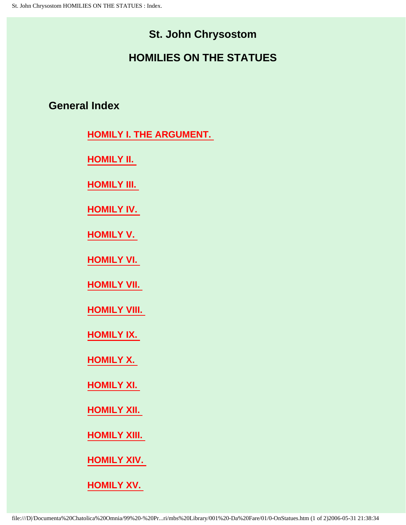## **St. John Chrysostom**

# **HOMILIES ON THE STATUES**

## **General Index**

**[HOMILY I. THE ARGUMENT.](#page-2-0)** 

**[HOMILY II.](#page-26-0)** 

**[HOMILY III.](#page-44-0)** 

**[HOMILY IV.](#page-61-0)** 

**[HOMILY V.](#page-74-0)** 

**[HOMILY VI.](#page-92-0)** 

**[HOMILY VII.](#page-107-0)** 

**[HOMILY VIII.](#page-116-0)** 

**[HOMILY IX.](#page-123-0)** 

**[HOMILY X.](#page-135-0)** 

**[HOMILY XI.](#page-147-0)** 

**[HOMILY XII.](#page-158-0)** 

**[HOMILY XIII.](#page-171-0)** 

**[HOMILY XIV.](#page-181-0)** 

**[HOMILY XV.](#page-195-0)**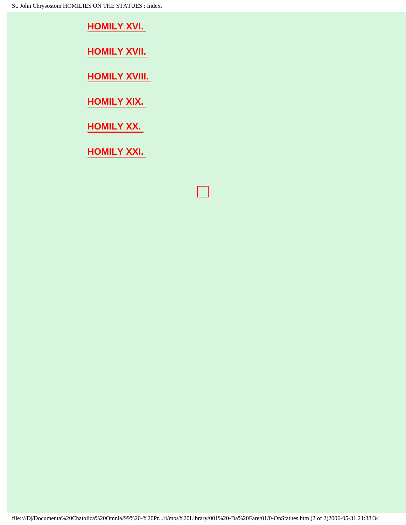**[HOMILY XVI.](#page-207-0)** 

**[HOMILY XVII.](#page-220-0)** 

**[HOMILY XVIII.](#page-232-0)** 

**[HOMILY XIX.](#page-243-0)** 

**[HOMILY XX.](#page-255-0)** 

**[HOMILY XXI.](#page-273-0)**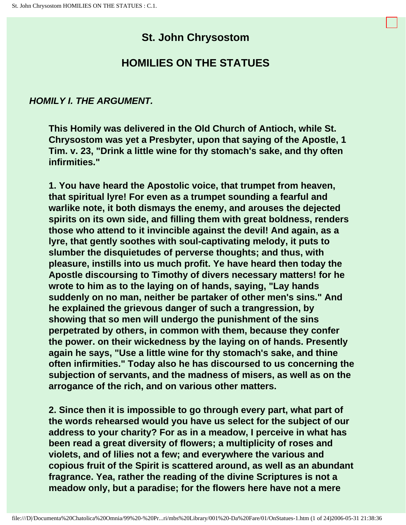### **St. John Chrysostom**

### **HOMILIES ON THE STATUES**

#### <span id="page-2-0"></span>**HOMILY I. THE ARGUMENT.**

**This Homily was delivered in the Old Church of Antioch, while St. Chrysostom was yet a Presbyter, upon that saying of the Apostle, 1 Tim. v. 23, "Drink a little wine for thy stomach's sake, and thy often infirmities."** 

**1. You have heard the Apostolic voice, that trumpet from heaven, that spiritual lyre! For even as a trumpet sounding a fearful and warlike note, it both dismays the enemy, and arouses the dejected spirits on its own side, and filling them with great boldness, renders those who attend to it invincible against the devil! And again, as a lyre, that gently soothes with soul-captivating melody, it puts to slumber the disquietudes of perverse thoughts; and thus, with pleasure, instills into us much profit. Ye have heard then today the Apostle discoursing to Timothy of divers necessary matters! for he wrote to him as to the laying on of hands, saying, "Lay hands suddenly on no man, neither be partaker of other men's sins." And he explained the grievous danger of such a trangression, by showing that so men will undergo the punishment of the sins perpetrated by others, in common with them, because they confer the power. on their wickedness by the laying on of hands. Presently again he says, "Use a little wine for thy stomach's sake, and thine often infirmities." Today also he has discoursed to us concerning the subjection of servants, and the madness of misers, as well as on the arrogance of the rich, and on various other matters.** 

**2. Since then it is impossible to go through every part, what part of the words rehearsed would you have us select for the subject of our address to your charity? For as in a meadow, I perceive in what has been read a great diversity of flowers; a multiplicity of roses and violets, and of lilies not a few; and everywhere the various and copious fruit of the Spirit is scattered around, as well as an abundant fragrance. Yea, rather the reading of the divine Scriptures is not a meadow only, but a paradise; for the flowers here have not a mere**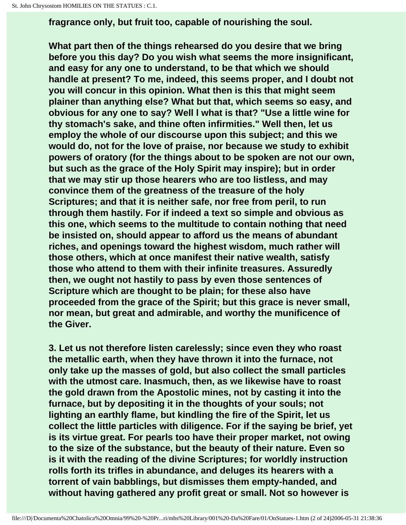**fragrance only, but fruit too, capable of nourishing the soul.** 

**What part then of the things rehearsed do you desire that we bring before you this day? Do you wish what seems the more insignificant, and easy for any one to understand, to be that which we should handle at present? To me, indeed, this seems proper, and I doubt not you will concur in this opinion. What then is this that might seem plainer than anything else? What but that, which seems so easy, and obvious for any one to say? Well l what is that? "Use a little wine for thy stomach's sake, and thine often infirmities." Well then, let us employ the whole of our discourse upon this subject; and this we would do, not for the love of praise, nor because we study to exhibit powers of oratory (for the things about to be spoken are not our own, but such as the grace of the Holy Spirit may inspire); but in order that we may stir up those hearers who are too listless, and may convince them of the greatness of the treasure of the holy Scriptures; and that it is neither safe, nor free from peril, to run through them hastily. For if indeed a text so simple and obvious as this one, which seems to the multitude to contain nothing that need be insisted on, should appear to afford us the means of abundant riches, and openings toward the highest wisdom, much rather will those others, which at once manifest their native wealth, satisfy those who attend to them with their infinite treasures. Assuredly then, we ought not hastily to pass by even those sentences of Scripture which are thought to be plain; for these also have proceeded from the grace of the Spirit; but this grace is never small, nor mean, but great and admirable, and worthy the munificence of the Giver.** 

**3. Let us not therefore listen carelessly; since even they who roast the metallic earth, when they have thrown it into the furnace, not only take up the masses of gold, but also collect the small particles with the utmost care. Inasmuch, then, as we likewise have to roast the gold drawn from the Apostolic mines, not by casting it into the furnace, but by depositing it in the thoughts of your souls; not lighting an earthly flame, but kindling the fire of the Spirit, let us collect the little particles with diligence. For if the saying be brief, yet is its virtue great. For pearls too have their proper market, not owing to the size of the substance, but the beauty of their nature. Even so is it with the reading of the divine Scriptures; for worldly instruction rolls forth its trifles in abundance, and deluges its hearers with a torrent of vain babblings, but dismisses them empty-handed, and without having gathered any profit great or small. Not so however is**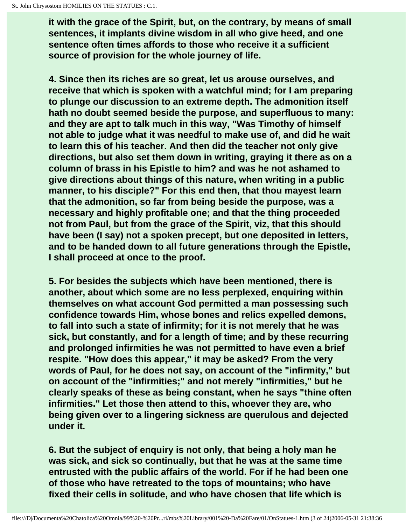**it with the grace of the Spirit, but, on the contrary, by means of small sentences, it implants divine wisdom in all who give heed, and one sentence often times affords to those who receive it a sufficient source of provision for the whole journey of life.** 

**4. Since then its riches are so great, let us arouse ourselves, and receive that which is spoken with a watchful mind; for I am preparing to plunge our discussion to an extreme depth. The admonition itself hath no doubt seemed beside the purpose, and superfluous to many: and they are apt to talk much in this way, "Was Timothy of himself not able to judge what it was needful to make use of, and did he wait to learn this of his teacher. And then did the teacher not only give directions, but also set them down in writing, graying it there as on a column of brass in his Epistle to him? and was he not ashamed to give directions about things of this nature, when writing in a public manner, to his disciple?" For this end then, that thou mayest learn that the admonition, so far from being beside the purpose, was a necessary and highly profitable one; and that the thing proceeded not from Paul, but from the grace of the Spirit, viz, that this should have been (I say) not a spoken precept, but one deposited in letters, and to be handed down to all future generations through the Epistle, I shall proceed at once to the proof.** 

**5. For besides the subjects which have been mentioned, there is another, about which some are no less perplexed, enquiring within themselves on what account God permitted a man possessing such confidence towards Him, whose bones and relics expelled demons, to fall into such a state of infirmity; for it is not merely that he was sick, but constantly, and for a length of time; and by these recurring and prolonged infirmities he was not permitted to have even a brief respite. "How does this appear," it may be asked? From the very words of Paul, for he does not say, on account of the "infirmity," but on account of the "infirmities;" and not merely "infirmities," but he clearly speaks of these as being constant, when he says "thine often infirmities." Let those then attend to this, whoever they are, who being given over to a lingering sickness are querulous and dejected under it.** 

**6. But the subject of enquiry is not only, that being a holy man he was sick, and sick so continually, but that he was at the same time entrusted with the public affairs of the world. For if he had been one of those who have retreated to the tops of mountains; who have fixed their cells in solitude, and who have chosen that life which is**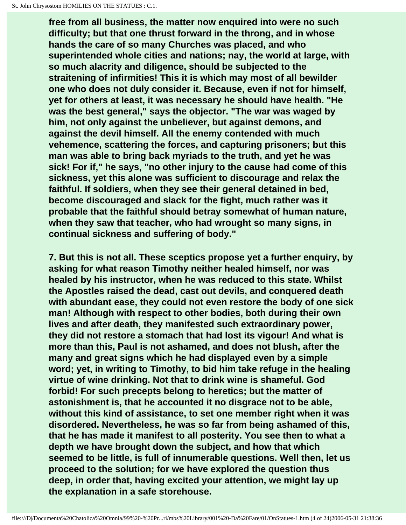**free from all business, the matter now enquired into were no such difficulty; but that one thrust forward in the throng, and in whose hands the care of so many Churches was placed, and who superintended whole cities and nations; nay, the world at large, with so much alacrity and diligence, should be subjected to the straitening of infirmities! This it is which may most of all bewilder one who does not duly consider it. Because, even if not for himself, yet for others at least, it was necessary he should have health. "He was the best general," says the objector. "The war was waged by him, not only against the unbeliever, but against demons, and against the devil himself. All the enemy contended with much vehemence, scattering the forces, and capturing prisoners; but this man was able to bring back myriads to the truth, and yet he was sick! For if," he says, "no other injury to the cause had come of this sickness, yet this alone was sufficient to discourage and relax the faithful. If soldiers, when they see their general detained in bed, become discouraged and slack for the fight, much rather was it probable that the faithful should betray somewhat of human nature, when they saw that teacher, who had wrought so many signs, in continual sickness and suffering of body."** 

**7. But this is not all. These sceptics propose yet a further enquiry, by asking for what reason Timothy neither healed himself, nor was healed by his instructor, when he was reduced to this state. Whilst the Apostles raised the dead, cast out devils, and conquered death with abundant ease, they could not even restore the body of one sick man! Although with respect to other bodies, both during their own lives and after death, they manifested such extraordinary power, they did not restore a stomach that had lost its vigour! And what is more than this, Paul is not ashamed, and does not blush, after the many and great signs which he had displayed even by a simple word; yet, in writing to Timothy, to bid him take refuge in the healing virtue of wine drinking. Not that to drink wine is shameful. God forbid! For such precepts belong to heretics; but the matter of astonishment is, that he accounted it no disgrace not to be able, without this kind of assistance, to set one member right when it was disordered. Nevertheless, he was so far from being ashamed of this, that he has made it manifest to all posterity. You see then to what a depth we have brought down the subject, and how that which seemed to be little, is full of innumerable questions. Well then, let us proceed to the solution; for we have explored the question thus deep, in order that, having excited your attention, we might lay up the explanation in a safe storehouse.**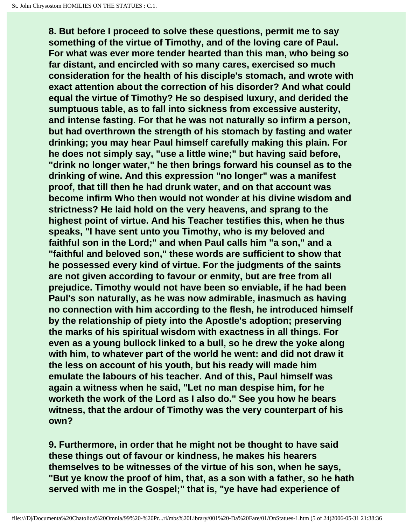**8. But before I proceed to solve these questions, permit me to say something of the virtue of Timothy, and of the loving care of Paul. For what was ever more tender hearted than this man, who being so far distant, and encircled with so many cares, exercised so much consideration for the health of his disciple's stomach, and wrote with exact attention about the correction of his disorder? And what could equal the virtue of Timothy? He so despised luxury, and derided the sumptuous table, as to fall into sickness from excessive austerity, and intense fasting. For that he was not naturally so infirm a person, but had overthrown the strength of his stomach by fasting and water drinking; you may hear Paul himself carefully making this plain. For he does not simply say, "use a little wine;" but having said before, "drink no longer water," he then brings forward his counsel as to the drinking of wine. And this expression "no longer" was a manifest proof, that till then he had drunk water, and on that account was become infirm Who then would not wonder at his divine wisdom and strictness? He laid hold on the very heavens, and sprang to the highest point of virtue. And his Teacher testifies this, when he thus speaks, "I have sent unto you Timothy, who is my beloved and faithful son in the Lord;" and when Paul calls him "a son," and a "faithful and beloved son," these words are sufficient to show that he possessed every kind of virtue. For the judgments of the saints are not given according to favour or enmity, but are free from all prejudice. Timothy would not have been so enviable, if he had been Paul's son naturally, as he was now admirable, inasmuch as having no connection with him according to the flesh, he introduced himself by the relationship of piety into the Apostle's adoption; preserving the marks of his spiritual wisdom with exactness in all things. For even as a young bullock linked to a bull, so he drew the yoke along with him, to whatever part of the world he went: and did not draw it the less on account of his youth, but his ready will made him emulate the labours of his teacher. And of this, Paul himself was again a witness when he said, "Let no man despise him, for he worketh the work of the Lord as I also do." See you how he bears witness, that the ardour of Timothy was the very counterpart of his own?** 

**9. Furthermore, in order that he might not be thought to have said these things out of favour or kindness, he makes his hearers themselves to be witnesses of the virtue of his son, when he says, "But ye know the proof of him, that, as a son with a father, so he hath served with me in the Gospel;" that is, "ye have had experience of**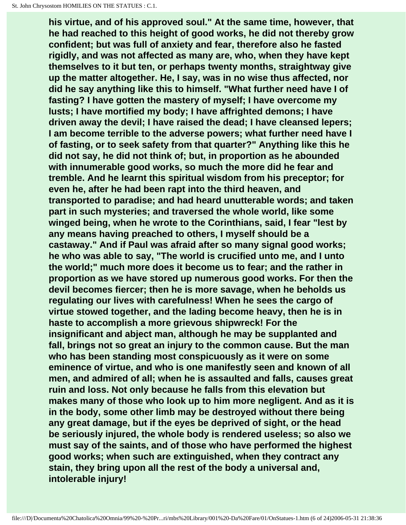**his virtue, and of his approved soul." At the same time, however, that he had reached to this height of good works, he did not thereby grow confident; but was full of anxiety and fear, therefore also he fasted rigidly, and was not affected as many are, who, when they have kept themselves to it but ten, or perhaps twenty months, straightway give up the matter altogether. He, I say, was in no wise thus affected, nor did he say anything like this to himself. "What further need have I of fasting? I have gotten the mastery of myself; I have overcome my lusts; I have mortified my body; I have affrighted demons; I have driven away the devil; I have raised the dead; I have cleansed lepers; I am become terrible to the adverse powers; what further need have I of fasting, or to seek safety from that quarter?" Anything like this he did not say, he did not think of; but, in proportion as he abounded with innumerable good works, so much the more did he fear and tremble. And he learnt this spiritual wisdom from his preceptor; for even he, after he had been rapt into the third heaven, and transported to paradise; and had heard unutterable words; and taken part in such mysteries; and traversed the whole world, like some winged being, when he wrote to the Corinthians, said, I fear "lest by any means having preached to others, I myself should be a castaway." And if Paul was afraid after so many signal good works; he who was able to say, "The world is crucified unto me, and I unto the world;" much more does it become us to fear; and the rather in proportion as we have stored up numerous good works. For then the devil becomes fiercer; then he is more savage, when he beholds us regulating our lives with carefulness! When he sees the cargo of virtue stowed together, and the lading become heavy, then he is in haste to accomplish a more grievous shipwreck! For the insignificant and abject man, although he may be supplanted and fall, brings not so great an injury to the common cause. But the man who has been standing most conspicuously as it were on some eminence of virtue, and who is one manifestly seen and known of all men, and admired of all; when he is assaulted and falls, causes great ruin and loss. Not only because he falls from this elevation but makes many of those who look up to him more negligent. And as it is in the body, some other limb may be destroyed without there being any great damage, but if the eyes be deprived of sight, or the head be seriously injured, the whole body is rendered useless; so also we must say of the saints, and of those who have performed the highest good works; when such are extinguished, when they contract any stain, they bring upon all the rest of the body a universal and, intolerable injury!**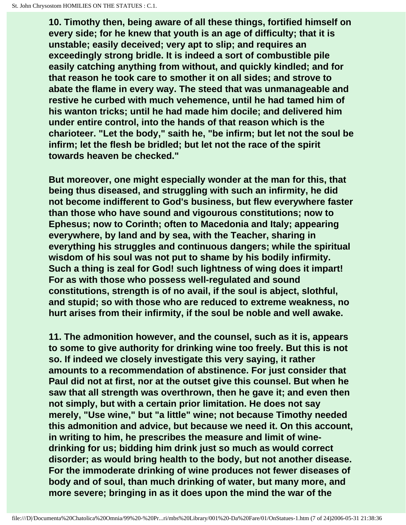**10. Timothy then, being aware of all these things, fortified himself on every side; for he knew that youth is an age of difficulty; that it is unstable; easily deceived; very apt to slip; and requires an exceedingly strong bridle. It is indeed a sort of combustible pile easily catching anything from without, and quickly kindled; and for that reason he took care to smother it on all sides; and strove to abate the flame in every way. The steed that was unmanageable and restive he curbed with much vehemence, until he had tamed him of his wanton tricks; until he had made him docile; and delivered him under entire control, into the hands of that reason which is the charioteer. "Let the body," saith he, "be infirm; but let not the soul be infirm; let the flesh be bridled; but let not the race of the spirit towards heaven be checked."** 

**But moreover, one might especially wonder at the man for this, that being thus diseased, and struggling with such an infirmity, he did not become indifferent to God's business, but flew everywhere faster than those who have sound and vigourous constitutions; now to Ephesus; now to Corinth; often to Macedonia and Italy; appearing everywhere, by land and by sea, with the Teacher, sharing in everything his struggles and continuous dangers; while the spiritual wisdom of his soul was not put to shame by his bodily infirmity. Such a thing is zeal for God! such lightness of wing does it impart! For as with those who possess well-regulated and sound constitutions, strength is of no avail, if the soul is abject, slothful, and stupid; so with those who are reduced to extreme weakness, no hurt arises from their infirmity, if the soul be noble and well awake.** 

**11. The admonition however, and the counsel, such as it is, appears to some to give authority for drinking wine too freely. But this is not so. If indeed we closely investigate this very saying, it rather amounts to a recommendation of abstinence. For just consider that Paul did not at first, nor at the outset give this counsel. But when he saw that all strength was overthrown, then he gave it; and even then not simply, but with a certain prior limitation. He does not say merely, "Use wine," but "a little" wine; not because Timothy needed this admonition and advice, but because we need it. On this account, in writing to him, he prescribes the measure and limit of winedrinking for us; bidding him drink just so much as would correct disorder; as would bring health to the body, but not another disease. For the immoderate drinking of wine produces not fewer diseases of body and of soul, than much drinking of water, but many more, and more severe; bringing in as it does upon the mind the war of the**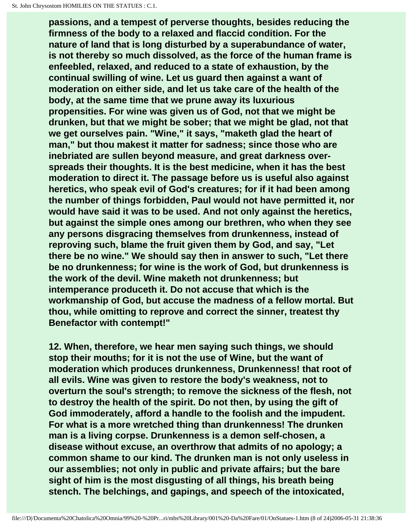**passions, and a tempest of perverse thoughts, besides reducing the firmness of the body to a relaxed and flaccid condition. For the nature of land that is long disturbed by a superabundance of water, is not thereby so much dissolved, as the force of the human frame is enfeebled, relaxed, and reduced to a state of exhaustion, by the continual swilling of wine. Let us guard then against a want of moderation on either side, and let us take care of the health of the body, at the same time that we prune away its luxurious propensities. For wine was given us of God, not that we might be drunken, but that we might be sober; that we might be glad, not that we get ourselves pain. "Wine," it says, "maketh glad the heart of man," but thou makest it matter for sadness; since those who are inebriated are sullen beyond measure, and great darkness overspreads their thoughts. It is the best medicine, when it has the best moderation to direct it. The passage before us is useful also against heretics, who speak evil of God's creatures; for if it had been among the number of things forbidden, Paul would not have permitted it, nor would have said it was to be used. And not only against the heretics, but against the simple ones among our brethren, who when they see any persons disgracing themselves from drunkenness, instead of reproving such, blame the fruit given them by God, and say, "Let there be no wine." We should say then in answer to such, "Let there be no drunkenness; for wine is the work of God, but drunkenness is the work of the devil. Wine maketh not drunkenness; but intemperance produceth it. Do not accuse that which is the workmanship of God, but accuse the madness of a fellow mortal. But thou, while omitting to reprove and correct the sinner, treatest thy Benefactor with contempt!"** 

**12. When, therefore, we hear men saying such things, we should stop their mouths; for it is not the use of Wine, but the want of moderation which produces drunkenness, Drunkenness! that root of all evils. Wine was given to restore the body's weakness, not to overturn the soul's strength; to remove the sickness of the flesh, not to destroy the health of the spirit. Do not then, by using the gift of God immoderately, afford a handle to the foolish and the impudent. For what is a more wretched thing than drunkenness! The drunken man is a living corpse. Drunkenness is a demon self-chosen, a disease without excuse, an overthrow that admits of no apology; a common shame to our kind. The drunken man is not only useless in our assemblies; not only in public and private affairs; but the bare sight of him is the most disgusting of all things, his breath being stench. The belchings, and gapings, and speech of the intoxicated,**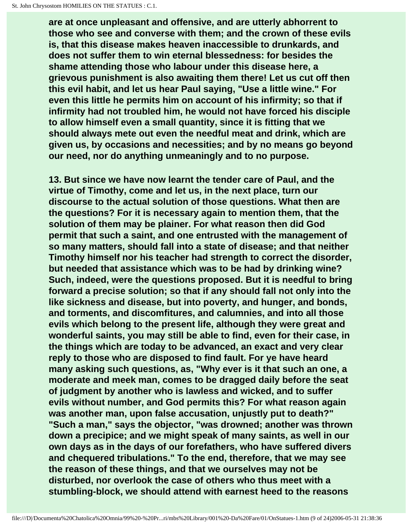**are at once unpleasant and offensive, and are utterly abhorrent to those who see and converse with them; and the crown of these evils is, that this disease makes heaven inaccessible to drunkards, and does not suffer them to win eternal blessedness: for besides the shame attending those who labour under this disease here, a grievous punishment is also awaiting them there! Let us cut off then this evil habit, and let us hear Paul saying, "Use a little wine." For even this little he permits him on account of his infirmity; so that if infirmity had not troubled him, he would not have forced his disciple to allow himself even a small quantity, since it is fitting that we should always mete out even the needful meat and drink, which are given us, by occasions and necessities; and by no means go beyond our need, nor do anything unmeaningly and to no purpose.** 

**13. But since we have now learnt the tender care of Paul, and the virtue of Timothy, come and let us, in the next place, turn our discourse to the actual solution of those questions. What then are the questions? For it is necessary again to mention them, that the solution of them may be plainer. For what reason then did God permit that such a saint, and one entrusted with the management of so many matters, should fall into a state of disease; and that neither Timothy himself nor his teacher had strength to correct the disorder, but needed that assistance which was to be had by drinking wine? Such, indeed, were the questions proposed. But it is needful to bring forward a precise solution; so that if any should fall not only into the like sickness and disease, but into poverty, and hunger, and bonds, and torments, and discomfitures, and calumnies, and into all those evils which belong to the present life, although they were great and wonderful saints, you may still be able to find, even for their case, in the things which are today to be advanced, an exact and very clear reply to those who are disposed to find fault. For ye have heard many asking such questions, as, "Why ever is it that such an one, a moderate and meek man, comes to be dragged daily before the seat of judgment by another who is lawless and wicked, and to suffer evils without number, and God permits this? For what reason again was another man, upon false accusation, unjustly put to death?" "Such a man," says the objector, "was drowned; another was thrown down a precipice; and we might speak of many saints, as well in our own days as in the days of our forefathers, who have suffered divers and chequered tribulations." To the end, therefore, that we may see the reason of these things, and that we ourselves may not be disturbed, nor overlook the case of others who thus meet with a stumbling-block, we should attend with earnest heed to the reasons**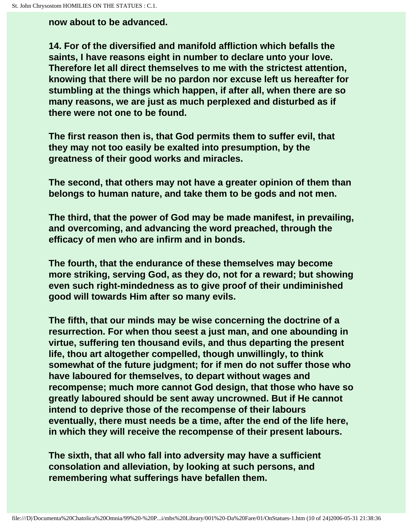**now about to be advanced.** 

**14. For of the diversified and manifold affliction which befalls the saints, I have reasons eight in number to declare unto your love. Therefore let all direct themselves to me with the strictest attention, knowing that there will be no pardon nor excuse left us hereafter for stumbling at the things which happen, if after all, when there are so many reasons, we are just as much perplexed and disturbed as if there were not one to be found.** 

**The first reason then is, that God permits them to suffer evil, that they may not too easily be exalted into presumption, by the greatness of their good works and miracles.** 

**The second, that others may not have a greater opinion of them than belongs to human nature, and take them to be gods and not men.** 

**The third, that the power of God may be made manifest, in prevailing, and overcoming, and advancing the word preached, through the efficacy of men who are infirm and in bonds.** 

**The fourth, that the endurance of these themselves may become more striking, serving God, as they do, not for a reward; but showing even such right-mindedness as to give proof of their undiminished good will towards Him after so many evils.** 

**The fifth, that our minds may be wise concerning the doctrine of a resurrection. For when thou seest a just man, and one abounding in virtue, suffering ten thousand evils, and thus departing the present life, thou art altogether compelled, though unwillingly, to think somewhat of the future judgment; for if men do not suffer those who have laboured for themselves, to depart without wages and recompense; much more cannot God design, that those who have so greatly laboured should be sent away uncrowned. But if He cannot intend to deprive those of the recompense of their labours eventually, there must needs be a time, after the end of the life here, in which they will receive the recompense of their present labours.** 

**The sixth, that all who fall into adversity may have a sufficient consolation and alleviation, by looking at such persons, and remembering what sufferings have befallen them.**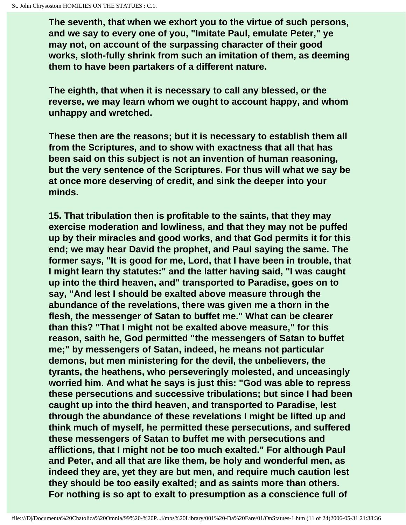**The seventh, that when we exhort you to the virtue of such persons, and we say to every one of you, "Imitate Paul, emulate Peter," ye may not, on account of the surpassing character of their good works, sloth-fully shrink from such an imitation of them, as deeming them to have been partakers of a different nature.** 

**The eighth, that when it is necessary to call any blessed, or the reverse, we may learn whom we ought to account happy, and whom unhappy and wretched.** 

**These then are the reasons; but it is necessary to establish them all from the Scriptures, and to show with exactness that all that has been said on this subject is not an invention of human reasoning, but the very sentence of the Scriptures. For thus will what we say be at once more deserving of credit, and sink the deeper into your minds.** 

**15. That tribulation then is profitable to the saints, that they may exercise moderation and lowliness, and that they may not be puffed up by their miracles and good works, and that God permits it for this end; we may hear David the prophet, and Paul saying the same. The former says, "It is good for me, Lord, that I have been in trouble, that I might learn thy statutes:" and the latter having said, "I was caught up into the third heaven, and" transported to Paradise, goes on to say, "And lest I should be exalted above measure through the abundance of the revelations, there was given me a thorn in the flesh, the messenger of Satan to buffet me." What can be clearer than this? "That I might not be exalted above measure," for this reason, saith he, God permitted "the messengers of Satan to buffet me;" by messengers of Satan, indeed, he means not particular demons, but men ministering for the devil, the unbelievers, the tyrants, the heathens, who perseveringly molested, and unceasingly worried him. And what he says is just this: "God was able to repress these persecutions and successive tribulations; but since I had been caught up into the third heaven, and transported to Paradise, lest through the abundance of these revelations I might be lifted up and think much of myself, he permitted these persecutions, and suffered these messengers of Satan to buffet me with persecutions and afflictions, that I might not be too much exalted." For although Paul and Peter, and all that are like them, be holy and wonderful men, as indeed they are, yet they are but men, and require much caution lest they should be too easily exalted; and as saints more than others. For nothing is so apt to exalt to presumption as a conscience full of**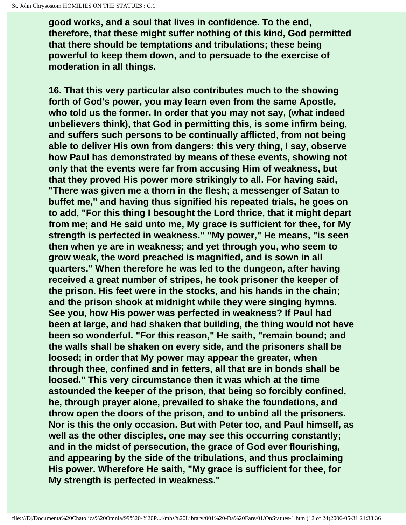**good works, and a soul that lives in confidence. To the end, therefore, that these might suffer nothing of this kind, God permitted that there should be temptations and tribulations; these being powerful to keep them down, and to persuade to the exercise of moderation in all things.** 

**16. That this very particular also contributes much to the showing forth of God's power, you may learn even from the same Apostle, who told us the former. In order that you may not say, (what indeed unbelievers think), that God in permitting this, is some infirm being, and suffers such persons to be continually afflicted, from not being able to deliver His own from dangers: this very thing, I say, observe how Paul has demonstrated by means of these events, showing not only that the events were far from accusing Him of weakness, but that they proved His power more strikingly to all. For having said, "There was given me a thorn in the flesh; a messenger of Satan to buffet me," and having thus signified his repeated trials, he goes on to add, "For this thing I besought the Lord thrice, that it might depart from me; and He said unto me, My grace is sufficient for thee, for My strength is perfected in weakness." "My power," He means, "is seen then when ye are in weakness; and yet through you, who seem to grow weak, the word preached is magnified, and is sown in all quarters." When therefore he was led to the dungeon, after having received a great number of stripes, he took prisoner the keeper of the prison. His feet were in the stocks, and his hands in the chain; and the prison shook at midnight while they were singing hymns. See you, how His power was perfected in weakness? If Paul had been at large, and had shaken that building, the thing would not have been so wonderful. "For this reason," He saith, "remain bound; and the walls shall be shaken on every side, and the prisoners shall be loosed; in order that My power may appear the greater, when through thee, confined and in fetters, all that are in bonds shall be loosed." This very circumstance then it was which at the time astounded the keeper of the prison, that being so forcibly confined, he, through prayer alone, prevailed to shake the foundations, and throw open the doors of the prison, and to unbind all the prisoners. Nor is this the only occasion. But with Peter too, and Paul himself, as well as the other disciples, one may see this occurring constantly; and in the midst of persecution, the grace of God ever flourishing, and appearing by the side of the tribulations, and thus proclaiming His power. Wherefore He saith, "My grace is sufficient for thee, for My strength is perfected in weakness."**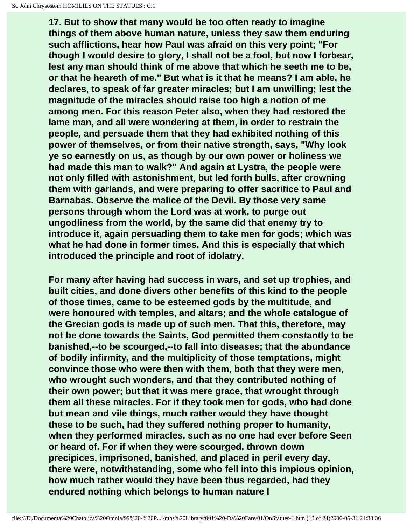**17. But to show that many would be too often ready to imagine things of them above human nature, unless they saw them enduring such afflictions, hear how Paul was afraid on this very point; "For though I would desire to glory, I shall not be a fool, but now I forbear, lest any man should think of me above that which he seeth me to be, or that he heareth of me." But what is it that he means? I am able, he declares, to speak of far greater miracles; but I am unwilling; lest the magnitude of the miracles should raise too high a notion of me among men. For this reason Peter also, when they had restored the lame man, and all were wondering at them, in order to restrain the people, and persuade them that they had exhibited nothing of this power of themselves, or from their native strength, says, "Why look ye so earnestly on us, as though by our own power or holiness we had made this man to walk?" And again at Lystra, the people were not only filled with astonishment, but led forth bulls, after crowning them with garlands, and were preparing to offer sacrifice to Paul and Barnabas. Observe the malice of the Devil. By those very same persons through whom the Lord was at work, to purge out ungodliness from the world, by the same did that enemy try to introduce it, again persuading them to take men for gods; which was what he had done in former times. And this is especially that which introduced the principle and root of idolatry.** 

**For many after having had success in wars, and set up trophies, and built cities, and done divers other benefits of this kind to the people of those times, came to be esteemed gods by the multitude, and were honoured with temples, and altars; and the whole catalogue of the Grecian gods is made up of such men. That this, therefore, may not be done towards the Saints, God permitted them constantly to be banished,--to be scourged,--to fall into diseases; that the abundance of bodily infirmity, and the multiplicity of those temptations, might convince those who were then with them, both that they were men, who wrought such wonders, and that they contributed nothing of their own power; but that it was mere grace, that wrought through them all these miracles. For if they took men for gods, who had done but mean and vile things, much rather would they have thought these to be such, had they suffered nothing proper to humanity, when they performed miracles, such as no one had ever before Seen or heard of. For if when they were scourged, thrown down precipices, imprisoned, banished, and placed in peril every day, there were, notwithstanding, some who fell into this impious opinion, how much rather would they have been thus regarded, had they endured nothing which belongs to human nature I**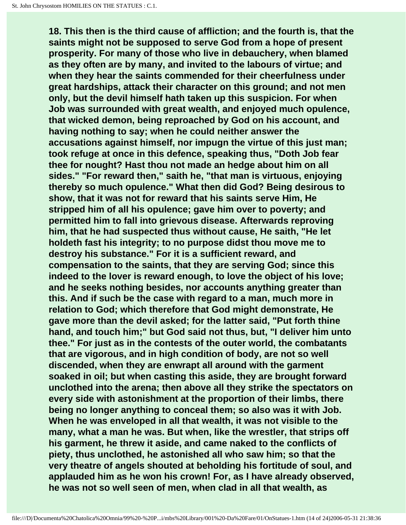**18. This then is the third cause of affliction; and the fourth is, that the saints might not be supposed to serve God from a hope of present prosperity. For many of those who live in debauchery, when blamed as they often are by many, and invited to the labours of virtue; and when they hear the saints commended for their cheerfulness under great hardships, attack their character on this ground; and not men only, but the devil himself hath taken up this suspicion. For when Job was surrounded with great wealth, and enjoyed much opulence, that wicked demon, being reproached by God on his account, and having nothing to say; when he could neither answer the accusations against himself, nor impugn the virtue of this just man; took refuge at once in this defence, speaking thus, "Doth Job fear thee for nought? Hast thou not made an hedge about him on all sides." "For reward then," saith he, "that man is virtuous, enjoying thereby so much opulence." What then did God? Being desirous to show, that it was not for reward that his saints serve Him, He stripped him of all his opulence; gave him over to poverty; and permitted him to fall into grievous disease. Afterwards reproving him, that he had suspected thus without cause, He saith, "He let holdeth fast his integrity; to no purpose didst thou move me to destroy his substance." For it is a sufficient reward, and compensation to the saints, that they are serving God; since this indeed to the lover is reward enough, to love the object of his love; and he seeks nothing besides, nor accounts anything greater than this. And if such be the case with regard to a man, much more in relation to God; which therefore that God might demonstrate, He gave more than the devil asked; for the latter said, "Put forth thine hand, and touch him;" but God said not thus, but, "I deliver him unto thee." For just as in the contests of the outer world, the combatants that are vigorous, and in high condition of body, are not so well discended, when they are enwrapt all around with the garment soaked in oil; but when casting this aside, they are brought forward unclothed into the arena; then above all they strike the spectators on every side with astonishment at the proportion of their limbs, there being no longer anything to conceal them; so also was it with Job. When he was enveloped in all that wealth, it was not visible to the many, what a man he was. But when, like the wrestler, that strips off his garment, he threw it aside, and came naked to the conflicts of piety, thus unclothed, he astonished all who saw him; so that the very theatre of angels shouted at beholding his fortitude of soul, and applauded him as he won his crown! For, as I have already observed, he was not so well seen of men, when clad in all that wealth, as**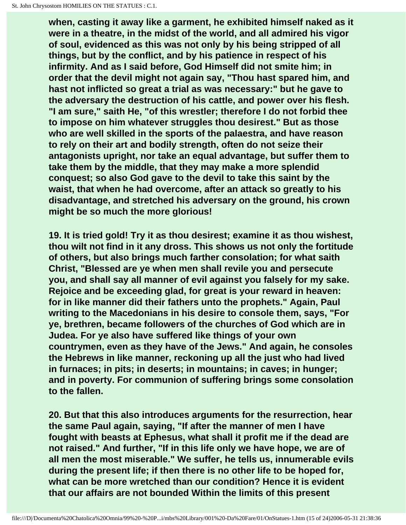**when, casting it away like a garment, he exhibited himself naked as it were in a theatre, in the midst of the world, and all admired his vigor of soul, evidenced as this was not only by his being stripped of all things, but by the conflict, and by his patience in respect of his infirmity. And as I said before, God Himself did not smite him; in order that the devil might not again say, "Thou hast spared him, and hast not inflicted so great a trial as was necessary:" but he gave to the adversary the destruction of his cattle, and power over his flesh. "I am sure," saith He, "of this wrestler; therefore I do not forbid thee to impose on him whatever struggles thou desirest." But as those who are well skilled in the sports of the palaestra, and have reason to rely on their art and bodily strength, often do not seize their antagonists upright, nor take an equal advantage, but suffer them to take them by the middle, that they may make a more splendid conquest; so also God gave to the devil to take this saint by the waist, that when he had overcome, after an attack so greatly to his disadvantage, and stretched his adversary on the ground, his crown might be so much the more glorious!** 

**19. It is tried gold! Try it as thou desirest; examine it as thou wishest, thou wilt not find in it any dross. This shows us not only the fortitude of others, but also brings much farther consolation; for what saith Christ, "Blessed are ye when men shall revile you and persecute you, and shall say all manner of evil against you falsely for my sake. Rejoice and be exceeding glad, for great is your reward in heaven: for in like manner did their fathers unto the prophets." Again, Paul writing to the Macedonians in his desire to console them, says, "For ye, brethren, became followers of the churches of God which are in Judea. For ye also have suffered like things of your own countrymen, even as they have of the Jews." And again, he consoles the Hebrews in like manner, reckoning up all the just who had lived in furnaces; in pits; in deserts; in mountains; in caves; in hunger; and in poverty. For communion of suffering brings some consolation to the fallen.** 

**20. But that this also introduces arguments for the resurrection, hear the same Paul again, saying, "If after the manner of men I have fought with beasts at Ephesus, what shall it profit me if the dead are not raised." And further, "If in this life only we have hope, we are of all men the most miserable." We suffer, he tells us, innumerable evils during the present life; if then there is no other life to be hoped for, what can be more wretched than our condition? Hence it is evident that our affairs are not bounded Within the limits of this present**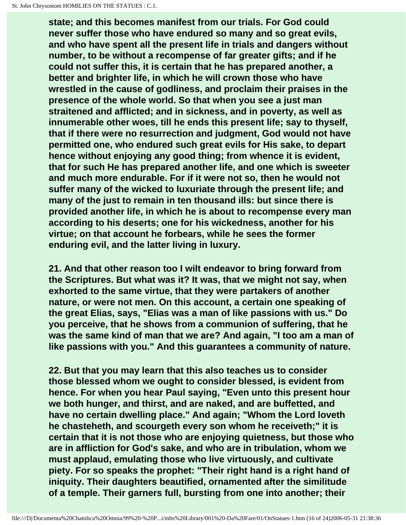**state; and this becomes manifest from our trials. For God could never suffer those who have endured so many and so great evils, and who have spent all the present life in trials and dangers without number, to be without a recompense of far greater gifts; and if he could not suffer this, it is certain that he has prepared another, a better and brighter life, in which he will crown those who have wrestled in the cause of godliness, and proclaim their praises in the presence of the whole world. So that when you see a just man straitened and afflicted; and in sickness, and in poverty, as well as innumerable other woes, till he ends this present life; say to thyself, that if there were no resurrection and judgment, God would not have permitted one, who endured such great evils for His sake, to depart hence without enjoying any good thing; from whence it is evident, that for such He has prepared another life, and one which is sweeter and much more endurable. For if it were not so, then he would not suffer many of the wicked to luxuriate through the present life; and many of the just to remain in ten thousand ills: but since there is provided another life, in which he is about to recompense every man according to his deserts; one for his wickedness, another for his virtue; on that account he forbears, while he sees the former enduring evil, and the latter living in luxury.** 

**21. And that other reason too I wilt endeavor to bring forward from the Scriptures. But what was it? It was, that we might not say, when exhorted to the same virtue, that they were partakers of another nature, or were not men. On this account, a certain one speaking of the great Elias, says, "Elias was a man of like passions with us." Do you perceive, that he shows from a communion of suffering, that he was the same kind of man that we are? And again, "I too am a man of like passions with you." And this guarantees a community of nature.** 

**22. But that you may learn that this also teaches us to consider those blessed whom we ought to consider blessed, is evident from hence. For when you hear Paul saying, "Even unto this present hour we both hunger, and thirst, and are naked, and are buffetted, and have no certain dwelling place." And again; "Whom the Lord loveth he chasteheth, and scourgeth every son whom he receiveth;" it is certain that it is not those who are enjoying quietness, but those who are in affliction for God's sake, and who are in tribulation, whom we must applaud, emulating those who live virtuously, and cultivate piety. For so speaks the prophet: "Their right hand is a right hand of iniquity. Their daughters beautified, ornamented after the similitude of a temple. Their garners full, bursting from one into another; their**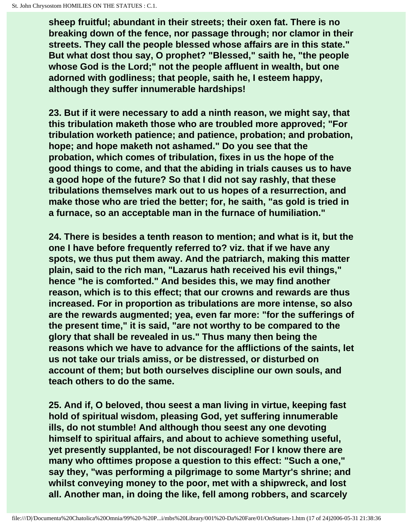**sheep fruitful; abundant in their streets; their oxen fat. There is no breaking down of the fence, nor passage through; nor clamor in their streets. They call the people blessed whose affairs are in this state." But what dost thou say, O prophet? "Blessed," saith he, "the people whose God is the Lord;" not the people affluent in wealth, but one adorned with godliness; that people, saith he, I esteem happy, although they suffer innumerable hardships!** 

**23. But if it were necessary to add a ninth reason, we might say, that this tribulation maketh those who are troubled more approved; "For tribulation worketh patience; and patience, probation; and probation, hope; and hope maketh not ashamed." Do you see that the probation, which comes of tribulation, fixes in us the hope of the good things to come, and that the abiding in trials causes us to have a good hope of the future? So that I did not say rashly, that these tribulations themselves mark out to us hopes of a resurrection, and make those who are tried the better; for, he saith, "as gold is tried in a furnace, so an acceptable man in the furnace of humiliation."** 

**24. There is besides a tenth reason to mention; and what is it, but the one I have before frequently referred to? viz. that if we have any spots, we thus put them away. And the patriarch, making this matter plain, said to the rich man, "Lazarus hath received his evil things," hence "he is comforted." And besides this, we may find another reason, which is to this effect; that our crowns and rewards are thus increased. For in proportion as tribulations are more intense, so also are the rewards augmented; yea, even far more: "for the sufferings of the present time," it is said, "are not worthy to be compared to the glory that shall be revealed in us." Thus many then being the reasons which we have to advance for the afflictions of the saints, let us not take our trials amiss, or be distressed, or disturbed on account of them; but both ourselves discipline our own souls, and teach others to do the same.** 

**25. And if, O beloved, thou seest a man living in virtue, keeping fast hold of spiritual wisdom, pleasing God, yet suffering innumerable ills, do not stumble! And although thou seest any one devoting himself to spiritual affairs, and about to achieve something useful, yet presently supplanted, be not discouraged! For I know there are many who ofttimes propose a question to this effect: "Such a one," say they, "was performing a pilgrimage to some Martyr's shrine; and whilst conveying money to the poor, met with a shipwreck, and lost all. Another man, in doing the like, fell among robbers, and scarcely**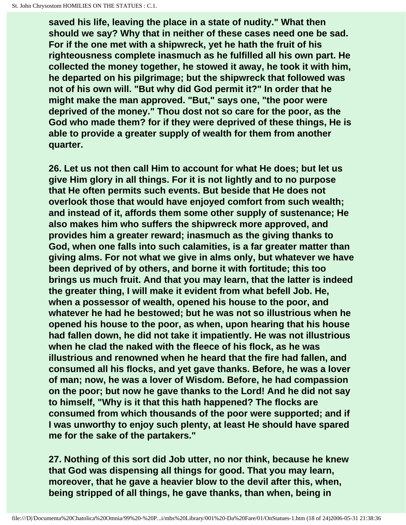**saved his life, leaving the place in a state of nudity." What then should we say? Why that in neither of these cases need one be sad. For if the one met with a shipwreck, yet he hath the fruit of his righteousness complete inasmuch as he fulfilled all his own part. He collected the money together, he stowed it away, he took it with him, he departed on his pilgrimage; but the shipwreck that followed was not of his own will. "But why did God permit it?" In order that he might make the man approved. "But," says one, "the poor were deprived of the money." Thou dost not so care for the poor, as the God who made them? for if they were deprived of these things, He is able to provide a greater supply of wealth for them from another quarter.** 

**26. Let us not then call Him to account for what He does; but let us give Him glory in all things. For it is not lightly and to no purpose that He often permits such events. But beside that He does not overlook those that would have enjoyed comfort from such wealth; and instead of it, affords them some other supply of sustenance; He also makes him who suffers the shipwreck more approved, and provides him a greater reward; inasmuch as the giving thanks to God, when one falls into such calamities, is a far greater matter than giving alms. For not what we give in alms only, but whatever we have been deprived of by others, and borne it with fortitude; this too brings us much fruit. And that you may learn, that the latter is indeed the greater thing, I will make it evident from what befell Job. He, when a possessor of wealth, opened his house to the poor, and whatever he had he bestowed; but he was not so illustrious when he opened his house to the poor, as when, upon hearing that his house had fallen down, he did not take it impatiently. He was not illustrious when he clad the naked with the fleece of his flock, as he was illustrious and renowned when he heard that the fire had fallen, and consumed all his flocks, and yet gave thanks. Before, he was a lover of man; now, he was a lover of Wisdom. Before, he had compassion on the poor; but now he gave thanks to the Lord! And he did not say to himself, "Why is it that this hath happened? The flocks are consumed from which thousands of the poor were supported; and if I was unworthy to enjoy such plenty, at least He should have spared me for the sake of the partakers."** 

**27. Nothing of this sort did Job utter, no nor think, because he knew that God was dispensing all things for good. That you may learn, moreover, that he gave a heavier blow to the devil after this, when, being stripped of all things, he gave thanks, than when, being in**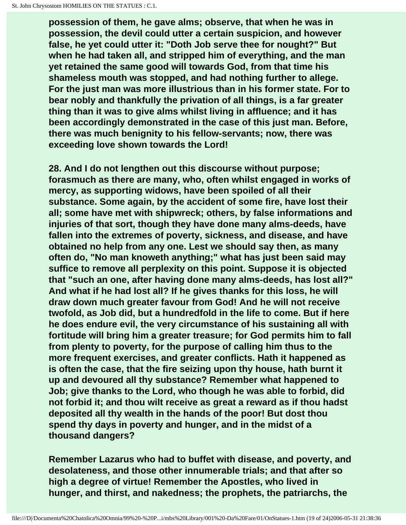**possession of them, he gave alms; observe, that when he was in possession, the devil could utter a certain suspicion, and however false, he yet could utter it: "Doth Job serve thee for nought?" But when he had taken all, and stripped him of everything, and the man yet retained the same good will towards God, from that time his shameless mouth was stopped, and had nothing further to allege. For the just man was more illustrious than in his former state. For to bear nobly and thankfully the privation of all things, is a far greater thing than it was to give alms whilst living in affluence; and it has been accordingly demonstrated in the case of this just man. Before, there was much benignity to his fellow-servants; now, there was exceeding love shown towards the Lord!** 

**28. And I do not lengthen out this discourse without purpose; forasmuch as there are many, who, often whilst engaged in works of mercy, as supporting widows, have been spoiled of all their substance. Some again, by the accident of some fire, have lost their all; some have met with shipwreck; others, by false informations and injuries of that sort, though they have done many alms-deeds, have fallen into the extremes of poverty, sickness, and disease, and have obtained no help from any one. Lest we should say then, as many often do, "No man knoweth anything;" what has just been said may suffice to remove all perplexity on this point. Suppose it is objected that "such an one, after having done many alms-deeds, has lost all?" And what if he had lost all? If he gives thanks for this loss, he will draw down much greater favour from God! And he will not receive twofold, as Job did, but a hundredfold in the life to come. But if here he does endure evil, the very circumstance of his sustaining all with fortitude will bring him a greater treasure; for God permits him to fall from plenty to poverty, for the purpose of calling him thus to the more frequent exercises, and greater conflicts. Hath it happened as is often the case, that the fire seizing upon thy house, hath burnt it up and devoured all thy substance? Remember what happened to Job; give thanks to the Lord, who though he was able to forbid, did not forbid it; and thou wilt receive as great a reward as if thou hadst deposited all thy wealth in the hands of the poor! But dost thou spend thy days in poverty and hunger, and in the midst of a thousand dangers?** 

**Remember Lazarus who had to buffet with disease, and poverty, and desolateness, and those other innumerable trials; and that after so high a degree of virtue! Remember the Apostles, who lived in hunger, and thirst, and nakedness; the prophets, the patriarchs, the**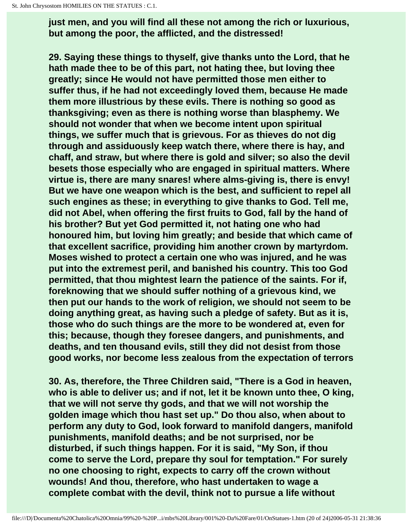**just men, and you will find all these not among the rich or luxurious, but among the poor, the afflicted, and the distressed!** 

**29. Saying these things to thyself, give thanks unto the Lord, that he hath made thee to be of this part, not hating thee, but loving thee greatly; since He would not have permitted those men either to suffer thus, if he had not exceedingly loved them, because He made them more illustrious by these evils. There is nothing so good as thanksgiving; even as there is nothing worse than blasphemy. We should not wonder that when we become intent upon spiritual things, we suffer much that is grievous. For as thieves do not dig through and assiduously keep watch there, where there is hay, and chaff, and straw, but where there is gold and silver; so also the devil besets those especially who are engaged in spiritual matters. Where virtue is, there are many snares! where alms-giving is, there is envy! But we have one weapon which is the best, and sufficient to repel all such engines as these; in everything to give thanks to God. Tell me, did not Abel, when offering the first fruits to God, fall by the hand of his brother? But yet God permitted it, not hating one who had honoured him, but loving him greatly; and beside that which came of that excellent sacrifice, providing him another crown by martyrdom. Moses wished to protect a certain one who was injured, and he was put into the extremest peril, and banished his country. This too God permitted, that thou mightest learn the patience of the saints. For if, foreknowing that we should suffer nothing of a grievous kind, we then put our hands to the work of religion, we should not seem to be doing anything great, as having such a pledge of safety. But as it is, those who do such things are the more to be wondered at, even for this; because, though they foresee dangers, and punishments, and deaths, and ten thousand evils, still they did not desist from those good works, nor become less zealous from the expectation of terrors** 

**30. As, therefore, the Three Children said, "There is a God in heaven, who is able to deliver us; and if not, let it be known unto thee, O king, that we will not serve thy gods, and that we will not worship the golden image which thou hast set up." Do thou also, when about to perform any duty to God, look forward to manifold dangers, manifold punishments, manifold deaths; and be not surprised, nor be disturbed, if such things happen. For it is said, "My Son, if thou come to serve the Lord, prepare thy soul for temptation." For surely no one choosing to right, expects to carry off the crown without wounds! And thou, therefore, who hast undertaken to wage a complete combat with the devil, think not to pursue a life without**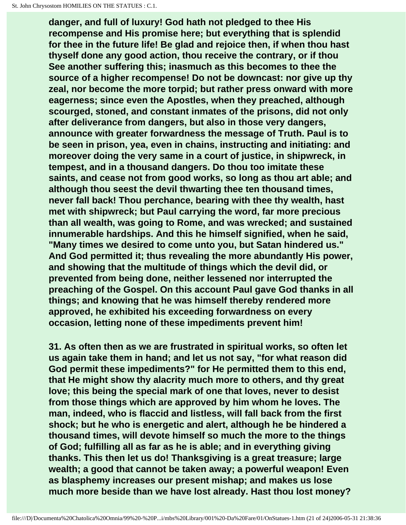**danger, and full of luxury! God hath not pledged to thee His recompense and His promise here; but everything that is splendid for thee in the future life! Be glad and rejoice then, if when thou hast thyself done any good action, thou receive the contrary, or if thou See another suffering this; inasmuch as this becomes to thee the source of a higher recompense! Do not be downcast: nor give up thy zeal, nor become the more torpid; but rather press onward with more eagerness; since even the Apostles, when they preached, although scourged, stoned, and constant inmates of the prisons, did not only after deliverance from dangers, but also in those very dangers, announce with greater forwardness the message of Truth. Paul is to be seen in prison, yea, even in chains, instructing and initiating: and moreover doing the very same in a court of justice, in shipwreck, in tempest, and in a thousand dangers. Do thou too imitate these saints, and cease not from good works, so long as thou art able; and although thou seest the devil thwarting thee ten thousand times, never fall back! Thou perchance, bearing with thee thy wealth, hast met with shipwreck; but Paul carrying the word, far more precious than all wealth, was going to Rome, and was wrecked; and sustained innumerable hardships. And this he himself signified, when he said, "Many times we desired to come unto you, but Satan hindered us." And God permitted it; thus revealing the more abundantly His power, and showing that the multitude of things which the devil did, or prevented from being done, neither lessened nor interrupted the preaching of the Gospel. On this account Paul gave God thanks in all things; and knowing that he was himself thereby rendered more approved, he exhibited his exceeding forwardness on every occasion, letting none of these impediments prevent him!** 

**31. As often then as we are frustrated in spiritual works, so often let us again take them in hand; and let us not say, "for what reason did God permit these impediments?" for He permitted them to this end, that He might show thy alacrity much more to others, and thy great love; this being the special mark of one that loves, never to desist from those things which are approved by him whom he loves. The man, indeed, who is flaccid and listless, will fall back from the first shock; but he who is energetic and alert, although he be hindered a thousand times, will devote himself so much the more to the things of God; fulfilling all as far as he is able; and in everything giving thanks. This then let us do! Thanksgiving is a great treasure; large wealth; a good that cannot be taken away; a powerful weapon! Even as blasphemy increases our present mishap; and makes us lose much more beside than we have lost already. Hast thou lost money?**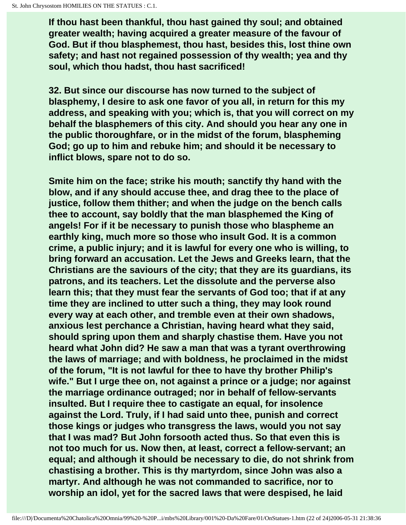**If thou hast been thankful, thou hast gained thy soul; and obtained greater wealth; having acquired a greater measure of the favour of God. But if thou blasphemest, thou hast, besides this, lost thine own safety; and hast not regained possession of thy wealth; yea and thy soul, which thou hadst, thou hast sacrificed!** 

**32. But since our discourse has now turned to the subject of blasphemy, I desire to ask one favor of you all, in return for this my address, and speaking with you; which is, that you will correct on my behalf the blasphemers of this city. And should you hear any one in the public thoroughfare, or in the midst of the forum, blaspheming God; go up to him and rebuke him; and should it be necessary to inflict blows, spare not to do so.** 

**Smite him on the face; strike his mouth; sanctify thy hand with the blow, and if any should accuse thee, and drag thee to the place of justice, follow them thither; and when the judge on the bench calls thee to account, say boldly that the man blasphemed the King of angels! For if it be necessary to punish those who blaspheme an earthly king, much more so those who insult God. It is a common crime, a public injury; and it is lawful for every one who is willing, to bring forward an accusation. Let the Jews and Greeks learn, that the Christians are the saviours of the city; that they are its guardians, its patrons, and its teachers. Let the dissolute and the perverse also learn this; that they must fear the servants of God too; that if at any time they are inclined to utter such a thing, they may look round every way at each other, and tremble even at their own shadows, anxious lest perchance a Christian, having heard what they said, should spring upon them and sharply chastise them. Have you not heard what John did? He saw a man that was a tyrant overthrowing the laws of marriage; and with boldness, he proclaimed in the midst of the forum, "It is not lawful for thee to have thy brother Philip's wife." But I urge thee on, not against a prince or a judge; nor against the marriage ordinance outraged; nor in behalf of fellow-servants insulted. But I require thee to castigate an equal, for insolence against the Lord. Truly, if I had said unto thee, punish and correct those kings or judges who transgress the laws, would you not say that I was mad? But John forsooth acted thus. So that even this is not too much for us. Now then, at least, correct a fellow-servant; an equal; and although it should be necessary to die, do not shrink from chastising a brother. This is thy martyrdom, since John was also a martyr. And although he was not commanded to sacrifice, nor to worship an idol, yet for the sacred laws that were despised, he laid**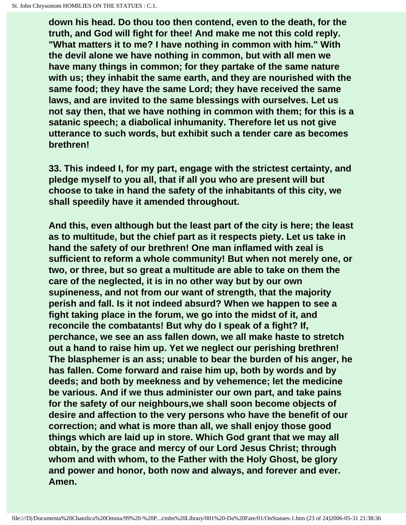**down his head. Do thou too then contend, even to the death, for the truth, and God will fight for thee! And make me not this cold reply. "What matters it to me? I have nothing in common with him." With the devil alone we have nothing in common, but with all men we have many things in common; for they partake of the same nature with us; they inhabit the same earth, and they are nourished with the same food; they have the same Lord; they have received the same laws, and are invited to the same blessings with ourselves. Let us not say then, that we have nothing in common with them; for this is a satanic speech; a diabolical inhumanity. Therefore let us not give utterance to such words, but exhibit such a tender care as becomes brethren!** 

**33. This indeed I, for my part, engage with the strictest certainty, and pledge myself to you all, that if all you who are present will but choose to take in hand the safety of the inhabitants of this city, we shall speedily have it amended throughout.** 

**And this, even although but the least part of the city is here; the least as to multitude, but the chief part as it respects piety. Let us take in hand the safety of our brethren! One man inflamed with zeal is sufficient to reform a whole community! But when not merely one, or two, or three, but so great a multitude are able to take on them the care of the neglected, it is in no other way but by our own supineness, and not from our want of strength, that the majority perish and fall. Is it not indeed absurd? When we happen to see a fight taking place in the forum, we go into the midst of it, and reconcile the combatants! But why do I speak of a fight? If, perchance, we see an ass fallen down, we all make haste to stretch out a hand to raise him up. Yet we neglect our perishing brethren! The blasphemer is an ass; unable to bear the burden of his anger, he has fallen. Come forward and raise him up, both by words and by deeds; and both by meekness and by vehemence; let the medicine be various. And if we thus administer our own part, and take pains for the safety of our neighbours,we shall soon become objects of desire and affection to the very persons who have the benefit of our correction; and what is more than all, we shall enjoy those good things which are laid up in store. Which God grant that we may all obtain, by the grace and mercy of our Lord Jesus Christ; through whom and with whom, to the Father with the Holy Ghost, be glory and power and honor, both now and always, and forever and ever. Amen.**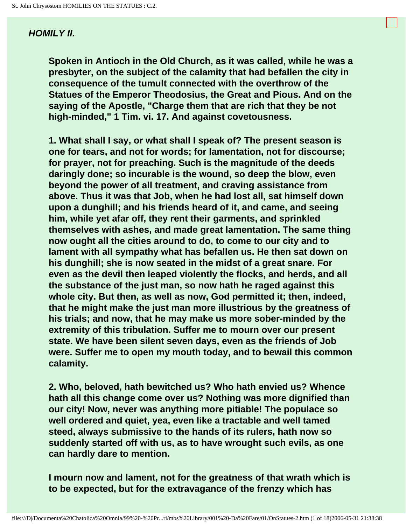#### <span id="page-26-0"></span>**HOMILY II.**

**Spoken in Antioch in the Old Church, as it was called, while he was a presbyter, on the subject of the calamity that had befallen the city in consequence of the tumult connected with the overthrow of the Statues of the Emperor Theodosius, the Great and Pious. And on the saying of the Apostle, "Charge them that are rich that they be not high-minded," 1 Tim. vi. 17. And against covetousness.** 

**1. What shall I say, or what shall I speak of? The present season is one for tears, and not for words; for lamentation, not for discourse; for prayer, not for preaching. Such is the magnitude of the deeds daringly done; so incurable is the wound, so deep the blow, even beyond the power of all treatment, and craving assistance from above. Thus it was that Job, when he had lost all, sat himself down upon a dunghill; and his friends heard of it, and came, and seeing him, while yet afar off, they rent their garments, and sprinkled themselves with ashes, and made great lamentation. The same thing now ought all the cities around to do, to come to our city and to lament with all sympathy what has befallen us. He then sat down on his dunghill; she is now seated in the midst of a great snare. For even as the devil then leaped violently the flocks, and herds, and all the substance of the just man, so now hath he raged against this whole city. But then, as well as now, God permitted it; then, indeed, that he might make the just man more illustrious by the greatness of his trials; and now, that he may make us more sober-minded by the extremity of this tribulation. Suffer me to mourn over our present state. We have been silent seven days, even as the friends of Job were. Suffer me to open my mouth today, and to bewail this common calamity.** 

**2. Who, beloved, hath bewitched us? Who hath envied us? Whence hath all this change come over us? Nothing was more dignified than our city! Now, never was anything more pitiable! The populace so well ordered and quiet, yea, even like a tractable and well tamed steed, always submissive to the hands of its rulers, hath now so suddenly started off with us, as to have wrought such evils, as one can hardly dare to mention.** 

**I mourn now and lament, not for the greatness of that wrath which is to be expected, but for the extravagance of the frenzy which has**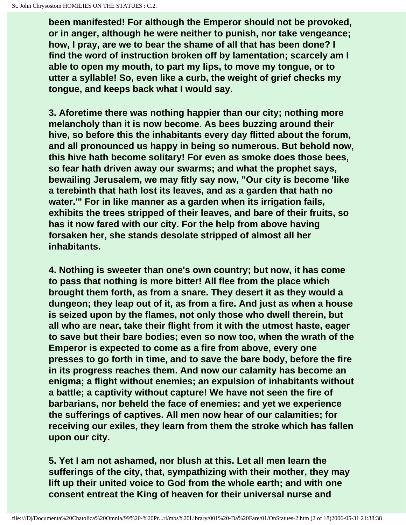**been manifested! For although the Emperor should not be provoked, or in anger, although he were neither to punish, nor take vengeance; how, I pray, are we to bear the shame of all that has been done? I find the word of instruction broken off by lamentation; scarcely am I able to open my mouth, to part my lips, to move my tongue, or to utter a syllable! So, even like a curb, the weight of grief checks my tongue, and keeps back what I would say.** 

**3. Aforetime there was nothing happier than our city; nothing more melancholy than it is now become. As bees buzzing around their hive, so before this the inhabitants every day flitted about the forum, and all pronounced us happy in being so numerous. But behold now, this hive hath become solitary! For even as smoke does those bees, so fear hath driven away our swarms; and what the prophet says, bewailing Jerusalem, we may fitly say now, "Our city is become 'like a terebinth that hath lost its leaves, and as a garden that hath no water.'" For in like manner as a garden when its irrigation fails, exhibits the trees stripped of their leaves, and bare of their fruits, so has it now fared with our city. For the help from above having forsaken her, she stands desolate stripped of almost all her inhabitants.** 

**4. Nothing is sweeter than one's own country; but now, it has come to pass that nothing is more bitter! All flee from the place which brought them forth, as from a snare. They desert it as they would a dungeon; they leap out of it, as from a fire. And just as when a house is seized upon by the flames, not only those who dwell therein, but all who are near, take their flight from it with the utmost haste, eager to save but their bare bodies; even so now too, when the wrath of the Emperor is expected to come as a fire from above, every one presses to go forth in time, and to save the bare body, before the fire in its progress reaches them. And now our calamity has become an enigma; a flight without enemies; an expulsion of inhabitants without a battle; a captivity without capture! We have not seen the fire of barbarians, nor beheld the face of enemies: and yet we experience the sufferings of captives. All men now hear of our calamities; for receiving our exiles, they learn from them the stroke which has fallen upon our city.** 

**5. Yet I am not ashamed, nor blush at this. Let all men learn the sufferings of the city, that, sympathizing with their mother, they may lift up their united voice to God from the whole earth; and with one consent entreat the King of heaven for their universal nurse and**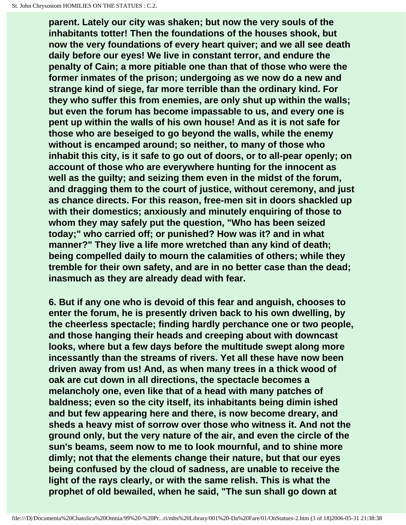**parent. Lately our city was shaken; but now the very souls of the inhabitants totter! Then the foundations of the houses shook, but now the very foundations of every heart quiver; and we all see death daily before our eyes! We live in constant terror, and endure the penalty of Cain; a more pitiable one than that of those who were the former inmates of the prison; undergoing as we now do a new and strange kind of siege, far more terrible than the ordinary kind. For they who suffer this from enemies, are only shut up within the walls; but even the forum has become impassable to us, and every one is pent up within the walls of his own house! And as it is not safe for those who are beseiged to go beyond the walls, while the enemy without is encamped around; so neither, to many of those who inhabit this city, is it safe to go out of doors, or to all-pear openly; on account of those who are everywhere hunting for the innocent as well as the guilty; and seizing them even in the midst of the forum, and dragging them to the court of justice, without ceremony, and just as chance directs. For this reason, free-men sit in doors shackled up with their domestics; anxiously and minutely enquiring of those to whom they may safely put the question, "Who has been seized today;" who carried off; or punished? How was it? and in what manner?" They live a life more wretched than any kind of death; being compelled daily to mourn the calamities of others; while they tremble for their own safety, and are in no better case than the dead; inasmuch as they are already dead with fear.** 

**6. But if any one who is devoid of this fear and anguish, chooses to enter the forum, he is presently driven back to his own dwelling, by the cheerless spectacle; finding hardly perchance one or two people, and those hanging their heads and creeping about with downcast looks, where but a few days before the multitude swept along more incessantly than the streams of rivers. Yet all these have now been driven away from us! And, as when many trees in a thick wood of oak are cut down in all directions, the spectacle becomes a melancholy one, even like that of a head with many patches of baldness; even so the city itself, its inhabitants being dimin ished and but few appearing here and there, is now become dreary, and sheds a heavy mist of sorrow over those who witness it. And not the ground only, but the very nature of the air, and even the circle of the sun's beams, seem now to me to look mournful, and to shine more dimly; not that the elements change their nature, but that our eyes being confused by the cloud of sadness, are unable to receive the light of the rays clearly, or with the same relish. This is what the prophet of old bewailed, when he said, "The sun shall go down at**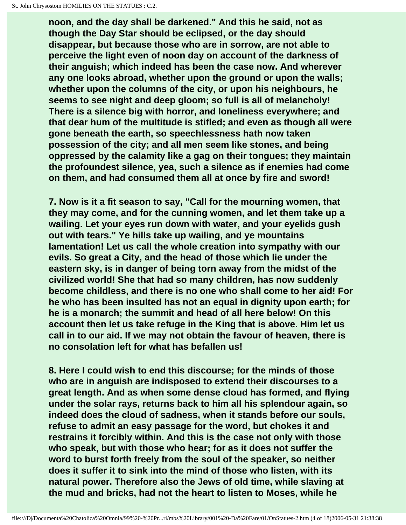**noon, and the day shall be darkened." And this he said, not as though the Day Star should be eclipsed, or the day should disappear, but because those who are in sorrow, are not able to perceive the light even of noon day on account of the darkness of their anguish; which indeed has been the case now. And wherever any one looks abroad, whether upon the ground or upon the walls; whether upon the columns of the city, or upon his neighbours, he seems to see night and deep gloom; so full is all of melancholy! There is a silence big with horror, and loneliness everywhere; and that dear hum of the multitude is stifled; and even as though all were gone beneath the earth, so speechlessness hath now taken possession of the city; and all men seem like stones, and being oppressed by the calamity like a gag on their tongues; they maintain the profoundest silence, yea, such a silence as if enemies had come on them, and had consumed them all at once by fire and sword!** 

**7. Now is it a fit season to say, "Call for the mourning women, that they may come, and for the cunning women, and let them take up a wailing. Let your eyes run down with water, and your eyelids gush out with tears." Ye hills take up wailing, and ye mountains lamentation! Let us call the whole creation into sympathy with our evils. So great a City, and the head of those which lie under the eastern sky, is in danger of being torn away from the midst of the civilized world! She that had so many children, has now suddenly become childless, and there is no one who shall come to her aid! For he who has been insulted has not an equal in dignity upon earth; for he is a monarch; the summit and head of all here below! On this account then let us take refuge in the King that is above. Him let us call in to our aid. If we may not obtain the favour of heaven, there is no consolation left for what has befallen us!** 

**8. Here I could wish to end this discourse; for the minds of those who are in anguish are indisposed to extend their discourses to a great length. And as when some dense cloud has formed, and flying under the solar rays, returns back to him all his splendour again, so indeed does the cloud of sadness, when it stands before our souls, refuse to admit an easy passage for the word, but chokes it and restrains it forcibly within. And this is the case not only with those who speak, but with those who hear; for as it does not suffer the word to burst forth freely from the soul of the speaker, so neither does it suffer it to sink into the mind of those who listen, with its natural power. Therefore also the Jews of old time, while slaving at the mud and bricks, had not the heart to listen to Moses, while he**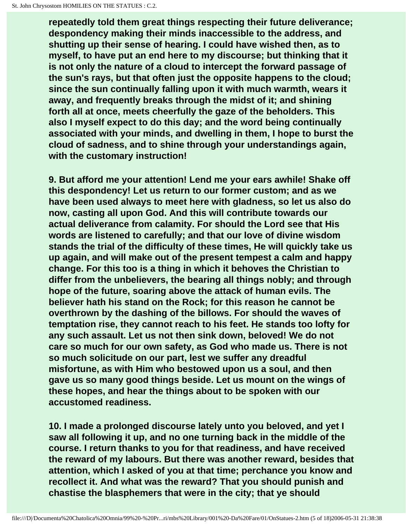**repeatedly told them great things respecting their future deliverance; despondency making their minds inaccessible to the address, and shutting up their sense of hearing. I could have wished then, as to myself, to have put an end here to my discourse; but thinking that it is not only the nature of a cloud to intercept the forward passage of the sun's rays, but that often just the opposite happens to the cloud; since the sun continually falling upon it with much warmth, wears it away, and frequently breaks through the midst of it; and shining forth all at once, meets cheerfully the gaze of the beholders. This also I myself expect to do this day; and the word being continually associated with your minds, and dwelling in them, I hope to burst the cloud of sadness, and to shine through your understandings again, with the customary instruction!** 

**9. But afford me your attention! Lend me your ears awhile! Shake off this despondency! Let us return to our former custom; and as we have been used always to meet here with gladness, so let us also do now, casting all upon God. And this will contribute towards our actual deliverance from calamity. For should the Lord see that His words are listened to carefully; and that our love of divine wisdom stands the trial of the difficulty of these times, He will quickly take us up again, and will make out of the present tempest a calm and happy change. For this too is a thing in which it behoves the Christian to differ from the unbelievers, the bearing all things nobly; and through hope of the future, soaring above the attack of human evils. The believer hath his stand on the Rock; for this reason he cannot be overthrown by the dashing of the billows. For should the waves of temptation rise, they cannot reach to his feet. He stands too lofty for any such assault. Let us not then sink down, beloved! We do not care so much for our own safety, as God who made us. There is not so much solicitude on our part, lest we suffer any dreadful misfortune, as with Him who bestowed upon us a soul, and then gave us so many good things beside. Let us mount on the wings of these hopes, and hear the things about to be spoken with our accustomed readiness.** 

**10. I made a prolonged discourse lately unto you beloved, and yet I saw all following it up, and no one turning back in the middle of the course. I return thanks to you for that readiness, and have received the reward of my labours. But there was another reward, besides that attention, which I asked of you at that time; perchance you know and recollect it. And what was the reward? That you should punish and chastise the blasphemers that were in the city; that ye should**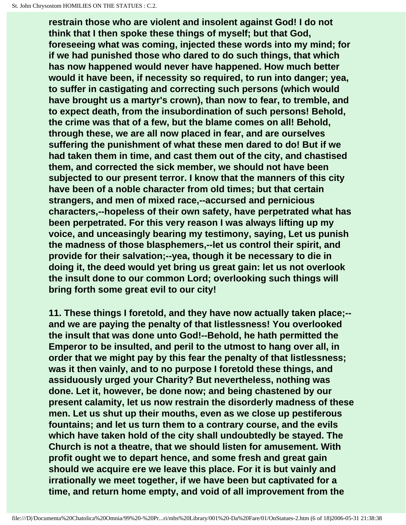**restrain those who are violent and insolent against God! I do not think that I then spoke these things of myself; but that God, foreseeing what was coming, injected these words into my mind; for if we had punished those who dared to do such things, that which has now happened would never have happened. How much better would it have been, if necessity so required, to run into danger; yea, to suffer in castigating and correcting such persons (which would have brought us a martyr's crown), than now to fear, to tremble, and to expect death, from the insubordination of such persons! Behold, the crime was that of a few, but the blame comes on all! Behold, through these, we are all now placed in fear, and are ourselves suffering the punishment of what these men dared to do! But if we had taken them in time, and cast them out of the city, and chastised them, and corrected the sick member, we should not have been subjected to our present terror. I know that the manners of this city have been of a noble character from old times; but that certain strangers, and men of mixed race,--accursed and pernicious characters,--hopeless of their own safety, have perpetrated what has been perpetrated. For this very reason I was always lifting up my voice, and unceasingly bearing my testimony, saying, Let us punish the madness of those blasphemers,--let us control their spirit, and provide for their salvation;--yea, though it be necessary to die in doing it, the deed would yet bring us great gain: let us not overlook the insult done to our common Lord; overlooking such things will bring forth some great evil to our city!** 

**11. These things I foretold, and they have now actually taken place;- and we are paying the penalty of that listlessness! You overlooked the insult that was done unto God!--Behold, he hath permitted the Emperor to be insulted, and peril to the utmost to hang over all, in order that we might pay by this fear the penalty of that listlessness; was it then vainly, and to no purpose I foretold these things, and assiduously urged your Charity? But nevertheless, nothing was done. Let it, however, be done now; and being chastened by our present calamity, let us now restrain the disorderly madness of these men. Let us shut up their mouths, even as we close up pestiferous fountains; and let us turn them to a contrary course, and the evils which have taken hold of the city shall undoubtedly be stayed. The Church is not a theatre, that we should listen for amusement. With profit ought we to depart hence, and some fresh and great gain should we acquire ere we leave this place. For it is but vainly and irrationally we meet together, if we have been but captivated for a time, and return home empty, and void of all improvement from the**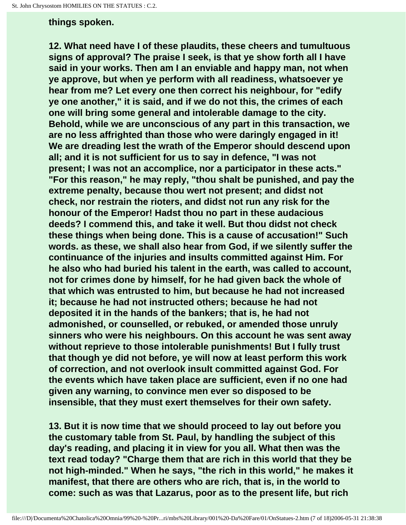#### **things spoken.**

**12. What need have I of these plaudits, these cheers and tumultuous signs of approval? The praise I seek, is that ye show forth all I have said in your works. Then am I an enviable and happy man, not when ye approve, but when ye perform with all readiness, whatsoever ye hear from me? Let every one then correct his neighbour, for "edify ye one another," it is said, and if we do not this, the crimes of each one will bring some general and intolerable damage to the city. Behold, while we are unconscious of any part in this transaction, we are no less affrighted than those who were daringly engaged in it! We are dreading lest the wrath of the Emperor should descend upon all; and it is not sufficient for us to say in defence, "I was not present; I was not an accomplice, nor a participator in these acts." "For this reason," he may reply, "thou shalt be punished, and pay the extreme penalty, because thou wert not present; and didst not check, nor restrain the rioters, and didst not run any risk for the honour of the Emperor! Hadst thou no part in these audacious deeds? I commend this, and take it well. But thou didst not check these things when being done. This is a cause of accusation!" Such words. as these, we shall also hear from God, if we silently suffer the continuance of the injuries and insults committed against Him. For he also who had buried his talent in the earth, was called to account, not for crimes done by himself, for he had given back the whole of that which was entrusted to him, but because he had not increased it; because he had not instructed others; because he had not deposited it in the hands of the bankers; that is, he had not admonished, or counselled, or rebuked, or amended those unruly sinners who were his neighbours. On this account he was sent away without reprieve to those intolerable punishments! But I fully trust that though ye did not before, ye will now at least perform this work of correction, and not overlook insult committed against God. For the events which have taken place are sufficient, even if no one had given any warning, to convince men ever so disposed to be insensible, that they must exert themselves for their own safety.** 

**13. But it is now time that we should proceed to lay out before you the customary table from St. Paul, by handling the subject of this day's reading, and placing it in view for you all. What then was the text read today? "Charge them that are rich in this world that they be not high-minded." When he says, "the rich in this world," he makes it manifest, that there are others who are rich, that is, in the world to come: such as was that Lazarus, poor as to the present life, but rich**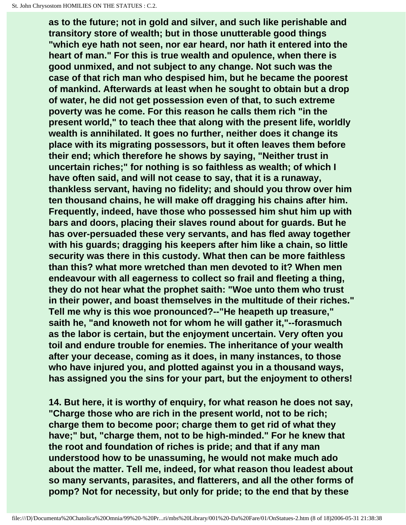**as to the future; not in gold and silver, and such like perishable and transitory store of wealth; but in those unutterable good things "which eye hath not seen, nor ear heard, nor hath it entered into the heart of man." For this is true wealth and opulence, when there is good unmixed, and not subject to any change. Not such was the case of that rich man who despised him, but he became the poorest of mankind. Afterwards at least when he sought to obtain but a drop of water, he did not get possession even of that, to such extreme poverty was he come. For this reason he calls them rich "in the present world," to teach thee that along with the present life, worldly wealth is annihilated. It goes no further, neither does it change its place with its migrating possessors, but it often leaves them before their end; which therefore he shows by saying, "Neither trust in uncertain riches;" for nothing is so faithless as wealth; of which I have often said, and will not cease to say, that it is a runaway, thankless servant, having no fidelity; and should you throw over him ten thousand chains, he will make off dragging his chains after him. Frequently, indeed, have those who possessed him shut him up with bars and doors, placing their slaves round about for guards. But he has over-persuaded these very servants, and has fled away together with his guards; dragging his keepers after him like a chain, so little security was there in this custody. What then can be more faithless than this? what more wretched than men devoted to it? When men endeavour with all eagerness to collect so frail and fleeting a thing, they do not hear what the prophet saith: "Woe unto them who trust in their power, and boast themselves in the multitude of their riches." Tell me why is this woe pronounced?--"He heapeth up treasure," saith he, "and knoweth not for whom he will gather it,"--forasmuch as the labor is certain, but the enjoyment uncertain. Very often you toil and endure trouble for enemies. The inheritance of your wealth after your decease, coming as it does, in many instances, to those who have injured you, and plotted against you in a thousand ways, has assigned you the sins for your part, but the enjoyment to others!** 

**14. But here, it is worthy of enquiry, for what reason he does not say, "Charge those who are rich in the present world, not to be rich; charge them to become poor; charge them to get rid of what they have;" but, "charge them, not to be high-minded." For he knew that the root and foundation of riches is pride; and that if any man understood how to be unassuming, he would not make much ado about the matter. Tell me, indeed, for what reason thou leadest about so many servants, parasites, and flatterers, and all the other forms of pomp? Not for necessity, but only for pride; to the end that by these**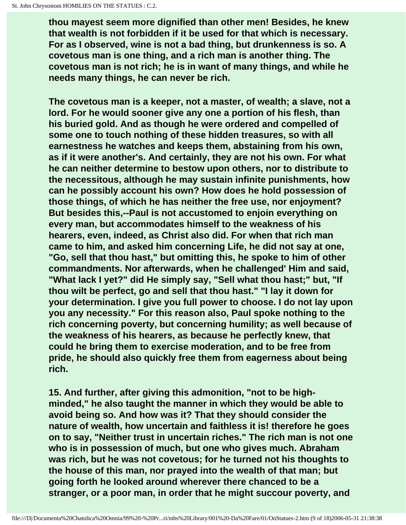**thou mayest seem more dignified than other men! Besides, he knew that wealth is not forbidden if it be used for that which is necessary. For as I observed, wine is not a bad thing, but drunkenness is so. A covetous man is one thing, and a rich man is another thing. The covetous man is not rich; he is in want of many things, and while he needs many things, he can never be rich.** 

**The covetous man is a keeper, not a master, of wealth; a slave, not a lord. For he would sooner give any one a portion of his flesh, than his buried gold. And as though he were ordered and compelled of some one to touch nothing of these hidden treasures, so with all earnestness he watches and keeps them, abstaining from his own, as if it were another's. And certainly, they are not his own. For what he can neither determine to bestow upon others, nor to distribute to the necessitous, although he may sustain infinite punishments, how can he possibly account his own? How does he hold possession of those things, of which he has neither the free use, nor enjoyment? But besides this,--Paul is not accustomed to enjoin everything on every man, but accommodates himself to the weakness of his hearers, even, indeed, as Christ also did. For when that rich man came to him, and asked him concerning Life, he did not say at one, "Go, sell that thou hast," but omitting this, he spoke to him of other commandments. Nor afterwards, when he challenged' Him and said, "What lack I yet?" did He simply say, "Sell what thou hast;" but, "If thou wilt be perfect, go and sell that thou hast." "I lay it down for your determination. I give you full power to choose. I do not lay upon you any necessity." For this reason also, Paul spoke nothing to the rich concerning poverty, but concerning humility; as well because of the weakness of his hearers, as because he perfectly knew, that could he bring them to exercise moderation, and to be free from pride, he should also quickly free them from eagerness about being rich.** 

**15. And further, after giving this admonition, "not to be highminded," he also taught the manner in which they would be able to avoid being so. And how was it? That they should consider the nature of wealth, how uncertain and faithless it is! therefore he goes on to say, "Neither trust in uncertain riches." The rich man is not one who is in possession of much, but one who gives much. Abraham was rich, but he was not covetous; for he turned not his thoughts to the house of this man, nor prayed into the wealth of that man; but going forth he looked around wherever there chanced to be a stranger, or a poor man, in order that he might succour poverty, and**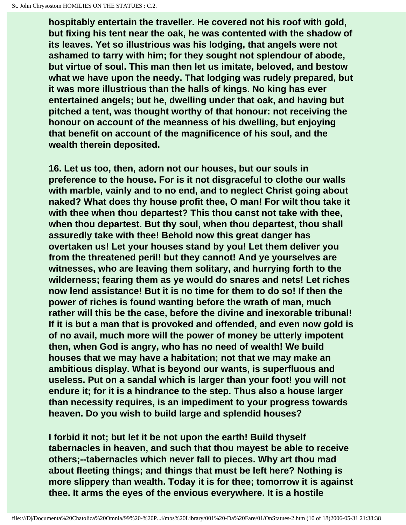**hospitably entertain the traveller. He covered not his roof with gold, but fixing his tent near the oak, he was contented with the shadow of its leaves. Yet so illustrious was his lodging, that angels were not ashamed to tarry with him; for they sought not splendour of abode, but virtue of soul. This man then let us imitate, beloved, and bestow what we have upon the needy. That lodging was rudely prepared, but it was more illustrious than the halls of kings. No king has ever entertained angels; but he, dwelling under that oak, and having but pitched a tent, was thought worthy of that honour: not receiving the honour on account of the meanness of his dwelling, but enjoying that benefit on account of the magnificence of his soul, and the wealth therein deposited.** 

**16. Let us too, then, adorn not our houses, but our souls in preference to the house. For is it not disgraceful to clothe our walls with marble, vainly and to no end, and to neglect Christ going about naked? What does thy house profit thee, O man! For wilt thou take it with thee when thou departest? This thou canst not take with thee, when thou departest. But thy soul, when thou departest, thou shall assuredly take with thee! Behold now this great danger has overtaken us! Let your houses stand by you! Let them deliver you from the threatened peril! but they cannot! And ye yourselves are witnesses, who are leaving them solitary, and hurrying forth to the wilderness; fearing them as ye would do snares and nets! Let riches now lend assistance! But it is no time for them to do so! If then the power of riches is found wanting before the wrath of man, much rather will this be the case, before the divine and inexorable tribunal! If it is but a man that is provoked and offended, and even now gold is of no avail, much more will the power of money be utterly impotent then, when God is angry, who has no need of wealth! We build houses that we may have a habitation; not that we may make an ambitious display. What is beyond our wants, is superfluous and useless. Put on a sandal which is larger than your foot! you will not endure it; for it is a hindrance to the step. Thus also a house larger than necessity requires, is an impediment to your progress towards heaven. Do you wish to build large and splendid houses?** 

**I forbid it not; but let it be not upon the earth! Build thyself tabernacles in heaven, and such that thou mayest be able to receive others;--tabernacles which never fall to pieces. Why art thou mad about fleeting things; and things that must be left here? Nothing is more slippery than wealth. Today it is for thee; tomorrow it is against thee. It arms the eyes of the envious everywhere. It is a hostile**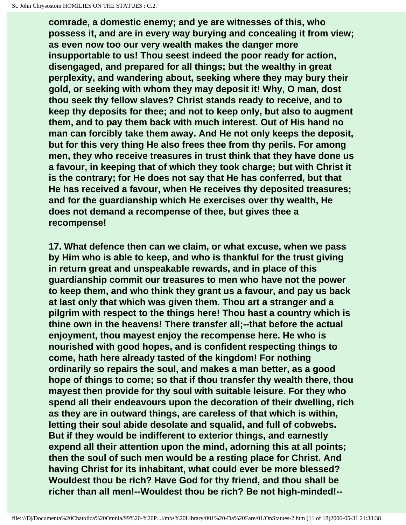**comrade, a domestic enemy; and ye are witnesses of this, who possess it, and are in every way burying and concealing it from view; as even now too our very wealth makes the danger more insupportable to us! Thou seest indeed the poor ready for action, disengaged, and prepared for all things; but the wealthy in great perplexity, and wandering about, seeking where they may bury their gold, or seeking with whom they may deposit it! Why, O man, dost thou seek thy fellow slaves? Christ stands ready to receive, and to keep thy deposits for thee; and not to keep only, but also to augment them, and to pay them back with much interest. Out of His hand no man can forcibly take them away. And He not only keeps the deposit, but for this very thing He also frees thee from thy perils. For among men, they who receive treasures in trust think that they have done us a favour, in keeping that of which they took charge; but with Christ it is the contrary; for He does not say that He has conferred, but that He has received a favour, when He receives thy deposited treasures; and for the guardianship which He exercises over thy wealth, He does not demand a recompense of thee, but gives thee a recompense!** 

**17. What defence then can we claim, or what excuse, when we pass by Him who is able to keep, and who is thankful for the trust giving in return great and unspeakable rewards, and in place of this guardianship commit our treasures to men who have not the power to keep them, and who think they grant us a favour, and pay us back at last only that which was given them. Thou art a stranger and a pilgrim with respect to the things here! Thou hast a country which is thine own in the heavens! There transfer all;--that before the actual enjoyment, thou mayest enjoy the recompense here. He who is nourished with good hopes, and is confident respecting things to come, hath here already tasted of the kingdom! For nothing ordinarily so repairs the soul, and makes a man better, as a good hope of things to come; so that if thou transfer thy wealth there, thou mayest then provide for thy soul with suitable leisure. For they who spend all their endeavours upon the decoration of their dwelling, rich as they are in outward things, are careless of that which is within, letting their soul abide desolate and squalid, and full of cobwebs. But if they would be indifferent to exterior things, and earnestly expend all their attention upon the mind, adorning this at all points; then the soul of such men would be a resting place for Christ. And having Christ for its inhabitant, what could ever be more blessed? Wouldest thou be rich? Have God for thy friend, and thou shall be richer than all men!--Wouldest thou be rich? Be not high-minded!--**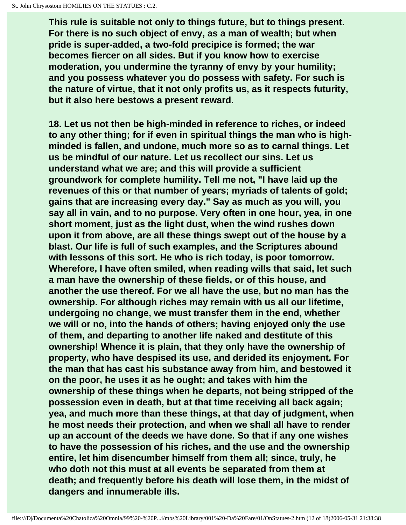**This rule is suitable not only to things future, but to things present. For there is no such object of envy, as a man of wealth; but when pride is super-added, a two-fold precipice is formed; the war becomes fiercer on all sides. But if you know how to exercise moderation, you undermine the tyranny of envy by your humility; and you possess whatever you do possess with safety. For such is the nature of virtue, that it not only profits us, as it respects futurity, but it also here bestows a present reward.** 

**18. Let us not then be high-minded in reference to riches, or indeed to any other thing; for if even in spiritual things the man who is highminded is fallen, and undone, much more so as to carnal things. Let us be mindful of our nature. Let us recollect our sins. Let us understand what we are; and this will provide a sufficient groundwork for complete humility. Tell me not, "I have laid up the revenues of this or that number of years; myriads of talents of gold; gains that are increasing every day." Say as much as you will, you say all in vain, and to no purpose. Very often in one hour, yea, in one short moment, just as the light dust, when the wind rushes down upon it from above, are all these things swept out of the house by a blast. Our life is full of such examples, and the Scriptures abound with lessons of this sort. He who is rich today, is poor tomorrow. Wherefore, I have often smiled, when reading wills that said, let such a man have the ownership of these fields, or of this house, and another the use thereof. For we all have the use, but no man has the ownership. For although riches may remain with us all our lifetime, undergoing no change, we must transfer them in the end, whether we will or no, into the hands of others; having enjoyed only the use of them, and departing to another life naked and destitute of this ownership! Whence it is plain, that they only have the ownership of property, who have despised its use, and derided its enjoyment. For the man that has cast his substance away from him, and bestowed it on the poor, he uses it as he ought; and takes with him the ownership of these things when he departs, not being stripped of the possession even in death, but at that time receiving all back again; yea, and much more than these things, at that day of judgment, when he most needs their protection, and when we shall all have to render up an account of the deeds we have done. So that if any one wishes to have the possession of his riches, and the use and the ownership entire, let him disencumber himself from them all; since, truly, he who doth not this must at all events be separated from them at death; and frequently before his death will lose them, in the midst of dangers and innumerable ills.**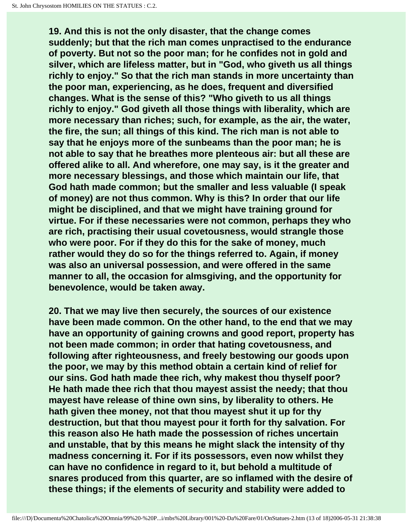**19. And this is not the only disaster, that the change comes suddenly; but that the rich man comes unpractised to the endurance of poverty. But not so the poor man; for he confides not in gold and silver, which are lifeless matter, but in "God, who giveth us all things richly to enjoy." So that the rich man stands in more uncertainty than the poor man, experiencing, as he does, frequent and diversified changes. What is the sense of this? "Who giveth to us all things richly to enjoy." God giveth all those things with liberality, which are more necessary than riches; such, for example, as the air, the water, the fire, the sun; all things of this kind. The rich man is not able to say that he enjoys more of the sunbeams than the poor man; he is not able to say that he breathes more plenteous air: but all these are offered alike to all. And wherefore, one may say, is it the greater and more necessary blessings, and those which maintain our life, that God hath made common; but the smaller and less valuable (I speak of money) are not thus common. Why is this? In order that our life might be disciplined, and that we might have training ground for virtue. For if these necessaries were not common, perhaps they who are rich, practising their usual covetousness, would strangle those who were poor. For if they do this for the sake of money, much rather would they do so for the things referred to. Again, if money was also an universal possession, and were offered in the same manner to all, the occasion for almsgiving, and the opportunity for benevolence, would be taken away.** 

**20. That we may live then securely, the sources of our existence have been made common. On the other hand, to the end that we may have an opportunity of gaining crowns and good report, property has not been made common; in order that hating covetousness, and following after righteousness, and freely bestowing our goods upon the poor, we may by this method obtain a certain kind of relief for our sins. God hath made thee rich, why makest thou thyself poor? He hath made thee rich that thou mayest assist the needy; that thou mayest have release of thine own sins, by liberality to others. He hath given thee money, not that thou mayest shut it up for thy destruction, but that thou mayest pour it forth for thy salvation. For this reason also He hath made the possession of riches uncertain and unstable, that by this means he might slack the intensity of thy madness concerning it. For if its possessors, even now whilst they can have no confidence in regard to it, but behold a multitude of snares produced from this quarter, are so inflamed with the desire of these things; if the elements of security and stability were added to**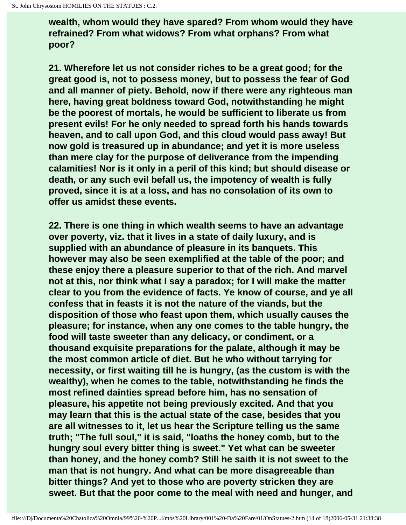**wealth, whom would they have spared? From whom would they have refrained? From what widows? From what orphans? From what poor?** 

**21. Wherefore let us not consider riches to be a great good; for the great good is, not to possess money, but to possess the fear of God and all manner of piety. Behold, now if there were any righteous man here, having great boldness toward God, notwithstanding he might be the poorest of mortals, he would be sufficient to liberate us from present evils! For he only needed to spread forth his hands towards heaven, and to call upon God, and this cloud would pass away! But now gold is treasured up in abundance; and yet it is more useless than mere clay for the purpose of deliverance from the impending calamities! Nor is it only in a peril of this kind; but should disease or death, or any such evil befall us, the impotency of wealth is fully proved, since it is at a loss, and has no consolation of its own to offer us amidst these events.** 

**22. There is one thing in which wealth seems to have an advantage over poverty, viz. that it lives in a state of daily luxury, and is supplied with an abundance of pleasure in its banquets. This however may also be seen exemplified at the table of the poor; and these enjoy there a pleasure superior to that of the rich. And marvel not at this, nor think what I say a paradox; for I will make the matter clear to you from the evidence of facts. Ye know of course, and ye all confess that in feasts it is not the nature of the viands, but the disposition of those who feast upon them, which usually causes the pleasure; for instance, when any one comes to the table hungry, the food will taste sweeter than any delicacy, or condiment, or a thousand exquisite preparations for the palate, although it may be the most common article of diet. But he who without tarrying for necessity, or first waiting till he is hungry, (as the custom is with the wealthy), when he comes to the table, notwithstanding he finds the most refined dainties spread before him, has no sensation of pleasure, his appetite not being previously excited. And that you may learn that this is the actual state of the case, besides that you are all witnesses to it, let us hear the Scripture telling us the same truth; "The full soul," it is said, "loaths the honey comb, but to the hungry soul every bitter thing is sweet." Yet what can be sweeter than honey, and the honey comb? Still he saith it is not sweet to the man that is not hungry. And what can be more disagreeable than bitter things? And yet to those who are poverty stricken they are sweet. But that the poor come to the meal with need and hunger, and**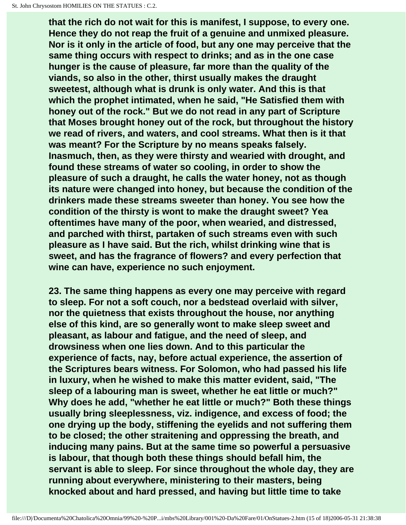**that the rich do not wait for this is manifest, I suppose, to every one. Hence they do not reap the fruit of a genuine and unmixed pleasure. Nor is it only in the article of food, but any one may perceive that the same thing occurs with respect to drinks; and as in the one case hunger is the cause of pleasure, far more than the quality of the viands, so also in the other, thirst usually makes the draught sweetest, although what is drunk is only water. And this is that which the prophet intimated, when he said, "He Satisfied them with honey out of the rock." But we do not read in any part of Scripture that Moses brought honey out of the rock, but throughout the history we read of rivers, and waters, and cool streams. What then is it that was meant? For the Scripture by no means speaks falsely. Inasmuch, then, as they were thirsty and wearied with drought, and found these streams of water so cooling, in order to show the pleasure of such a draught, he calls the water honey, not as though its nature were changed into honey, but because the condition of the drinkers made these streams sweeter than honey. You see how the condition of the thirsty is wont to make the draught sweet? Yea oftentimes have many of the poor, when wearied, and distressed, and parched with thirst, partaken of such streams even with such pleasure as I have said. But the rich, whilst drinking wine that is sweet, and has the fragrance of flowers? and every perfection that wine can have, experience no such enjoyment.** 

**23. The same thing happens as every one may perceive with regard to sleep. For not a soft couch, nor a bedstead overlaid with silver, nor the quietness that exists throughout the house, nor anything else of this kind, are so generally wont to make sleep sweet and pleasant, as labour and fatigue, and the need of sleep, and drowsiness when one lies down. And to this particular the experience of facts, nay, before actual experience, the assertion of the Scriptures bears witness. For Solomon, who had passed his life in luxury, when he wished to make this matter evident, said, "The sleep of a labouring man is sweet, whether he eat little or much?" Why does he add, "whether he eat little or much?" Both these things usually bring sleeplessness, viz. indigence, and excess of food; the one drying up the body, stiffening the eyelids and not suffering them to be closed; the other straitening and oppressing the breath, and inducing many pains. But at the same time so powerful a persuasive is labour, that though both these things should befall him, the servant is able to sleep. For since throughout the whole day, they are running about everywhere, ministering to their masters, being knocked about and hard pressed, and having but little time to take**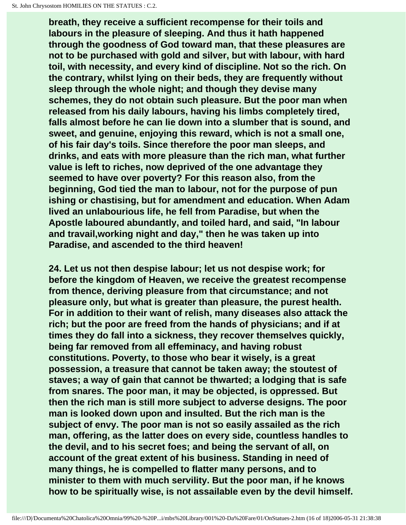**breath, they receive a sufficient recompense for their toils and labours in the pleasure of sleeping. And thus it hath happened through the goodness of God toward man, that these pleasures are not to be purchased with gold and silver, but with labour, with hard toil, with necessity, and every kind of discipline. Not so the rich. On the contrary, whilst lying on their beds, they are frequently without sleep through the whole night; and though they devise many schemes, they do not obtain such pleasure. But the poor man when released from his daily labours, having his limbs completely tired, falls almost before he can lie down into a slumber that is sound, and sweet, and genuine, enjoying this reward, which is not a small one, of his fair day's toils. Since therefore the poor man sleeps, and drinks, and eats with more pleasure than the rich man, what further value is left to riches, now deprived of the one advantage they seemed to have over poverty? For this reason also, from the beginning, God tied the man to labour, not for the purpose of pun ishing or chastising, but for amendment and education. When Adam lived an unlabourious life, he fell from Paradise, but when the Apostle laboured abundantly, and toiled hard, and said, "In labour and travail,working night and day," then he was taken up into Paradise, and ascended to the third heaven!** 

**24. Let us not then despise labour; let us not despise work; for before the kingdom of Heaven, we receive the greatest recompense from thence, deriving pleasure from that circumstance; and not pleasure only, but what is greater than pleasure, the purest health. For in addition to their want of relish, many diseases also attack the rich; but the poor are freed from the hands of physicians; and if at times they do fall into a sickness, they recover themselves quickly, being far removed from all effeminacy, and having robust constitutions. Poverty, to those who bear it wisely, is a great possession, a treasure that cannot be taken away; the stoutest of staves; a way of gain that cannot be thwarted; a lodging that is safe from snares. The poor man, it may be objected, is oppressed. But then the rich man is still more subject to adverse designs. The poor man is looked down upon and insulted. But the rich man is the subject of envy. The poor man is not so easily assailed as the rich man, offering, as the latter does on every side, countless handles to the devil, and to his secret foes; and being the servant of all, on account of the great extent of his business. Standing in need of many things, he is compelled to flatter many persons, and to minister to them with much servility. But the poor man, if he knows how to be spiritually wise, is not assailable even by the devil himself.**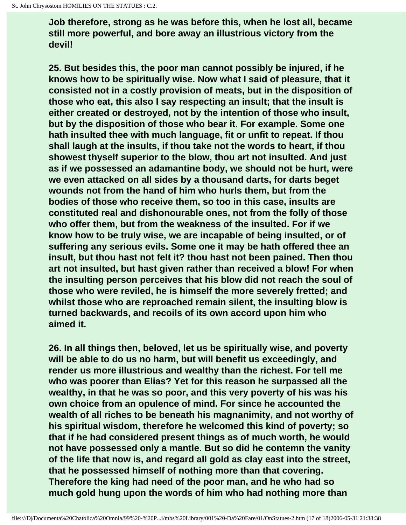**Job therefore, strong as he was before this, when he lost all, became still more powerful, and bore away an illustrious victory from the devil!** 

**25. But besides this, the poor man cannot possibly be injured, if he knows how to be spiritually wise. Now what I said of pleasure, that it consisted not in a costly provision of meats, but in the disposition of those who eat, this also I say respecting an insult; that the insult is either created or destroyed, not by the intention of those who insult, but by the disposition of those who bear it. For example. Some one hath insulted thee with much language, fit or unfit to repeat. If thou shall laugh at the insults, if thou take not the words to heart, if thou showest thyself superior to the blow, thou art not insulted. And just as if we possessed an adamantine body, we should not be hurt, were we even attacked on all sides by a thousand darts, for darts beget wounds not from the hand of him who hurls them, but from the bodies of those who receive them, so too in this case, insults are constituted real and dishonourable ones, not from the folly of those who offer them, but from the weakness of the insulted. For if we know how to be truly wise, we are incapable of being insulted, or of suffering any serious evils. Some one it may be hath offered thee an insult, but thou hast not felt it? thou hast not been pained. Then thou art not insulted, but hast given rather than received a blow! For when the insulting person perceives that his blow did not reach the soul of those who were reviled, he is himself the more severely fretted; and whilst those who are reproached remain silent, the insulting blow is turned backwards, and recoils of its own accord upon him who aimed it.** 

**26. In all things then, beloved, let us be spiritually wise, and poverty will be able to do us no harm, but will benefit us exceedingly, and render us more illustrious and wealthy than the richest. For tell me who was poorer than Elias? Yet for this reason he surpassed all the wealthy, in that he was so poor, and this very poverty of his was his own choice from an opulence of mind. For since he accounted the wealth of all riches to be beneath his magnanimity, and not worthy of his spiritual wisdom, therefore he welcomed this kind of poverty; so that if he had considered present things as of much worth, he would not have possessed only a mantle. But so did he contemn the vanity of the life that now is, and regard all gold as clay east into the street, that he possessed himself of nothing more than that covering. Therefore the king had need of the poor man, and he who had so much gold hung upon the words of him who had nothing more than**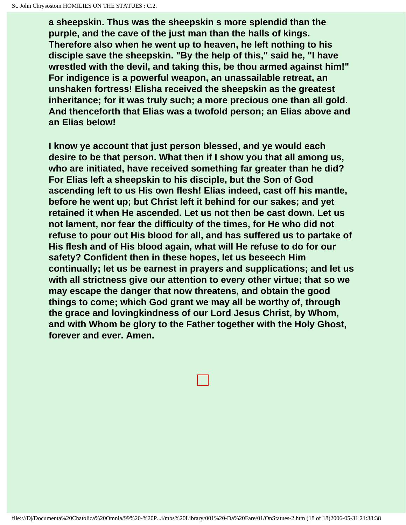**a sheepskin. Thus was the sheepskin s more splendid than the purple, and the cave of the just man than the halls of kings. Therefore also when he went up to heaven, he left nothing to his disciple save the sheepskin. "By the help of this," said he, "I have wrestled with the devil, and taking this, be thou armed against him!" For indigence is a powerful weapon, an unassailable retreat, an unshaken fortress! Elisha received the sheepskin as the greatest inheritance; for it was truly such; a more precious one than all gold. And thenceforth that Elias was a twofold person; an Elias above and an Elias below!** 

**I know ye account that just person blessed, and ye would each desire to be that person. What then if I show you that all among us, who are initiated, have received something far greater than he did? For Elias left a sheepskin to his disciple, but the Son of God ascending left to us His own flesh! Elias indeed, cast off his mantle, before he went up; but Christ left it behind for our sakes; and yet retained it when He ascended. Let us not then be cast down. Let us not lament, nor fear the difficulty of the times, for He who did not refuse to pour out His blood for all, and has suffered us to partake of His flesh and of His blood again, what will He refuse to do for our safety? Confident then in these hopes, let us beseech Him continually; let us be earnest in prayers and supplications; and let us with all strictness give our attention to every other virtue; that so we may escape the danger that now threatens, and obtain the good things to come; which God grant we may all be worthy of, through the grace and lovingkindness of our Lord Jesus Christ, by Whom, and with Whom be glory to the Father together with the Holy Ghost, forever and ever. Amen.**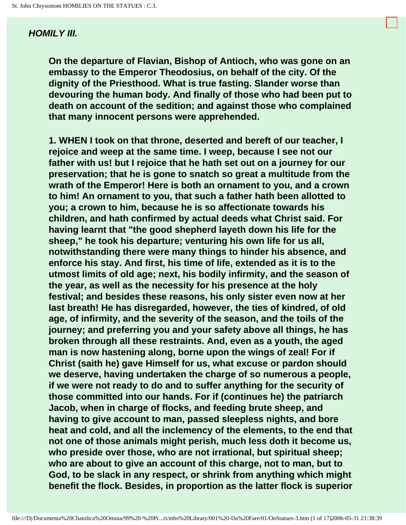## **HOMILY III.**

**On the departure of Flavian, Bishop of Antioch, who was gone on an embassy to the Emperor Theodosius, on behalf of the city. Of the dignity of the Priesthood. What is true fasting. Slander worse than devouring the human body. And finally of those who had been put to death on account of the sedition; and against those who complained that many innocent persons were apprehended.** 

**1. WHEN I took on that throne, deserted and bereft of our teacher, I rejoice and weep at the same time. I weep, because I see not our father with us! but I rejoice that he hath set out on a journey for our preservation; that he is gone to snatch so great a multitude from the wrath of the Emperor! Here is both an ornament to you, and a crown to him! An ornament to you, that such a father hath been allotted to you; a crown to him, because he is so affectionate towards his children, and hath confirmed by actual deeds what Christ said. For having learnt that "the good shepherd layeth down his life for the sheep," he took his departure; venturing his own life for us all, notwithstanding there were many things to hinder his absence, and enforce his stay. And first, his time of life, extended as it is to the utmost limits of old age; next, his bodily infirmity, and the season of the year, as well as the necessity for his presence at the holy festival; and besides these reasons, his only sister even now at her last breath! He has disregarded, however, the ties of kindred, of old age, of infirmity, and the severity of the season, and the toils of the journey; and preferring you and your safety above all things, he has broken through all these restraints. And, even as a youth, the aged man is now hastening along, borne upon the wings of zeal! For if Christ (saith he) gave Himself for us, what excuse or pardon should we deserve, having undertaken the charge of so numerous a people, if we were not ready to do and to suffer anything for the security of those committed into our hands. For if (continues he) the patriarch Jacob, when in charge of flocks, and feeding brute sheep, and having to give account to man, passed sleepless nights, and bore heat and cold, and all the inclemency of the elements, to the end that not one of those animals might perish, much less doth it become us, who preside over those, who are not irrational, but spiritual sheep; who are about to give an account of this charge, not to man, but to God, to be slack in any respect, or shrink from anything which might benefit the flock. Besides, in proportion as the latter flock is superior**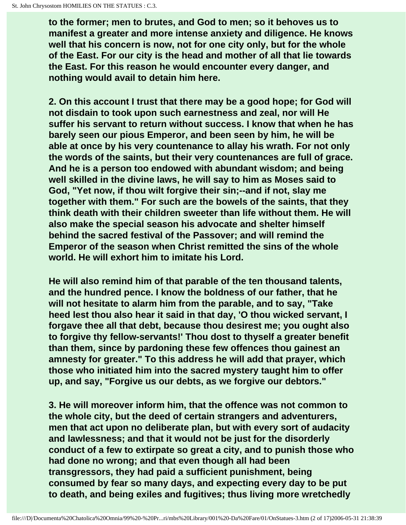**to the former; men to brutes, and God to men; so it behoves us to manifest a greater and more intense anxiety and diligence. He knows well that his concern is now, not for one city only, but for the whole of the East. For our city is the head and mother of all that lie towards the East. For this reason he would encounter every danger, and nothing would avail to detain him here.** 

**2. On this account I trust that there may be a good hope; for God will not disdain to took upon such earnestness and zeal, nor will He suffer his servant to return without success. I know that when he has barely seen our pious Emperor, and been seen by him, he will be able at once by his very countenance to allay his wrath. For not only the words of the saints, but their very countenances are full of grace. And he is a person too endowed with abundant wisdom; and being well skilled in the divine laws, he will say to him as Moses said to God, "Yet now, if thou wilt forgive their sin;--and if not, slay me together with them." For such are the bowels of the saints, that they think death with their children sweeter than life without them. He will also make the special season his advocate and shelter himself behind the sacred festival of the Passover; and will remind the Emperor of the season when Christ remitted the sins of the whole world. He will exhort him to imitate his Lord.** 

**He will also remind him of that parable of the ten thousand talents, and the hundred pence. I know the boldness of our father, that he will not hesitate to alarm him from the parable, and to say, "Take heed lest thou also hear it said in that day, 'O thou wicked servant, I forgave thee all that debt, because thou desirest me; you ought also to forgive thy fellow-servants!' Thou dost to thyself a greater benefit than them, since by pardoning these few offences thou gainest an amnesty for greater." To this address he will add that prayer, which those who initiated him into the sacred mystery taught him to offer up, and say, "Forgive us our debts, as we forgive our debtors."** 

**3. He will moreover inform him, that the offence was not common to the whole city, but the deed of certain strangers and adventurers, men that act upon no deliberate plan, but with every sort of audacity and lawlessness; and that it would not be just for the disorderly conduct of a few to extirpate so great a city, and to punish those who had done no wrong; and that even though all had been transgressors, they had paid a sufficient punishment, being consumed by fear so many days, and expecting every day to be put to death, and being exiles and fugitives; thus living more wretchedly**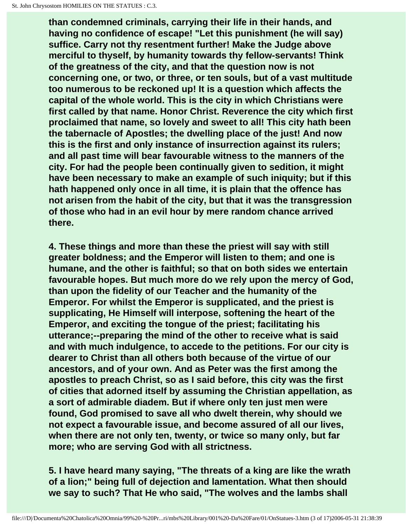**than condemned criminals, carrying their life in their hands, and having no confidence of escape! "Let this punishment (he will say) suffice. Carry not thy resentment further! Make the Judge above merciful to thyself, by humanity towards thy fellow-servants! Think of the greatness of the city, and that the question now is not concerning one, or two, or three, or ten souls, but of a vast multitude too numerous to be reckoned up! It is a question which affects the capital of the whole world. This is the city in which Christians were first called by that name. Honor Christ. Reverence the city which first proclaimed that name, so lovely and sweet to all! This city hath been the tabernacle of Apostles; the dwelling place of the just! And now this is the first and only instance of insurrection against its rulers; and all past time will bear favourable witness to the manners of the city. For had the people been continually given to sedition, it might have been necessary to make an example of such iniquity; but if this hath happened only once in all time, it is plain that the offence has not arisen from the habit of the city, but that it was the transgression of those who had in an evil hour by mere random chance arrived there.** 

**4. These things and more than these the priest will say with still greater boldness; and the Emperor will listen to them; and one is humane, and the other is faithful; so that on both sides we entertain favourable hopes. But much more do we rely upon the mercy of God, than upon the fidelity of our Teacher and the humanity of the Emperor. For whilst the Emperor is supplicated, and the priest is supplicating, He Himself will interpose, softening the heart of the Emperor, and exciting the tongue of the priest; facilitating his utterance;--preparing the mind of the other to receive what is said and with much indulgence, to accede to the petitions. For our city is dearer to Christ than all others both because of the virtue of our ancestors, and of your own. And as Peter was the first among the apostles to preach Christ, so as I said before, this city was the first of cities that adorned itself by assuming the Christian appellation, as a sort of admirable diadem. But if where only ten just men were found, God promised to save all who dwelt therein, why should we not expect a favourable issue, and become assured of all our lives, when there are not only ten, twenty, or twice so many only, but far more; who are serving God with all strictness.** 

**5. I have heard many saying, "The threats of a king are like the wrath of a lion;" being full of dejection and lamentation. What then should we say to such? That He who said, "The wolves and the lambs shall**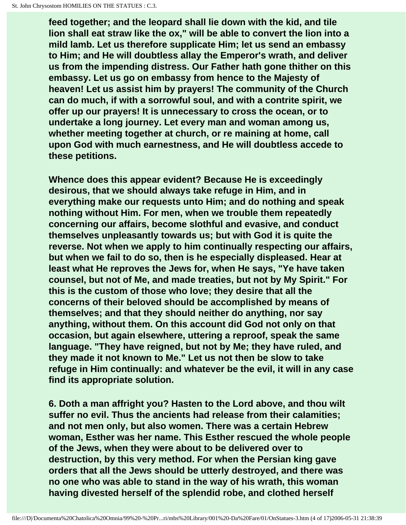**feed together; and the leopard shall lie down with the kid, and tile lion shall eat straw like the ox," will be able to convert the lion into a mild lamb. Let us therefore supplicate Him; let us send an embassy to Him; and He will doubtless allay the Emperor's wrath, and deliver us from the impending distress. Our Father hath gone thither on this embassy. Let us go on embassy from hence to the Majesty of heaven! Let us assist him by prayers! The community of the Church can do much, if with a sorrowful soul, and with a contrite spirit, we offer up our prayers! It is unnecessary to cross the ocean, or to undertake a long journey. Let every man and woman among us, whether meeting together at church, or re maining at home, call upon God with much earnestness, and He will doubtless accede to these petitions.** 

**Whence does this appear evident? Because He is exceedingly desirous, that we should always take refuge in Him, and in everything make our requests unto Him; and do nothing and speak nothing without Him. For men, when we trouble them repeatedly concerning our affairs, become slothful and evasive, and conduct themselves unpleasantly towards us; but with God it is quite the reverse. Not when we apply to him continually respecting our affairs, but when we fail to do so, then is he especially displeased. Hear at least what He reproves the Jews for, when He says, "Ye have taken counsel, but not of Me, and made treaties, but not by My Spirit." For this is the custom of those who love; they desire that all the concerns of their beloved should be accomplished by means of themselves; and that they should neither do anything, nor say anything, without them. On this account did God not only on that occasion, but again elsewhere, uttering a reproof, speak the same language. "They have reigned, but not by Me; they have ruled, and they made it not known to Me." Let us not then be slow to take refuge in Him continually: and whatever be the evil, it will in any case find its appropriate solution.** 

**6. Doth a man affright you? Hasten to the Lord above, and thou wilt suffer no evil. Thus the ancients had release from their calamities; and not men only, but also women. There was a certain Hebrew woman, Esther was her name. This Esther rescued the whole people of the Jews, when they were about to be delivered over to destruction, by this very method. For when the Persian king gave orders that all the Jews should be utterly destroyed, and there was no one who was able to stand in the way of his wrath, this woman having divested herself of the splendid robe, and clothed herself**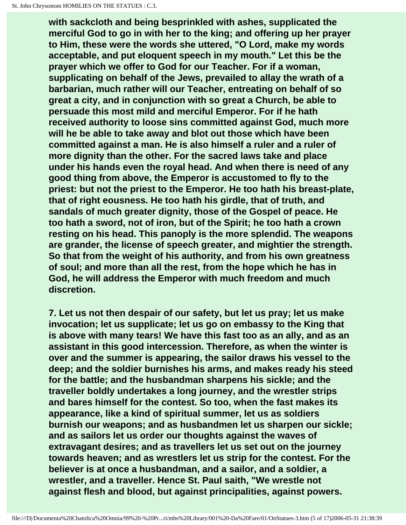**with sackcloth and being besprinkled with ashes, supplicated the merciful God to go in with her to the king; and offering up her prayer to Him, these were the words she uttered, "O Lord, make my words acceptable, and put eloquent speech in my mouth." Let this be the prayer which we offer to God for our Teacher. For if a woman, supplicating on behalf of the Jews, prevailed to allay the wrath of a barbarian, much rather will our Teacher, entreating on behalf of so great a city, and in conjunction with so great a Church, be able to persuade this most mild and merciful Emperor. For if he hath received authority to loose sins committed against God, much more will he be able to take away and blot out those which have been committed against a man. He is also himself a ruler and a ruler of more dignity than the other. For the sacred laws take and place under his hands even the royal head. And when there is need of any good thing from above, the Emperor is accustomed to fly to the priest: but not the priest to the Emperor. He too hath his breast-plate, that of right eousness. He too hath his girdle, that of truth, and sandals of much greater dignity, those of the Gospel of peace. He too hath a sword, not of iron, but of the Spirit; he too hath a crown resting on his head. This panoply is the more splendid. The weapons are grander, the license of speech greater, and mightier the strength. So that from the weight of his authority, and from his own greatness of soul; and more than all the rest, from the hope which he has in God, he will address the Emperor with much freedom and much discretion.** 

**7. Let us not then despair of our safety, but let us pray; let us make invocation; let us supplicate; let us go on embassy to the King that is above with many tears! We have this fast too as an ally, and as an assistant in this good intercession. Therefore, as when the winter is over and the summer is appearing, the sailor draws his vessel to the deep; and the soldier burnishes his arms, and makes ready his steed for the battle; and the husbandman sharpens his sickle; and the traveller boldly undertakes a long journey, and the wrestler strips and bares himself for the contest. So too, when the fast makes its appearance, like a kind of spiritual summer, let us as soldiers burnish our weapons; and as husbandmen let us sharpen our sickle; and as sailors let us order our thoughts against the waves of extravagant desires; and as travellers let us set out on the journey towards heaven; and as wrestlers let us strip for the contest. For the believer is at once a husbandman, and a sailor, and a soldier, a wrestler, and a traveller. Hence St. Paul saith, "We wrestle not against flesh and blood, but against principalities, against powers.**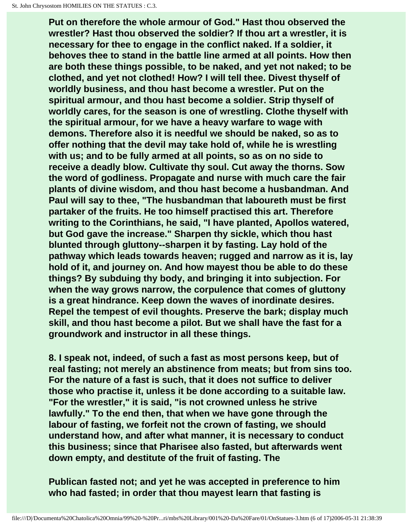**Put on therefore the whole armour of God." Hast thou observed the wrestler? Hast thou observed the soldier? If thou art a wrestler, it is necessary for thee to engage in the conflict naked. If a soldier, it behoves thee to stand in the battle line armed at all points. How then are both these things possible, to be naked, and yet not naked; to be clothed, and yet not clothed! How? I will tell thee. Divest thyself of worldly business, and thou hast become a wrestler. Put on the spiritual armour, and thou hast become a soldier. Strip thyself of worldly cares, for the season is one of wrestling. Clothe thyself with the spiritual armour, for we have a heavy warfare to wage with demons. Therefore also it is needful we should be naked, so as to offer nothing that the devil may take hold of, while he is wrestling with us; and to be fully armed at all points, so as on no side to receive a deadly blow. Cultivate thy soul. Cut away the thorns. Sow the word of godliness. Propagate and nurse with much care the fair plants of divine wisdom, and thou hast become a husbandman. And Paul will say to thee, "The husbandman that laboureth must be first partaker of the fruits. He too himself practised this art. Therefore writing to the Corinthians, he said, "I have planted, Apollos watered, but God gave the increase." Sharpen thy sickle, which thou hast blunted through gluttony--sharpen it by fasting. Lay hold of the pathway which leads towards heaven; rugged and narrow as it is, lay hold of it, and journey on. And how mayest thou be able to do these things? By subduing thy body, and bringing it into subjection. For when the way grows narrow, the corpulence that comes of gluttony is a great hindrance. Keep down the waves of inordinate desires. Repel the tempest of evil thoughts. Preserve the bark; display much skill, and thou hast become a pilot. But we shall have the fast for a groundwork and instructor in all these things.** 

**8. I speak not, indeed, of such a fast as most persons keep, but of real fasting; not merely an abstinence from meats; but from sins too. For the nature of a fast is such, that it does not suffice to deliver those who practise it, unless it be done according to a suitable law. "For the wrestler," it is said, "is not crowned unless he strive lawfully." To the end then, that when we have gone through the labour of fasting, we forfeit not the crown of fasting, we should understand how, and after what manner, it is necessary to conduct this business; since that Pharisee also fasted, but afterwards went down empty, and destitute of the fruit of fasting. The** 

**Publican fasted not; and yet he was accepted in preference to him who had fasted; in order that thou mayest learn that fasting is**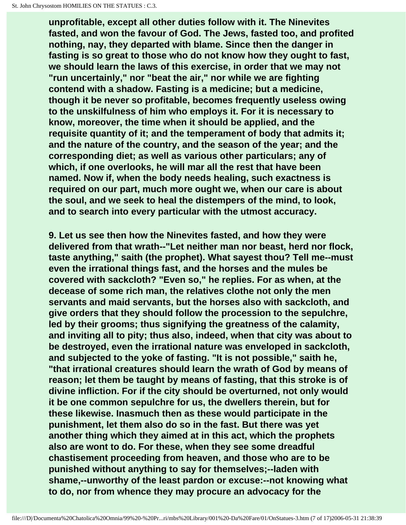**unprofitable, except all other duties follow with it. The Ninevites fasted, and won the favour of God. The Jews, fasted too, and profited nothing, nay, they departed with blame. Since then the danger in fasting is so great to those who do not know how they ought to fast, we should learn the laws of this exercise, in order that we may not "run uncertainly," nor "beat the air," nor while we are fighting contend with a shadow. Fasting is a medicine; but a medicine, though it be never so profitable, becomes frequently useless owing to the unskilfulness of him who employs it. For it is necessary to know, moreover, the time when it should be applied, and the requisite quantity of it; and the temperament of body that admits it; and the nature of the country, and the season of the year; and the corresponding diet; as well as various other particulars; any of which, if one overlooks, he will mar all the rest that have been named. Now if, when the body needs healing, such exactness is required on our part, much more ought we, when our care is about the soul, and we seek to heal the distempers of the mind, to look, and to search into every particular with the utmost accuracy.** 

**9. Let us see then how the Ninevites fasted, and how they were delivered from that wrath--"Let neither man nor beast, herd nor flock, taste anything," saith (the prophet). What sayest thou? Tell me--must even the irrational things fast, and the horses and the mules be covered with sackcloth? "Even so," he replies. For as when, at the decease of some rich man, the relatives clothe not only the men servants and maid servants, but the horses also with sackcloth, and give orders that they should follow the procession to the sepulchre, led by their grooms; thus signifying the greatness of the calamity, and inviting all to pity; thus also, indeed, when that city was about to be destroyed, even the irrational nature was enveloped in sackcloth, and subjected to the yoke of fasting. "It is not possible," saith he, "that irrational creatures should learn the wrath of God by means of reason; let them be taught by means of fasting, that this stroke is of divine infliction. For if the city should be overturned, not only would it be one common sepulchre for us, the dwellers therein, but for these likewise. Inasmuch then as these would participate in the punishment, let them also do so in the fast. But there was yet another thing which they aimed at in this act, which the prophets also are wont to do. For these, when they see some dreadful chastisement proceeding from heaven, and those who are to be punished without anything to say for themselves;--laden with shame,--unworthy of the least pardon or excuse:--not knowing what to do, nor from whence they may procure an advocacy for the**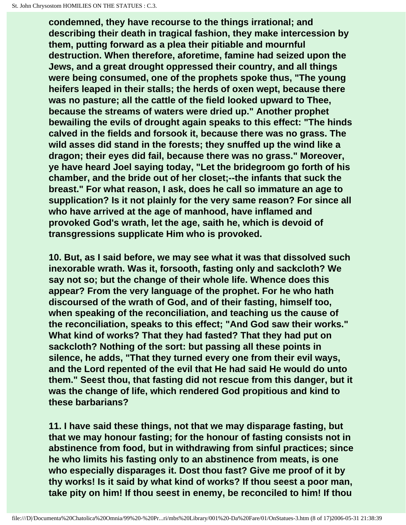**condemned, they have recourse to the things irrational; and describing their death in tragical fashion, they make intercession by them, putting forward as a plea their pitiable and mournful destruction. When therefore, aforetime, famine had seized upon the Jews, and a great drought oppressed their country, and all things were being consumed, one of the prophets spoke thus, "The young heifers leaped in their stalls; the herds of oxen wept, because there was no pasture; all the cattle of the field looked upward to Thee, because the streams of waters were dried up." Another prophet bewailing the evils of drought again speaks to this effect: "The hinds calved in the fields and forsook it, because there was no grass. The wild asses did stand in the forests; they snuffed up the wind like a dragon; their eyes did fail, because there was no grass." Moreover, ye have heard Joel saying today, "Let the bridegroom go forth of his chamber, and the bride out of her closet;--the infants that suck the breast." For what reason, I ask, does he call so immature an age to supplication? Is it not plainly for the very same reason? For since all who have arrived at the age of manhood, have inflamed and provoked God's wrath, let the age, saith he, which is devoid of transgressions supplicate Him who is provoked.** 

**10. But, as I said before, we may see what it was that dissolved such inexorable wrath. Was it, forsooth, fasting only and sackcloth? We say not so; but the change of their whole life. Whence does this appear? From the very language of the prophet. For he who hath discoursed of the wrath of God, and of their fasting, himself too, when speaking of the reconciliation, and teaching us the cause of the reconciliation, speaks to this effect; "And God saw their works." What kind of works? That they had fasted? That they had put on sackcloth? Nothing of the sort: but passing all these points in silence, he adds, "That they turned every one from their evil ways, and the Lord repented of the evil that He had said He would do unto them." Seest thou, that fasting did not rescue from this danger, but it was the change of life, which rendered God propitious and kind to these barbarians?** 

**11. I have said these things, not that we may disparage fasting, but that we may honour fasting; for the honour of fasting consists not in abstinence from food, but in withdrawing from sinful practices; since he who limits his fasting only to an abstinence from meats, is one who especially disparages it. Dost thou fast? Give me proof of it by thy works! Is it said by what kind of works? If thou seest a poor man, take pity on him! If thou seest in enemy, be reconciled to him! If thou**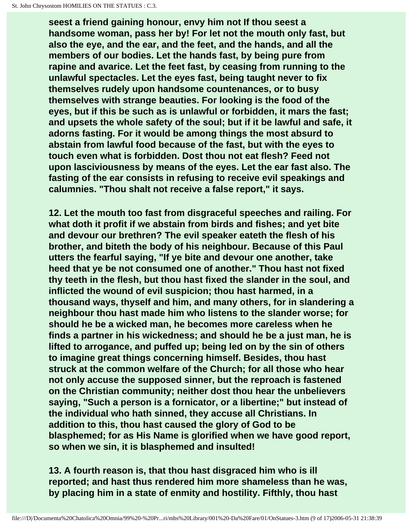**seest a friend gaining honour, envy him not If thou seest a handsome woman, pass her by! For let not the mouth only fast, but also the eye, and the ear, and the feet, and the hands, and all the members of our bodies. Let the hands fast, by being pure from rapine and avarice. Let the feet fast, by ceasing from running to the unlawful spectacles. Let the eyes fast, being taught never to fix themselves rudely upon handsome countenances, or to busy themselves with strange beauties. For looking is the food of the eyes, but if this be such as is unlawful or forbidden, it mars the fast; and upsets the whole safety of the soul; but if it be lawful and safe, it adorns fasting. For it would be among things the most absurd to abstain from lawful food because of the fast, but with the eyes to touch even what is forbidden. Dost thou not eat flesh? Feed not upon lasciviousness by means of the eyes. Let the ear fast also. The fasting of the ear consists in refusing to receive evil speakings and calumnies. "Thou shalt not receive a false report," it says.** 

**12. Let the mouth too fast from disgraceful speeches and railing. For what doth it profit if we abstain from birds and fishes; and yet bite and devour our brethren? The evil speaker eateth the flesh of his brother, and biteth the body of his neighbour. Because of this Paul utters the fearful saying, "If ye bite and devour one another, take heed that ye be not consumed one of another." Thou hast not fixed thy teeth in the flesh, but thou hast fixed the slander in the soul, and inflicted the wound of evil suspicion; thou hast harmed, in a thousand ways, thyself and him, and many others, for in slandering a neighbour thou hast made him who listens to the slander worse; for should he be a wicked man, he becomes more careless when he finds a partner in his wickedness; and should he be a just man, he is lifted to arrogance, and puffed up; being led on by the sin of others to imagine great things concerning himself. Besides, thou hast struck at the common welfare of the Church; for all those who hear not only accuse the supposed sinner, but the reproach is fastened on the Christian community; neither dost thou hear the unbelievers saying, "Such a person is a fornicator, or a libertine;" but instead of the individual who hath sinned, they accuse all Christians. In addition to this, thou hast caused the glory of God to be blasphemed; for as His Name is glorified when we have good report, so when we sin, it is blasphemed and insulted!** 

**13. A fourth reason is, that thou hast disgraced him who is ill reported; and hast thus rendered him more shameless than he was, by placing him in a state of enmity and hostility. Fifthly, thou hast**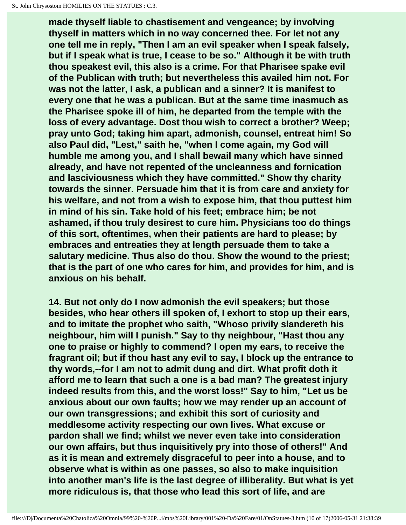**made thyself liable to chastisement and vengeance; by involving thyself in matters which in no way concerned thee. For let not any one tell me in reply, "Then I am an evil speaker when I speak falsely, but if I speak what is true, I cease to be so." Although it be with truth thou speakest evil, this also is a crime. For that Pharisee spake evil of the Publican with truth; but nevertheless this availed him not. For was not the latter, I ask, a publican and a sinner? It is manifest to every one that he was a publican. But at the same time inasmuch as the Pharisee spoke ill of him, he departed from the temple with the loss of every advantage. Dost thou wish to correct a brother? Weep; pray unto God; taking him apart, admonish, counsel, entreat him! So also Paul did, "Lest," saith he, "when I come again, my God will humble me among you, and I shall bewail many which have sinned already, and have not repented of the uncleanness and fornication and lasciviousness which they have committed." Show thy charity towards the sinner. Persuade him that it is from care and anxiety for his welfare, and not from a wish to expose him, that thou puttest him in mind of his sin. Take hold of his feet; embrace him; be not ashamed, if thou truly desirest to cure him. Physicians too do things of this sort, oftentimes, when their patients are hard to please; by embraces and entreaties they at length persuade them to take a salutary medicine. Thus also do thou. Show the wound to the priest; that is the part of one who cares for him, and provides for him, and is anxious on his behalf.** 

**14. But not only do I now admonish the evil speakers; but those besides, who hear others ill spoken of, I exhort to stop up their ears, and to imitate the prophet who saith, "Whoso privily slandereth his neighbour, him will I punish." Say to thy neighbour, "Hast thou any one to praise or highly to commend? I open my ears, to receive the fragrant oil; but if thou hast any evil to say, I block up the entrance to thy words,--for I am not to admit dung and dirt. What profit doth it afford me to learn that such a one is a bad man? The greatest injury indeed results from this, and the worst loss!" Say to him, "Let us be anxious about our own faults; how we may render up an account of our own transgressions; and exhibit this sort of curiosity and meddlesome activity respecting our own lives. What excuse or pardon shall we find; whilst we never even take into consideration our own affairs, but thus inquisitively pry into those of others!" And as it is mean and extremely disgraceful to peer into a house, and to observe what is within as one passes, so also to make inquisition into another man's life is the last degree of illiberality. But what is yet more ridiculous is, that those who lead this sort of life, and are**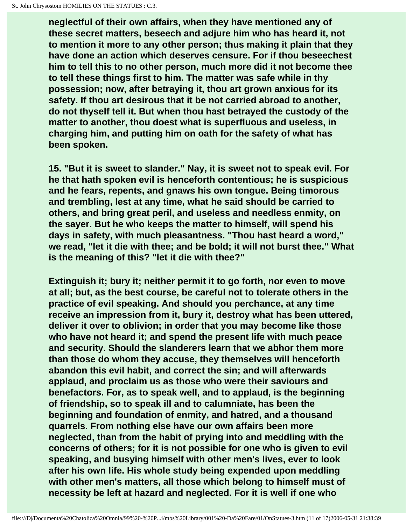**neglectful of their own affairs, when they have mentioned any of these secret matters, beseech and adjure him who has heard it, not to mention it more to any other person; thus making it plain that they have done an action which deserves censure. For if thou beseechest him to tell this to no other person, much more did it not become thee to tell these things first to him. The matter was safe while in thy possession; now, after betraying it, thou art grown anxious for its safety. If thou art desirous that it be not carried abroad to another, do not thyself tell it. But when thou hast betrayed the custody of the matter to another, thou doest what is superfluous and useless, in charging him, and putting him on oath for the safety of what has been spoken.** 

**15. "But it is sweet to slander." Nay, it is sweet not to speak evil. For he that hath spoken evil is henceforth contentious; he is suspicious and he fears, repents, and gnaws his own tongue. Being timorous and trembling, lest at any time, what he said should be carried to others, and bring great peril, and useless and needless enmity, on the sayer. But he who keeps the matter to himself, will spend his days in safety, with much pleasantness. "Thou hast heard a word," we read, "let it die with thee; and be bold; it will not burst thee." What is the meaning of this? "let it die with thee?"** 

**Extinguish it; bury it; neither permit it to go forth, nor even to move at all; but, as the best course, be careful not to tolerate others in the practice of evil speaking. And should you perchance, at any time receive an impression from it, bury it, destroy what has been uttered, deliver it over to oblivion; in order that you may become like those who have not heard it; and spend the present life with much peace and security. Should the slanderers learn that we abhor them more than those do whom they accuse, they themselves will henceforth abandon this evil habit, and correct the sin; and will afterwards applaud, and proclaim us as those who were their saviours and benefactors. For, as to speak well, and to applaud, is the beginning of friendship, so to speak ill and to calumniate, has been the beginning and foundation of enmity, and hatred, and a thousand quarrels. From nothing else have our own affairs been more neglected, than from the habit of prying into and meddling with the concerns of others; for it is not possible for one who is given to evil speaking, and busying himself with other men's lives, ever to look after his own life. His whole study being expended upon meddling with other men's matters, all those which belong to himself must of necessity be left at hazard and neglected. For it is well if one who**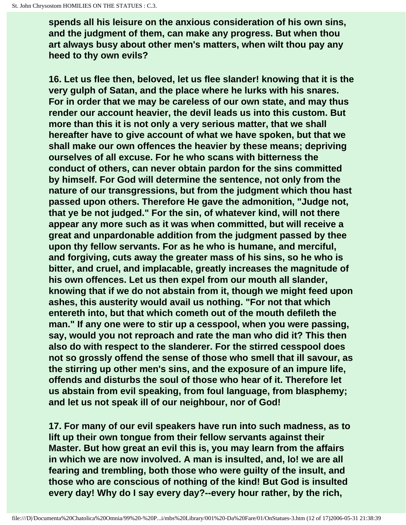**spends all his leisure on the anxious consideration of his own sins, and the judgment of them, can make any progress. But when thou art always busy about other men's matters, when wilt thou pay any heed to thy own evils?** 

**16. Let us flee then, beloved, let us flee slander! knowing that it is the very gulph of Satan, and the place where he lurks with his snares. For in order that we may be careless of our own state, and may thus render our account heavier, the devil leads us into this custom. But more than this it is not only a very serious matter, that we shall hereafter have to give account of what we have spoken, but that we shall make our own offences the heavier by these means; depriving ourselves of all excuse. For he who scans with bitterness the conduct of others, can never obtain pardon for the sins committed by himself. For God will determine the sentence, not only from the nature of our transgressions, but from the judgment which thou hast passed upon others. Therefore He gave the admonition, "Judge not, that ye be not judged." For the sin, of whatever kind, will not there appear any more such as it was when committed, but will receive a great and unpardonable addition from the judgment passed by thee upon thy fellow servants. For as he who is humane, and merciful, and forgiving, cuts away the greater mass of his sins, so he who is bitter, and cruel, and implacable, greatly increases the magnitude of his own offences. Let us then expel from our mouth all slander, knowing that if we do not abstain from it, though we might feed upon ashes, this austerity would avail us nothing. "For not that which entereth into, but that which cometh out of the mouth defileth the man." If any one were to stir up a cesspool, when you were passing, say, would you not reproach and rate the man who did it? This then also do with respect to the slanderer. For the stirred cesspool does not so grossly offend the sense of those who smell that ill savour, as the stirring up other men's sins, and the exposure of an impure life, offends and disturbs the soul of those who hear of it. Therefore let us abstain from evil speaking, from foul language, from blasphemy; and let us not speak ill of our neighbour, nor of God!** 

**17. For many of our evil speakers have run into such madness, as to lift up their own tongue from their fellow servants against their Master. But how great an evil this is, you may learn from the affairs in which we are now involved. A man is insulted, and, lo! we are all fearing and trembling, both those who were guilty of the insult, and those who are conscious of nothing of the kind! But God is insulted every day! Why do I say every day?--every hour rather, by the rich,**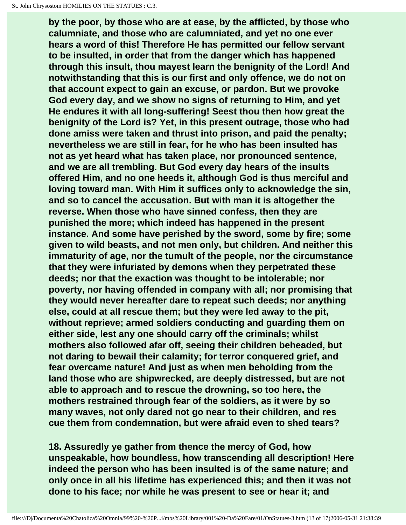**by the poor, by those who are at ease, by the afflicted, by those who calumniate, and those who are calumniated, and yet no one ever hears a word of this! Therefore He has permitted our fellow servant to be insulted, in order that from the danger which has happened through this insult, thou mayest learn the benignity of the Lord! And notwithstanding that this is our first and only offence, we do not on that account expect to gain an excuse, or pardon. But we provoke God every day, and we show no signs of returning to Him, and yet He endures it with all long-suffering! Seest thou then how great the benignity of the Lord is? Yet, in this present outrage, those who had done amiss were taken and thrust into prison, and paid the penalty; nevertheless we are still in fear, for he who has been insulted has not as yet heard what has taken place, nor pronounced sentence, and we are all trembling. But God every day hears of the insults offered Him, and no one heeds it, although God is thus merciful and loving toward man. With Him it suffices only to acknowledge the sin, and so to cancel the accusation. But with man it is altogether the reverse. When those who have sinned confess, then they are punished the more; which indeed has happened in the present instance. And some have perished by the sword, some by fire; some given to wild beasts, and not men only, but children. And neither this immaturity of age, nor the tumult of the people, nor the circumstance that they were infuriated by demons when they perpetrated these deeds; nor that the exaction was thought to be intolerable; nor poverty, nor having offended in company with all; nor promising that they would never hereafter dare to repeat such deeds; nor anything else, could at all rescue them; but they were led away to the pit, without reprieve; armed soldiers conducting and guarding them on either side, lest any one should carry off the criminals; whilst mothers also followed afar off, seeing their children beheaded, but not daring to bewail their calamity; for terror conquered grief, and fear overcame nature! And just as when men beholding from the land those who are shipwrecked, are deeply distressed, but are not able to approach and to rescue the drowning, so too here, the mothers restrained through fear of the soldiers, as it were by so many waves, not only dared not go near to their children, and res cue them from condemnation, but were afraid even to shed tears?** 

**18. Assuredly ye gather from thence the mercy of God, how unspeakable, how boundless, how transcending all description! Here indeed the person who has been insulted is of the same nature; and only once in all his lifetime has experienced this; and then it was not done to his face; nor while he was present to see or hear it; and**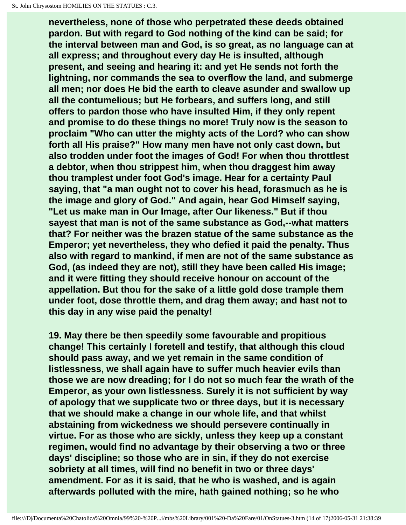**nevertheless, none of those who perpetrated these deeds obtained pardon. But with regard to God nothing of the kind can be said; for the interval between man and God, is so great, as no language can at all express; and throughout every day He is insulted, although present, and seeing and hearing it: and yet He sends not forth the lightning, nor commands the sea to overflow the land, and submerge all men; nor does He bid the earth to cleave asunder and swallow up all the contumelious; but He forbears, and suffers long, and still offers to pardon those who have insulted Him, if they only repent and promise to do these things no more! Truly now is the season to proclaim "Who can utter the mighty acts of the Lord? who can show forth all His praise?" How many men have not only cast down, but also trodden under foot the images of God! For when thou throttlest a debtor, when thou strippest him, when thou draggest him away thou tramplest under foot God's image. Hear for a certainty Paul saying, that "a man ought not to cover his head, forasmuch as he is the image and glory of God." And again, hear God Himself saying, "Let us make man in Our Image, after Our likeness." But if thou sayest that man is not of the same substance as God,--what matters that? For neither was the brazen statue of the same substance as the Emperor; yet nevertheless, they who defied it paid the penalty. Thus also with regard to mankind, if men are not of the same substance as God, (as indeed they are not), still they have been called His image; and it were fitting they should receive honour on account of the appellation. But thou for the sake of a little gold dose trample them under foot, dose throttle them, and drag them away; and hast not to this day in any wise paid the penalty!** 

**19. May there be then speedily some favourable and propitious change! This certainly I foretell and testify, that although this cloud should pass away, and we yet remain in the same condition of listlessness, we shall again have to suffer much heavier evils than those we are now dreading; for I do not so much fear the wrath of the Emperor, as your own listlessness. Surely it is not sufficient by way of apology that we supplicate two or three days, but it is necessary that we should make a change in our whole life, and that whilst abstaining from wickedness we should persevere continually in virtue. For as those who are sickly, unless they keep up a constant regimen, would find no advantage by their observing a two or three days' discipline; so those who are in sin, if they do not exercise sobriety at all times, will find no benefit in two or three days' amendment. For as it is said, that he who is washed, and is again afterwards polluted with the mire, hath gained nothing; so he who**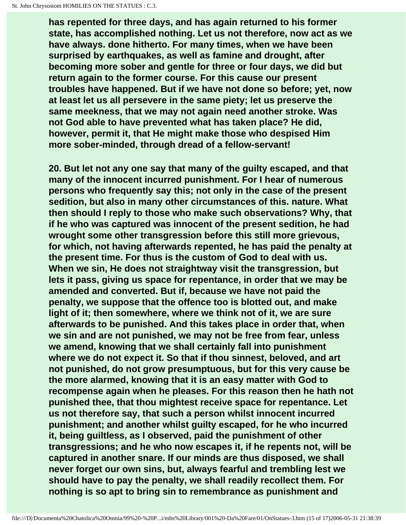**has repented for three days, and has again returned to his former state, has accomplished nothing. Let us not therefore, now act as we have always. done hitherto. For many times, when we have been surprised by earthquakes, as well as famine and drought, after becoming more sober and gentle for three or four days, we did but return again to the former course. For this cause our present troubles have happened. But if we have not done so before; yet, now at least let us all persevere in the same piety; let us preserve the same meekness, that we may not again need another stroke. Was not God able to have prevented what has taken place? He did, however, permit it, that He might make those who despised Him more sober-minded, through dread of a fellow-servant!** 

**20. But let not any one say that many of the guilty escaped, and that many of the innocent incurred punishment. For I hear of numerous persons who frequently say this; not only in the case of the present sedition, but also in many other circumstances of this. nature. What then should I reply to those who make such observations? Why, that if he who was captured was innocent of the present sedition, he had wrought some other transgression before this still more grievous, for which, not having afterwards repented, he has paid the penalty at the present time. For thus is the custom of God to deal with us. When we sin, He does not straightway visit the transgression, but lets it pass, giving us space for repentance, in order that we may be amended and converted. But if, because we have not paid the penalty, we suppose that the offence too is blotted out, and make light of it; then somewhere, where we think not of it, we are sure afterwards to be punished. And this takes place in order that, when we sin and are not punished, we may not be free from fear, unless we amend, knowing that we shall certainly fall into punishment where we do not expect it. So that if thou sinnest, beloved, and art not punished, do not grow presumptuous, but for this very cause be the more alarmed, knowing that it is an easy matter with God to recompense again when he pleases. For this reason then he hath not punished thee, that thou mightest receive space for repentance. Let us not therefore say, that such a person whilst innocent incurred punishment; and another whilst guilty escaped, for he who incurred it, being guiltless, as I observed, paid the punishment of other transgressions; and he who now escapes it, if he repents not, will be captured in another snare. If our minds are thus disposed, we shall never forget our own sins, but, always fearful and trembling lest we should have to pay the penalty, we shall readily recollect them. For nothing is so apt to bring sin to remembrance as punishment and**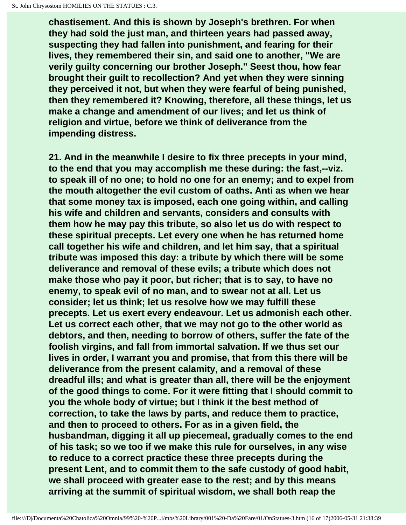**chastisement. And this is shown by Joseph's brethren. For when they had sold the just man, and thirteen years had passed away, suspecting they had fallen into punishment, and fearing for their lives, they remembered their sin, and said one to another, "We are verily guilty concerning our brother Joseph." Seest thou, how fear brought their guilt to recollection? And yet when they were sinning they perceived it not, but when they were fearful of being punished, then they remembered it? Knowing, therefore, all these things, let us make a change and amendment of our lives; and let us think of religion and virtue, before we think of deliverance from the impending distress.** 

**21. And in the meanwhile I desire to fix three precepts in your mind, to the end that you may accomplish me these during: the fast,--viz. to speak ill of no one; to hold no one for an enemy; and to expel from the mouth altogether the evil custom of oaths. Anti as when we hear that some money tax is imposed, each one going within, and calling his wife and children and servants, considers and consults with them how he may pay this tribute, so also let us do with respect to these spiritual precepts. Let every one when he has returned home call together his wife and children, and let him say, that a spiritual tribute was imposed this day: a tribute by which there will be some deliverance and removal of these evils; a tribute which does not make those who pay it poor, but richer; that is to say, to have no enemy, to speak evil of no man, and to swear not at all. Let us consider; let us think; let us resolve how we may fulfill these precepts. Let us exert every endeavour. Let us admonish each other. Let us correct each other, that we may not go to the other world as debtors, and then, needing to borrow of others, suffer the fate of the foolish virgins, and fall from immortal salvation. If we thus set our lives in order, I warrant you and promise, that from this there will be deliverance from the present calamity, and a removal of these dreadful ills; and what is greater than all, there will be the enjoyment of the good things to come. For it were fitting that I should commit to you the whole body of virtue; but I think it the best method of correction, to take the laws by parts, and reduce them to practice, and then to proceed to others. For as in a given field, the husbandman, digging it all up piecemeal, gradually comes to the end of his task; so we too if we make this rule for ourselves, in any wise to reduce to a correct practice these three precepts during the present Lent, and to commit them to the safe custody of good habit, we shall proceed with greater ease to the rest; and by this means arriving at the summit of spiritual wisdom, we shall both reap the**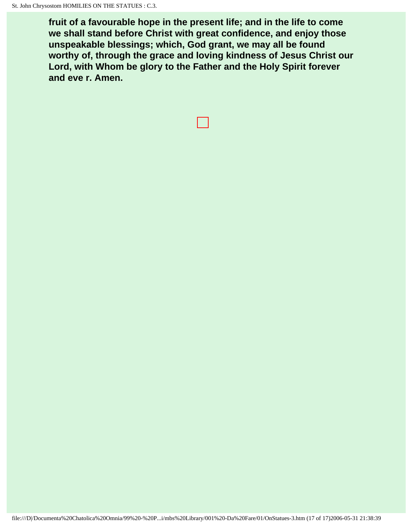**fruit of a favourable hope in the present life; and in the life to come we shall stand before Christ with great confidence, and enjoy those unspeakable blessings; which, God grant, we may all be found worthy of, through the grace and loving kindness of Jesus Christ our Lord, with Whom be glory to the Father and the Holy Spirit forever and eve r. Amen.**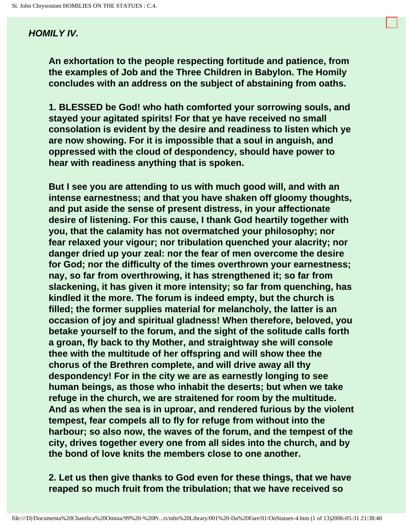## **HOMILY IV.**

**An exhortation to the people respecting fortitude and patience, from the examples of Job and the Three Children in Babylon. The Homily concludes with an address on the subject of abstaining from oaths.** 

**1. BLESSED be God! who hath comforted your sorrowing souls, and stayed your agitated spirits! For that ye have received no small consolation is evident by the desire and readiness to listen which ye are now showing. For it is impossible that a soul in anguish, and oppressed with the cloud of despondency, should have power to hear with readiness anything that is spoken.** 

**But I see you are attending to us with much good will, and with an intense earnestness; and that you have shaken off gloomy thoughts, and put aside the sense of present distress, in your affectionate desire of listening. For this cause, I thank God heartily together with you, that the calamity has not overmatched your philosophy; nor fear relaxed your vigour; nor tribulation quenched your alacrity; nor danger dried up your zeal: nor the fear of men overcome the desire for God; nor the difficulty of the times overthrown your earnestness; nay, so far from overthrowing, it has strengthened it; so far from slackening, it has given it more intensity; so far from quenching, has kindled it the more. The forum is indeed empty, but the church is filled; the former supplies material for melancholy, the latter is an occasion of joy and spiritual gladness! When therefore, beloved, you betake yourself to the forum, and the sight of the solitude calls forth a groan, fly back to thy Mother, and straightway she will console thee with the multitude of her offspring and will show thee the chorus of the Brethren complete, and will drive away all thy despondency! For in the city we are as earnestly longing to see human beings, as those who inhabit the deserts; but when we take refuge in the church, we are straitened for room by the multitude. And as when the sea is in uproar, and rendered furious by the violent tempest, fear compels all to fly for refuge from without into the harbour; so also now, the waves of the forum, and the tempest of the city, drives together every one from all sides into the church, and by the bond of love knits the members close to one another.** 

**2. Let us then give thanks to God even for these things, that we have reaped so much fruit from the tribulation; that we have received so**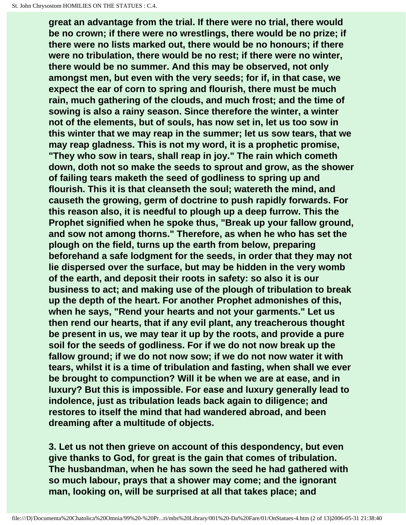**great an advantage from the trial. If there were no trial, there would be no crown; if there were no wrestlings, there would be no prize; if there were no lists marked out, there would be no honours; if there were no tribulation, there would be no rest; if there were no winter, there would be no summer. And this may be observed, not only amongst men, but even with the very seeds; for if, in that case, we expect the ear of corn to spring and flourish, there must be much rain, much gathering of the clouds, and much frost; and the time of sowing is also a rainy season. Since therefore the winter, a winter not of the elements, but of souls, has now set in, let us too sow in this winter that we may reap in the summer; let us sow tears, that we may reap gladness. This is not my word, it is a prophetic promise, "They who sow in tears, shall reap in joy." The rain which cometh down, doth not so make the seeds to sprout and grow, as the shower of failing tears maketh the seed of godliness to spring up and flourish. This it is that cleanseth the soul; watereth the mind, and causeth the growing, germ of doctrine to push rapidly forwards. For this reason also, it is needful to plough up a deep furrow. This the Prophet signified when he spoke thus, "Break up your fallow ground, and sow not among thorns." Therefore, as when he who has set the plough on the field, turns up the earth from below, preparing beforehand a safe lodgment for the seeds, in order that they may not lie dispersed over the surface, but may be hidden in the very womb of the earth, and deposit their roots in safety: so also it is our business to act; and making use of the plough of tribulation to break up the depth of the heart. For another Prophet admonishes of this, when he says, "Rend your hearts and not your garments." Let us then rend our hearts, that if any evil plant, any treacherous thought be present in us, we may tear it up by the roots, and provide a pure soil for the seeds of godliness. For if we do not now break up the fallow ground; if we do not now sow; if we do not now water it with tears, whilst it is a time of tribulation and fasting, when shall we ever be brought to compunction? Will it be when we are at ease, and in luxury? But this is impossible. For ease and luxury generally lead to indolence, just as tribulation leads back again to diligence; and restores to itself the mind that had wandered abroad, and been dreaming after a multitude of objects.** 

**3. Let us not then grieve on account of this despondency, but even give thanks to God, for great is the gain that comes of tribulation. The husbandman, when he has sown the seed he had gathered with so much labour, prays that a shower may come; and the ignorant man, looking on, will be surprised at all that takes place; and**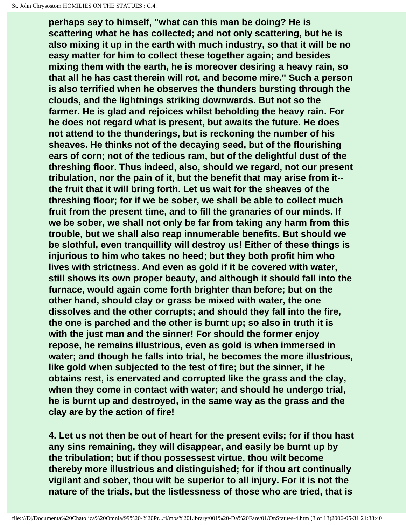**perhaps say to himself, "what can this man be doing? He is scattering what he has collected; and not only scattering, but he is also mixing it up in the earth with much industry, so that it will be no easy matter for him to collect these together again; and besides mixing them with the earth, he is moreover desiring a heavy rain, so that all he has cast therein will rot, and become mire." Such a person is also terrified when he observes the thunders bursting through the clouds, and the lightnings striking downwards. But not so the farmer. He is glad and rejoices whilst beholding the heavy rain. For he does not regard what is present, but awaits the future. He does not attend to the thunderings, but is reckoning the number of his sheaves. He thinks not of the decaying seed, but of the flourishing ears of corn; not of the tedious ram, but of the delightful dust of the threshing floor. Thus indeed, also, should we regard, not our present tribulation, nor the pain of it, but the benefit that may arise from it- the fruit that it will bring forth. Let us wait for the sheaves of the threshing floor; for if we be sober, we shall be able to collect much fruit from the present time, and to fill the granaries of our minds. If we be sober, we shall not only be far from taking any harm from this trouble, but we shall also reap innumerable benefits. But should we be slothful, even tranquillity will destroy us! Either of these things is injurious to him who takes no heed; but they both profit him who lives with strictness. And even as gold if it be covered with water, still shows its own proper beauty, and although it should fall into the furnace, would again come forth brighter than before; but on the other hand, should clay or grass be mixed with water, the one dissolves and the other corrupts; and should they fall into the fire, the one is parched and the other is burnt up; so also in truth it is with the just man and the sinner! For should the former enjoy repose, he remains illustrious, even as gold is when immersed in water; and though he falls into trial, he becomes the more illustrious, like gold when subjected to the test of fire; but the sinner, if he obtains rest, is enervated and corrupted like the grass and the clay, when they come in contact with water; and should he undergo trial, he is burnt up and destroyed, in the same way as the grass and the clay are by the action of fire!** 

**4. Let us not then be out of heart for the present evils; for if thou hast any sins remaining, they will disappear, and easily be burnt up by the tribulation; but if thou possessest virtue, thou wilt become thereby more illustrious and distinguished; for if thou art continually vigilant and sober, thou wilt be superior to all injury. For it is not the nature of the trials, but the listlessness of those who are tried, that is**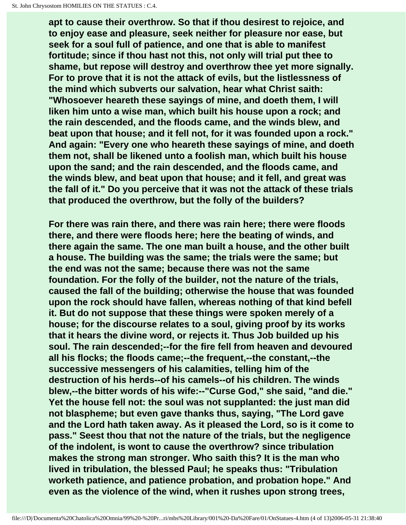**apt to cause their overthrow. So that if thou desirest to rejoice, and to enjoy ease and pleasure, seek neither for pleasure nor ease, but seek for a soul full of patience, and one that is able to manifest fortitude; since if thou hast not this, not only will trial put thee to shame, but repose will destroy and overthrow thee yet more signally. For to prove that it is not the attack of evils, but the listlessness of the mind which subverts our salvation, hear what Christ saith: "Whosoever heareth these sayings of mine, and doeth them, I will liken him unto a wise man, which built his house upon a rock; and the rain descended, and the floods came, and the winds blew, and beat upon that house; and it fell not, for it was founded upon a rock." And again: "Every one who heareth these sayings of mine, and doeth them not, shall be likened unto a foolish man, which built his house upon the sand; and the rain descended, and the floods came, and the winds blew, and beat upon that house; and it fell, and great was the fall of it." Do you perceive that it was not the attack of these trials that produced the overthrow, but the folly of the builders?** 

**For there was rain there, and there was rain here; there were floods there, and there were floods here; here the beating of winds, and there again the same. The one man built a house, and the other built a house. The building was the same; the trials were the same; but the end was not the same; because there was not the same foundation. For the folly of the builder, not the nature of the trials, caused the fall of the building; otherwise the house that was founded upon the rock should have fallen, whereas nothing of that kind befell it. But do not suppose that these things were spoken merely of a house; for the discourse relates to a soul, giving proof by its works that it hears the divine word, or rejects it. Thus Job builded up his soul. The rain descended;--for the fire fell from heaven and devoured all his flocks; the floods came;--the frequent,--the constant,--the successive messengers of his calamities, telling him of the destruction of his herds--of his camels--of his children. The winds blew,--the bitter words of his wife:--"Curse God," she said, "and die." Yet the house fell not: the soul was not supplanted: the just man did not blaspheme; but even gave thanks thus, saying, "The Lord gave and the Lord hath taken away. As it pleased the Lord, so is it come to pass." Seest thou that not the nature of the trials, but the negligence of the indolent, is wont to cause the overthrow? since tribulation makes the strong man stronger. Who saith this? It is the man who lived in tribulation, the blessed Paul; he speaks thus: "Tribulation worketh patience, and patience probation, and probation hope." And even as the violence of the wind, when it rushes upon strong trees,**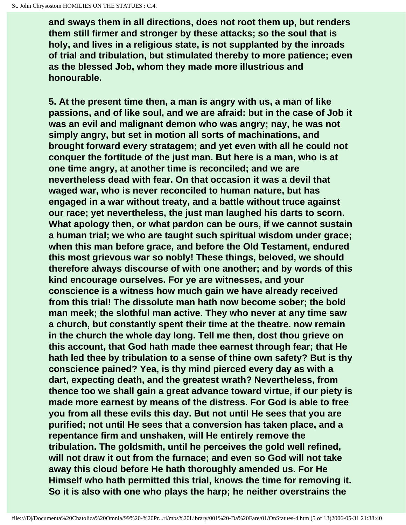**and sways them in all directions, does not root them up, but renders them still firmer and stronger by these attacks; so the soul that is holy, and lives in a religious state, is not supplanted by the inroads of trial and tribulation, but stimulated thereby to more patience; even as the blessed Job, whom they made more illustrious and honourable.** 

**5. At the present time then, a man is angry with us, a man of like passions, and of like soul, and we are afraid: but in the case of Job it was an evil and malignant demon who was angry; nay, he was not simply angry, but set in motion all sorts of machinations, and brought forward every stratagem; and yet even with all he could not conquer the fortitude of the just man. But here is a man, who is at one time angry, at another time is reconciled; and we are nevertheless dead with fear. On that occasion it was a devil that waged war, who is never reconciled to human nature, but has engaged in a war without treaty, and a battle without truce against our race; yet nevertheless, the just man laughed his darts to scorn. What apology then, or what pardon can be ours, if we cannot sustain a human trial; we who are taught such spiritual wisdom under grace; when this man before grace, and before the Old Testament, endured this most grievous war so nobly! These things, beloved, we should therefore always discourse of with one another; and by words of this kind encourage ourselves. For ye are witnesses, and your conscience is a witness how much gain we have already received from this trial! The dissolute man hath now become sober; the bold man meek; the slothful man active. They who never at any time saw a church, but constantly spent their time at the theatre. now remain in the church the whole day long. Tell me then, dost thou grieve on this account, that God hath made thee earnest through fear; that He hath led thee by tribulation to a sense of thine own safety? But is thy conscience pained? Yea, is thy mind pierced every day as with a dart, expecting death, and the greatest wrath? Nevertheless, from thence too we shall gain a great advance toward virtue, if our piety is made more earnest by means of the distress. For God is able to free you from all these evils this day. But not until He sees that you are purified; not until He sees that a conversion has taken place, and a repentance firm and unshaken, will He entirely remove the tribulation. The goldsmith, until he perceives the gold well refined, will not draw it out from the furnace; and even so God will not take away this cloud before He hath thoroughly amended us. For He Himself who hath permitted this trial, knows the time for removing it. So it is also with one who plays the harp; he neither overstrains the**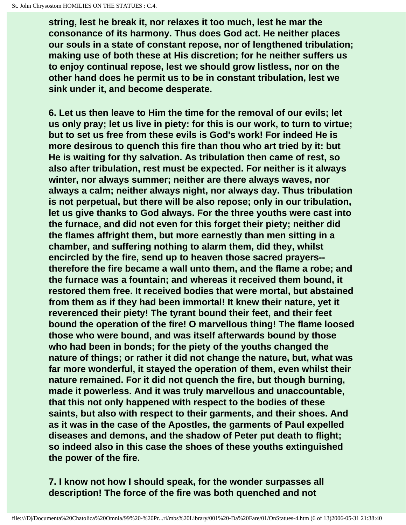**string, lest he break it, nor relaxes it too much, lest he mar the consonance of its harmony. Thus does God act. He neither places our souls in a state of constant repose, nor of lengthened tribulation; making use of both these at His discretion; for he neither suffers us to enjoy continual repose, lest we should grow listless, nor on the other hand does he permit us to be in constant tribulation, lest we sink under it, and become desperate.** 

**6. Let us then leave to Him the time for the removal of our evils; let us only pray; let us live in piety: for this is our work, to turn to virtue; but to set us free from these evils is God's work! For indeed He is more desirous to quench this fire than thou who art tried by it: but He is waiting for thy salvation. As tribulation then came of rest, so also after tribulation, rest must be expected. For neither is it always winter, nor always summer; neither are there always waves, nor always a calm; neither always night, nor always day. Thus tribulation is not perpetual, but there will be also repose; only in our tribulation, let us give thanks to God always. For the three youths were cast into the furnace, and did not even for this forget their piety; neither did the flames affright them, but more earnestly than men sitting in a chamber, and suffering nothing to alarm them, did they, whilst encircled by the fire, send up to heaven those sacred prayers- therefore the fire became a wall unto them, and the flame a robe; and the furnace was a fountain; and whereas it received them bound, it restored them free. It received bodies that were mortal, but abstained from them as if they had been immortal! It knew their nature, yet it reverenced their piety! The tyrant bound their feet, and their feet bound the operation of the fire! O marvellous thing! The flame loosed those who were bound, and was itself afterwards bound by those who had been in bonds; for the piety of the youths changed the nature of things; or rather it did not change the nature, but, what was far more wonderful, it stayed the operation of them, even whilst their nature remained. For it did not quench the fire, but though burning, made it powerless. And it was truly marvellous and unaccountable, that this not only happened with respect to the bodies of these saints, but also with respect to their garments, and their shoes. And as it was in the case of the Apostles, the garments of Paul expelled diseases and demons, and the shadow of Peter put death to flight; so indeed also in this case the shoes of these youths extinguished the power of the fire.** 

**7. I know not how I should speak, for the wonder surpasses all description! The force of the fire was both quenched and not**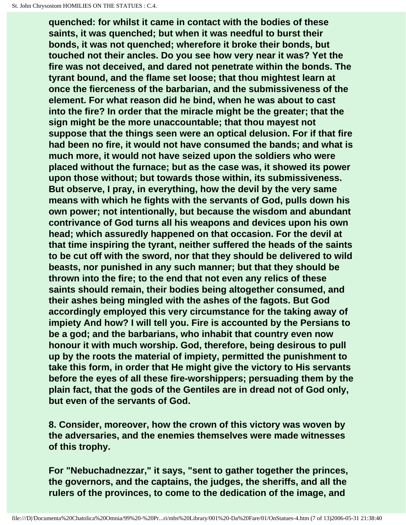**quenched: for whilst it came in contact with the bodies of these saints, it was quenched; but when it was needful to burst their bonds, it was not quenched; wherefore it broke their bonds, but touched not their ancles. Do you see how very near it was? Yet the fire was not deceived, and dared not penetrate within the bonds. The tyrant bound, and the flame set loose; that thou mightest learn at once the fierceness of the barbarian, and the submissiveness of the element. For what reason did he bind, when he was about to cast into the fire? In order that the miracle might be the greater; that the sign might be the more unaccountable; that thou mayest not suppose that the things seen were an optical delusion. For if that fire had been no fire, it would not have consumed the bands; and what is much more, it would not have seized upon the soldiers who were placed without the furnace; but as the case was, it showed its power upon those without; but towards those within, its submissiveness. But observe, I pray, in everything, how the devil by the very same means with which he fights with the servants of God, pulls down his own power; not intentionally, but because the wisdom and abundant contrivance of God turns all his weapons and devices upon his own head; which assuredly happened on that occasion. For the devil at that time inspiring the tyrant, neither suffered the heads of the saints to be cut off with the sword, nor that they should be delivered to wild beasts, nor punished in any such manner; but that they should be thrown into the fire; to the end that not even any relics of these saints should remain, their bodies being altogether consumed, and their ashes being mingled with the ashes of the fagots. But God accordingly employed this very circumstance for the taking away of impiety And how? I will tell you. Fire is accounted by the Persians to be a god; and the barbarians, who inhabit that country even now honour it with much worship. God, therefore, being desirous to pull up by the roots the material of impiety, permitted the punishment to take this form, in order that He might give the victory to His servants before the eyes of all these fire-worshippers; persuading them by the plain fact, that the gods of the Gentiles are in dread not of God only, but even of the servants of God.** 

**8. Consider, moreover, how the crown of this victory was woven by the adversaries, and the enemies themselves were made witnesses of this trophy.** 

**For "Nebuchadnezzar," it says, "sent to gather together the princes, the governors, and the captains, the judges, the sheriffs, and all the rulers of the provinces, to come to the dedication of the image, and**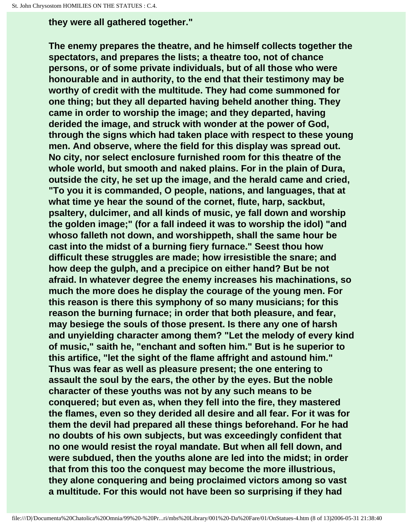## **they were all gathered together."**

**The enemy prepares the theatre, and he himself collects together the spectators, and prepares the lists; a theatre too, not of chance persons, or of some private individuals, but of all those who were honourable and in authority, to the end that their testimony may be worthy of credit with the multitude. They had come summoned for one thing; but they all departed having beheld another thing. They came in order to worship the image; and they departed, having derided the image, and struck with wonder at the power of God, through the signs which had taken place with respect to these young men. And observe, where the field for this display was spread out. No city, nor select enclosure furnished room for this theatre of the whole world, but smooth and naked plains. For in the plain of Dura, outside the city, he set up the image, and the herald came and cried, "To you it is commanded, O people, nations, and languages, that at what time ye hear the sound of the cornet, flute, harp, sackbut, psaltery, dulcimer, and all kinds of music, ye fall down and worship the golden image;" (for a fall indeed it was to worship the idol) "and whoso falleth not down, and worshippeth, shall the same hour be cast into the midst of a burning fiery furnace." Seest thou how difficult these struggles are made; how irresistible the snare; and how deep the gulph, and a precipice on either hand? But be not afraid. In whatever degree the enemy increases his machinations, so much the more does he display the courage of the young men. For this reason is there this symphony of so many musicians; for this reason the burning furnace; in order that both pleasure, and fear, may besiege the souls of those present. Is there any one of harsh and unyielding character among them? "Let the melody of every kind of music," saith he, "enchant and soften him." But is he superior to this artifice, "let the sight of the flame affright and astound him." Thus was fear as well as pleasure present; the one entering to assault the soul by the ears, the other by the eyes. But the noble character of these youths was not by any such means to be conquered; but even as, when they fell into the fire, they mastered the flames, even so they derided all desire and all fear. For it was for them the devil had prepared all these things beforehand. For he had no doubts of his own subjects, but was exceedingly confident that no one would resist the royal mandate. But when all fell down, and were subdued, then the youths alone are led into the midst; in order that from this too the conquest may become the more illustrious, they alone conquering and being proclaimed victors among so vast a multitude. For this would not have been so surprising if they had**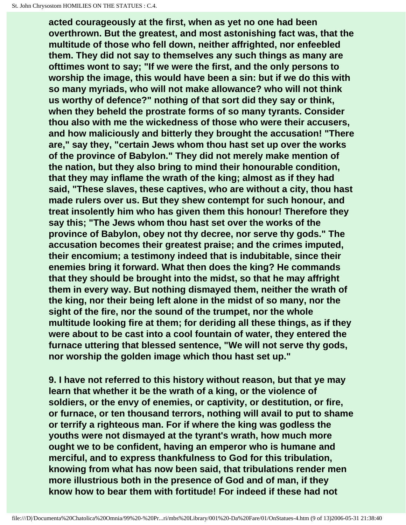**acted courageously at the first, when as yet no one had been overthrown. But the greatest, and most astonishing fact was, that the multitude of those who fell down, neither affrighted, nor enfeebled them. They did not say to themselves any such things as many are ofttimes wont to say; "If we were the first, and the only persons to worship the image, this would have been a sin: but if we do this with so many myriads, who will not make allowance? who will not think us worthy of defence?" nothing of that sort did they say or think, when they beheld the prostrate forms of so many tyrants. Consider thou also with me the wickedness of those who were their accusers, and how maliciously and bitterly they brought the accusation! "There are," say they, "certain Jews whom thou hast set up over the works of the province of Babylon." They did not merely make mention of the nation, but they also bring to mind their honourable condition, that they may inflame the wrath of the king; almost as if they had said, "These slaves, these captives, who are without a city, thou hast made rulers over us. But they shew contempt for such honour, and treat insolently him who has given them this honour! Therefore they say this; "The Jews whom thou hast set over the works of the province of Babylon, obey not thy decree, nor serve thy gods." The accusation becomes their greatest praise; and the crimes imputed, their encomium; a testimony indeed that is indubitable, since their enemies bring it forward. What then does the king? He commands that they should be brought into the midst, so that he may affright them in every way. But nothing dismayed them, neither the wrath of the king, nor their being left alone in the midst of so many, nor the sight of the fire, nor the sound of the trumpet, nor the whole multitude looking fire at them; for deriding all these things, as if they were about to be cast into a cool fountain of water, they entered the furnace uttering that blessed sentence, "We will not serve thy gods, nor worship the golden image which thou hast set up."** 

**9. I have not referred to this history without reason, but that ye may learn that whether it be the wrath of a king, or the violence of soldiers, or the envy of enemies, or captivity, or destitution, or fire, or furnace, or ten thousand terrors, nothing will avail to put to shame or terrify a righteous man. For if where the king was godless the youths were not dismayed at the tyrant's wrath, how much more ought we to be confident, having an emperor who is humane and merciful, and to express thankfulness to God for this tribulation, knowing from what has now been said, that tribulations render men more illustrious both in the presence of God and of man, if they know how to bear them with fortitude! For indeed if these had not**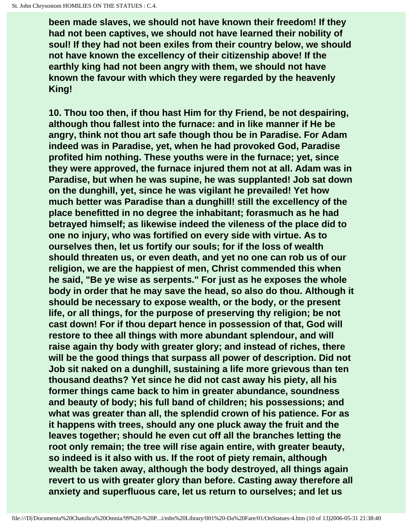**been made slaves, we should not have known their freedom! If they had not been captives, we should not have learned their nobility of soul! If they had not been exiles from their country below, we should not have known the excellency of their citizenship above! If the earthly king had not been angry with them, we should not have known the favour with which they were regarded by the heavenly King!** 

**10. Thou too then, if thou hast Him for thy Friend, be not despairing, although thou fallest into the furnace: and in like manner if He be angry, think not thou art safe though thou be in Paradise. For Adam indeed was in Paradise, yet, when he had provoked God, Paradise profited him nothing. These youths were in the furnace; yet, since they were approved, the furnace injured them not at all. Adam was in Paradise, but when he was supine, he was supplanted! Job sat down on the dunghill, yet, since he was vigilant he prevailed! Yet how much better was Paradise than a dunghill! still the excellency of the place benefitted in no degree the inhabitant; forasmuch as he had betrayed himself; as likewise indeed the vileness of the place did to one no injury, who was fortified on every side with virtue. As to ourselves then, let us fortify our souls; for if the loss of wealth should threaten us, or even death, and yet no one can rob us of our religion, we are the happiest of men, Christ commended this when he said, "Be ye wise as serpents." For just as he exposes the whole body in order that he may save the head, so also do thou. Although it should be necessary to expose wealth, or the body, or the present life, or all things, for the purpose of preserving thy religion; be not cast down! For if thou depart hence in possession of that, God will restore to thee all things with more abundant splendour, and will raise again thy body with greater glory; and instead of riches, there will be the good things that surpass all power of description. Did not Job sit naked on a dunghill, sustaining a life more grievous than ten thousand deaths? Yet since he did not cast away his piety, all his former things came back to him in greater abundance, soundness and beauty of body; his full band of children; his possessions; and what was greater than all, the splendid crown of his patience. For as it happens with trees, should any one pluck away the fruit and the leaves together; should he even cut off all the branches letting the root only remain; the tree will rise again entire, with greater beauty, so indeed is it also with us. If the root of piety remain, although wealth be taken away, although the body destroyed, all things again revert to us with greater glory than before. Casting away therefore all anxiety and superfluous care, let us return to ourselves; and let us**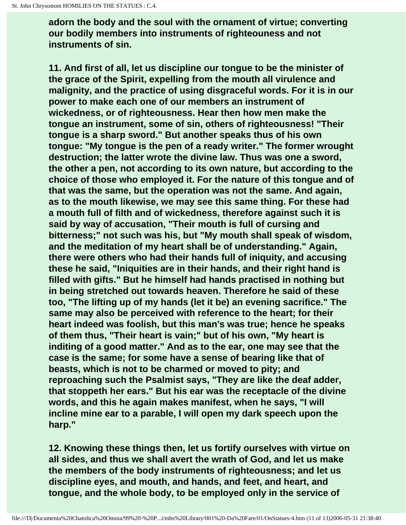**adorn the body and the soul with the ornament of virtue; converting our bodily members into instruments of righteouness and not instruments of sin.** 

**11. And first of all, let us discipline our tongue to be the minister of the grace of the Spirit, expelling from the mouth all virulence and malignity, and the practice of using disgraceful words. For it is in our power to make each one of our members an instrument of wickedness, or of righteousness. Hear then how men make the tongue an instrument, some of sin, others of righteousness! "Their tongue is a sharp sword." But another speaks thus of his own tongue: "My tongue is the pen of a ready writer." The former wrought destruction; the latter wrote the divine law. Thus was one a sword, the other a pen, not according to its own nature, but according to the choice of those who employed it. For the nature of this tongue and of that was the same, but the operation was not the same. And again, as to the mouth likewise, we may see this same thing. For these had a mouth full of filth and of wickedness, therefore against such it is said by way of accusation, "Their mouth is full of cursing and bitterness;" not such was his, but "My mouth shall speak of wisdom, and the meditation of my heart shall be of understanding." Again, there were others who had their hands full of iniquity, and accusing these he said, "Iniquities are in their hands, and their right hand is filled with gifts." But he himself had hands practised in nothing but in being stretched out towards heaven. Therefore he said of these too, "The lifting up of my hands (let it be) an evening sacrifice." The same may also be perceived with reference to the heart; for their heart indeed was foolish, but this man's was true; hence he speaks of them thus, "Their heart is vain;" but of his own, "My heart is inditing of a good matter." And as to the ear, one may see that the case is the same; for some have a sense of bearing like that of beasts, which is not to be charmed or moved to pity; and reproaching such the Psalmist says, "They are like the deaf adder, that stoppeth her ears." But his ear was the receptacle of the divine words, and this he again makes manifest, when he says, "I will incline mine ear to a parable, I will open my dark speech upon the harp."** 

**12. Knowing these things then, let us fortify ourselves with virtue on all sides, and thus we shall avert the wrath of God, and let us make the members of the body instruments of righteousness; and let us discipline eyes, and mouth, and hands, and feet, and heart, and tongue, and the whole body, to be employed only in the service of**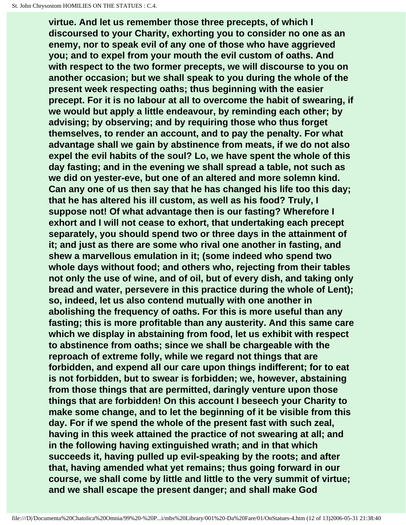**virtue. And let us remember those three precepts, of which I discoursed to your Charity, exhorting you to consider no one as an enemy, nor to speak evil of any one of those who have aggrieved you; and to expel from your mouth the evil custom of oaths. And with respect to the two former precepts, we will discourse to you on another occasion; but we shall speak to you during the whole of the present week respecting oaths; thus beginning with the easier precept. For it is no labour at all to overcome the habit of swearing, if we would but apply a little endeavour, by reminding each other; by advising; by observing; and by requiring those who thus forget themselves, to render an account, and to pay the penalty. For what advantage shall we gain by abstinence from meats, if we do not also expel the evil habits of the soul? Lo, we have spent the whole of this day fasting; and in the evening we shall spread a table, not such as we did on yester-eve, but one of an altered and more solemn kind. Can any one of us then say that he has changed his life too this day; that he has altered his ill custom, as well as his food? Truly, I suppose not! Of what advantage then is our fasting? Wherefore I exhort and I will not cease to exhort, that undertaking each precept separately, you should spend two or three days in the attainment of it; and just as there are some who rival one another in fasting, and shew a marvellous emulation in it; (some indeed who spend two whole days without food; and others who, rejecting from their tables not only the use of wine, and of oil, but of every dish, and taking only bread and water, persevere in this practice during the whole of Lent); so, indeed, let us also contend mutually with one another in abolishing the frequency of oaths. For this is more useful than any fasting; this is more profitable than any austerity. And this same care which we display in abstaining from food, let us exhibit with respect to abstinence from oaths; since we shall be chargeable with the reproach of extreme folly, while we regard not things that are forbidden, and expend all our care upon things indifferent; for to eat is not forbidden, but to swear is forbidden; we, however, abstaining from those things that are permitted, daringly venture upon those things that are forbidden! On this account I beseech your Charity to make some change, and to let the beginning of it be visible from this day. For if we spend the whole of the present fast with such zeal, having in this week attained the practice of not swearing at all; and in the following having extinguished wrath; and in that which succeeds it, having pulled up evil-speaking by the roots; and after that, having amended what yet remains; thus going forward in our course, we shall come by little and little to the very summit of virtue; and we shall escape the present danger; and shall make God**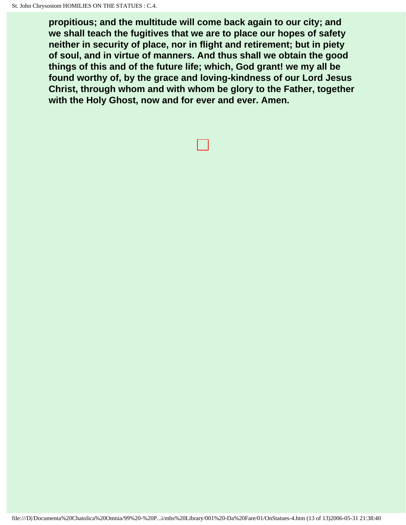**propitious; and the multitude will come back again to our city; and we shall teach the fugitives that we are to place our hopes of safety neither in security of place, nor in flight and retirement; but in piety of soul, and in virtue of manners. And thus shall we obtain the good things of this and of the future life; which, God grant! we my all be found worthy of, by the grace and loving-kindness of our Lord Jesus Christ, through whom and with whom be glory to the Father, together with the Holy Ghost, now and for ever and ever. Amen.**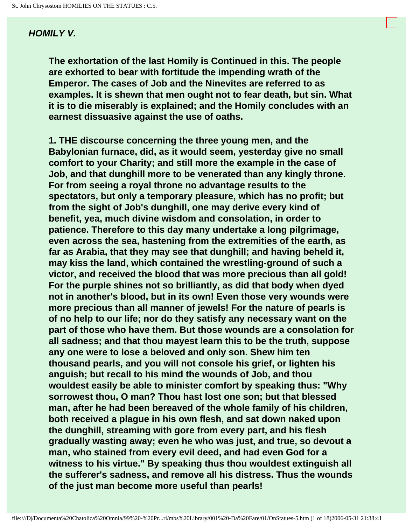## **HOMILY V.**

**The exhortation of the last Homily is Continued in this. The people are exhorted to bear with fortitude the impending wrath of the Emperor. The cases of Job and the Ninevites are referred to as examples. It is shewn that men ought not to fear death, but sin. What it is to die miserably is explained; and the Homily concludes with an earnest dissuasive against the use of oaths.** 

**1. THE discourse concerning the three young men, and the Babylonian furnace, did, as it would seem, yesterday give no small comfort to your Charity; and still more the example in the case of Job, and that dunghill more to be venerated than any kingly throne. For from seeing a royal throne no advantage results to the spectators, but only a temporary pleasure, which has no profit; but from the sight of Job's dunghill, one may derive every kind of benefit, yea, much divine wisdom and consolation, in order to patience. Therefore to this day many undertake a long pilgrimage, even across the sea, hastening from the extremities of the earth, as far as Arabia, that they may see that dunghill; and having beheld it, may kiss the land, which contained the wrestling-ground of such a victor, and received the blood that was more precious than all gold! For the purple shines not so brilliantly, as did that body when dyed not in another's blood, but in its own! Even those very wounds were more precious than all manner of jewels! For the nature of pearls is of no help to our life; nor do they satisfy any necessary want on the part of those who have them. But those wounds are a consolation for all sadness; and that thou mayest learn this to be the truth, suppose any one were to lose a beloved and only son. Shew him ten thousand pearls, and you will not console his grief, or lighten his anguish; but recall to his mind the wounds of Job, and thou wouldest easily be able to minister comfort by speaking thus: "Why sorrowest thou, O man? Thou hast lost one son; but that blessed man, after he had been bereaved of the whole family of his children, both received a plague in his own flesh, and sat down naked upon the dunghill, streaming with gore from every part, and his flesh gradually wasting away; even he who was just, and true, so devout a man, who stained from every evil deed, and had even God for a witness to his virtue." By speaking thus thou wouldest extinguish all the sufferer's sadness, and remove all his distress. Thus the wounds of the just man become more useful than pearls!**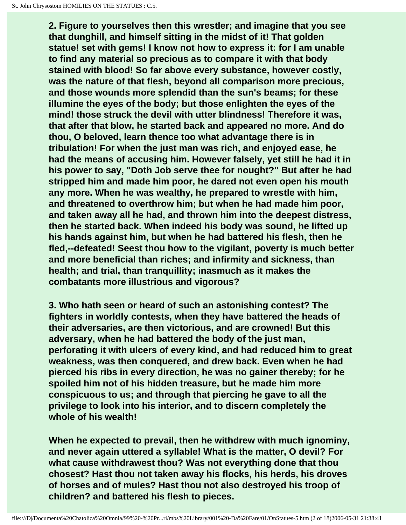**2. Figure to yourselves then this wrestler; and imagine that you see that dunghill, and himself sitting in the midst of it! That golden statue! set with gems! I know not how to express it: for I am unable to find any material so precious as to compare it with that body stained with blood! So far above every substance, however costly, was the nature of that flesh, beyond all comparison more precious, and those wounds more splendid than the sun's beams; for these illumine the eyes of the body; but those enlighten the eyes of the mind! those struck the devil with utter blindness! Therefore it was, that after that blow, he started back and appeared no more. And do thou, O beloved, learn thence too what advantage there is in tribulation! For when the just man was rich, and enjoyed ease, he had the means of accusing him. However falsely, yet still he had it in his power to say, "Doth Job serve thee for nought?" But after he had stripped him and made him poor, he dared not even open his mouth any more. When he was wealthy, he prepared to wrestle with him, and threatened to overthrow him; but when he had made him poor, and taken away all he had, and thrown him into the deepest distress, then he started back. When indeed his body was sound, he lifted up his hands against him, but when he had battered his flesh, then he fled,--defeated! Seest thou how to the vigilant, poverty is much better and more beneficial than riches; and infirmity and sickness, than health; and trial, than tranquillity; inasmuch as it makes the combatants more illustrious and vigorous?** 

**3. Who hath seen or heard of such an astonishing contest? The fighters in worldly contests, when they have battered the heads of their adversaries, are then victorious, and are crowned! But this adversary, when he had battered the body of the just man, perforating it with ulcers of every kind, and had reduced him to great weakness, was then conquered, and drew back. Even when he had pierced his ribs in every direction, he was no gainer thereby; for he spoiled him not of his hidden treasure, but he made him more conspicuous to us; and through that piercing he gave to all the privilege to look into his interior, and to discern completely the whole of his wealth!** 

**When he expected to prevail, then he withdrew with much ignominy, and never again uttered a syllable! What is the matter, O devil? For what cause withdrawest thou? Was not everything done that thou chosest? Hast thou not taken away his flocks, his herds, his droves of horses and of mules? Hast thou not also destroyed his troop of children? and battered his flesh to pieces.**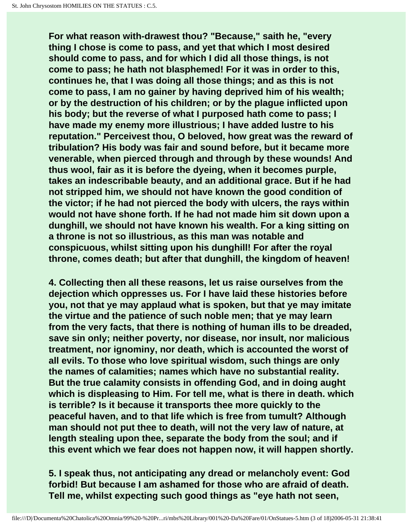**For what reason with-drawest thou? "Because," saith he, "every thing I chose is come to pass, and yet that which I most desired should come to pass, and for which I did all those things, is not come to pass; he hath not blasphemed! For it was in order to this, continues he, that I was doing all those things; and as this is not come to pass, I am no gainer by having deprived him of his wealth; or by the destruction of his children; or by the plague inflicted upon his body; but the reverse of what I purposed hath come to pass; I have made my enemy more illustrious; I have added lustre to his reputation." Perceivest thou, O beloved, how great was the reward of tribulation? His body was fair and sound before, but it became more venerable, when pierced through and through by these wounds! And thus wool, fair as it is before the dyeing, when it becomes purple, takes an indescribable beauty, and an additional grace. But if he had not stripped him, we should not have known the good condition of the victor; if he had not pierced the body with ulcers, the rays within would not have shone forth. If he had not made him sit down upon a dunghill, we should not have known his wealth. For a king sitting on a throne is not so illustrious, as this man was notable and conspicuous, whilst sitting upon his dunghill! For after the royal throne, comes death; but after that dunghill, the kingdom of heaven!** 

**4. Collecting then all these reasons, let us raise ourselves from the dejection which oppresses us. For I have laid these histories before you, not that ye may applaud what is spoken, but that ye may imitate the virtue and the patience of such noble men; that ye may learn from the very facts, that there is nothing of human ills to be dreaded, save sin only; neither poverty, nor disease, nor insult, nor malicious treatment, nor ignominy, nor death, which is accounted the worst of all evils. To those who love spiritual wisdom, such things are only the names of calamities; names which have no substantial reality. But the true calamity consists in offending God, and in doing aught which is displeasing to Him. For tell me, what is there in death. which is terrible? Is it because it transports thee more quickly to the peaceful haven, and to that life which is free from tumult? Although man should not put thee to death, will not the very law of nature, at length stealing upon thee, separate the body from the soul; and if this event which we fear does not happen now, it will happen shortly.** 

**5. I speak thus, not anticipating any dread or melancholy event: God forbid! But because I am ashamed for those who are afraid of death. Tell me, whilst expecting such good things as "eye hath not seen,**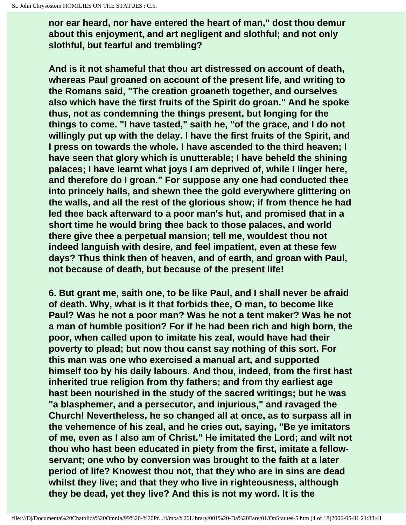**nor ear heard, nor have entered the heart of man," dost thou demur about this enjoyment, and art negligent and slothful; and not only slothful, but fearful and trembling?** 

**And is it not shameful that thou art distressed on account of death, whereas Paul groaned on account of the present life, and writing to the Romans said, "The creation groaneth together, and ourselves also which have the first fruits of the Spirit do groan." And he spoke thus, not as condemning the things present, but longing for the things to come. "I have tasted," saith he, "of the grace, and I do not willingly put up with the delay. I have the first fruits of the Spirit, and I press on towards the whole. I have ascended to the third heaven; I have seen that glory which is unutterable; I have beheld the shining palaces; I have learnt what joys I am deprived of, while I linger here, and therefore do I groan." For suppose any one had conducted thee into princely halls, and shewn thee the gold everywhere glittering on the walls, and all the rest of the glorious show; if from thence he had led thee back afterward to a poor man's hut, and promised that in a short time he would bring thee back to those palaces, and world there give thee a perpetual mansion; tell me, wouldest thou not indeed languish with desire, and feel impatient, even at these few days? Thus think then of heaven, and of earth, and groan with Paul, not because of death, but because of the present life!** 

**6. But grant me, saith one, to be like Paul, and I shall never be afraid of death. Why, what is it that forbids thee, O man, to become like Paul? Was he not a poor man? Was he not a tent maker? Was he not a man of humble position? For if he had been rich and high born, the poor, when called upon to imitate his zeal, would have had their poverty to plead; but now thou canst say nothing of this sort. For this man was one who exercised a manual art, and supported himself too by his daily labours. And thou, indeed, from the first hast inherited true religion from thy fathers; and from thy earliest age hast been nourished in the study of the sacred writings; but he was "a blasphemer, and a persecutor, and injurious," and ravaged the Church! Nevertheless, he so changed all at once, as to surpass all in the vehemence of his zeal, and he cries out, saying, "Be ye imitators of me, even as I also am of Christ." He imitated the Lord; and wilt not thou who hast been educated in piety from the first, imitate a fellowservant; one who by conversion was brought to the faith at a later period of life? Knowest thou not, that they who are in sins are dead whilst they live; and that they who live in righteousness, although they be dead, yet they live? And this is not my word. It is the**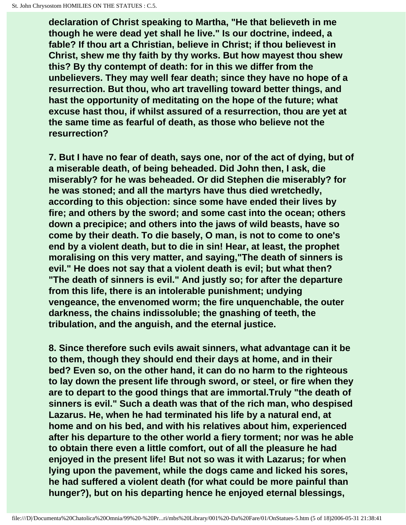**declaration of Christ speaking to Martha, "He that believeth in me though he were dead yet shall he live." Is our doctrine, indeed, a fable? If thou art a Christian, believe in Christ; if thou believest in Christ, shew me thy faith by thy works. But how mayest thou shew this? By thy contempt of death: for in this we differ from the unbelievers. They may well fear death; since they have no hope of a resurrection. But thou, who art travelling toward better things, and hast the opportunity of meditating on the hope of the future; what excuse hast thou, if whilst assured of a resurrection, thou are yet at the same time as fearful of death, as those who believe not the resurrection?** 

**7. But I have no fear of death, says one, nor of the act of dying, but of a miserable death, of being beheaded. Did John then, I ask, die miserably? for he was beheaded. Or did Stephen die miserably? for he was stoned; and all the martyrs have thus died wretchedly, according to this objection: since some have ended their lives by fire; and others by the sword; and some cast into the ocean; others down a precipice; and others into the jaws of wild beasts, have so come by their death. To die basely, O man, is not to come to one's end by a violent death, but to die in sin! Hear, at least, the prophet moralising on this very matter, and saying,"The death of sinners is evil." He does not say that a violent death is evil; but what then? "The death of sinners is evil." And justly so; for after the departure from this life, there is an intolerable punishment; undying vengeance, the envenomed worm; the fire unquenchable, the outer darkness, the chains indissoluble; the gnashing of teeth, the tribulation, and the anguish, and the eternal justice.** 

**8. Since therefore such evils await sinners, what advantage can it be to them, though they should end their days at home, and in their bed? Even so, on the other hand, it can do no harm to the righteous to lay down the present life through sword, or steel, or fire when they are to depart to the good things that are immortal.Truly "the death of sinners is evil." Such a death was that of the rich man, who despised Lazarus. He, when he had terminated his life by a natural end, at home and on his bed, and with his relatives about him, experienced after his departure to the other world a fiery torment; nor was he able to obtain there even a little comfort, out of all the pleasure he had enjoyed in the present life! But not so was it with Lazarus; for when lying upon the pavement, while the dogs came and licked his sores, he had suffered a violent death (for what could be more painful than hunger?), but on his departing hence he enjoyed eternal blessings,**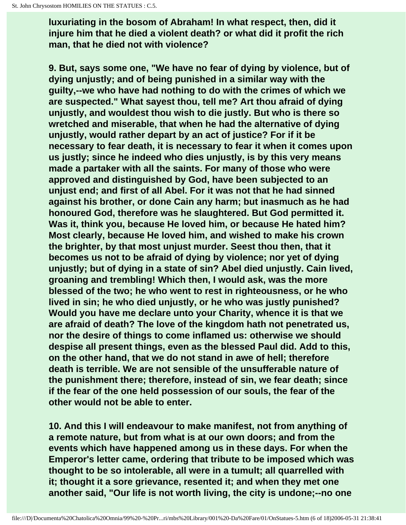**luxuriating in the bosom of Abraham! In what respect, then, did it injure him that he died a violent death? or what did it profit the rich man, that he died not with violence?** 

**9. But, says some one, "We have no fear of dying by violence, but of dying unjustly; and of being punished in a similar way with the guilty,--we who have had nothing to do with the crimes of which we are suspected." What sayest thou, tell me? Art thou afraid of dying unjustly, and wouldest thou wish to die justly. But who is there so wretched and miserable, that when he had the alternative of dying unjustly, would rather depart by an act of justice? For if it be necessary to fear death, it is necessary to fear it when it comes upon us justly; since he indeed who dies unjustly, is by this very means made a partaker with all the saints. For many of those who were approved and distinguished by God, have been subjected to an unjust end; and first of all Abel. For it was not that he had sinned against his brother, or done Cain any harm; but inasmuch as he had honoured God, therefore was he slaughtered. But God permitted it. Was it, think you, because He loved him, or because He hated him? Most clearly, because He loved him, and wished to make his crown the brighter, by that most unjust murder. Seest thou then, that it becomes us not to be afraid of dying by violence; nor yet of dying unjustly; but of dying in a state of sin? Abel died unjustly. Cain lived, groaning and trembling! Which then, I would ask, was the more blessed of the two; he who went to rest in righteousness, or he who lived in sin; he who died unjustly, or he who was justly punished? Would you have me declare unto your Charity, whence it is that we are afraid of death? The love of the kingdom hath not penetrated us, nor the desire of things to come inflamed us: otherwise we should despise all present things, even as the blessed Paul did. Add to this, on the other hand, that we do not stand in awe of hell; therefore death is terrible. We are not sensible of the unsufferable nature of the punishment there; therefore, instead of sin, we fear death; since if the fear of the one held possession of our souls, the fear of the other would not be able to enter.** 

**10. And this I will endeavour to make manifest, not from anything of a remote nature, but from what is at our own doors; and from the events which have happened among us in these days. For when the Emperor's letter came, ordering that tribute to be imposed which was thought to be so intolerable, all were in a tumult; all quarrelled with it; thought it a sore grievance, resented it; and when they met one another said, "Our life is not worth living, the city is undone;--no one**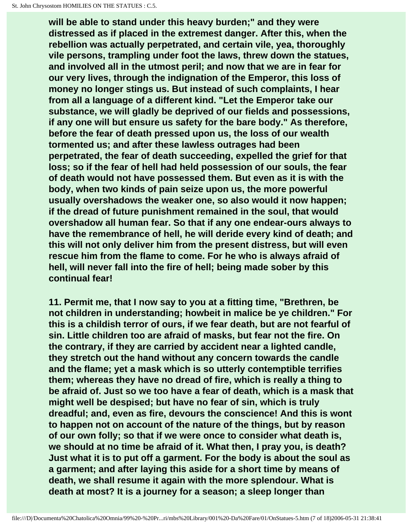**will be able to stand under this heavy burden;" and they were distressed as if placed in the extremest danger. After this, when the rebellion was actually perpetrated, and certain vile, yea, thoroughly vile persons, trampling under foot the laws, threw down the statues, and involved all in the utmost peril; and now that we are in fear for our very lives, through the indignation of the Emperor, this loss of money no longer stings us. But instead of such complaints, I hear from all a language of a different kind. "Let the Emperor take our substance, we will gladly be deprived of our fields and possessions, if any one will but ensure us safety for the bare body." As therefore, before the fear of death pressed upon us, the loss of our wealth tormented us; and after these lawless outrages had been perpetrated, the fear of death succeeding, expelled the grief for that loss; so if the fear of hell had held possession of our souls, the fear of death would not have possessed them. But even as it is with the body, when two kinds of pain seize upon us, the more powerful usually overshadows the weaker one, so also would it now happen; if the dread of future punishment remained in the soul, that would overshadow all human fear. So that if any one endear-ours always to have the remembrance of hell, he will deride every kind of death; and this will not only deliver him from the present distress, but will even rescue him from the flame to come. For he who is always afraid of hell, will never fall into the fire of hell; being made sober by this continual fear!** 

**11. Permit me, that I now say to you at a fitting time, "Brethren, be not children in understanding; howbeit in malice be ye children." For this is a childish terror of ours, if we fear death, but are not fearful of sin. Little children too are afraid of masks, but fear not the fire. On the contrary, if they are carried by accident near a lighted candle, they stretch out the hand without any concern towards the candle and the flame; yet a mask which is so utterly contemptible terrifies them; whereas they have no dread of fire, which is really a thing to be afraid of. Just so we too have a fear of death, which is a mask that might well be despised; but have no fear of sin, which is truly dreadful; and, even as fire, devours the conscience! And this is wont to happen not on account of the nature of the things, but by reason of our own folly; so that if we were once to consider what death is, we should at no time be afraid of it. What then, I pray you, is death? Just what it is to put off a garment. For the body is about the soul as a garment; and after laying this aside for a short time by means of death, we shall resume it again with the more splendour. What is death at most? It is a journey for a season; a sleep longer than**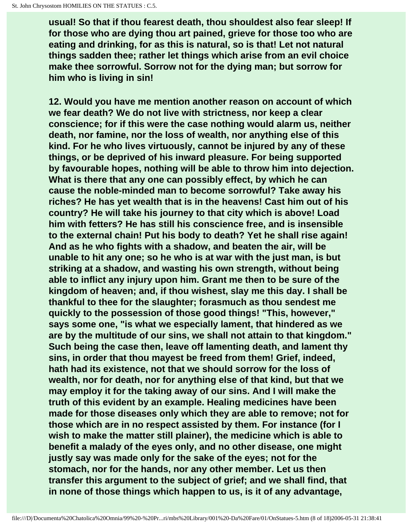**usual! So that if thou fearest death, thou shouldest also fear sleep! If for those who are dying thou art pained, grieve for those too who are eating and drinking, for as this is natural, so is that! Let not natural things sadden thee; rather let things which arise from an evil choice make thee sorrowful. Sorrow not for the dying man; but sorrow for him who is living in sin!** 

**12. Would you have me mention another reason on account of which we fear death? We do not live with strictness, nor keep a clear conscience; for if this were the case nothing would alarm us, neither death, nor famine, nor the loss of wealth, nor anything else of this kind. For he who lives virtuously, cannot be injured by any of these things, or be deprived of his inward pleasure. For being supported by favourable hopes, nothing will be able to throw him into dejection. What is there that any one can possibly effect, by which he can cause the noble-minded man to become sorrowful? Take away his riches? He has yet wealth that is in the heavens! Cast him out of his country? He will take his journey to that city which is above! Load him with fetters? He has still his conscience free, and is insensible to the external chain! Put his body to death? Yet he shall rise again! And as he who fights with a shadow, and beaten the air, will be unable to hit any one; so he who is at war with the just man, is but striking at a shadow, and wasting his own strength, without being able to inflict any injury upon him. Grant me then to be sure of the kingdom of heaven; and, if thou wishest, slay me this day. I shall be thankful to thee for the slaughter; forasmuch as thou sendest me quickly to the possession of those good things! "This, however," says some one, "is what we especially lament, that hindered as we are by the multitude of our sins, we shall not attain to that kingdom." Such being the case then, leave off lamenting death, and lament thy sins, in order that thou mayest be freed from them! Grief, indeed, hath had its existence, not that we should sorrow for the loss of wealth, nor for death, nor for anything else of that kind, but that we may employ it for the taking away of our sins. And I will make the truth of this evident by an example. Healing medicines have been made for those diseases only which they are able to remove; not for those which are in no respect assisted by them. For instance (for I wish to make the matter still plainer), the medicine which is able to benefit a malady of the eyes only, and no other disease, one might justly say was made only for the sake of the eyes; not for the stomach, nor for the hands, nor any other member. Let us then transfer this argument to the subject of grief; and we shall find, that in none of those things which happen to us, is it of any advantage,**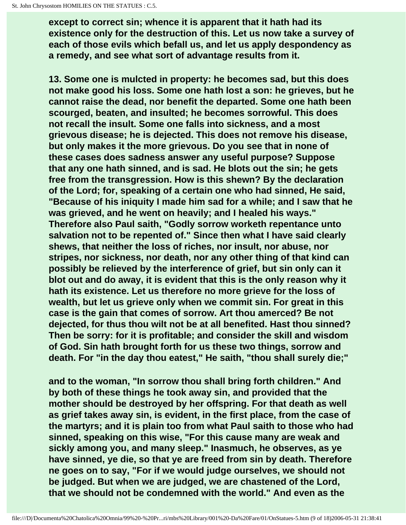**except to correct sin; whence it is apparent that it hath had its existence only for the destruction of this. Let us now take a survey of each of those evils which befall us, and let us apply despondency as a remedy, and see what sort of advantage results from it.** 

**13. Some one is mulcted in property: he becomes sad, but this does not make good his loss. Some one hath lost a son: he grieves, but he cannot raise the dead, nor benefit the departed. Some one hath been scourged, beaten, and insulted; he becomes sorrowful. This does not recall the insult. Some one falls into sickness, and a most grievous disease; he is dejected. This does not remove his disease, but only makes it the more grievous. Do you see that in none of these cases does sadness answer any useful purpose? Suppose that any one hath sinned, and is sad. He blots out the sin; he gets free from the transgression. How is this shewn? By the declaration of the Lord; for, speaking of a certain one who had sinned, He said, "Because of his iniquity I made him sad for a while; and I saw that he was grieved, and he went on heavily; and I healed his ways." Therefore also Paul saith, "Godly sorrow worketh repentance unto salvation not to be repented of." Since then what I have said clearly shews, that neither the loss of riches, nor insult, nor abuse, nor stripes, nor sickness, nor death, nor any other thing of that kind can possibly be relieved by the interference of grief, but sin only can it blot out and do away, it is evident that this is the only reason why it hath its existence. Let us therefore no more grieve for the loss of wealth, but let us grieve only when we commit sin. For great in this case is the gain that comes of sorrow. Art thou amerced? Be not dejected, for thus thou wilt not be at all benefited. Hast thou sinned? Then be sorry: for it is profitable; and consider the skill and wisdom of God. Sin hath brought forth for us these two things, sorrow and death. For "in the day thou eatest," He saith, "thou shall surely die;"** 

**and to the woman, "In sorrow thou shall bring forth children." And by both of these things he took away sin, and provided that the mother should be destroyed by her offspring. For that death as well as grief takes away sin, is evident, in the first place, from the case of the martyrs; and it is plain too from what Paul saith to those who had sinned, speaking on this wise, "For this cause many are weak and sickly among you, and many sleep." Inasmuch, he observes, as ye have sinned, ye die, so that ye are freed from sin by death. Therefore ne goes on to say, "For if we would judge ourselves, we should not be judged. But when we are judged, we are chastened of the Lord, that we should not be condemned with the world." And even as the**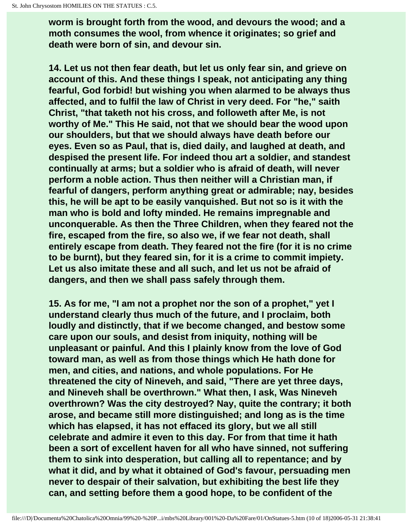**worm is brought forth from the wood, and devours the wood; and a moth consumes the wool, from whence it originates; so grief and death were born of sin, and devour sin.** 

**14. Let us not then fear death, but let us only fear sin, and grieve on account of this. And these things I speak, not anticipating any thing fearful, God forbid! but wishing you when alarmed to be always thus affected, and to fulfil the law of Christ in very deed. For "he," saith Christ, "that taketh not his cross, and followeth after Me, is not worthy of Me." This He said, not that we should bear the wood upon our shoulders, but that we should always have death before our eyes. Even so as Paul, that is, died daily, and laughed at death, and despised the present life. For indeed thou art a soldier, and standest continually at arms; but a soldier who is afraid of death, will never perform a noble action. Thus then neither will a Christian man, if fearful of dangers, perform anything great or admirable; nay, besides this, he will be apt to be easily vanquished. But not so is it with the man who is bold and lofty minded. He remains impregnable and unconquerable. As then the Three Children, when they feared not the fire, escaped from the fire, so also we, if we fear not death, shall entirely escape from death. They feared not the fire (for it is no crime to be burnt), but they feared sin, for it is a crime to commit impiety. Let us also imitate these and all such, and let us not be afraid of dangers, and then we shall pass safely through them.** 

**15. As for me, "I am not a prophet nor the son of a prophet," yet I understand clearly thus much of the future, and I proclaim, both loudly and distinctly, that if we become changed, and bestow some care upon our souls, and desist from iniquity, nothing will be unpleasant or painful. And this I plainly know from the love of God toward man, as well as from those things which He hath done for men, and cities, and nations, and whole populations. For He threatened the city of Nineveh, and said, "There are yet three days, and Nineveh shall be overthrown." What then, I ask, Was Nineveh overthrown? Was the city destroyed? Nay, quite the contrary; it both arose, and became still more distinguished; and long as is the time which has elapsed, it has not effaced its glory, but we all still celebrate and admire it even to this day. For from that time it hath been a sort of excellent haven for all who have sinned, not suffering them to sink into desperation, but calling all to repentance; and by what it did, and by what it obtained of God's favour, persuading men never to despair of their salvation, but exhibiting the best life they can, and setting before them a good hope, to be confident of the**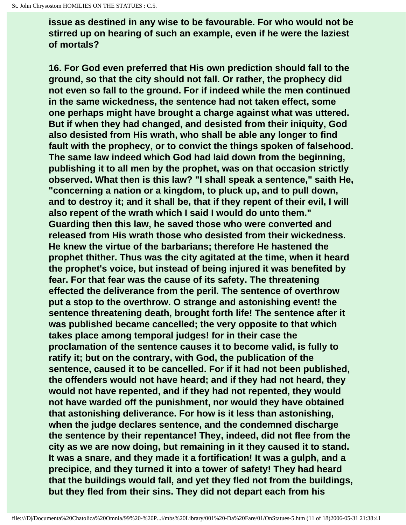**issue as destined in any wise to be favourable. For who would not be stirred up on hearing of such an example, even if he were the laziest of mortals?** 

**16. For God even preferred that His own prediction should fall to the ground, so that the city should not fall. Or rather, the prophecy did not even so fall to the ground. For if indeed while the men continued in the same wickedness, the sentence had not taken effect, some one perhaps might have brought a charge against what was uttered. But if when they had changed, and desisted from their iniquity, God also desisted from His wrath, who shall be able any longer to find fault with the prophecy, or to convict the things spoken of falsehood. The same law indeed which God had laid down from the beginning, publishing it to all men by the prophet, was on that occasion strictly observed. What then is this law? "I shall speak a sentence," saith He, "concerning a nation or a kingdom, to pluck up, and to pull down, and to destroy it; and it shall be, that if they repent of their evil, I will also repent of the wrath which I said I would do unto them." Guarding then this law, he saved those who were converted and released from His wrath those who desisted from their wickedness. He knew the virtue of the barbarians; therefore He hastened the prophet thither. Thus was the city agitated at the time, when it heard the prophet's voice, but instead of being injured it was benefited by fear. For that fear was the cause of its safety. The threatening effected the deliverance from the peril. The sentence of overthrow put a stop to the overthrow. O strange and astonishing event! the sentence threatening death, brought forth life! The sentence after it was published became cancelled; the very opposite to that which takes place among temporal judges! for in their case the proclamation of the sentence causes it to become valid, is fully to ratify it; but on the contrary, with God, the publication of the sentence, caused it to be cancelled. For if it had not been published, the offenders would not have heard; and if they had not heard, they would not have repented, and if they had not repented, they would not have warded off the punishment, nor would they have obtained that astonishing deliverance. For how is it less than astonishing, when the judge declares sentence, and the condemned discharge the sentence by their repentance! They, indeed, did not flee from the city as we are now doing, but remaining in it they caused it to stand. It was a snare, and they made it a fortification! It was a gulph, and a precipice, and they turned it into a tower of safety! They had heard that the buildings would fall, and yet they fled not from the buildings, but they fled from their sins. They did not depart each from his**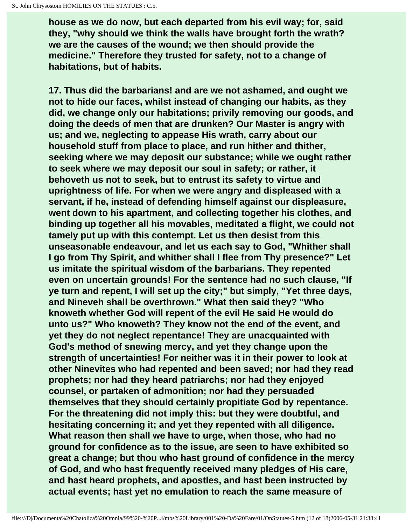**house as we do now, but each departed from his evil way; for, said they, "why should we think the walls have brought forth the wrath? we are the causes of the wound; we then should provide the medicine." Therefore they trusted for safety, not to a change of habitations, but of habits.** 

**17. Thus did the barbarians! and are we not ashamed, and ought we not to hide our faces, whilst instead of changing our habits, as they did, we change only our habitations; privily removing our goods, and doing the deeds of men that are drunken? Our Master is angry with us; and we, neglecting to appease His wrath, carry about our household stuff from place to place, and run hither and thither, seeking where we may deposit our substance; while we ought rather to seek where we may deposit our soul in safety; or rather, it behoveth us not to seek, but to entrust its safety to virtue and uprightness of life. For when we were angry and displeased with a servant, if he, instead of defending himself against our displeasure, went down to his apartment, and collecting together his clothes, and binding up together all his movables, meditated a flight, we could not tamely put up with this contempt. Let us then desist from this unseasonable endeavour, and let us each say to God, "Whither shall I go from Thy Spirit, and whither shall I flee from Thy presence?" Let us imitate the spiritual wisdom of the barbarians. They repented even on uncertain grounds! For the sentence had no such clause, "If ye turn and repent, I will set up the city;" but simply, "Yet three days, and Nineveh shall be overthrown." What then said they? "Who knoweth whether God will repent of the evil He said He would do unto us?" Who knoweth? They know not the end of the event, and yet they do not neglect repentance! They are unacquainted with God's method of snewing mercy, and yet they change upon the strength of uncertainties! For neither was it in their power to look at other Ninevites who had repented and been saved; nor had they read prophets; nor had they heard patriarchs; nor had they enjoyed counsel, or partaken of admonition; nor had they persuaded themselves that they should certainly propitiate God by repentance. For the threatening did not imply this: but they were doubtful, and hesitating concerning it; and yet they repented with all diligence. What reason then shall we have to urge, when those, who had no ground for confidence as to the issue, are seen to have exhibited so great a change; but thou who hast ground of confidence in the mercy of God, and who hast frequently received many pledges of His care, and hast heard prophets, and apostles, and hast been instructed by actual events; hast yet no emulation to reach the same measure of**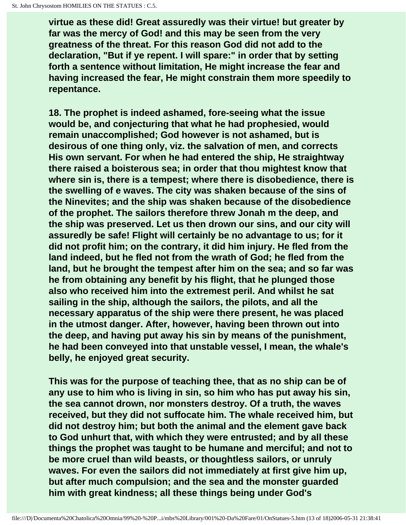**virtue as these did! Great assuredly was their virtue! but greater by far was the mercy of God! and this may be seen from the very greatness of the threat. For this reason God did not add to the declaration, "But if ye repent. I will spare:" in order that by setting forth a sentence without limitation, He might increase the fear and having increased the fear, He might constrain them more speedily to repentance.** 

**18. The prophet is indeed ashamed, fore-seeing what the issue would be, and conjecturing that what he had prophesied, would remain unaccomplished; God however is not ashamed, but is desirous of one thing only, viz. the salvation of men, and corrects His own servant. For when he had entered the ship, He straightway there raised a boisterous sea; in order that thou mightest know that where sin is, there is a tempest; where there is disobedience, there is the swelling of e waves. The city was shaken because of the sins of the Ninevites; and the ship was shaken because of the disobedience of the prophet. The sailors therefore threw Jonah m the deep, and the ship was preserved. Let us then drown our sins, and our city will assuredly be safe! Flight will certainly be no advantage to us; for it did not profit him; on the contrary, it did him injury. He fled from the land indeed, but he fled not from the wrath of God; he fled from the land, but he brought the tempest after him on the sea; and so far was he from obtaining any benefit by his flight, that he plunged those also who received him into the extremest peril. And whilst he sat sailing in the ship, although the sailors, the pilots, and all the necessary apparatus of the ship were there present, he was placed in the utmost danger. After, however, having been thrown out into the deep, and having put away his sin by means of the punishment, he had been conveyed into that unstable vessel, I mean, the whale's belly, he enjoyed great security.** 

**This was for the purpose of teaching thee, that as no ship can be of any use to him who is living in sin, so him who has put away his sin, the sea cannot drown, nor monsters destroy. Of a truth, the waves received, but they did not suffocate him. The whale received him, but did not destroy him; but both the animal and the element gave back to God unhurt that, with which they were entrusted; and by all these things the prophet was taught to be humane and merciful; and not to be more cruel than wild beasts, or thoughtless sailors, or unruly waves. For even the sailors did not immediately at first give him up, but after much compulsion; and the sea and the monster guarded him with great kindness; all these things being under God's**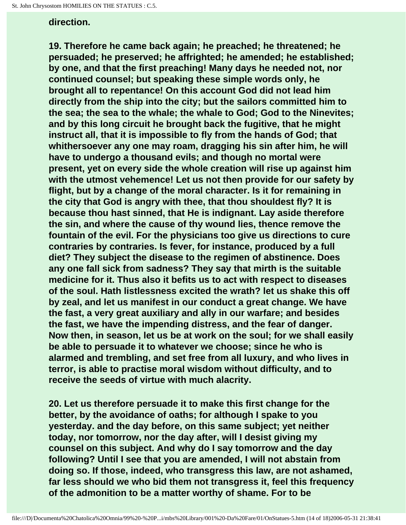## **direction.**

**19. Therefore he came back again; he preached; he threatened; he persuaded; he preserved; he affrighted; he amended; he established; by one, and that the first preaching! Many days he needed not, nor continued counsel; but speaking these simple words only, he brought all to repentance! On this account God did not lead him directly from the ship into the city; but the sailors committed him to the sea; the sea to the whale; the whale to God; God to the Ninevites; and by this long circuit he brought back the fugitive, that he might instruct all, that it is impossible to fly from the hands of God; that whithersoever any one may roam, dragging his sin after him, he will have to undergo a thousand evils; and though no mortal were present, yet on every side the whole creation will rise up against him with the utmost vehemence! Let us not then provide for our safety by flight, but by a change of the moral character. Is it for remaining in the city that God is angry with thee, that thou shouldest fly? It is because thou hast sinned, that He is indignant. Lay aside therefore the sin, and where the cause of thy wound lies, thence remove the fountain of the evil. For the physicians too give us directions to cure contraries by contraries. Is fever, for instance, produced by a full diet? They subject the disease to the regimen of abstinence. Does any one fall sick from sadness? They say that mirth is the suitable medicine for it. Thus also it befits us to act with respect to diseases of the soul. Hath listlessness excited the wrath? let us shake this off by zeal, and let us manifest in our conduct a great change. We have the fast, a very great auxiliary and ally in our warfare; and besides the fast, we have the impending distress, and the fear of danger. Now then, in season, let us be at work on the soul; for we shall easily be able to persuade it to whatever we choose; since he who is alarmed and trembling, and set free from all luxury, and who lives in terror, is able to practise moral wisdom without difficulty, and to receive the seeds of virtue with much alacrity.** 

**20. Let us therefore persuade it to make this first change for the better, by the avoidance of oaths; for although I spake to you yesterday. and the day before, on this same subject; yet neither today, nor tomorrow, nor the day after, will I desist giving my counsel on this subject. And why do I say tomorrow and the day following? Until I see that you are amended, I will not abstain from doing so. If those, indeed, who transgress this law, are not ashamed, far less should we who bid them not transgress it, feel this frequency of the admonition to be a matter worthy of shame. For to be**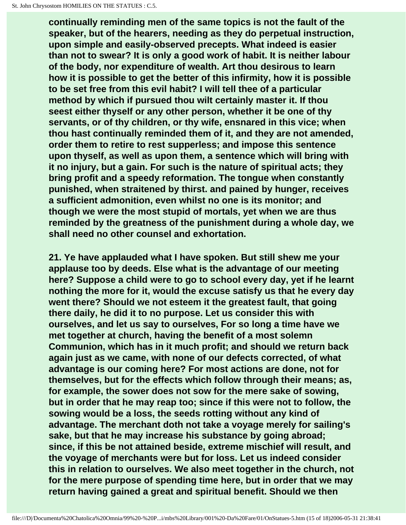**continually reminding men of the same topics is not the fault of the speaker, but of the hearers, needing as they do perpetual instruction, upon simple and easily-observed precepts. What indeed is easier than not to swear? It is only a good work of habit. It is neither labour of the body, nor expenditure of wealth. Art thou desirous to learn how it is possible to get the better of this infirmity, how it is possible to be set free from this evil habit? I will tell thee of a particular method by which if pursued thou wilt certainly master it. If thou seest either thyself or any other person, whether it be one of thy servants, or of thy children, or thy wife, ensnared in this vice; when thou hast continually reminded them of it, and they are not amended, order them to retire to rest supperless; and impose this sentence upon thyself, as well as upon them, a sentence which will bring with it no injury, but a gain. For such is the nature of spiritual acts; they bring profit and a speedy reformation. The tongue when constantly punished, when straitened by thirst. and pained by hunger, receives a sufficient admonition, even whilst no one is its monitor; and though we were the most stupid of mortals, yet when we are thus reminded by the greatness of the punishment during a whole day, we shall need no other counsel and exhortation.** 

**21. Ye have applauded what I have spoken. But still shew me your applause too by deeds. Else what is the advantage of our meeting here? Suppose a child were to go to school every day, yet if he learnt nothing the more for it, would the excuse satisfy us that he every day went there? Should we not esteem it the greatest fault, that going there daily, he did it to no purpose. Let us consider this with ourselves, and let us say to ourselves, For so long a time have we met together at church, having the benefit of a most solemn Communion, which has in it much profit; and should we return back again just as we came, with none of our defects corrected, of what advantage is our coming here? For most actions are done, not for themselves, but for the effects which follow through their means; as, for example, the sower does not sow for the mere sake of sowing, but in order that he may reap too; since if this were not to follow, the sowing would be a loss, the seeds rotting without any kind of advantage. The merchant doth not take a voyage merely for sailing's sake, but that he may increase his substance by going abroad; since, if this be not attained beside, extreme mischief will result, and the voyage of merchants were but for loss. Let us indeed consider this in relation to ourselves. We also meet together in the church, not for the mere purpose of spending time here, but in order that we may return having gained a great and spiritual benefit. Should we then**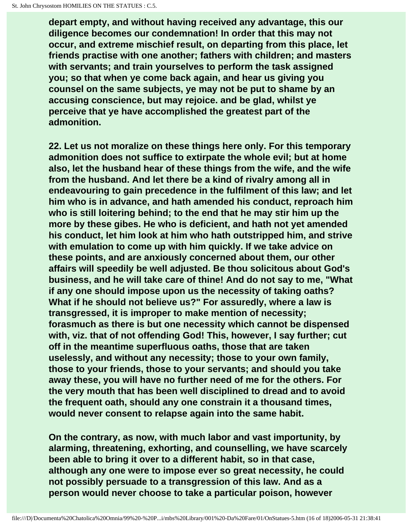**depart empty, and without having received any advantage, this our diligence becomes our condemnation! In order that this may not occur, and extreme mischief result, on departing from this place, let friends practise with one another; fathers with children; and masters with servants; and train yourselves to perform the task assigned you; so that when ye come back again, and hear us giving you counsel on the same subjects, ye may not be put to shame by an accusing conscience, but may rejoice. and be glad, whilst ye perceive that ye have accomplished the greatest part of the admonition.** 

**22. Let us not moralize on these things here only. For this temporary admonition does not suffice to extirpate the whole evil; but at home also, let the husband hear of these things from the wife, and the wife from the husband. And let there be a kind of rivalry among all in endeavouring to gain precedence in the fulfilment of this law; and let him who is in advance, and hath amended his conduct, reproach him who is still loitering behind; to the end that he may stir him up the more by these gibes. He who is deficient, and hath not yet amended his conduct, let him look at him who hath outstripped him, and strive with emulation to come up with him quickly. If we take advice on these points, and are anxiously concerned about them, our other affairs will speedily be well adjusted. Be thou solicitous about God's business, and he will take care of thine! And do not say to me, "What if any one should impose upon us the necessity of taking oaths? What if he should not believe us?" For assuredly, where a law is transgressed, it is improper to make mention of necessity; forasmuch as there is but one necessity which cannot be dispensed with, viz. that of not offending God! This, however, I say further; cut off in the meantime superfluous oaths, those that are taken uselessly, and without any necessity; those to your own family, those to your friends, those to your servants; and should you take away these, you will have no further need of me for the others. For the very mouth that has been well disciplined to dread and to avoid the frequent oath, should any one constrain it a thousand times, would never consent to relapse again into the same habit.** 

**On the contrary, as now, with much labor and vast importunity, by alarming, threatening, exhorting, and counselling, we have scarcely been able to bring it over to a different habit, so in that case, although any one were to impose ever so great necessity, he could not possibly persuade to a transgression of this law. And as a person would never choose to take a particular poison, however**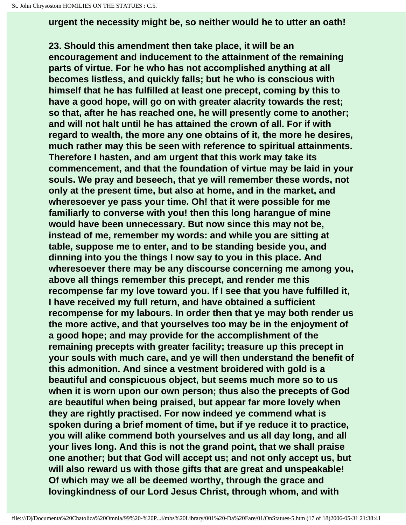**urgent the necessity might be, so neither would he to utter an oath!** 

**23. Should this amendment then take place, it will be an encouragement and inducement to the attainment of the remaining parts of virtue. For he who has not accomplished anything at all becomes listless, and quickly falls; but he who is conscious with himself that he has fulfilled at least one precept, coming by this to have a good hope, will go on with greater alacrity towards the rest; so that, after he has reached one, he will presently come to another; and will not halt until he has attained the crown of all. For if with regard to wealth, the more any one obtains of it, the more he desires, much rather may this be seen with reference to spiritual attainments. Therefore I hasten, and am urgent that this work may take its commencement, and that the foundation of virtue may be laid in your souls. We pray and beseech, that ye will remember these words, not only at the present time, but also at home, and in the market, and wheresoever ye pass your time. Oh! that it were possible for me familiarly to converse with you! then this long harangue of mine would have been unnecessary. But now since this may not be, instead of me, remember my words: and while you are sitting at table, suppose me to enter, and to be standing beside you, and dinning into you the things I now say to you in this place. And wheresoever there may be any discourse concerning me among you, above all things remember this precept, and render me this recompense far my love toward you. If I see that you have fulfilled it, I have received my full return, and have obtained a sufficient recompense for my labours. In order then that ye may both render us the more active, and that yourselves too may be in the enjoyment of a good hope; and may provide for the accomplishment of the remaining precepts with greater facility; treasure up this precept in your souls with much care, and ye will then understand the benefit of this admonition. And since a vestment broidered with gold is a beautiful and conspicuous object, but seems much more so to us when it is worn upon our own person; thus also the precepts of God are beautiful when being praised, but appear far more lovely when they are rightly practised. For now indeed ye commend what is spoken during a brief moment of time, but if ye reduce it to practice, you will alike commend both yourselves and us all day long, and all your lives long. And this is not the grand point, that we shall praise one another; but that God will accept us; and not only accept us, but will also reward us with those gifts that are great and unspeakable! Of which may we all be deemed worthy, through the grace and lovingkindness of our Lord Jesus Christ, through whom, and with**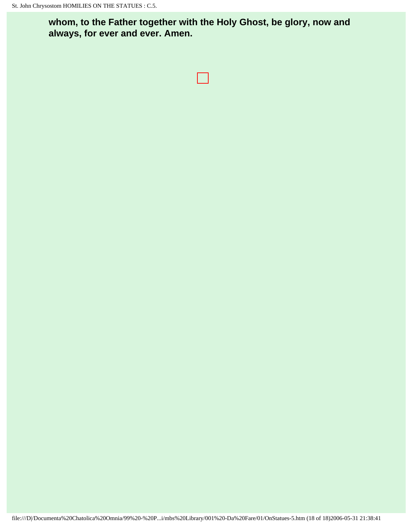**whom, to the Father together with the Holy Ghost, be glory, now and always, for ever and ever. Amen.**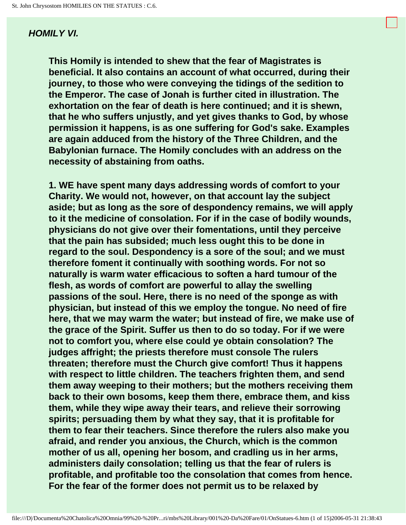## **HOMILY VI.**

**This Homily is intended to shew that the fear of Magistrates is beneficial. It also contains an account of what occurred, during their journey, to those who were conveying the tidings of the sedition to the Emperor. The case of Jonah is further cited in illustration. The exhortation on the fear of death is here continued; and it is shewn, that he who suffers unjustly, and yet gives thanks to God, by whose permission it happens, is as one suffering for God's sake. Examples are again adduced from the history of the Three Children, and the Babylonian furnace. The Homily concludes with an address on the necessity of abstaining from oaths.** 

**1. WE have spent many days addressing words of comfort to your Charity. We would not, however, on that account lay the subject aside; but as long as the sore of despondency remains, we will apply to it the medicine of consolation. For if in the case of bodily wounds, physicians do not give over their fomentations, until they perceive that the pain has subsided; much less ought this to be done in regard to the soul. Despondency is a sore of the soul; and we must therefore foment it continually with soothing words. For not so naturally is warm water efficacious to soften a hard tumour of the flesh, as words of comfort are powerful to allay the swelling passions of the soul. Here, there is no need of the sponge as with physician, but instead of this we employ the tongue. No need of fire here, that we may warm the water; but instead of fire, we make use of the grace of the Spirit. Suffer us then to do so today. For if we were not to comfort you, where else could ye obtain consolation? The judges affright; the priests therefore must console The rulers threaten; therefore must the Church give comfort! Thus it happens with respect to little children. The teachers frighten them, and send them away weeping to their mothers; but the mothers receiving them back to their own bosoms, keep them there, embrace them, and kiss them, while they wipe away their tears, and relieve their sorrowing spirits; persuading them by what they say, that it is profitable for them to fear their teachers. Since therefore the rulers also make you afraid, and render you anxious, the Church, which is the common mother of us all, opening her bosom, and cradling us in her arms, administers daily consolation; telling us that the fear of rulers is profitable, and profitable too the consolation that comes from hence. For the fear of the former does not permit us to be relaxed by**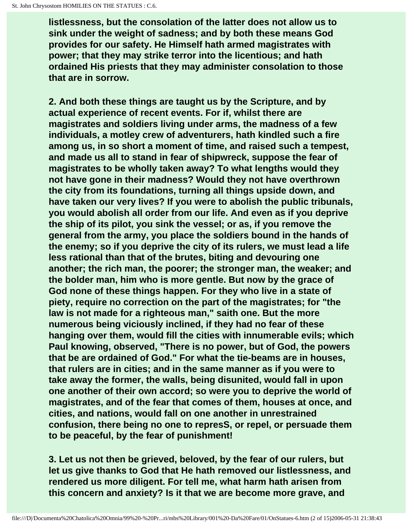**listlessness, but the consolation of the latter does not allow us to sink under the weight of sadness; and by both these means God provides for our safety. He Himself hath armed magistrates with power; that they may strike terror into the licentious; and hath ordained His priests that they may administer consolation to those that are in sorrow.** 

**2. And both these things are taught us by the Scripture, and by actual experience of recent events. For if, whilst there are magistrates and soldiers living under arms, the madness of a few individuals, a motley crew of adventurers, hath kindled such a fire among us, in so short a moment of time, and raised such a tempest, and made us all to stand in fear of shipwreck, suppose the fear of magistrates to be wholly taken away? To what lengths would they not have gone in their madness? Would they not have overthrown the city from its foundations, turning all things upside down, and have taken our very lives? If you were to abolish the public tribunals, you would abolish all order from our life. And even as if you deprive the ship of its pilot, you sink the vessel; or as, if you remove the general from the army, you place the soldiers bound in the hands of the enemy; so if you deprive the city of its rulers, we must lead a life less rational than that of the brutes, biting and devouring one another; the rich man, the poorer; the stronger man, the weaker; and the bolder man, him who is more gentle. But now by the grace of God none of these things happen. For they who live in a state of piety, require no correction on the part of the magistrates; for "the law is not made for a righteous man," saith one. But the more numerous being viciously inclined, if they had no fear of these hanging over them, would fill the cities with innumerable evils; which Paul knowing, observed, "There is no power, but of God, the powers that be are ordained of God." For what the tie-beams are in houses, that rulers are in cities; and in the same manner as if you were to take away the former, the walls, being disunited, would fall in upon one another of their own accord; so were you to deprive the world of magistrates, and of the fear that comes of them, houses at once, and cities, and nations, would fall on one another in unrestrained confusion, there being no one to represS, or repel, or persuade them to be peaceful, by the fear of punishment!** 

**3. Let us not then be grieved, beloved, by the fear of our rulers, but let us give thanks to God that He hath removed our listlessness, and rendered us more diligent. For tell me, what harm hath arisen from this concern and anxiety? Is it that we are become more grave, and**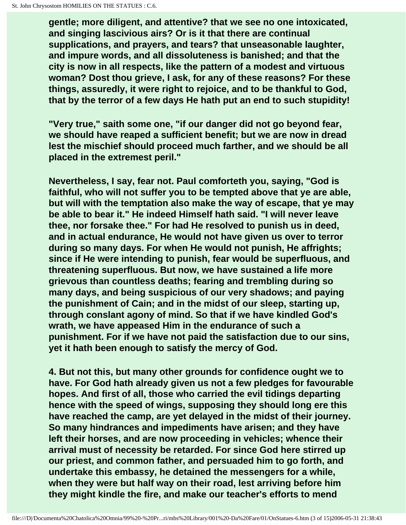**gentle; more diligent, and attentive? that we see no one intoxicated, and singing lascivious airs? Or is it that there are continual supplications, and prayers, and tears? that unseasonable laughter, and impure words, and all dissoluteness is banished; and that the city is now in all respects, like the pattern of a modest and virtuous woman? Dost thou grieve, I ask, for any of these reasons? For these things, assuredly, it were right to rejoice, and to be thankful to God, that by the terror of a few days He hath put an end to such stupidity!** 

**"Very true," saith some one, "if our danger did not go beyond fear, we should have reaped a sufficient benefit; but we are now in dread lest the mischief should proceed much farther, and we should be all placed in the extremest peril."** 

**Nevertheless, I say, fear not. Paul comforteth you, saying, "God is faithful, who will not suffer you to be tempted above that ye are able, but will with the temptation also make the way of escape, that ye may be able to bear it." He indeed Himself hath said. "I will never leave thee, nor forsake thee." For had He resolved to punish us in deed, and in actual endurance, He would not have given us over to terror during so many days. For when He would not punish, He affrights; since if He were intending to punish, fear would be superfluous, and threatening superfluous. But now, we have sustained a life more grievous than countless deaths; fearing and trembling during so many days, and being suspicious of our very shadows; and paying the punishment of Cain; and in the midst of our sleep, starting up, through conslant agony of mind. So that if we have kindled God's wrath, we have appeased Him in the endurance of such a punishment. For if we have not paid the satisfaction due to our sins, yet it hath been enough to satisfy the mercy of God.** 

**4. But not this, but many other grounds for confidence ought we to have. For God hath already given us not a few pledges for favourable hopes. And first of all, those who carried the evil tidings departing hence with the speed of wings, supposing they should long ere this have reached the camp, are yet delayed in the midst of their journey. So many hindrances and impediments have arisen; and they have left their horses, and are now proceeding in vehicles; whence their arrival must of necessity be retarded. For since God here stirred up our priest, and common father, and persuaded him to go forth, and undertake this embassy, he detained the messengers for a while, when they were but half way on their road, lest arriving before him they might kindle the fire, and make our teacher's efforts to mend**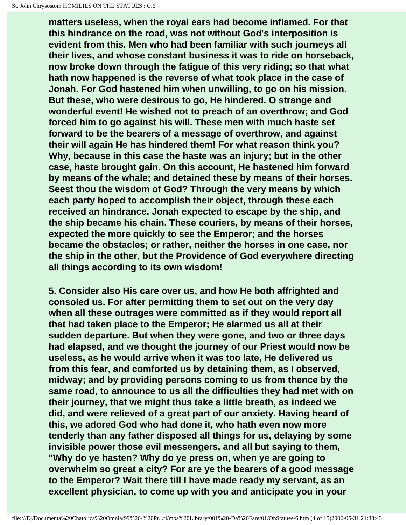**matters useless, when the royal ears had become inflamed. For that this hindrance on the road, was not without God's interposition is evident from this. Men who had been familiar with such journeys all their lives, and whose constant business it was to ride on horseback, now broke down through the fatigue of this very riding; so that what hath now happened is the reverse of what took place in the case of Jonah. For God hastened him when unwilling, to go on his mission. But these, who were desirous to go, He hindered. O strange and wonderful event! He wished not to preach of an overthrow; and God forced him to go against his will. These men with much haste set forward to be the bearers of a message of overthrow, and against their will again He has hindered them! For what reason think you? Why, because in this case the haste was an injury; but in the other case, haste brought gain. On this account, He hastened him forward by means of the whale; and detained these by means of their horses. Seest thou the wisdom of God? Through the very means by which each party hoped to accomplish their object, through these each received an hindrance. Jonah expected to escape by the ship, and the ship became his chain. These couriers, by means of their horses, expected the more quickly to see the Emperor; and the horses became the obstacles; or rather, neither the horses in one case, nor the ship in the other, but the Providence of God everywhere directing all things according to its own wisdom!** 

**5. Consider also His care over us, and how He both affrighted and consoled us. For after permitting them to set out on the very day when all these outrages were committed as if they would report all that had taken place to the Emperor; He alarmed us all at their sudden departure. But when they were gone, and two or three days had elapsed, and we thought the journey of our Priest would now be useless, as he would arrive when it was too late, He delivered us from this fear, and comforted us by detaining them, as I observed, midway; and by providing persons coming to us from thence by the same road, to announce to us all the difficulties they had met with on their journey, that we might thus take a little breath, as indeed we did, and were relieved of a great part of our anxiety. Having heard of this, we adored God who had done it, who hath even now more tenderly than any father disposed all things for us, delaying by some invisible power those evil messengers, and all but saying to them, "Why do ye hasten? Why do ye press on, when ye are going to overwhelm so great a city? For are ye the bearers of a good message to the Emperor? Wait there till I have made ready my servant, as an excellent physician, to come up with you and anticipate you in your**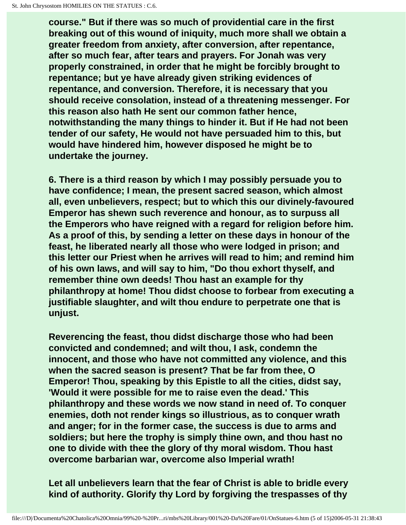**course." But if there was so much of providential care in the first breaking out of this wound of iniquity, much more shall we obtain a greater freedom from anxiety, after conversion, after repentance, after so much fear, after tears and prayers. For Jonah was very properly constrained, in order that he might be forcibly brought to repentance; but ye have already given striking evidences of repentance, and conversion. Therefore, it is necessary that you should receive consolation, instead of a threatening messenger. For this reason also hath He sent our common father hence, notwithstanding the many things to hinder it. But if He had not been tender of our safety, He would not have persuaded him to this, but would have hindered him, however disposed he might be to undertake the journey.** 

**6. There is a third reason by which I may possibly persuade you to have confidence; I mean, the present sacred season, which almost all, even unbelievers, respect; but to which this our divinely-favoured Emperor has shewn such reverence and honour, as to surpuss all the Emperors who have reigned with a regard for religion before him. As a proof of this, by sending a letter on these days in honour of the feast, he liberated nearly all those who were lodged in prison; and this letter our Priest when he arrives will read to him; and remind him of his own laws, and will say to him, "Do thou exhort thyself, and remember thine own deeds! Thou hast an example for thy philanthropy at home! Thou didst choose to forbear from executing a justifiable slaughter, and wilt thou endure to perpetrate one that is unjust.** 

**Reverencing the feast, thou didst discharge those who had been convicted and condemned; and wilt thou, I ask, condemn the innocent, and those who have not committed any violence, and this when the sacred season is present? That be far from thee, O Emperor! Thou, speaking by this Epistle to all the cities, didst say, 'Would it were possible for me to raise even the dead.' This philanthropy and these words we now stand in need of. To conquer enemies, doth not render kings so illustrious, as to conquer wrath and anger; for in the former case, the success is due to arms and soldiers; but here the trophy is simply thine own, and thou hast no one to divide with thee the glory of thy moral wisdom. Thou hast overcome barbarian war, overcome also Imperial wrath!** 

**Let all unbelievers learn that the fear of Christ is able to bridle every kind of authority. Glorify thy Lord by forgiving the trespasses of thy**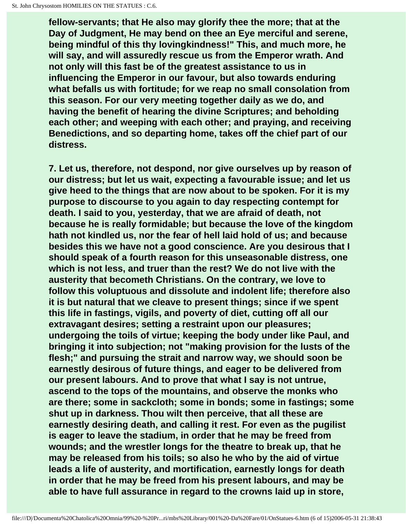**fellow-servants; that He also may glorify thee the more; that at the Day of Judgment, He may bend on thee an Eye merciful and serene, being mindful of this thy lovingkindness!" This, and much more, he will say, and will assuredly rescue us from the Emperor wrath. And not only will this fast be of the greatest assistance to us in influencing the Emperor in our favour, but also towards enduring what befalls us with fortitude; for we reap no small consolation from this season. For our very meeting together daily as we do, and having the benefit of hearing the divine Scriptures; and beholding each other; and weeping with each other; and praying, and receiving Benedictions, and so departing home, takes off the chief part of our distress.** 

**7. Let us, therefore, not despond, nor give ourselves up by reason of our distress; but let us wait, expecting a favourable issue; and let us give heed to the things that are now about to be spoken. For it is my purpose to discourse to you again to day respecting contempt for death. I said to you, yesterday, that we are afraid of death, not because he is really formidable; but because the love of the kingdom hath not kindled us, nor the fear of hell laid hold of us; and because besides this we have not a good conscience. Are you desirous that I should speak of a fourth reason for this unseasonable distress, one which is not less, and truer than the rest? We do not live with the austerity that becometh Christians. On the contrary, we love to follow this voluptuous and dissolute and indolent life; therefore also it is but natural that we cleave to present things; since if we spent this life in fastings, vigils, and poverty of diet, cutting off all our extravagant desires; setting a restraint upon our pleasures; undergoing the toils of virtue; keeping the body under like Paul, and bringing it into subjection; not "making provision for the lusts of the flesh;" and pursuing the strait and narrow way, we should soon be earnestly desirous of future things, and eager to be delivered from our present labours. And to prove that what I say is not untrue, ascend to the tops of the mountains, and observe the monks who are there; some in sackcloth; some in bonds; some in fastings; some shut up in darkness. Thou wilt then perceive, that all these are earnestly desiring death, and calling it rest. For even as the pugilist is eager to leave the stadium, in order that he may be freed from wounds; and the wrestler longs for the theatre to break up, that he may be released from his toils; so also he who by the aid of virtue leads a life of austerity, and mortification, earnestly longs for death in order that he may be freed from his present labours, and may be able to have full assurance in regard to the crowns laid up in store,**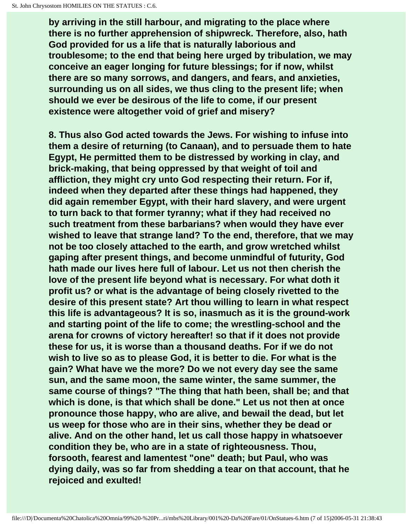**by arriving in the still harbour, and migrating to the place where there is no further apprehension of shipwreck. Therefore, also, hath God provided for us a life that is naturally laborious and troublesome; to the end that being here urged by tribulation, we may conceive an eager longing for future blessings; for if now, whilst there are so many sorrows, and dangers, and fears, and anxieties, surrounding us on all sides, we thus cling to the present life; when should we ever be desirous of the life to come, if our present existence were altogether void of grief and misery?** 

**8. Thus also God acted towards the Jews. For wishing to infuse into them a desire of returning (to Canaan), and to persuade them to hate Egypt, He permitted them to be distressed by working in clay, and brick-making, that being oppressed by that weight of toil and affliction, they might cry unto God respecting their return. For if, indeed when they departed after these things had happened, they did again remember Egypt, with their hard slavery, and were urgent to turn back to that former tyranny; what if they had received no such treatment from these barbarians? when would they have ever wished to leave that strange land? To the end, therefore, that we may not be too closely attached to the earth, and grow wretched whilst gaping after present things, and become unmindful of futurity, God hath made our lives here full of labour. Let us not then cherish the love of the present life beyond what is necessary. For what doth it profit us? or what is the advantage of being closely rivetted to the desire of this present state? Art thou willing to learn in what respect this life is advantageous? It is so, inasmuch as it is the ground-work and starting point of the life to come; the wrestling-school and the arena for crowns of victory hereafter! so that if it does not provide these for us, it is worse than a thousand deaths. For if we do not wish to live so as to please God, it is better to die. For what is the gain? What have we the more? Do we not every day see the same sun, and the same moon, the same winter, the same summer, the same course of things? "The thing that hath been, shall be; and that which is done, is that which shall be done." Let us not then at once pronounce those happy, who are alive, and bewail the dead, but let us weep for those who are in their sins, whether they be dead or alive. And on the other hand, let us call those happy in whatsoever condition they be, who are in a state of righteousness. Thou, forsooth, fearest and lamentest "one" death; but Paul, who was dying daily, was so far from shedding a tear on that account, that he rejoiced and exulted!**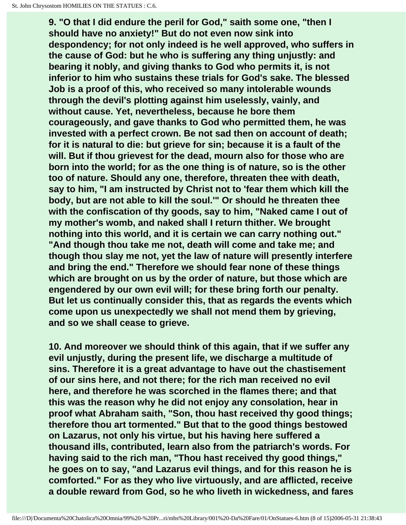**9. "O that I did endure the peril for God," saith some one, "then I should have no anxiety!" But do not even now sink into despondency; for not only indeed is he well approved, who suffers in the cause of God: but he who is suffering any thing unjustly: and bearing it nobly, and giving thanks to God who permits it, is not inferior to him who sustains these trials for God's sake. The blessed Job is a proof of this, who received so many intolerable wounds through the devil's plotting against him uselessly, vainly, and without cause. Yet, nevertheless, because he bore them courageously, and gave thanks to God who permitted them, he was invested with a perfect crown. Be not sad then on account of death; for it is natural to die: but grieve for sin; because it is a fault of the will. But if thou grievest for the dead, mourn also for those who are born into the world; for as the one thing is of nature, so is the other too of nature. Should any one, therefore, threaten thee with death, say to him, "I am instructed by Christ not to 'fear them which kill the body, but are not able to kill the soul.'" Or should he threaten thee with the confiscation of thy goods, say to him, "Naked came I out of my mother's womb, and naked shall I return thither. We brought nothing into this world, and it is certain we can carry nothing out." "And though thou take me not, death will come and take me; and though thou slay me not, yet the law of nature will presently interfere and bring the end." Therefore we should fear none of these things which are brought on us by the order of nature, but those which are engendered by our own evil will; for these bring forth our penalty. But let us continually consider this, that as regards the events which come upon us unexpectedly we shall not mend them by grieving, and so we shall cease to grieve.** 

**10. And moreover we should think of this again, that if we suffer any evil unjustly, during the present life, we discharge a multitude of sins. Therefore it is a great advantage to have out the chastisement of our sins here, and not there; for the rich man received no evil here, and therefore he was scorched in the flames there; and that this was the reason why he did not enjoy any consolation, hear in proof what Abraham saith, "Son, thou hast received thy good things; therefore thou art tormented." But that to the good things bestowed on Lazarus, not only his virtue, but his having here suffered a thousand ills, contributed, learn also from the patriarch's words. For having said to the rich man, "Thou hast received thy good things," he goes on to say, "and Lazarus evil things, and for this reason he is comforted." For as they who live virtuously, and are afflicted, receive a double reward from God, so he who liveth in wickedness, and fares**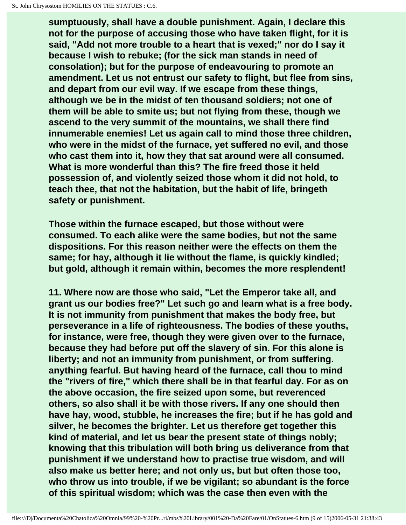**sumptuously, shall have a double punishment. Again, I declare this not for the purpose of accusing those who have taken flight, for it is said, "Add not more trouble to a heart that is vexed;" nor do I say it because I wish to rebuke; (for the sick man stands in need of consolation); but for the purpose of endeavouring to promote an amendment. Let us not entrust our safety to flight, but flee from sins, and depart from our evil way. If we escape from these things, although we be in the midst of ten thousand soldiers; not one of them will be able to smite us; but not flying from these, though we ascend to the very summit of the mountains, we shall there find innumerable enemies! Let us again call to mind those three children, who were in the midst of the furnace, yet suffered no evil, and those who cast them into it, how they that sat around were all consumed. What is more wonderful than this? The fire freed those it held possession of, and violently seized those whom it did not hold, to teach thee, that not the habitation, but the habit of life, bringeth safety or punishment.** 

**Those within the furnace escaped, but those without were consumed. To each alike were the same bodies, but not the same dispositions. For this reason neither were the effects on them the same; for hay, although it lie without the flame, is quickly kindled; but gold, although it remain within, becomes the more resplendent!** 

**11. Where now are those who said, "Let the Emperor take all, and grant us our bodies free?" Let such go and learn what is a free body. It is not immunity from punishment that makes the body free, but perseverance in a life of righteousness. The bodies of these youths, for instance, were free, though they were given over to the furnace, because they had before put off the slavery of sin. For this alone is liberty; and not an immunity from punishment, or from suffering. anything fearful. But having heard of the furnace, call thou to mind the "rivers of fire," which there shall be in that fearful day. For as on the above occasion, the fire seized upon some, but reverenced others, so also shall it be with those rivers. If any one should then have hay, wood, stubble, he increases the fire; but if he has gold and silver, he becomes the brighter. Let us therefore get together this kind of material, and let us bear the present state of things nobly; knowing that this tribulation will both bring us deliverance from that punishment if we understand how to practise true wisdom, and will also make us better here; and not only us, but but often those too, who throw us into trouble, if we be vigilant; so abundant is the force of this spiritual wisdom; which was the case then even with the**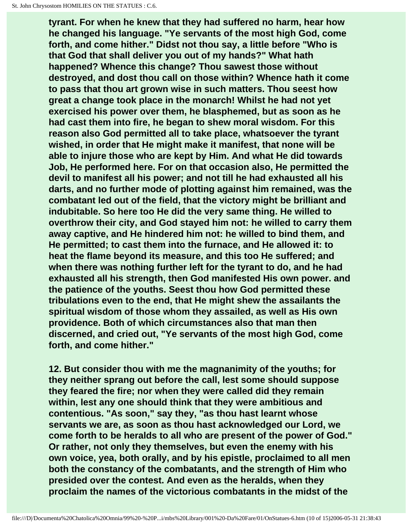**tyrant. For when he knew that they had suffered no harm, hear how he changed his language. "Ye servants of the most high God, come forth, and come hither." Didst not thou say, a little before "Who is that God that shall deliver you out of my hands?" What hath happened? Whence this change? Thou sawest those without destroyed, and dost thou call on those within? Whence hath it come to pass that thou art grown wise in such matters. Thou seest how great a change took place in the monarch! Whilst he had not yet exercised his power over them, he blasphemed, but as soon as he had cast them into fire, he began to shew moral wisdom. For this reason also God permitted all to take place, whatsoever the tyrant wished, in order that He might make it manifest, that none will be able to injure those who are kept by Him. And what He did towards Job, He performed here. For on that occasion also, He permitted the devil to manifest all his power; and not till he had exhausted all his darts, and no further mode of plotting against him remained, was the combatant led out of the field, that the victory might be brilliant and indubitable. So here too He did the very same thing. He willed to overthrow their city, and God stayed him not: he willed to carry them away captive, and He hindered him not: he willed to bind them, and He permitted; to cast them into the furnace, and He allowed it: to heat the flame beyond its measure, and this too He suffered; and when there was nothing further left for the tyrant to do, and he had exhausted all his strength, then God manifested His own power. and the patience of the youths. Seest thou how God permitted these tribulations even to the end, that He might shew the assailants the spiritual wisdom of those whom they assailed, as well as His own providence. Both of which circumstances also that man then discerned, and cried out, "Ye servants of the most high God, come forth, and come hither."** 

**12. But consider thou with me the magnanimity of the youths; for they neither sprang out before the call, lest some should suppose they feared the fire; nor when they were called did they remain within, lest any one should think that they were ambitious and contentious. "As soon," say they, "as thou hast learnt whose servants we are, as soon as thou hast acknowledged our Lord, we come forth to be heralds to all who are present of the power of God." Or rather, not only they themselves, but even the enemy with his own voice, yea, both orally, and by his epistle, proclaimed to all men both the constancy of the combatants, and the strength of Him who presided over the contest. And even as the heralds, when they proclaim the names of the victorious combatants in the midst of the**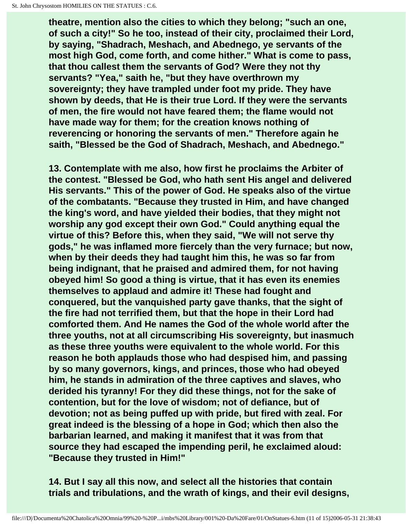**theatre, mention also the cities to which they belong; "such an one, of such a city!" So he too, instead of their city, proclaimed their Lord, by saying, "Shadrach, Meshach, and Abednego, ye servants of the most high God, come forth, and come hither." What is come to pass, that thou callest them the servants of God? Were they not thy servants? "Yea," saith he, "but they have overthrown my sovereignty; they have trampled under foot my pride. They have shown by deeds, that He is their true Lord. If they were the servants of men, the fire would not have feared them; the flame would not have made way for them; for the creation knows nothing of reverencing or honoring the servants of men." Therefore again he saith, "Blessed be the God of Shadrach, Meshach, and Abednego."** 

**13. Contemplate with me also, how first he proclaims the Arbiter of the contest. "Blessed be God, who hath sent His angel and delivered His servants." This of the power of God. He speaks also of the virtue of the combatants. "Because they trusted in Him, and have changed the king's word, and have yielded their bodies, that they might not worship any god except their own God." Could anything equal the virtue of this? Before this, when they said, "We will not serve thy gods," he was inflamed more fiercely than the very furnace; but now, when by their deeds they had taught him this, he was so far from being indignant, that he praised and admired them, for not having obeyed him! So good a thing is virtue, that it has even its enemies themselves to applaud and admire it! These had fought and conquered, but the vanquished party gave thanks, that the sight of the fire had not terrified them, but that the hope in their Lord had comforted them. And He names the God of the whole world after the three youths, not at all circumscribing His sovereignty, but inasmuch as these three youths were equivalent to the whole world. For this reason he both applauds those who had despised him, and passing by so many governors, kings, and princes, those who had obeyed him, he stands in admiration of the three captives and slaves, who derided his tyranny! For they did these things, not for the sake of contention, but for the love of wisdom; not of defiance, but of devotion; not as being puffed up with pride, but fired with zeal. For great indeed is the blessing of a hope in God; which then also the barbarian learned, and making it manifest that it was from that source they had escaped the impending peril, he exclaimed aloud: "Because they trusted in Him!"** 

**14. But I say all this now, and select all the histories that contain trials and tribulations, and the wrath of kings, and their evil designs,**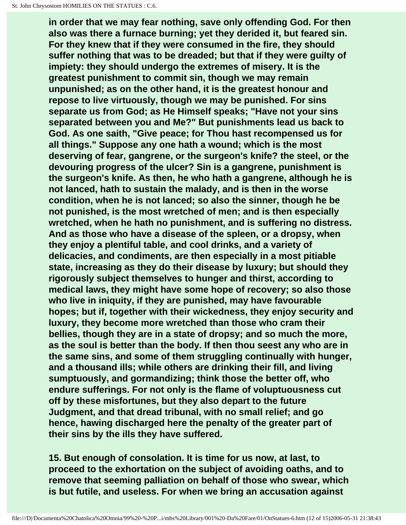**in order that we may fear nothing, save only offending God. For then also was there a furnace burning; yet they derided it, but feared sin. For they knew that if they were consumed in the fire, they should suffer nothing that was to be dreaded; but that if they were guilty of impiety: they should undergo the extremes of misery. It is the greatest punishment to commit sin, though we may remain unpunished; as on the other hand, it is the greatest honour and repose to live virtuously, though we may be punished. For sins separate us from God; as He Himself speaks; "Have not your sins separated between you and Me?" But punishments lead us back to God. As one saith, "Give peace; for Thou hast recompensed us for all things." Suppose any one hath a wound; which is the most deserving of fear, gangrene, or the surgeon's knife? the steel, or the devouring progress of the ulcer? Sin is a gangrene, punishment is the surgeon's knife. As then, he who hath a gangrene, although he is not lanced, hath to sustain the malady, and is then in the worse condition, when he is not lanced; so also the sinner, though he be not punished, is the most wretched of men; and is then especially wretched, when he hath no punishment, and is suffering no distress. And as those who have a disease of the spleen, or a dropsy, when they enjoy a plentiful table, and cool drinks, and a variety of delicacies, and condiments, are then especially in a most pitiable state, increasing as they do their disease by luxury; but should they rigorously subject themselves to hunger and thirst, according to medical laws, they might have some hope of recovery; so also those who live in iniquity, if they are punished, may have favourable hopes; but if, together with their wickedness, they enjoy security and luxury, they become more wretched than those who cram their bellies, though they are in a state of dropsy; and so much the more, as the soul is better than the body. If then thou seest any who are in the same sins, and some of them struggling continually with hunger, and a thousand ills; while others are drinking their fill, and living sumptuously, and gormandizing; think those the better off, who endure sufferings. For not only is the flame of voluptuousness cut off by these misfortunes, but they also depart to the future Judgment, and that dread tribunal, with no small relief; and go hence, hawing discharged here the penalty of the greater part of their sins by the ills they have suffered.** 

**15. But enough of consolation. It is time for us now, at last, to proceed to the exhortation on the subject of avoiding oaths, and to remove that seeming palliation on behalf of those who swear, which is but futile, and useless. For when we bring an accusation against**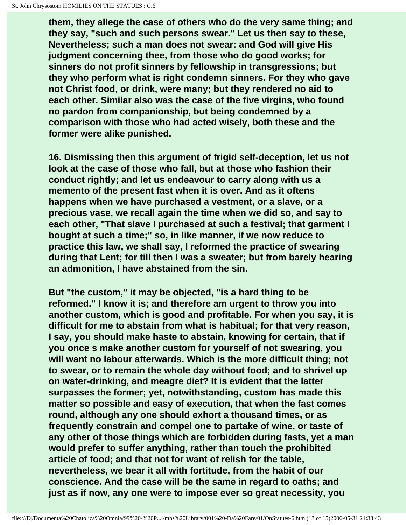**them, they allege the case of others who do the very same thing; and they say, "such and such persons swear." Let us then say to these, Nevertheless; such a man does not swear: and God will give His judgment concerning thee, from those who do good works; for sinners do not profit sinners by fellowship in transgressions; but they who perform what is right condemn sinners. For they who gave not Christ food, or drink, were many; but they rendered no aid to each other. Similar also was the case of the five virgins, who found no pardon from companionship, but being condemned by a comparison with those who had acted wisely, both these and the former were alike punished.** 

**16. Dismissing then this argument of frigid self-deception, let us not look at the case of those who fall, but at those who fashion their conduct rightly; and let us endeavour to carry along with us a memento of the present fast when it is over. And as it oftens happens when we have purchased a vestment, or a slave, or a precious vase, we recall again the time when we did so, and say to each other, "That slave I purchased at such a festival; that garment I bought at such a time;" so, in like manner, if we now reduce to practice this law, we shall say, I reformed the practice of swearing during that Lent; for till then I was a sweater; but from barely hearing an admonition, I have abstained from the sin.** 

**But "the custom," it may be objected, "is a hard thing to be reformed." I know it is; and therefore am urgent to throw you into another custom, which is good and profitable. For when you say, it is difficult for me to abstain from what is habitual; for that very reason, I say, you should make haste to abstain, knowing for certain, that if you once s make another custom for yourself of not swearing, you will want no labour afterwards. Which is the more difficult thing; not to swear, or to remain the whole day without food; and to shrivel up on water-drinking, and meagre diet? It is evident that the latter surpasses the former; yet, notwithstanding, custom has made this matter so possible and easy of execution, that when the fast comes round, although any one should exhort a thousand times, or as frequently constrain and compel one to partake of wine, or taste of any other of those things which are forbidden during fasts, yet a man would prefer to suffer anything, rather than touch the prohibited article of food; and that not for want of relish for the table, nevertheless, we bear it all with fortitude, from the habit of our conscience. And the case will be the same in regard to oaths; and just as if now, any one were to impose ever so great necessity, you**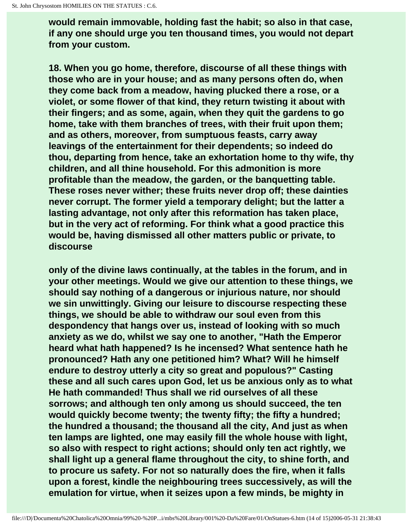**would remain immovable, holding fast the habit; so also in that case, if any one should urge you ten thousand times, you would not depart from your custom.** 

**18. When you go home, therefore, discourse of all these things with those who are in your house; and as many persons often do, when they come back from a meadow, having plucked there a rose, or a violet, or some flower of that kind, they return twisting it about with their fingers; and as some, again, when they quit the gardens to go home, take with them branches of trees, with their fruit upon them; and as others, moreover, from sumptuous feasts, carry away leavings of the entertainment for their dependents; so indeed do thou, departing from hence, take an exhortation home to thy wife, thy children, and all thine household. For this admonition is more profitable than the meadow, the garden, or the banquetting table. These roses never wither; these fruits never drop off; these dainties never corrupt. The former yield a temporary delight; but the latter a lasting advantage, not only after this reformation has taken place, but in the very act of reforming. For think what a good practice this would be, having dismissed all other matters public or private, to discourse** 

**only of the divine laws continually, at the tables in the forum, and in your other meetings. Would we give our attention to these things, we should say nothing of a dangerous or injurious nature, nor should we sin unwittingly. Giving our leisure to discourse respecting these things, we should be able to withdraw our soul even from this despondency that hangs over us, instead of looking with so much anxiety as we do, whilst we say one to another, "Hath the Emperor heard what hath happened? Is he incensed? What sentence hath he pronounced? Hath any one petitioned him? What? Will he himself endure to destroy utterly a city so great and populous?" Casting these and all such cares upon God, let us be anxious only as to what He hath commanded! Thus shall we rid ourselves of all these sorrows; and although ten only among us should succeed, the ten would quickly become twenty; the twenty fifty; the fifty a hundred; the hundred a thousand; the thousand all the city, And just as when ten lamps are lighted, one may easily fill the whole house with light, so also with respect to right actions; should only ten act rightly, we shall light up a general flame throughout the city, to shine forth, and to procure us safety. For not so naturally does the fire, when it falls upon a forest, kindle the neighbouring trees successively, as will the emulation for virtue, when it seizes upon a few minds, be mighty in**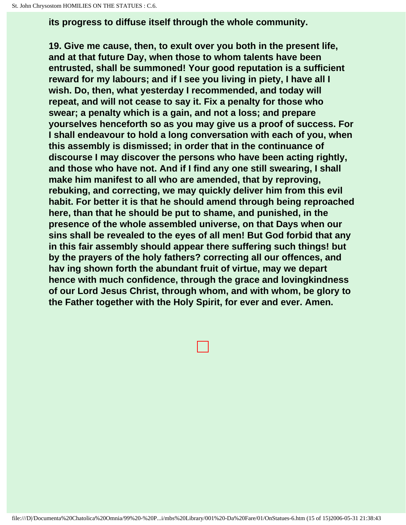**its progress to diffuse itself through the whole community.** 

**19. Give me cause, then, to exult over you both in the present life, and at that future Day, when those to whom talents have been entrusted, shall be summoned! Your good reputation is a sufficient reward for my labours; and if I see you living in piety, I have all I wish. Do, then, what yesterday I recommended, and today will repeat, and will not cease to say it. Fix a penalty for those who swear; a penalty which is a gain, and not a loss; and prepare yourselves henceforth so as you may give us a proof of success. For I shall endeavour to hold a long conversation with each of you, when this assembly is dismissed; in order that in the continuance of discourse I may discover the persons who have been acting rightly, and those who have not. And if I find any one still swearing, I shall make him manifest to all who are amended, that by reproving, rebuking, and correcting, we may quickly deliver him from this evil habit. For better it is that he should amend through being reproached here, than that he should be put to shame, and punished, in the presence of the whole assembled universe, on that Days when our sins shall be revealed to the eyes of all men! But God forbid that any in this fair assembly should appear there suffering such things! but by the prayers of the holy fathers? correcting all our offences, and hav ing shown forth the abundant fruit of virtue, may we depart hence with much confidence, through the grace and lovingkindness of our Lord Jesus Christ, through whom, and with whom, be glory to the Father together with the Holy Spirit, for ever and ever. Amen.**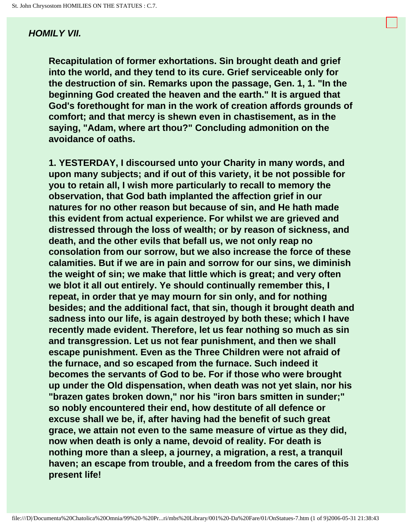## **HOMILY VII.**

**Recapitulation of former exhortations. Sin brought death and grief into the world, and they tend to its cure. Grief serviceable only for the destruction of sin. Remarks upon the passage, Gen. 1, 1. "In the beginning God created the heaven and the earth." It is argued that God's forethought for man in the work of creation affords grounds of comfort; and that mercy is shewn even in chastisement, as in the saying, "Adam, where art thou?" Concluding admonition on the avoidance of oaths.** 

**1. YESTERDAY, I discoursed unto your Charity in many words, and upon many subjects; and if out of this variety, it be not possible for you to retain all, I wish more particularly to recall to memory the observation, that God bath implanted the affection grief in our natures for no other reason but because of sin, and He hath made this evident from actual experience. For whilst we are grieved and distressed through the loss of wealth; or by reason of sickness, and death, and the other evils that befall us, we not only reap no consolation from our sorrow, but we also increase the force of these calamities. But if we are in pain and sorrow for our sins, we diminish the weight of sin; we make that little which is great; and very often we blot it all out entirely. Ye should continually remember this, I repeat, in order that ye may mourn for sin only, and for nothing besides; and the additional fact, that sin, though it brought death and sadness into our life, is again destroyed by both these; which I have recently made evident. Therefore, let us fear nothing so much as sin and transgression. Let us not fear punishment, and then we shall escape punishment. Even as the Three Children were not afraid of the furnace, and so escaped from the furnace. Such indeed it becomes the servants of God to be. For if those who were brought up under the Old dispensation, when death was not yet slain, nor his "brazen gates broken down," nor his "iron bars smitten in sunder;" so nobly encountered their end, how destitute of all defence or excuse shall we be, if, after having had the benefit of such great grace, we attain not even to the same measure of virtue as they did, now when death is only a name, devoid of reality. For death is nothing more than a sleep, a journey, a migration, a rest, a tranquil haven; an escape from trouble, and a freedom from the cares of this present life!**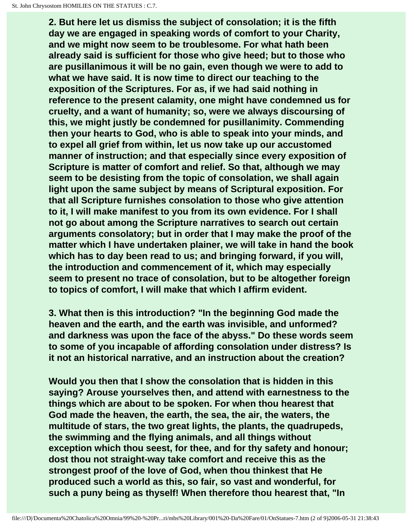**2. But here let us dismiss the subject of consolation; it is the fifth day we are engaged in speaking words of comfort to your Charity, and we might now seem to be troublesome. For what hath been already said is sufficient for those who give heed; but to those who are pusillanimous it will be no gain, even though we were to add to what we have said. It is now time to direct our teaching to the exposition of the Scriptures. For as, if we had said nothing in reference to the present calamity, one might have condemned us for cruelty, and a want of humanity; so, were we always discoursing of this, we might justly be condemned for pusillanimity. Commending then your hearts to God, who is able to speak into your minds, and to expel all grief from within, let us now take up our accustomed manner of instruction; and that especially since every exposition of Scripture is matter of comfort and relief. So that, although we may seem to be desisting from the topic of consolation, we shall again light upon the same subject by means of Scriptural exposition. For that all Scripture furnishes consolation to those who give attention to it, I will make manifest to you from its own evidence. For I shall not go about among the Scripture narratives to search out certain arguments consolatory; but in order that I may make the proof of the matter which I have undertaken plainer, we will take in hand the book which has to day been read to us; and bringing forward, if you will, the introduction and commencement of it, which may especially seem to present no trace of consolation, but to be altogether foreign to topics of comfort, I will make that which I affirm evident.** 

**3. What then is this introduction? "In the beginning God made the heaven and the earth, and the earth was invisible, and unformed? and darkness was upon the face of the abyss." Do these words seem to some of you incapable of affording consolation under distress? Is it not an historical narrative, and an instruction about the creation?** 

**Would you then that I show the consolation that is hidden in this saying? Arouse yourselves then, and attend with earnestness to the things which are about to be spoken. For when thou hearest that God made the heaven, the earth, the sea, the air, the waters, the multitude of stars, the two great lights, the plants, the quadrupeds, the swimming and the flying animals, and all things without exception which thou seest, for thee, and for thy safety and honour; dost thou not straight-way take comfort and receive this as the strongest proof of the love of God, when thou thinkest that He produced such a world as this, so fair, so vast and wonderful, for such a puny being as thyself! When therefore thou hearest that, "In**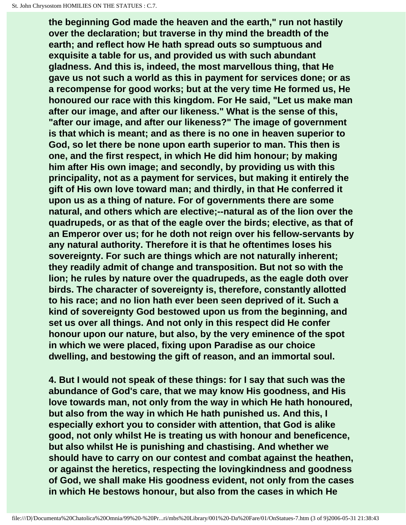**the beginning God made the heaven and the earth," run not hastily over the declaration; but traverse in thy mind the breadth of the earth; and reflect how He hath spread outs so sumptuous and exquisite a table for us, and provided us with such abundant gladness. And this is, indeed, the most marvellous thing, that He gave us not such a world as this in payment for services done; or as a recompense for good works; but at the very time He formed us, He honoured our race with this kingdom. For He said, "Let us make man after our image, and after our likeness." What is the sense of this, "after our image, and after our likeness?" The image of government is that which is meant; and as there is no one in heaven superior to God, so let there be none upon earth superior to man. This then is one, and the first respect, in which He did him honour; by making him after His own image; and secondly, by providing us with this principality, not as a payment for services, but making it entirely the gift of His own love toward man; and thirdly, in that He conferred it upon us as a thing of nature. For of governments there are some natural, and others which are elective;--natural as of the lion over the quadrupeds, or as that of the eagle over the birds; elective, as that of an Emperor over us; for he doth not reign over his fellow-servants by any natural authority. Therefore it is that he oftentimes loses his sovereignty. For such are things which are not naturally inherent; they readily admit of change and transposition. But not so with the lion; he rules by nature over the quadrupeds, as the eagle doth over birds. The character of sovereignty is, therefore, constantly allotted to his race; and no lion hath ever been seen deprived of it. Such a kind of sovereignty God bestowed upon us from the beginning, and set us over all things. And not only in this respect did He confer honour upon our nature, but also, by the very eminence of the spot in which we were placed, fixing upon Paradise as our choice dwelling, and bestowing the gift of reason, and an immortal soul.** 

**4. But I would not speak of these things: for I say that such was the abundance of God's care, that we may know His goodness, and His love towards man, not only from the way in which He hath honoured, but also from the way in which He hath punished us. And this, I especially exhort you to consider with attention, that God is alike good, not only whilst He is treating us with honour and beneficence, but also whilst He is punishing and chastising. And whether we should have to carry on our contest and combat against the heathen, or against the heretics, respecting the lovingkindness and goodness of God, we shall make His goodness evident, not only from the cases in which He bestows honour, but also from the cases in which He**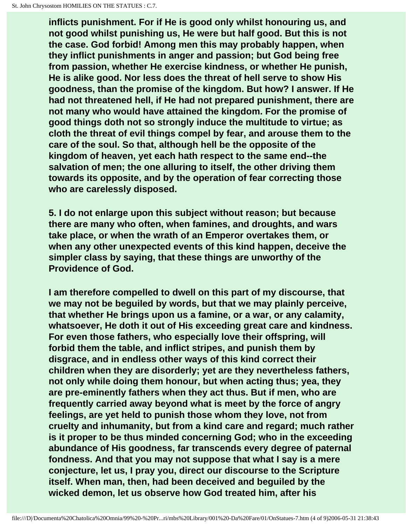**inflicts punishment. For if He is good only whilst honouring us, and not good whilst punishing us, He were but half good. But this is not the case. God forbid! Among men this may probably happen, when they inflict punishments in anger and passion; but God being free from passion, whether He exercise kindness, or whether He punish, He is alike good. Nor less does the threat of hell serve to show His goodness, than the promise of the kingdom. But how? I answer. If He had not threatened hell, if He had not prepared punishment, there are not many who would have attained the kingdom. For the promise of good things doth not so strongly induce the multitude to virtue; as cloth the threat of evil things compel by fear, and arouse them to the care of the soul. So that, although hell be the opposite of the kingdom of heaven, yet each hath respect to the same end--the salvation of men; the one alluring to itself, the other driving them towards its opposite, and by the operation of fear correcting those who are carelessly disposed.** 

**5. I do not enlarge upon this subject without reason; but because there are many who often, when famines, and droughts, and wars take place, or when the wrath of an Emperor overtakes them, or when any other unexpected events of this kind happen, deceive the simpler class by saying, that these things are unworthy of the Providence of God.** 

**I am therefore compelled to dwell on this part of my discourse, that we may not be beguiled by words, but that we may plainly perceive, that whether He brings upon us a famine, or a war, or any calamity, whatsoever, He doth it out of His exceeding great care and kindness. For even those fathers, who especially love their offspring, will forbid them the table, and inflict stripes, and punish them by disgrace, and in endless other ways of this kind correct their children when they are disorderly; yet are they nevertheless fathers, not only while doing them honour, but when acting thus; yea, they are pre-eminently fathers when they act thus. But if men, who are frequently carried away beyond what is meet by the force of angry feelings, are yet held to punish those whom they love, not from cruelty and inhumanity, but from a kind care and regard; much rather is it proper to be thus minded concerning God; who in the exceeding abundance of His goodness, far transcends every degree of paternal fondness. And that you may not suppose that what I say is a mere conjecture, let us, I pray you, direct our discourse to the Scripture itself. When man, then, had been deceived and beguiled by the wicked demon, let us observe how God treated him, after his**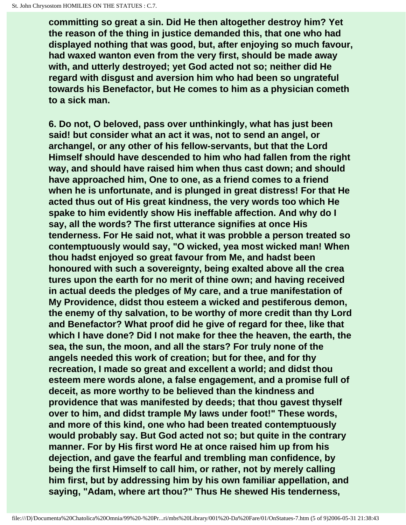**committing so great a sin. Did He then altogether destroy him? Yet the reason of the thing in justice demanded this, that one who had displayed nothing that was good, but, after enjoying so much favour, had waxed wanton even from the very first, should be made away with, and utterly destroyed; yet God acted not so; neither did He regard with disgust and aversion him who had been so ungrateful towards his Benefactor, but He comes to him as a physician cometh to a sick man.** 

**6. Do not, O beloved, pass over unthinkingly, what has just been said! but consider what an act it was, not to send an angel, or archangel, or any other of his fellow-servants, but that the Lord Himself should have descended to him who had fallen from the right way, and should have raised him when thus cast down; and should have approached him, One to one, as a friend comes to a friend when he is unfortunate, and is plunged in great distress! For that He acted thus out of His great kindness, the very words too which He spake to him evidently show His ineffable affection. And why do I say, all the words? The first utterance signifies at once His tenderness. For He said not, what it was probble a person treated so contemptuously would say, "O wicked, yea most wicked man! When thou hadst enjoyed so great favour from Me, and hadst been honoured with such a sovereignty, being exalted above all the crea tures upon the earth for no merit of thine own; and having received in actual deeds the pledges of My care, and a true manifestation of My Providence, didst thou esteem a wicked and pestiferous demon, the enemy of thy salvation, to be worthy of more credit than thy Lord and Benefactor? What proof did he give of regard for thee, like that which I have done? Did I not make for thee the heaven, the earth, the sea, the sun, the moon, and all the stars? For truly none of the angels needed this work of creation; but for thee, and for thy recreation, I made so great and excellent a world; and didst thou esteem mere words alone, a false engagement, and a promise full of deceit, as more worthy to be believed than the kindness and providence that was manifested by deeds; that thou gavest thyself over to him, and didst trample My laws under foot!" These words, and more of this kind, one who had been treated contemptuously would probably say. But God acted not so; but quite in the contrary manner. For by His first word He at once raised him up from his dejection, and gave the fearful and trembling man confidence, by being the first Himself to call him, or rather, not by merely calling him first, but by addressing him by his own familiar appellation, and saying, "Adam, where art thou?" Thus He shewed His tenderness,**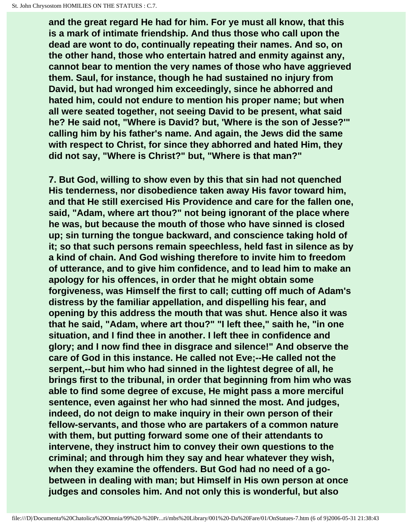**and the great regard He had for him. For ye must all know, that this is a mark of intimate friendship. And thus those who call upon the dead are wont to do, continually repeating their names. And so, on the other hand, those who entertain hatred and enmity against any, cannot bear to mention the very names of those who have aggrieved them. Saul, for instance, though he had sustained no injury from David, but had wronged him exceedingly, since he abhorred and hated him, could not endure to mention his proper name; but when all were seated together, not seeing David to be present, what said he? He said not, "Where is David? but, 'Where is the son of Jesse?'" calling him by his father's name. And again, the Jews did the same with respect to Christ, for since they abhorred and hated Him, they did not say, "Where is Christ?" but, "Where is that man?"** 

**7. But God, willing to show even by this that sin had not quenched His tenderness, nor disobedience taken away His favor toward him, and that He still exercised His Providence and care for the fallen one, said, "Adam, where art thou?" not being ignorant of the place where he was, but because the mouth of those who have sinned is closed up; sin turning the tongue backward, and conscience taking hold of it; so that such persons remain speechless, held fast in silence as by a kind of chain. And God wishing therefore to invite him to freedom of utterance, and to give him confidence, and to lead him to make an apology for his offences, in order that he might obtain some forgiveness, was Himself the first to call; cutting off much of Adam's distress by the familiar appellation, and dispelling his fear, and opening by this address the mouth that was shut. Hence also it was that he said, "Adam, where art thou?" "I left thee," saith he, "in one situation, and I find thee in another. I left thee in confidence and glory; and I now find thee in disgrace and silence!" And observe the care of God in this instance. He called not Eve;--He called not the serpent,--but him who had sinned in the lightest degree of all, he brings first to the tribunal, in order that beginning from him who was able to find some degree of excuse, He might pass a more merciful sentence, even against her who had sinned the most. And judges, indeed, do not deign to make inquiry in their own person of their fellow-servants, and those who are partakers of a common nature with them, but putting forward some one of their attendants to intervene, they instruct him to convey their own questions to the criminal; and through him they say and hear whatever they wish, when they examine the offenders. But God had no need of a gobetween in dealing with man; but Himself in His own person at once judges and consoles him. And not only this is wonderful, but also**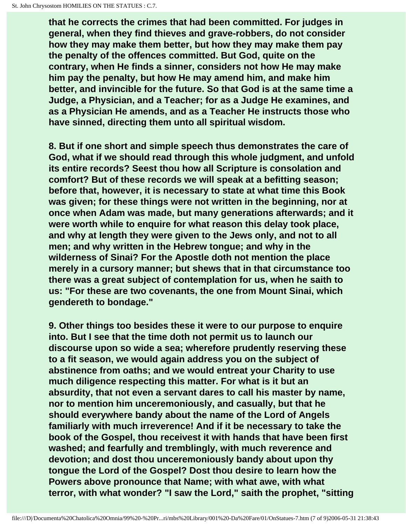**that he corrects the crimes that had been committed. For judges in general, when they find thieves and grave-robbers, do not consider how they may make them better, but how they may make them pay the penalty of the offences committed. But God, quite on the contrary, when He finds a sinner, considers not how He may make him pay the penalty, but how He may amend him, and make him better, and invincible for the future. So that God is at the same time a Judge, a Physician, and a Teacher; for as a Judge He examines, and as a Physician He amends, and as a Teacher He instructs those who have sinned, directing them unto all spiritual wisdom.** 

**8. But if one short and simple speech thus demonstrates the care of God, what if we should read through this whole judgment, and unfold its entire records? Seest thou how all Scripture is consolation and comfort? But of these records we will speak at a befitting season; before that, however, it is necessary to state at what time this Book was given; for these things were not written in the beginning, nor at once when Adam was made, but many generations afterwards; and it were worth while to enquire for what reason this delay took place, and why at length they were given to the Jews only, and not to all men; and why written in the Hebrew tongue; and why in the wilderness of Sinai? For the Apostle doth not mention the place merely in a cursory manner; but shews that in that circumstance too there was a great subject of contemplation for us, when he saith to us: "For these are two covenants, the one from Mount Sinai, which gendereth to bondage."** 

**9. Other things too besides these it were to our purpose to enquire into. But I see that the time doth not permit us to launch our discourse upon so wide a sea; wherefore prudently reserving these to a fit season, we would again address you on the subject of abstinence from oaths; and we would entreat your Charity to use much diligence respecting this matter. For what is it but an absurdity, that not even a servant dares to call his master by name, nor to mention him unceremoniously, and casually, but that he should everywhere bandy about the name of the Lord of Angels familiarly with much irreverence! And if it be necessary to take the book of the Gospel, thou receivest it with hands that have been first washed; and fearfully and tremblingly, with much reverence and devotion; and dost thou unceremoniously bandy about upon thy tongue the Lord of the Gospel? Dost thou desire to learn how the Powers above pronounce that Name; with what awe, with what terror, with what wonder? "I saw the Lord," saith the prophet, "sitting**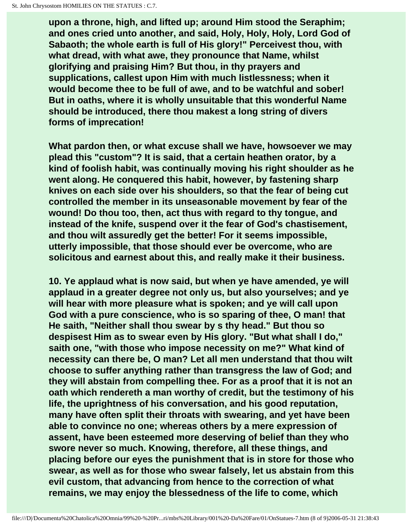**upon a throne, high, and lifted up; around Him stood the Seraphim; and ones cried unto another, and said, Holy, Holy, Holy, Lord God of Sabaoth; the whole earth is full of His glory!" Perceivest thou, with what dread, with what awe, they pronounce that Name, whilst glorifying and praising Him? But thou, in thy prayers and supplications, callest upon Him with much listlessness; when it would become thee to be full of awe, and to be watchful and sober! But in oaths, where it is wholly unsuitable that this wonderful Name should be introduced, there thou makest a long string of divers forms of imprecation!** 

**What pardon then, or what excuse shall we have, howsoever we may plead this "custom"? It is said, that a certain heathen orator, by a kind of foolish habit, was continually moving his right shoulder as he went along. He conquered this habit, however, by fastening sharp knives on each side over his shoulders, so that the fear of being cut controlled the member in its unseasonable movement by fear of the wound! Do thou too, then, act thus with regard to thy tongue, and instead of the knife, suspend over it the fear of God's chastisement, and thou wilt assuredly get the better! For it seems impossible, utterly impossible, that those should ever be overcome, who are solicitous and earnest about this, and really make it their business.** 

**10. Ye applaud what is now said, but when ye have amended, ye will applaud in a greater degree not only us, but also yourselves; and ye will hear with more pleasure what is spoken; and ye will call upon God with a pure conscience, who is so sparing of thee, O man! that He saith, "Neither shall thou swear by s thy head." But thou so despisest Him as to swear even by His glory. "But what shall I do," saith one, "with those who impose necessity on me?" What kind of necessity can there be, O man? Let all men understand that thou wilt choose to suffer anything rather than transgress the law of God; and they will abstain from compelling thee. For as a proof that it is not an oath which rendereth a man worthy of credit, but the testimony of his life, the uprightness of his conversation, and his good reputation, many have often split their throats with swearing, and yet have been able to convince no one; whereas others by a mere expression of assent, have been esteemed more deserving of belief than they who swore never so much. Knowing, therefore, all these things, and placing before our eyes the punishment that is in store for those who swear, as well as for those who swear falsely, let us abstain from this evil custom, that advancing from hence to the correction of what remains, we may enjoy the blessedness of the life to come, which**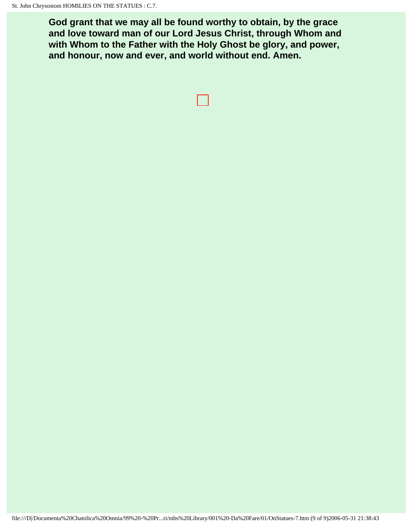**God grant that we may all be found worthy to obtain, by the grace and love toward man of our Lord Jesus Christ, through Whom and with Whom to the Father with the Holy Ghost be glory, and power, and honour, now and ever, and world without end. Amen.**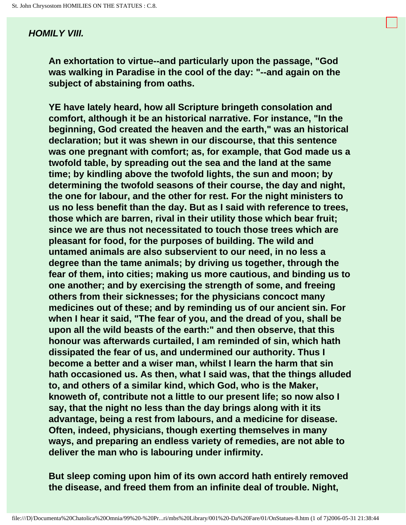#### **HOMILY VIII.**

**An exhortation to virtue--and particularly upon the passage, "God was walking in Paradise in the cool of the day: "--and again on the subject of abstaining from oaths.** 

**YE have lately heard, how all Scripture bringeth consolation and comfort, although it be an historical narrative. For instance, "In the beginning, God created the heaven and the earth," was an historical declaration; but it was shewn in our discourse, that this sentence was one pregnant with comfort; as, for example, that God made us a twofold table, by spreading out the sea and the land at the same time; by kindling above the twofold lights, the sun and moon; by determining the twofold seasons of their course, the day and night, the one for labour, and the other for rest. For the night ministers to us no less benefit than the day. But as I said with reference to trees, those which are barren, rival in their utility those which bear fruit; since we are thus not necessitated to touch those trees which are pleasant for food, for the purposes of building. The wild and untamed animals are also subservient to our need, in no less a degree than the tame animals; by driving us together, through the fear of them, into cities; making us more cautious, and binding us to one another; and by exercising the strength of some, and freeing others from their sicknesses; for the physicians concoct many medicines out of these; and by reminding us of our ancient sin. For when I hear it said, "The fear of you, and the dread of you, shall be upon all the wild beasts of the earth:" and then observe, that this honour was afterwards curtailed, I am reminded of sin, which hath dissipated the fear of us, and undermined our authority. Thus I become a better and a wiser man, whilst I learn the harm that sin hath occasioned us. As then, what I said was, that the things alluded to, and others of a similar kind, which God, who is the Maker, knoweth of, contribute not a little to our present life; so now also I say, that the night no less than the day brings along with it its advantage, being a rest from labours, and a medicine for disease. Often, indeed, physicians, though exerting themselves in many ways, and preparing an endless variety of remedies, are not able to deliver the man who is labouring under infirmity.** 

**But sleep coming upon him of its own accord hath entirely removed the disease, and freed them from an infinite deal of trouble. Night,**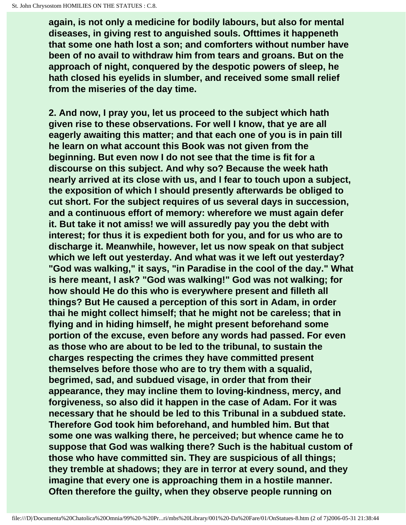**again, is not only a medicine for bodily labours, but also for mental diseases, in giving rest to anguished souls. Ofttimes it happeneth that some one hath lost a son; and comforters without number have been of no avail to withdraw him from tears and groans. But on the approach of night, conquered by the despotic powers of sleep, he hath closed his eyelids in slumber, and received some small relief from the miseries of the day time.** 

**2. And now, I pray you, let us proceed to the subject which hath given rise to these observations. For well I know, that ye are all eagerly awaiting this matter; and that each one of you is in pain till he learn on what account this Book was not given from the beginning. But even now I do not see that the time is fit for a discourse on this subject. And why so? Because the week hath nearly arrived at its close with us, and I fear to touch upon a subject, the exposition of which I should presently afterwards be obliged to cut short. For the subject requires of us several days in succession, and a continuous effort of memory: wherefore we must again defer it. But take it not amiss! we will assuredly pay you the debt with interest; for thus it is expedient both for you, and for us who are to discharge it. Meanwhile, however, let us now speak on that subject which we left out yesterday. And what was it we left out yesterday? "God was walking," it says, "in Paradise in the cool of the day." What is here meant, I ask? "God was walking!" God was not walking; for how should He do this who is everywhere present and filleth all things? But He caused a perception of this sort in Adam, in order thai he might collect himself; that he might not be careless; that in flying and in hiding himself, he might present beforehand some portion of the excuse, even before any words had passed. For even as those who are about to be led to the tribunal, to sustain the charges respecting the crimes they have committed present themselves before those who are to try them with a squalid, begrimed, sad, and subdued visage, in order that from their appearance, they may incline them to loving-kindness, mercy, and forgiveness, so also did it happen in the case of Adam. For it was necessary that he should be led to this Tribunal in a subdued state. Therefore God took him beforehand, and humbled him. But that some one was walking there, he perceived; but whence came he to suppose that God was walking there? Such is the habitual custom of those who have committed sin. They are suspicious of all things; they tremble at shadows; they are in terror at every sound, and they imagine that every one is approaching them in a hostile manner. Often therefore the guilty, when they observe people running on**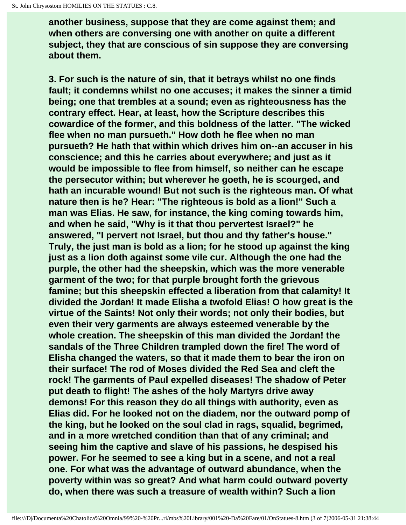**another business, suppose that they are come against them; and when others are conversing one with another on quite a different subject, they that are conscious of sin suppose they are conversing about them.** 

**3. For such is the nature of sin, that it betrays whilst no one finds fault; it condemns whilst no one accuses; it makes the sinner a timid being; one that trembles at a sound; even as righteousness has the contrary effect. Hear, at least, how the Scripture describes this cowardice of the former, and this boldness of the latter. "The wicked flee when no man pursueth." How doth he flee when no man pursueth? He hath that within which drives him on--an accuser in his conscience; and this he carries about everywhere; and just as it would be impossible to flee from himself, so neither can he escape the persecutor within; but wherever he goeth, he is scourged, and hath an incurable wound! But not such is the righteous man. Of what nature then is he? Hear: "The righteous is bold as a lion!" Such a man was Elias. He saw, for instance, the king coming towards him, and when he said, "Why is it that thou pervertest Israel?" he answered, "I pervert not Israel, but thou and thy father's house." Truly, the just man is bold as a lion; for he stood up against the king just as a lion doth against some vile cur. Although the one had the purple, the other had the sheepskin, which was the more venerable garment of the two; for that purple brought forth the grievous famine; but this sheepskin effected a liberation from that calamity! It divided the Jordan! It made Elisha a twofold Elias! O how great is the virtue of the Saints! Not only their words; not only their bodies, but even their very garments are always esteemed venerable by the whole creation. The sheepskin of this man divided the Jordan! the sandals of the Three Children trampled down the fire! The word of Elisha changed the waters, so that it made them to bear the iron on their surface! The rod of Moses divided the Red Sea and cleft the rock! The garments of Paul expelled diseases! The shadow of Peter put death to flight! The ashes of the holy Martyrs drive away demons! For this reason they do all things with authority, even as Elias did. For he looked not on the diadem, nor the outward pomp of the king, but he looked on the soul clad in rags, squalid, begrimed, and in a more wretched condition than that of any criminal; and seeing him the captive and slave of his passions, he despised his power. For he seemed to see a king but in a scene, and not a real one. For what was the advantage of outward abundance, when the poverty within was so great? And what harm could outward poverty do, when there was such a treasure of wealth within? Such a lion**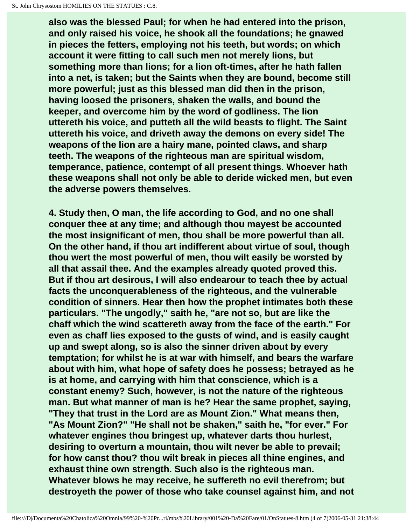**also was the blessed Paul; for when he had entered into the prison, and only raised his voice, he shook all the foundations; he gnawed in pieces the fetters, employing not his teeth, but words; on which account it were fitting to call such men not merely lions, but something more than lions; for a lion oft-times, after he hath fallen into a net, is taken; but the Saints when they are bound, become still more powerful; just as this blessed man did then in the prison, having loosed the prisoners, shaken the walls, and bound the keeper, and overcome him by the word of godliness. The lion uttereth his voice, and putteth all the wild beasts to flight. The Saint uttereth his voice, and driveth away the demons on every side! The weapons of the lion are a hairy mane, pointed claws, and sharp teeth. The weapons of the righteous man are spiritual wisdom, temperance, patience, contempt of all present things. Whoever hath these weapons shall not only be able to deride wicked men, but even the adverse powers themselves.** 

**4. Study then, O man, the life according to God, and no one shall conquer thee at any time; and although thou mayest be accounted the most insignificant of men, thou shall be more powerful than all. On the other hand, if thou art indifferent about virtue of soul, though thou wert the most powerful of men, thou wilt easily be worsted by all that assail thee. And the examples already quoted proved this. But if thou art desirous, I will also endearour to teach thee by actual facts the unconquerableness of the righteous, and the vulnerable condition of sinners. Hear then how the prophet intimates both these particulars. "The ungodly," saith he, "are not so, but are like the chaff which the wind scattereth away from the face of the earth." For even as chaff lies exposed to the gusts of wind, and is easily caught up and swept along, so is also the sinner driven about by every temptation; for whilst he is at war with himself, and bears the warfare about with him, what hope of safety does he possess; betrayed as he is at home, and carrying with him that conscience, which is a constant enemy? Such, however, is not the nature of the righteous man. But what manner of man is he? Hear the same prophet, saying, "They that trust in the Lord are as Mount Zion." What means then, "As Mount Zion?" "He shall not be shaken," saith he, "for ever." For whatever engines thou bringest up, whatever darts thou hurlest, desiring to overturn a mountain, thou wilt never be able to prevail; for how canst thou? thou wilt break in pieces all thine engines, and exhaust thine own strength. Such also is the righteous man. Whatever blows he may receive, he suffereth no evil therefrom; but destroyeth the power of those who take counsel against him, and not**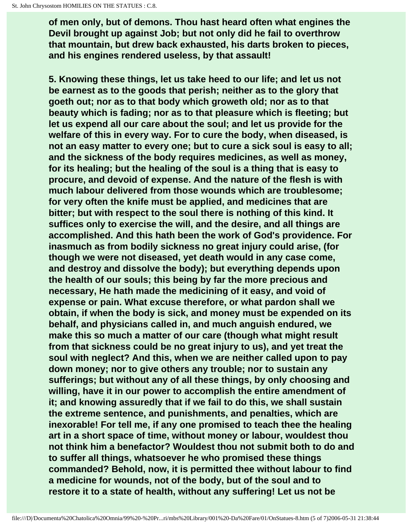**of men only, but of demons. Thou hast heard often what engines the Devil brought up against Job; but not only did he fail to overthrow that mountain, but drew back exhausted, his darts broken to pieces, and his engines rendered useless, by that assault!** 

**5. Knowing these things, let us take heed to our life; and let us not be earnest as to the goods that perish; neither as to the glory that goeth out; nor as to that body which groweth old; nor as to that beauty which is fading; nor as to that pleasure which is fleeting; but let us expend all our care about the soul; and let us provide for the welfare of this in every way. For to cure the body, when diseased, is not an easy matter to every one; but to cure a sick soul is easy to all; and the sickness of the body requires medicines, as well as money, for its healing; but the healing of the soul is a thing that is easy to procure, and devoid of expense. And the nature of the flesh is with much labour delivered from those wounds which are troublesome; for very often the knife must be applied, and medicines that are bitter; but with respect to the soul there is nothing of this kind. It suffices only to exercise the will, and the desire, and all things are accomplished. And this hath been the work of God's providence. For inasmuch as from bodily sickness no great injury could arise, (for though we were not diseased, yet death would in any case come, and destroy and dissolve the body); but everything depends upon the health of our souls; this being by far the more precious and necessary, He hath made the medicining of it easy, and void of expense or pain. What excuse therefore, or what pardon shall we obtain, if when the body is sick, and money must be expended on its behalf, and physicians called in, and much anguish endured, we make this so much a matter of our care (though what might result from that sickness could be no great injury to us), and yet treat the soul with neglect? And this, when we are neither called upon to pay down money; nor to give others any trouble; nor to sustain any sufferings; but without any of all these things, by only choosing and willing, have it in our power to accomplish the entire amendment of it; and knowing assuredly that if we fail to do this, we shall sustain the extreme sentence, and punishments, and penalties, which are inexorable! For tell me, if any one promised to teach thee the healing art in a short space of time, without money or labour, wouldest thou not think him a benefactor? Wouldest thou not submit both to do and to suffer all things, whatsoever he who promised these things commanded? Behold, now, it is permitted thee without labour to find a medicine for wounds, not of the body, but of the soul and to restore it to a state of health, without any suffering! Let us not be**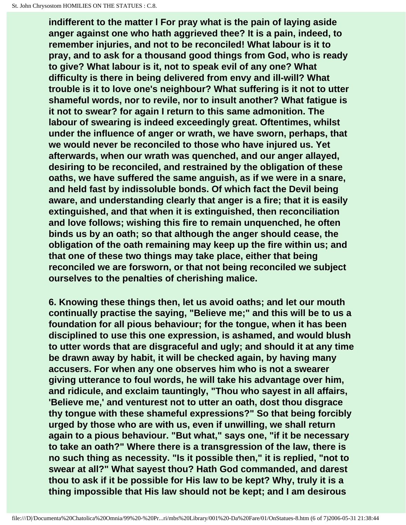**indifferent to the matter l For pray what is the pain of laying aside anger against one who hath aggrieved thee? It is a pain, indeed, to remember injuries, and not to be reconciled! What labour is it to pray, and to ask for a thousand good things from God, who is ready to give? What labour is it, not to speak evil of any one? What difficulty is there in being delivered from envy and ill-will? What trouble is it to love one's neighbour? What suffering is it not to utter shameful words, nor to revile, nor to insult another? What fatigue is it not to swear? for again I return to this same admonition. The labour of swearing is indeed exceedingly great. Oftentimes, whilst under the influence of anger or wrath, we have sworn, perhaps, that we would never be reconciled to those who have injured us. Yet afterwards, when our wrath was quenched, and our anger allayed, desiring to be reconciled, and restrained by the obligation of these oaths, we have suffered the same anguish, as if we were in a snare, and held fast by indissoluble bonds. Of which fact the Devil being aware, and understanding clearly that anger is a fire; that it is easily extinguished, and that when it is extinguished, then reconciliation and love follows; wishing this fire to remain unquenched, he often binds us by an oath; so that although the anger should cease, the obligation of the oath remaining may keep up the fire within us; and that one of these two things may take place, either that being reconciled we are forsworn, or that not being reconciled we subject ourselves to the penalties of cherishing malice.** 

**6. Knowing these things then, let us avoid oaths; and let our mouth continually practise the saying, "Believe me;" and this will be to us a foundation for all pious behaviour; for the tongue, when it has been disciplined to use this one expression, is ashamed, and would blush to utter words that are disgraceful and ugly; and should it at any time be drawn away by habit, it will be checked again, by having many accusers. For when any one observes him who is not a swearer giving utterance to foul words, he will take his advantage over him, and ridicule, and exclaim tauntingly, "Thou who sayest in all affairs, 'Believe me,' and venturest not to utter an oath, dost thou disgrace thy tongue with these shameful expressions?" So that being forcibly urged by those who are with us, even if unwilling, we shall return again to a pious behaviour. "But what," says one, "if it be necessary to take an oath?" Where there is a transgression of the law, there is no such thing as necessity. "Is it possible then," it is replied, "not to swear at all?" What sayest thou? Hath God commanded, and darest thou to ask if it be possible for His law to be kept? Why, truly it is a thing impossible that His law should not be kept; and I am desirous**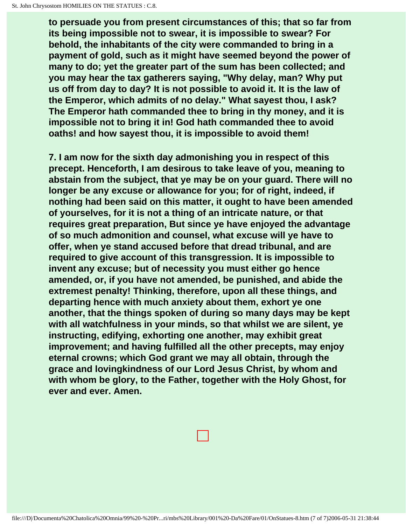**to persuade you from present circumstances of this; that so far from its being impossible not to swear, it is impossible to swear? For behold, the inhabitants of the city were commanded to bring in a payment of gold, such as it might have seemed beyond the power of many to do; yet the greater part of the sum has been collected; and you may hear the tax gatherers saying, "Why delay, man? Why put us off from day to day? It is not possible to avoid it. It is the law of the Emperor, which admits of no delay." What sayest thou, I ask? The Emperor hath commanded thee to bring in thy money, and it is impossible not to bring it in! God hath commanded thee to avoid oaths! and how sayest thou, it is impossible to avoid them!** 

**7. I am now for the sixth day admonishing you in respect of this precept. Henceforth, I am desirous to take leave of you, meaning to abstain from the subject, that ye may be on your guard. There will no longer be any excuse or allowance for you; for of right, indeed, if nothing had been said on this matter, it ought to have been amended of yourselves, for it is not a thing of an intricate nature, or that requires great preparation, But since ye have enjoyed the advantage of so much admonition and counsel, what excuse will ye have to offer, when ye stand accused before that dread tribunal, and are required to give account of this transgression. It is impossible to invent any excuse; but of necessity you must either go hence amended, or, if you have not amended, be punished, and abide the extremest penalty! Thinking, therefore, upon all these things, and departing hence with much anxiety about them, exhort ye one another, that the things spoken of during so many days may be kept with all watchfulness in your minds, so that whilst we are silent, ye instructing, edifying, exhorting one another, may exhibit great improvement; and having fulfilled all the other precepts, may enjoy eternal crowns; which God grant we may all obtain, through the grace and lovingkindness of our Lord Jesus Christ, by whom and with whom be glory, to the Father, together with the Holy Ghost, for ever and ever. Amen.**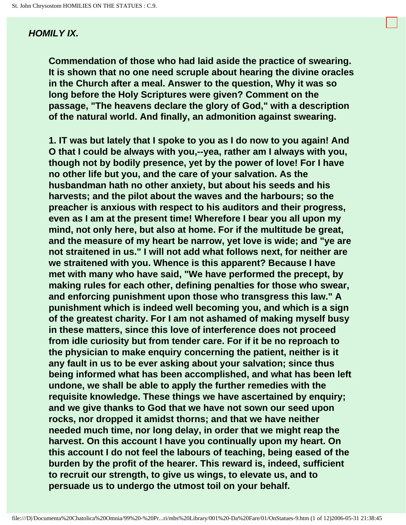### **HOMILY IX.**

**Commendation of those who had laid aside the practice of swearing. It is shown that no one need scruple about hearing the divine oracles in the Church after a meal. Answer to the question, Why it was so long before the Holy Scriptures were given? Comment on the passage, "The heavens declare the glory of God," with a description of the natural world. And finally, an admonition against swearing.** 

**1. IT was but lately that I spoke to you as I do now to you again! And O that I could be always with you,--yea, rather am I always with you, though not by bodily presence, yet by the power of love! For I have no other life but you, and the care of your salvation. As the husbandman hath no other anxiety, but about his seeds and his harvests; and the pilot about the waves and the harbours; so the preacher is anxious with respect to his auditors and their progress, even as I am at the present time! Wherefore I bear you all upon my mind, not only here, but also at home. For if the multitude be great, and the measure of my heart be narrow, yet love is wide; and "ye are not straitened in us." I will not add what follows next, for neither are we straitened with you. Whence is this apparent? Because I have met with many who have said, "We have performed the precept, by making rules for each other, defining penalties for those who swear, and enforcing punishment upon those who transgress this law." A punishment which is indeed well becoming you, and which is a sign of the greatest charity. For I am not ashamed of making myself busy in these matters, since this love of interference does not proceed from idle curiosity but from tender care. For if it be no reproach to the physician to make enquiry concerning the patient, neither is it any fault in us to be ever asking about your salvation; since thus being informed what has been accomplished, and what has been left undone, we shall be able to apply the further remedies with the requisite knowledge. These things we have ascertained by enquiry; and we give thanks to God that we have not sown our seed upon rocks, nor dropped it amidst thorns; and that we have neither needed much time, nor long delay, in order that we might reap the harvest. On this account I have you continually upon my heart. On this account I do not feel the labours of teaching, being eased of the burden by the profit of the hearer. This reward is, indeed, sufficient to recruit our strength, to give us wings, to elevate us, and to persuade us to undergo the utmost toil on your behalf.**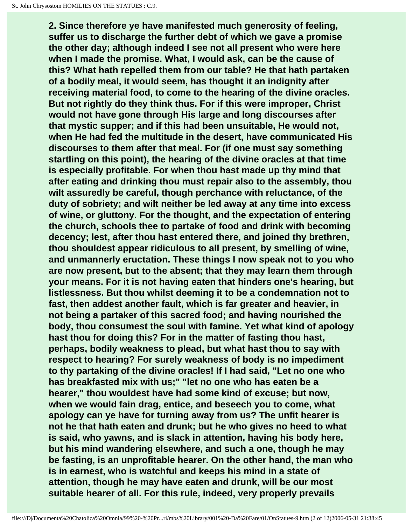**2. Since therefore ye have manifested much generosity of feeling, suffer us to discharge the further debt of which we gave a promise the other day; although indeed I see not all present who were here when I made the promise. What, I would ask, can be the cause of this? What hath repelled them from our table? He that hath partaken of a bodily meal, it would seem, has thought it an indignity after receiving material food, to come to the hearing of the divine oracles. But not rightly do they think thus. For if this were improper, Christ would not have gone through His large and long discourses after that mystic supper; and if this had been unsuitable, He would not, when He had fed the multitude in the desert, have communicated His discourses to them after that meal. For (if one must say something startling on this point), the hearing of the divine oracles at that time is especially profitable. For when thou hast made up thy mind that after eating and drinking thou must repair also to the assembly, thou wilt assuredly be careful, though perchance with reluctance, of the duty of sobriety; and wilt neither be led away at any time into excess of wine, or gluttony. For the thought, and the expectation of entering the church, schools thee to partake of food and drink with becoming decency; lest, after thou hast entered there, and joined thy brethren, thou shouldest appear ridiculous to all present, by smelling of wine, and unmannerly eructation. These things I now speak not to you who are now present, but to the absent; that they may learn them through your means. For it is not having eaten that hinders one's hearing, but listlessness. But thou whilst deeming it to be a condemnation not to fast, then addest another fault, which is far greater and heavier, in not being a partaker of this sacred food; and having nourished the body, thou consumest the soul with famine. Yet what kind of apology hast thou for doing this? For in the matter of fasting thou hast, perhaps, bodily weakness to plead, but what hast thou to say with respect to hearing? For surely weakness of body is no impediment to thy partaking of the divine oracles! If I had said, "Let no one who has breakfasted mix with us;" "let no one who has eaten be a hearer," thou wouldest have had some kind of excuse; but now, when we would fain drag, entice, and beseech you to come, what apology can ye have for turning away from us? The unfit hearer is not he that hath eaten and drunk; but he who gives no heed to what is said, who yawns, and is slack in attention, having his body here, but his mind wandering elsewhere, and such a one, though he may be fasting, is an unprofitable hearer. On the other hand, the man who is in earnest, who is watchful and keeps his mind in a state of attention, though he may have eaten and drunk, will be our most suitable hearer of all. For this rule, indeed, very properly prevails**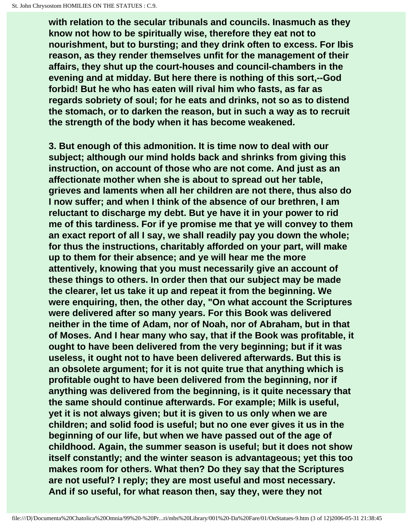**with relation to the secular tribunals and councils. Inasmuch as they know not how to be spiritually wise, therefore they eat not to nourishment, but to bursting; and they drink often to excess. For Ibis reason, as they render themselves unfit for the management of their affairs, they shut up the court-houses and council-chambers in the evening and at midday. But here there is nothing of this sort,--God forbid! But he who has eaten will rival him who fasts, as far as regards sobriety of soul; for he eats and drinks, not so as to distend the stomach, or to darken the reason, but in such a way as to recruit the strength of the body when it has become weakened.** 

**3. But enough of this admonition. It is time now to deal with our subject; although our mind holds back and shrinks from giving this instruction, on account of those who are not come. And just as an affectionate mother when she is about to spread out her table, grieves and laments when all her children are not there, thus also do I now suffer; and when I think of the absence of our brethren, I am reluctant to discharge my debt. But ye have it in your power to rid me of this tardiness. For if ye promise me that ye will convey to them an exact report of all I say, we shall readily pay you down the whole; for thus the instructions, charitably afforded on your part, will make up to them for their absence; and ye will hear me the more attentively, knowing that you must necessarily give an account of these things to others. In order then that our subject may be made the clearer, let us take it up and repeat it from the beginning. We were enquiring, then, the other day, "On what account the Scriptures were delivered after so many years. For this Book was delivered neither in the time of Adam, nor of Noah, nor of Abraham, but in that of Moses. And I hear many who say, that if the Book was profitable, it ought to have been delivered from the very beginning; but if it was useless, it ought not to have been delivered afterwards. But this is an obsolete argument; for it is not quite true that anything which is profitable ought to have been delivered from the beginning, nor if anything was delivered from the beginning, is it quite necessary that the same should continue afterwards. For example; Milk is useful, yet it is not always given; but it is given to us only when we are children; and solid food is useful; but no one ever gives it us in the beginning of our life, but when we have passed out of the age of childhood. Again, the summer season is useful; but it does not show itself constantly; and the winter season is advantageous; yet this too makes room for others. What then? Do they say that the Scriptures are not useful? I reply; they are most useful and most necessary. And if so useful, for what reason then, say they, were they not**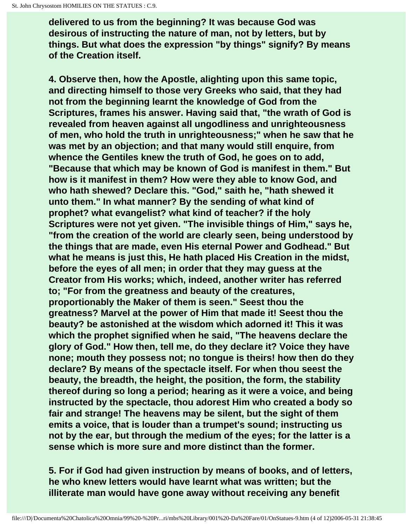**delivered to us from the beginning? It was because God was desirous of instructing the nature of man, not by letters, but by things. But what does the expression "by things" signify? By means of the Creation itself.** 

**4. Observe then, how the Apostle, alighting upon this same topic, and directing himself to those very Greeks who said, that they had not from the beginning learnt the knowledge of God from the Scriptures, frames his answer. Having said that, "the wrath of God is revealed from heaven against all ungodliness and unrighteousness of men, who hold the truth in unrighteousness;" when he saw that he was met by an objection; and that many would still enquire, from whence the Gentiles knew the truth of God, he goes on to add, "Because that which may be known of God is manifest in them." But how is it manifest in them? How were they able to know God, and who hath shewed? Declare this. "God," saith he, "hath shewed it unto them." In what manner? By the sending of what kind of prophet? what evangelist? what kind of teacher? if the holy Scriptures were not yet given. "The invisible things of Him," says he, "from the creation of the world are clearly seen, being understood by the things that are made, even His eternal Power and Godhead." But what he means is just this, He hath placed His Creation in the midst, before the eyes of all men; in order that they may guess at the Creator from His works; which, indeed, another writer has referred to; "For from the greatness and beauty of the creatures, proportionably the Maker of them is seen." Seest thou the greatness? Marvel at the power of Him that made it! Seest thou the beauty? be astonished at the wisdom which adorned it! This it was which the prophet signified when he said, "The heavens declare the glory of God." How then, tell me, do they declare it? Voice they have none; mouth they possess not; no tongue is theirs! how then do they declare? By means of the spectacle itself. For when thou seest the beauty, the breadth, the height, the position, the form, the stability thereof during so long a period; hearing as it were a voice, and being instructed by the spectacle, thou adorest Him who created a body so fair and strange! The heavens may be silent, but the sight of them emits a voice, that is louder than a trumpet's sound; instructing us not by the ear, but through the medium of the eyes; for the latter is a sense which is more sure and more distinct than the former.** 

**5. For if God had given instruction by means of books, and of letters, he who knew letters would have learnt what was written; but the illiterate man would have gone away without receiving any benefit**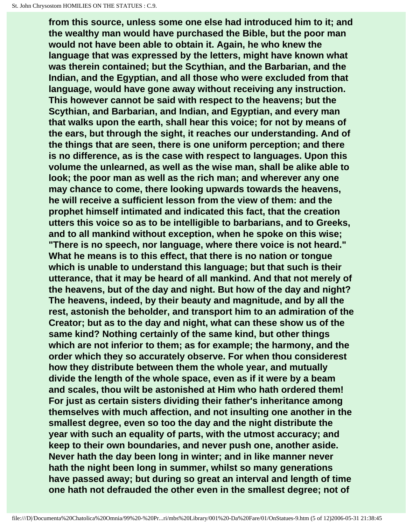**from this source, unless some one else had introduced him to it; and the wealthy man would have purchased the Bible, but the poor man would not have been able to obtain it. Again, he who knew the language that was expressed by the letters, might have known what was therein contained; but the Scythian, and the Barbarian, and the Indian, and the Egyptian, and all those who were excluded from that language, would have gone away without receiving any instruction. This however cannot be said with respect to the heavens; but the Scythian, and Barbarian, and Indian, and Egyptian, and every man that walks upon the earth, shall hear this voice; for not by means of the ears, but through the sight, it reaches our understanding. And of the things that are seen, there is one uniform perception; and there is no difference, as is the case with respect to languages. Upon this volume the unlearned, as well as the wise man, shall be alike able to look; the poor man as well as the rich man; and wherever any one may chance to come, there looking upwards towards the heavens, he will receive a sufficient lesson from the view of them: and the prophet himself intimated and indicated this fact, that the creation utters this voice so as to be intelligible to barbarians, and to Greeks, and to all mankind without exception, when he spoke on this wise; "There is no speech, nor language, where there voice is not heard." What he means is to this effect, that there is no nation or tongue which is unable to understand this language; but that such is their utterance, that it may be heard of all mankind. And that not merely of the heavens, but of the day and night. But how of the day and night? The heavens, indeed, by their beauty and magnitude, and by all the rest, astonish the beholder, and transport him to an admiration of the Creator; but as to the day and night, what can these show us of the same kind? Nothing certainly of the same kind, but other things which are not inferior to them; as for example; the harmony, and the order which they so accurately observe. For when thou considerest how they distribute between them the whole year, and mutually divide the length of the whole space, even as if it were by a beam and scales, thou wilt be astonished at Him who hath ordered them! For just as certain sisters dividing their father's inheritance among themselves with much affection, and not insulting one another in the smallest degree, even so too the day and the night distribute the year with such an equality of parts, with the utmost accuracy; and keep to their own boundaries, and never push one, another aside. Never hath the day been long in winter; and in like manner never hath the night been long in summer, whilst so many generations have passed away; but during so great an interval and length of time one hath not defrauded the other even in the smallest degree; not of**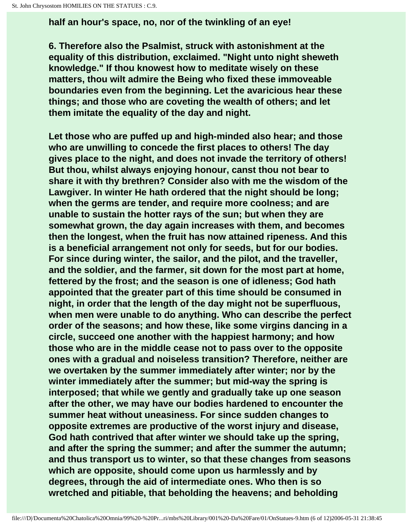#### **half an hour's space, no, nor of the twinkling of an eye!**

**6. Therefore also the Psalmist, struck with astonishment at the equality of this distribution, exclaimed. "Night unto night sheweth knowledge." If thou knowest how to meditate wisely on these matters, thou wilt admire the Being who fixed these immoveable boundaries even from the beginning. Let the avaricious hear these things; and those who are coveting the wealth of others; and let them imitate the equality of the day and night.** 

**Let those who are puffed up and high-minded also hear; and those who are unwilling to concede the first places to others! The day gives place to the night, and does not invade the territory of others! But thou, whilst always enjoying honour, canst thou not bear to share it with thy brethren? Consider also with me the wisdom of the Lawgiver. In winter He hath ordered that the night should be long; when the germs are tender, and require more coolness; and are unable to sustain the hotter rays of the sun; but when they are somewhat grown, the day again increases with them, and becomes then the longest, when the fruit has now attained ripeness. And this is a beneficial arrangement not only for seeds, but for our bodies. For since during winter, the sailor, and the pilot, and the traveller, and the soldier, and the farmer, sit down for the most part at home, fettered by the frost; and the season is one of idleness; God hath appointed that the greater part of this time should be consumed in night, in order that the length of the day might not be superfluous, when men were unable to do anything. Who can describe the perfect order of the seasons; and how these, like some virgins dancing in a circle, succeed one another with the happiest harmony; and how those who are in the middle cease not to pass over to the opposite ones with a gradual and noiseless transition? Therefore, neither are we overtaken by the summer immediately after winter; nor by the winter immediately after the summer; but mid-way the spring is interposed; that while we gently and gradually take up one season after the other, we may have our bodies hardened to encounter the summer heat without uneasiness. For since sudden changes to opposite extremes are productive of the worst injury and disease, God hath contrived that after winter we should take up the spring, and after the spring the summer; and after the summer the autumn; and thus transport us to winter, so that these changes from seasons which are opposite, should come upon us harmlessly and by degrees, through the aid of intermediate ones. Who then is so wretched and pitiable, that beholding the heavens; and beholding**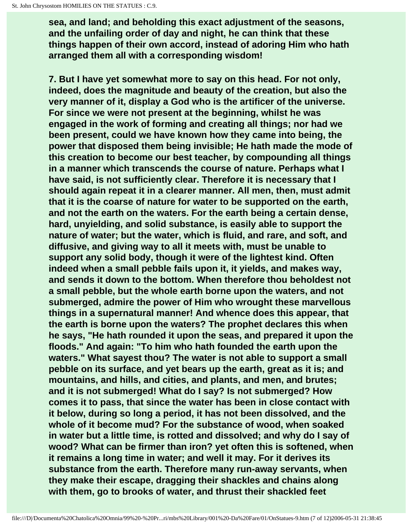**sea, and land; and beholding this exact adjustment of the seasons, and the unfailing order of day and night, he can think that these things happen of their own accord, instead of adoring Him who hath arranged them all with a corresponding wisdom!** 

**7. But I have yet somewhat more to say on this head. For not only, indeed, does the magnitude and beauty of the creation, but also the very manner of it, display a God who is the artificer of the universe. For since we were not present at the beginning, whilst he was engaged in the work of forming and creating all things; nor had we been present, could we have known how they came into being, the power that disposed them being invisible; He hath made the mode of this creation to become our best teacher, by compounding all things in a manner which transcends the course of nature. Perhaps what I have said, is not sufficiently clear. Therefore it is necessary that I should again repeat it in a clearer manner. All men, then, must admit that it is the coarse of nature for water to be supported on the earth, and not the earth on the waters. For the earth being a certain dense, hard, unyielding, and solid substance, is easily able to support the nature of water; but the water, which is fluid, and rare, and soft, and diffusive, and giving way to all it meets with, must be unable to support any solid body, though it were of the lightest kind. Often indeed when a small pebble fails upon it, it yields, and makes way, and sends it down to the bottom. When therefore thou beholdest not a small pebble, but the whole earth borne upon the waters, and not submerged, admire the power of Him who wrought these marvellous things in a supernatural manner! And whence does this appear, that the earth is borne upon the waters? The prophet declares this when he says, "He hath rounded it upon the seas, and prepared it upon the floods." And again: "To him who hath founded the earth upon the waters." What sayest thou? The water is not able to support a small pebble on its surface, and yet bears up the earth, great as it is; and mountains, and hills, and cities, and plants, and men, and brutes; and it is not submerged! What do I say? Is not submerged? How comes it to pass, that since the water has been in close contact with it below, during so long a period, it has not been dissolved, and the whole of it become mud? For the substance of wood, when soaked in water but a little time, is rotted and dissolved; and why do I say of wood? What can be firmer than iron? yet often this is softened, when it remains a long time in water; and well it may. For it derives its substance from the earth. Therefore many run-away servants, when they make their escape, dragging their shackles and chains along with them, go to brooks of water, and thrust their shackled feet**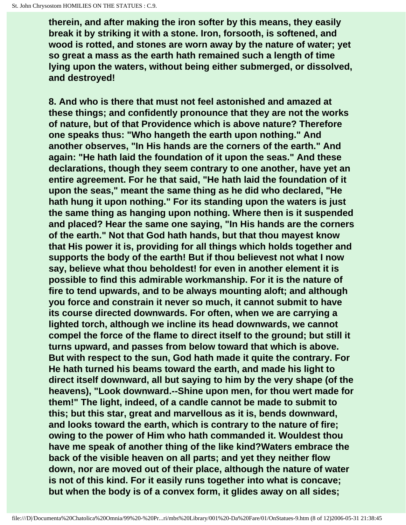**therein, and after making the iron softer by this means, they easily break it by striking it with a stone. Iron, forsooth, is softened, and wood is rotted, and stones are worn away by the nature of water; yet so great a mass as the earth hath remained such a length of time lying upon the waters, without being either submerged, or dissolved, and destroyed!** 

**8. And who is there that must not feel astonished and amazed at these things; and confidently pronounce that they are not the works of nature, but of that Providence which is above nature? Therefore one speaks thus: "Who hangeth the earth upon nothing." And another observes, "In His hands are the corners of the earth." And again: "He hath laid the foundation of it upon the seas." And these declarations, though they seem contrary to one another, have yet an entire agreement. For he that said, "He hath laid the foundation of it upon the seas," meant the same thing as he did who declared, "He hath hung it upon nothing." For its standing upon the waters is just the same thing as hanging upon nothing. Where then is it suspended and placed? Hear the same one saying, "In His hands are the corners of the earth." Not that God hath hands, but that thou mayest know that His power it is, providing for all things which holds together and supports the body of the earth! But if thou believest not what I now say, believe what thou beholdest! for even in another element it is possible to find this admirable workmanship. For it is the nature of fire to tend upwards, and to be always mounting aloft; and although you force and constrain it never so much, it cannot submit to have its course directed downwards. For often, when we are carrying a lighted torch, although we incline its head downwards, we cannot compel the force of the flame to direct itself to the ground; but still it turns upward, and passes from below toward that which is above. But with respect to the sun, God hath made it quite the contrary. For He hath turned his beams toward the earth, and made his light to direct itself downward, all but saying to him by the very shape (of the heavens), "Look downward.--Shine upon men, for thou wert made for them!" The light, indeed, of a candle cannot be made to submit to this; but this star, great and marvellous as it is, bends downward, and looks toward the earth, which is contrary to the nature of fire; owing to the power of Him who hath commanded it. Wouldest thou have me speak of another thing of the like kind?Waters embrace the back of the visible heaven on all parts; and yet they neither flow down, nor are moved out of their place, although the nature of water is not of this kind. For it easily runs together into what is concave; but when the body is of a convex form, it glides away on all sides;**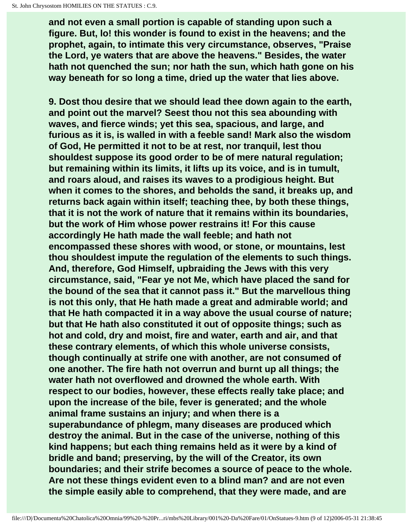**and not even a small portion is capable of standing upon such a figure. But, lo! this wonder is found to exist in the heavens; and the prophet, again, to intimate this very circumstance, observes, "Praise the Lord, ye waters that are above the heavens." Besides, the water hath not quenched the sun; nor hath the sun, which hath gone on his way beneath for so long a time, dried up the water that lies above.** 

**9. Dost thou desire that we should lead thee down again to the earth, and point out the marvel? Seest thou not this sea abounding with waves, and fierce winds; yet this sea, spacious, and large, and furious as it is, is walled in with a feeble sand! Mark also the wisdom of God, He permitted it not to be at rest, nor tranquil, lest thou shouldest suppose its good order to be of mere natural regulation; but remaining within its limits, it lifts up its voice, and is in tumult, and roars aloud, and raises its waves to a prodigious height. But when it comes to the shores, and beholds the sand, it breaks up, and returns back again within itself; teaching thee, by both these things, that it is not the work of nature that it remains within its boundaries, but the work of Him whose power restrains it! For this cause accordingly He hath made the wall feeble; and hath not encompassed these shores with wood, or stone, or mountains, lest thou shouldest impute the regulation of the elements to such things. And, therefore, God Himself, upbraiding the Jews with this very circumstance, said, "Fear ye not Me, which have placed the sand for the bound of the sea that it cannot pass it." But the marvellous thing is not this only, that He hath made a great and admirable world; and that He hath compacted it in a way above the usual course of nature; but that He hath also constituted it out of opposite things; such as hot and cold, dry and moist, fire and water, earth and air, and that these contrary elements, of which this whole universe consists, though continually at strife one with another, are not consumed of one another. The fire hath not overrun and burnt up all things; the water hath not overflowed and drowned the whole earth. With respect to our bodies, however, these effects really take place; and upon the increase of the bile, fever is generated; and the whole animal frame sustains an injury; and when there is a superabundance of phlegm, many diseases are produced which destroy the animal. But in the case of the universe, nothing of this kind happens; but each thing remains held as it were by a kind of bridle and band; preserving, by the will of the Creator, its own boundaries; and their strife becomes a source of peace to the whole. Are not these things evident even to a blind man? and are not even the simple easily able to comprehend, that they were made, and are**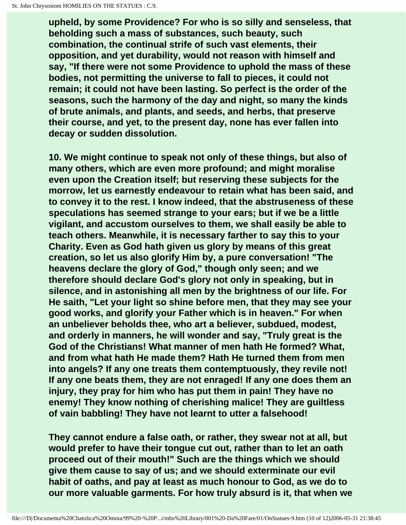**upheld, by some Providence? For who is so silly and senseless, that beholding such a mass of substances, such beauty, such combination, the continual strife of such vast elements, their opposition, and yet durability, would not reason with himself and say, "If there were not some Providence to uphold the mass of these bodies, not permitting the universe to fall to pieces, it could not remain; it could not have been lasting. So perfect is the order of the seasons, such the harmony of the day and night, so many the kinds of brute animals, and plants, and seeds, and herbs, that preserve their course, and yet, to the present day, none has ever fallen into decay or sudden dissolution.** 

**10. We might continue to speak not only of these things, but also of many others, which are even more profound; and might moralise even upon the Creation itself; but reserving these subjects for the morrow, let us earnestly endeavour to retain what has been said, and to convey it to the rest. I know indeed, that the abstruseness of these speculations has seemed strange to your ears; but if we be a little vigilant, and accustom ourselves to them, we shall easily be able to teach others. Meanwhile, it is necessary farther to say this to your Charity. Even as God hath given us glory by means of this great creation, so let us also glorify Him by, a pure conversation! "The heavens declare the glory of God," though only seen; and we therefore should declare God's glory not only in speaking, but in silence, and in astonishing all men by the brightness of our life. For He saith, "Let your light so shine before men, that they may see your good works, and glorify your Father which is in heaven." For when an unbeliever beholds thee, who art a believer, subdued, modest, and orderly in manners, he will wonder and say, "Truly great is the God of the Christians! What manner of men hath He formed? What, and from what hath He made them? Hath He turned them from men into angels? If any one treats them contemptuously, they revile not! If any one beats them, they are not enraged! If any one does them an injury, they pray for him who has put them in pain! They have no enemy! They know nothing of cherishing malice! They are guiltless of vain babbling! They have not learnt to utter a falsehood!** 

**They cannot endure a false oath, or rather, they swear not at all, but would prefer to have their tongue cut out, rather than to let an oath proceed out of their mouth!" Such are the things which we should give them cause to say of us; and we should exterminate our evil habit of oaths, and pay at least as much honour to God, as we do to our more valuable garments. For how truly absurd is it, that when we**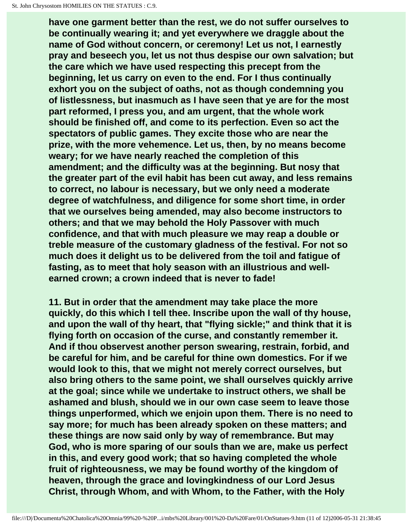**have one garment better than the rest, we do not suffer ourselves to be continually wearing it; and yet everywhere we draggle about the name of God without concern, or ceremony! Let us not, I earnestly pray and beseech you, let us not thus despise our own salvation; but the care which we have used respecting this precept from the beginning, let us carry on even to the end. For I thus continually exhort you on the subject of oaths, not as though condemning you of listlessness, but inasmuch as I have seen that ye are for the most part reformed, I press you, and am urgent, that the whole work should be finished off, and come to its perfection. Even so act the spectators of public games. They excite those who are near the prize, with the more vehemence. Let us, then, by no means become weary; for we have nearly reached the completion of this amendment; and the difficulty was at the beginning. But nosy that the greater part of the evil habit has been cut away, and less remains to correct, no labour is necessary, but we only need a moderate degree of watchfulness, and diligence for some short time, in order that we ourselves being amended, may also become instructors to others; and that we may behold the Holy Passover with much confidence, and that with much pleasure we may reap a double or treble measure of the customary gladness of the festival. For not so much does it delight us to be delivered from the toil and fatigue of fasting, as to meet that holy season with an illustrious and wellearned crown; a crown indeed that is never to fade!** 

**11. But in order that the amendment may take place the more quickly, do this which I tell thee. Inscribe upon the wall of thy house, and upon the wall of thy heart, that "flying sickle;" and think that it is flying forth on occasion of the curse, and constantly remember it. And if thou observest another person swearing, restrain, forbid, and be careful for him, and be careful for thine own domestics. For if we would look to this, that we might not merely correct ourselves, but also bring others to the same point, we shall ourselves quickly arrive at the goal; since while we undertake to instruct others, we shall be ashamed and blush, should we in our own case seem to leave those things unperformed, which we enjoin upon them. There is no need to say more; for much has been already spoken on these matters; and these things are now said only by way of remembrance. But may God, who is more sparing of our souls than we are, make us perfect in this, and every good work; that so having completed the whole fruit of righteousness, we may be found worthy of the kingdom of heaven, through the grace and lovingkindness of our Lord Jesus Christ, through Whom, and with Whom, to the Father, with the Holy**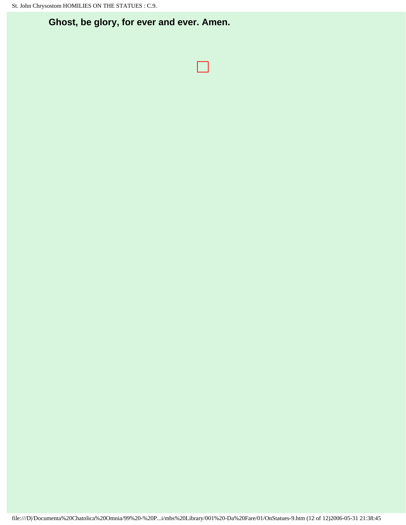# **Ghost, be glory, for ever and ever. Amen.**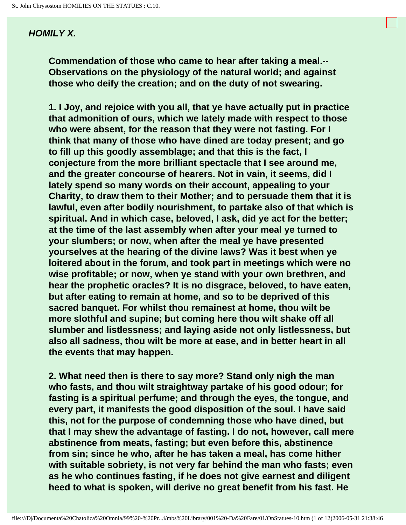## **HOMILY X.**

**Commendation of those who came to hear after taking a meal.-- Observations on the physiology of the natural world; and against those who deify the creation; and on the duty of not swearing.** 

**1. I Joy, and rejoice with you all, that ye have actually put in practice that admonition of ours, which we lately made with respect to those who were absent, for the reason that they were not fasting. For I think that many of those who have dined are today present; and go to fill up this goodly assemblage; and that this is the fact, I conjecture from the more brilliant spectacle that I see around me, and the greater concourse of hearers. Not in vain, it seems, did I lately spend so many words on their account, appealing to your Charity, to draw them to their Mother; and to persuade them that it is lawful, even after bodily nourishment, to partake also of that which is spiritual. And in which case, beloved, I ask, did ye act for the better; at the time of the last assembly when after your meal ye turned to your slumbers; or now, when after the meal ye have presented yourselves at the hearing of the divine laws? Was it best when ye loitered about in the forum, and took part in meetings which were no wise profitable; or now, when ye stand with your own brethren, and hear the prophetic oracles? It is no disgrace, beloved, to have eaten, but after eating to remain at home, and so to be deprived of this sacred banquet. For whilst thou remainest at home, thou wilt be more slothful and supine; but coming here thou wilt shake off all slumber and listlessness; and laying aside not only listlessness, but also all sadness, thou wilt be more at ease, and in better heart in all the events that may happen.** 

**2. What need then is there to say more? Stand only nigh the man who fasts, and thou wilt straightway partake of his good odour; for fasting is a spiritual perfume; and through the eyes, the tongue, and every part, it manifests the good disposition of the soul. I have said this, not for the purpose of condemning those who have dined, but that I may shew the advantage of fasting. I do not, however, call mere abstinence from meats, fasting; but even before this, abstinence from sin; since he who, after he has taken a meal, has come hither with suitable sobriety, is not very far behind the man who fasts; even as he who continues fasting, if he does not give earnest and diligent heed to what is spoken, will derive no great benefit from his fast. He**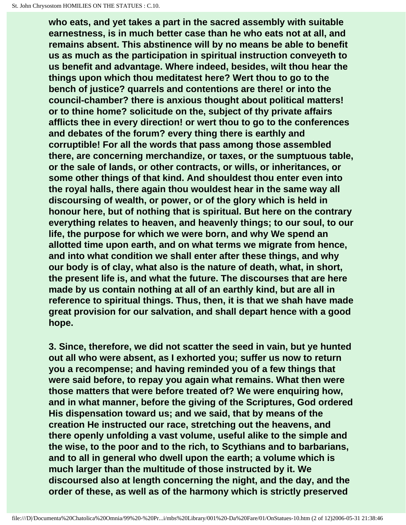**who eats, and yet takes a part in the sacred assembly with suitable earnestness, is in much better case than he who eats not at all, and remains absent. This abstinence will by no means be able to benefit us as much as the participation in spiritual instruction conveyeth to us benefit and advantage. Where indeed, besides, wilt thou hear the things upon which thou meditatest here? Wert thou to go to the bench of justice? quarrels and contentions are there! or into the council-chamber? there is anxious thought about political matters! or to thine home? solicitude on the, subject of thy private affairs afflicts thee in every direction! or wert thou to go to the conferences and debates of the forum? every thing there is earthly and corruptible! For all the words that pass among those assembled there, are concerning merchandize, or taxes, or the sumptuous table, or the sale of lands, or other contracts, or wills, or inheritances, or some other things of that kind. And shouldest thou enter even into the royal halls, there again thou wouldest hear in the same way all discoursing of wealth, or power, or of the glory which is held in honour here, but of nothing that is spiritual. But here on the contrary everything relates to heaven, and heavenly things; to our soul, to our life, the purpose for which we were born, and why We spend an allotted time upon earth, and on what terms we migrate from hence, and into what condition we shall enter after these things, and why our body is of clay, what also is the nature of death, what, in short, the present life is, and what the future. The discourses that are here made by us contain nothing at all of an earthly kind, but are all in reference to spiritual things. Thus, then, it is that we shah have made great provision for our salvation, and shall depart hence with a good hope.** 

**3. Since, therefore, we did not scatter the seed in vain, but ye hunted out all who were absent, as I exhorted you; suffer us now to return you a recompense; and having reminded you of a few things that were said before, to repay you again what remains. What then were those matters that were before treated of? We were enquiring how, and in what manner, before the giving of the Scriptures, God ordered His dispensation toward us; and we said, that by means of the creation He instructed our race, stretching out the heavens, and there openly unfolding a vast volume, useful alike to the simple and the wise, to the poor and to the rich, to Scythians and to barbarians, and to all in general who dwell upon the earth; a volume which is much larger than the multitude of those instructed by it. We discoursed also at length concerning the night, and the day, and the order of these, as well as of the harmony which is strictly preserved**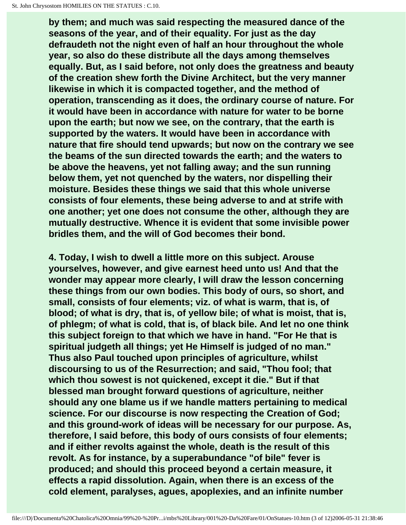**by them; and much was said respecting the measured dance of the seasons of the year, and of their equality. For just as the day defraudeth not the night even of half an hour throughout the whole year, so also do these distribute all the days among themselves equally. But, as I said before, not only does the greatness and beauty of the creation shew forth the Divine Architect, but the very manner likewise in which it is compacted together, and the method of operation, transcending as it does, the ordinary course of nature. For it would have been in accordance with nature for water to be borne upon the earth; but now we see, on the contrary, that the earth is supported by the waters. It would have been in accordance with nature that fire should tend upwards; but now on the contrary we see the beams of the sun directed towards the earth; and the waters to be above the heavens, yet not falling away; and the sun running below them, yet not quenched by the waters, nor dispelling their moisture. Besides these things we said that this whole universe consists of four elements, these being adverse to and at strife with one another; yet one does not consume the other, although they are mutually destructive. Whence it is evident that some invisible power bridles them, and the will of God becomes their bond.** 

**4. Today, I wish to dwell a little more on this subject. Arouse yourselves, however, and give earnest heed unto us! And that the wonder may appear more clearly, I will draw the lesson concerning these things from our own bodies. This body of ours, so short, and small, consists of four elements; viz. of what is warm, that is, of blood; of what is dry, that is, of yellow bile; of what is moist, that is, of phlegm; of what is cold, that is, of black bile. And let no one think this subject foreign to that which we have in hand. "For He that is spiritual judgeth all things; yet He Himself is judged of no man." Thus also Paul touched upon principles of agriculture, whilst discoursing to us of the Resurrection; and said, "Thou fool; that which thou sowest is not quickened, except it die." But if that blessed man brought forward questions of agriculture, neither should any one blame us if we handle matters pertaining to medical science. For our discourse is now respecting the Creation of God; and this ground-work of ideas will be necessary for our purpose. As, therefore, I said before, this body of ours consists of four elements; and if either revolts against the whole, death is the result of this revolt. As for instance, by a superabundance "of bile" fever is produced; and should this proceed beyond a certain measure, it effects a rapid dissolution. Again, when there is an excess of the cold element, paralyses, agues, apoplexies, and an infinite number**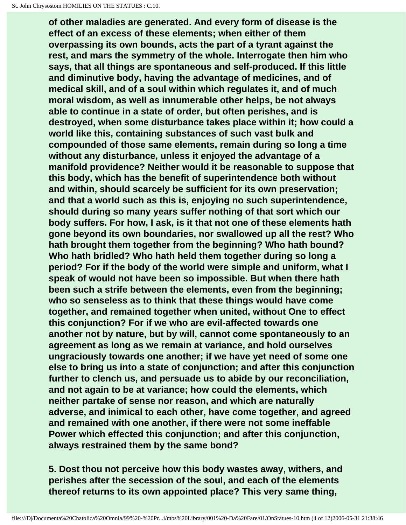**of other maladies are generated. And every form of disease is the effect of an excess of these elements; when either of them overpassing its own bounds, acts the part of a tyrant against the rest, and mars the symmetry of the whole. Interrogate then him who says, that all things are spontaneous and self-produced. If this little and diminutive body, having the advantage of medicines, and of medical skill, and of a soul within which regulates it, and of much moral wisdom, as well as innumerable other helps, be not always able to continue in a state of order, but often perishes, and is destroyed, when some disturbance takes place within it; how could a world like this, containing substances of such vast bulk and compounded of those same elements, remain during so long a time without any disturbance, unless it enjoyed the advantage of a manifold providence? Neither would it be reasonable to suppose that this body, which has the benefit of superintendence both without and within, should scarcely be sufficient for its own preservation; and that a world such as this is, enjoying no such superintendence, should during so many years suffer nothing of that sort which our body suffers. For how, I ask, is it that not one of these elements hath gone beyond its own boundaries, nor swallowed up all the rest? Who hath brought them together from the beginning? Who hath bound? Who hath bridled? Who hath held them together during so long a period? For if the body of the world were simple and uniform, what I speak of would not have been so impossible. But when there hath been such a strife between the elements, even from the beginning; who so senseless as to think that these things would have come together, and remained together when united, without One to effect this conjunction? For if we who are evil-affected towards one another not by nature, but by will, cannot come spontaneously to an agreement as long as we remain at variance, and hold ourselves ungraciously towards one another; if we have yet need of some one else to bring us into a state of conjunction; and after this conjunction further to clench us, and persuade us to abide by our reconciliation, and not again to be at variance; how could the elements, which neither partake of sense nor reason, and which are naturally adverse, and inimical to each other, have come together, and agreed and remained with one another, if there were not some ineffable Power which effected this conjunction; and after this conjunction, always restrained them by the same bond?** 

**5. Dost thou not perceive how this body wastes away, withers, and perishes after the secession of the soul, and each of the elements thereof returns to its own appointed place? This very same thing,**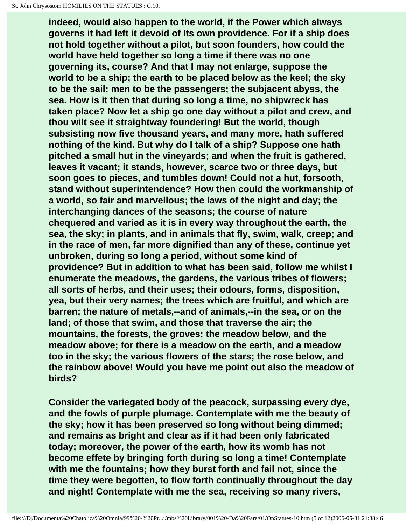**indeed, would also happen to the world, if the Power which always governs it had left it devoid of Its own providence. For if a ship does not hold together without a pilot, but soon founders, how could the world have held together so long a time if there was no one governing its, course? And that I may not enlarge, suppose the world to be a ship; the earth to be placed below as the keel; the sky to be the sail; men to be the passengers; the subjacent abyss, the sea. How is it then that during so long a time, no shipwreck has taken place? Now let a ship go one day without a pilot and crew, and thou wilt see it straightway foundering! But the world, though subsisting now five thousand years, and many more, hath suffered nothing of the kind. But why do I talk of a ship? Suppose one hath pitched a small hut in the vineyards; and when the fruit is gathered, leaves it vacant; it stands, however, scarce two or three days, but soon goes to pieces, and tumbles down! Could not a hut, forsooth, stand without superintendence? How then could the workmanship of a world, so fair and marvellous; the laws of the night and day; the interchanging dances of the seasons; the course of nature chequered and varied as it is in every way throughout the earth, the sea, the sky; in plants, and in animals that fly, swim, walk, creep; and in the race of men, far more dignified than any of these, continue yet unbroken, during so long a period, without some kind of providence? But in addition to what has been said, follow me whilst I enumerate the meadows, the gardens, the various tribes of flowers; all sorts of herbs, and their uses; their odours, forms, disposition, yea, but their very names; the trees which are fruitful, and which are barren; the nature of metals,--and of animals,--in the sea, or on the land; of those that swim, and those that traverse the air; the mountains, the forests, the groves; the meadow below, and the meadow above; for there is a meadow on the earth, and a meadow too in the sky; the various flowers of the stars; the rose below, and the rainbow above! Would you have me point out also the meadow of birds?** 

**Consider the variegated body of the peacock, surpassing every dye, and the fowls of purple plumage. Contemplate with me the beauty of the sky; how it has been preserved so long without being dimmed; and remains as bright and clear as if it had been only fabricated today; moreover, the power of the earth, how its womb has not become effete by bringing forth during so long a time! Contemplate with me the fountains; how they burst forth and fail not, since the time they were begotten, to flow forth continually throughout the day and night! Contemplate with me the sea, receiving so many rivers,**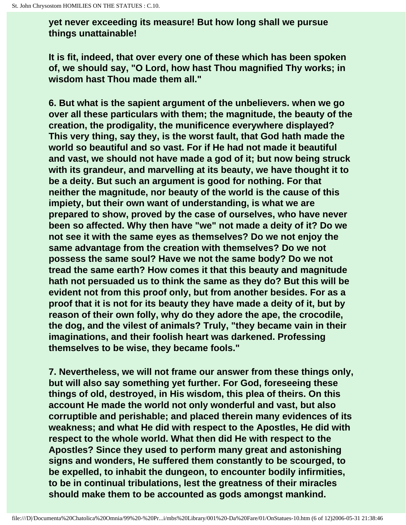**yet never exceeding its measure! But how long shall we pursue things unattainable!** 

**It is fit, indeed, that over every one of these which has been spoken of, we should say, "O Lord, how hast Thou magnified Thy works; in wisdom hast Thou made them all."** 

**6. But what is the sapient argument of the unbelievers. when we go over all these particulars with them; the magnitude, the beauty of the creation, the prodigality, the munificence everywhere displayed? This very thing, say they, is the worst fault, that God hath made the world so beautiful and so vast. For if He had not made it beautiful and vast, we should not have made a god of it; but now being struck with its grandeur, and marvelling at its beauty, we have thought it to be a deity. But such an argument is good for nothing. For that neither the magnitude, nor beauty of the world is the cause of this impiety, but their own want of understanding, is what we are prepared to show, proved by the case of ourselves, who have never been so affected. Why then have "we" not made a deity of it? Do we not see it with the same eyes as themselves? Do we not enjoy the same advantage from the creation with themselves? Do we not possess the same soul? Have we not the same body? Do we not tread the same earth? How comes it that this beauty and magnitude hath not persuaded us to think the same as they do? But this will be evident not from this proof only, but from another besides. For as a proof that it is not for its beauty they have made a deity of it, but by reason of their own folly, why do they adore the ape, the crocodile, the dog, and the vilest of animals? Truly, "they became vain in their imaginations, and their foolish heart was darkened. Professing themselves to be wise, they became fools."** 

**7. Nevertheless, we will not frame our answer from these things only, but will also say something yet further. For God, foreseeing these things of old, destroyed, in His wisdom, this plea of theirs. On this account He made the world not only wonderful and vast, but also corruptible and perishable; and placed therein many evidences of its weakness; and what He did with respect to the Apostles, He did with respect to the whole world. What then did He with respect to the Apostles? Since they used to perform many great and astonishing signs and wonders, He suffered them constantly to be scourged, to be expelled, to inhabit the dungeon, to encounter bodily infirmities, to be in continual tribulations, lest the greatness of their miracles should make them to be accounted as gods amongst mankind.**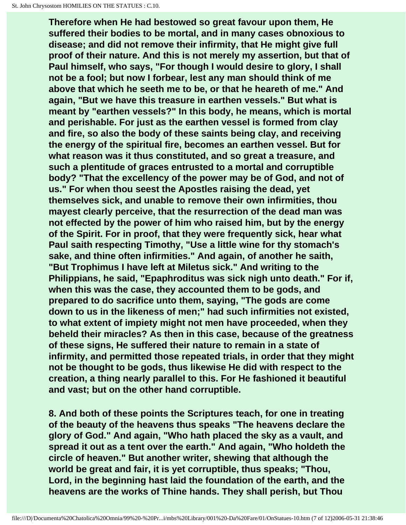**Therefore when He had bestowed so great favour upon them, He suffered their bodies to be mortal, and in many cases obnoxious to disease; and did not remove their infirmity, that He might give full proof of their nature. And this is not merely my assertion, but that of Paul himself, who says, "For though I would desire to glory, I shall not be a fool; but now I forbear, lest any man should think of me above that which he seeth me to be, or that he heareth of me." And again, "But we have this treasure in earthen vessels." But what is meant by "earthen vessels?" In this body, he means, which is mortal and perishable. For just as the earthen vessel is formed from clay and fire, so also the body of these saints being clay, and receiving the energy of the spiritual fire, becomes an earthen vessel. But for what reason was it thus constituted, and so great a treasure, and such a plentitude of graces entrusted to a mortal and corruptible body? "That the excellency of the power may be of God, and not of us." For when thou seest the Apostles raising the dead, yet themselves sick, and unable to remove their own infirmities, thou mayest clearly perceive, that the resurrection of the dead man was not effected by the power of him who raised him, but by the energy of the Spirit. For in proof, that they were frequently sick, hear what Paul saith respecting Timothy, "Use a little wine for thy stomach's sake, and thine often infirmities." And again, of another he saith, "But Trophimus I have left at Miletus sick." And writing to the Philippians, he said, "Epaphroditus was sick nigh unto death." For if, when this was the case, they accounted them to be gods, and prepared to do sacrifice unto them, saying, "The gods are come down to us in the likeness of men;" had such infirmities not existed, to what extent of impiety might not men have proceeded, when they beheld their miracles? As then in this case, because of the greatness of these signs, He suffered their nature to remain in a state of infirmity, and permitted those repeated trials, in order that they might not be thought to be gods, thus likewise He did with respect to the creation, a thing nearly parallel to this. For He fashioned it beautiful and vast; but on the other hand corruptible.** 

**8. And both of these points the Scriptures teach, for one in treating of the beauty of the heavens thus speaks "The heavens declare the glory of God." And again, "Who hath placed the sky as a vault, and spread it out as a tent over the earth." And again, "Who holdeth the circle of heaven." But another writer, shewing that although the world be great and fair, it is yet corruptible, thus speaks; "Thou, Lord, in the beginning hast laid the foundation of the earth, and the heavens are the works of Thine hands. They shall perish, but Thou**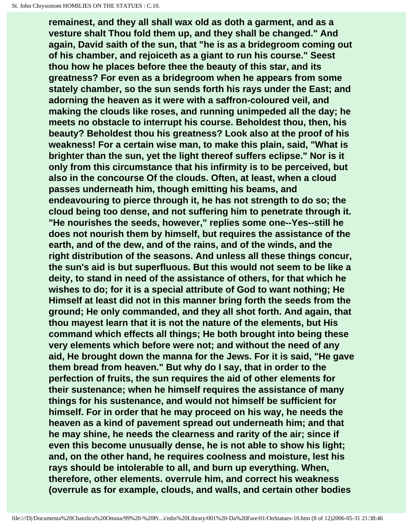**remainest, and they all shall wax old as doth a garment, and as a vesture shalt Thou fold them up, and they shall be changed." And again, David saith of the sun, that "he is as a bridegroom coming out of his chamber, and rejoiceth as a giant to run his course." Seest thou how he places before thee the beauty of this star, and its greatness? For even as a bridegroom when he appears from some stately chamber, so the sun sends forth his rays under the East; and adorning the heaven as it were with a saffron-coloured veil, and making the clouds like roses, and running unimpeded all the day; he meets no obstacle to interrupt his course. Beholdest thou, then, his beauty? Beholdest thou his greatness? Look also at the proof of his weakness! For a certain wise man, to make this plain, said, "What is brighter than the sun, yet the light thereof suffers eclipse." Nor is it only from this circumstance that his infirmity is to be perceived, but also in the concourse Of the clouds. Often, at least, when a cloud passes underneath him, though emitting his beams, and endeavouring to pierce through it, he has not strength to do so; the cloud being too dense, and not suffering him to penetrate through it. "He nourishes the seeds, however," replies some one--Yes--still he does not nourish them by himself, but requires the assistance of the earth, and of the dew, and of the rains, and of the winds, and the right distribution of the seasons. And unless all these things concur, the sun's aid is but superfluous. But this would not seem to be like a deity, to stand in need of the assistance of others, for that which he wishes to do; for it is a special attribute of God to want nothing; He Himself at least did not in this manner bring forth the seeds from the ground; He only commanded, and they all shot forth. And again, that thou mayest learn that it is not the nature of the elements, but His command which effects all things; He both brought into being these very elements which before were not; and without the need of any aid, He brought down the manna for the Jews. For it is said, "He gave them bread from heaven." But why do I say, that in order to the perfection of fruits, the sun requires the aid of other elements for their sustenance; when he himself requires the assistance of many things for his sustenance, and would not himself be sufficient for himself. For in order that he may proceed on his way, he needs the heaven as a kind of pavement spread out underneath him; and that he may shine, he needs the clearness and rarity of the air; since if even this become unusually dense, he is not able to show his light; and, on the other hand, he requires coolness and moisture, lest his rays should be intolerable to all, and burn up everything. When, therefore, other elements. overrule him, and correct his weakness (overrule as for example, clouds, and walls, and certain other bodies**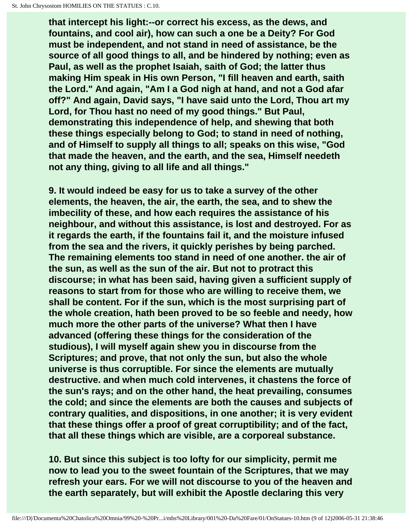**that intercept his light:--or correct his excess, as the dews, and fountains, and cool air), how can such a one be a Deity? For God must be independent, and not stand in need of assistance, be the source of all good things to all, and be hindered by nothing; even as Paul, as well as the prophet Isaiah, saith of God; the latter thus making Him speak in His own Person, "I fill heaven and earth, saith the Lord." And again, "Am I a God nigh at hand, and not a God afar off?" And again, David says, "I have said unto the Lord, Thou art my Lord, for Thou hast no need of my good things." But Paul, demonstrating this independence of help, and shewing that both these things especially belong to God; to stand in need of nothing, and of Himself to supply all things to all; speaks on this wise, "God that made the heaven, and the earth, and the sea, Himself needeth not any thing, giving to all life and all things."** 

**9. It would indeed be easy for us to take a survey of the other elements, the heaven, the air, the earth, the sea, and to shew the imbecility of these, and how each requires the assistance of his neighbour, and without this assistance, is lost and destroyed. For as it regards the earth, if the fountains fail it, and the moisture infused from the sea and the rivers, it quickly perishes by being parched. The remaining elements too stand in need of one another. the air of the sun, as well as the sun of the air. But not to protract this discourse; in what has been said, having given a sufficient supply of reasons to start from for those who are willing to receive them, we shall be content. For if the sun, which is the most surprising part of the whole creation, hath been proved to be so feeble and needy, how much more the other parts of the universe? What then I have advanced (offering these things for the consideration of the studious), I will myself again shew you in discourse from the Scriptures; and prove, that not only the sun, but also the whole universe is thus corruptible. For since the elements are mutually destructive. and when much cold intervenes, it chastens the force of the sun's rays; and on the other hand, the heat prevailing, consumes the cold; and since the elements are both the causes and subjects of contrary qualities, and dispositions, in one another; it is very evident that these things offer a proof of great corruptibility; and of the fact, that all these things which are visible, are a corporeal substance.** 

**10. But since this subject is too lofty for our simplicity, permit me now to lead you to the sweet fountain of the Scriptures, that we may refresh your ears. For we will not discourse to you of the heaven and the earth separately, but will exhibit the Apostle declaring this very**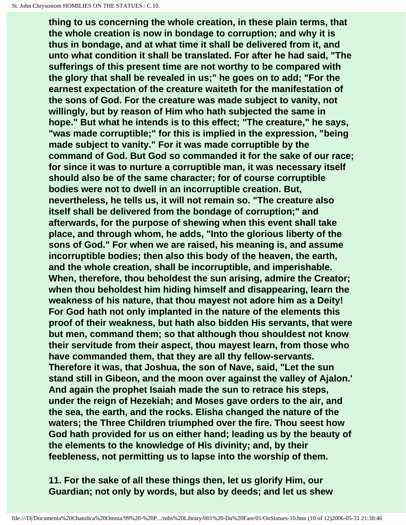**thing to us concerning the whole creation, in these plain terms, that the whole creation is now in bondage to corruption; and why it is thus in bondage, and at what time it shall be delivered from it, and unto what condition it shall be translated. For after he had said, "The sufferings of this present time are not worthy to be compared with the glory that shall be revealed in us;" he goes on to add; "For the earnest expectation of the creature waiteth for the manifestation of the sons of God. For the creature was made subject to vanity, not willingly, but by reason of Him who hath subjected the same in hope." But what he intends is to this effect; "The creature," he says, "was made corruptible;" for this is implied in the expression, "being made subject to vanity." For it was made corruptible by the command of God. But God so commanded it for the sake of our race; for since it was to nurture a corruptible man, it was necessary itself should also be of the same character; for of course corruptible bodies were not to dwell in an incorruptible creation. But, nevertheless, he tells us, it will not remain so. "The creature also itself shall be delivered from the bondage of corruption;" and afterwards, for the purpose of shewing when this event shall take place, and through whom, he adds, "Into the glorious liberty of the sons of God." For when we are raised, his meaning is, and assume incorruptible bodies; then also this body of the heaven, the earth, and the whole creation, shall be incorruptible, and imperishable. When, therefore, thou beholdest the sun arising, admire the Creator; when thou beholdest him hiding himself and disappearing, learn the weakness of his nature, that thou mayest not adore him as a Deity! For God hath not only implanted in the nature of the elements this proof of their weakness, but hath also bidden His servants, that were but men, command them; so that although thou shouldest not know their servitude from their aspect, thou mayest learn, from those who have commanded them, that they are all thy fellow-servants. Therefore it was, that Joshua, the son of Nave, said, "Let the sun stand still in Gibeon, and the moon over against the valley of Ajalon.' And again the prophet Isaiah made the sun to retrace his steps, under the reign of Hezekiah; and Moses gave orders to the air, and the sea, the earth, and the rocks. Elisha changed the nature of the waters; the Three Children triumphed over the fire. Thou seest how God hath provided for us on either hand; leading us by the beauty of the elements to the knowledge of His divinity; and, by their feebleness, not permitting us to lapse into the worship of them.** 

**11. For the sake of all these things then, let us glorify Him, our Guardian; not only by words, but also by deeds; and let us shew**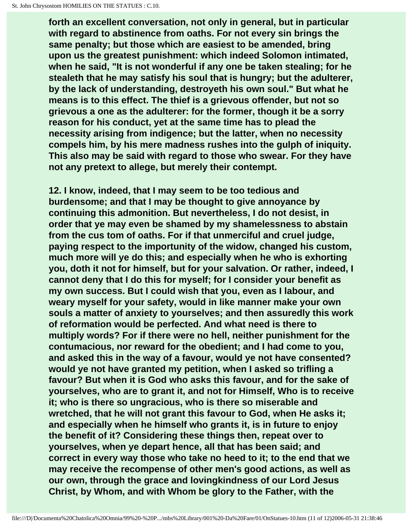**forth an excellent conversation, not only in general, but in particular with regard to abstinence from oaths. For not every sin brings the same penalty; but those which are easiest to be amended, bring upon us the greatest punishment: which indeed Solomon intimated, when he said, "It is not wonderful if any one be taken stealing; for he stealeth that he may satisfy his soul that is hungry; but the adulterer, by the lack of understanding, destroyeth his own soul." But what he means is to this effect. The thief is a grievous offender, but not so grievous a one as the adulterer: for the former, though it be a sorry reason for his conduct, yet at the same time has to plead the necessity arising from indigence; but the latter, when no necessity compels him, by his mere madness rushes into the gulph of iniquity. This also may be said with regard to those who swear. For they have not any pretext to allege, but merely their contempt.** 

**12. I know, indeed, that I may seem to be too tedious and burdensome; and that I may be thought to give annoyance by continuing this admonition. But nevertheless, I do not desist, in order that ye may even be shamed by my shamelessness to abstain from the cus tom of oaths. For if that unmerciful and cruel judge, paying respect to the importunity of the widow, changed his custom, much more will ye do this; and especially when he who is exhorting you, doth it not for himself, but for your salvation. Or rather, indeed, I cannot deny that I do this for myself; for I consider your benefit as my own success. But I could wish that you, even as I labour, and weary myself for your safety, would in like manner make your own souls a matter of anxiety to yourselves; and then assuredly this work of reformation would be perfected. And what need is there to multiply words? For if there were no hell, neither punishment for the contumacious, nor reward for the obedient; and I had come to you, and asked this in the way of a favour, would ye not have consented? would ye not have granted my petition, when I asked so trifling a favour? But when it is God who asks this favour, and for the sake of yourselves, who are to grant it, and not for Himself, Who is to receive it; who is there so ungracious, who is there so miserable and wretched, that he will not grant this favour to God, when He asks it; and especially when he himself who grants it, is in future to enjoy the benefit of it? Considering these things then, repeat over to yourselves, when ye depart hence, all that has been said; and correct in every way those who take no heed to it; to the end that we may receive the recompense of other men's good actions, as well as our own, through the grace and lovingkindness of our Lord Jesus Christ, by Whom, and with Whom be glory to the Father, with the**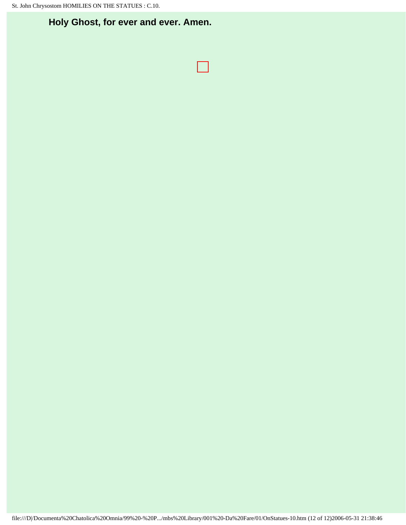# **Holy Ghost, for ever and ever. Amen.**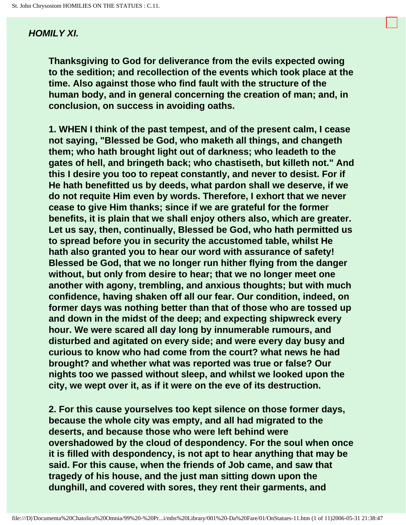# **HOMILY XI.**

**Thanksgiving to God for deliverance from the evils expected owing to the sedition; and recollection of the events which took place at the time. Also against those who find fault with the structure of the human body, and in general concerning the creation of man; and, in conclusion, on success in avoiding oaths.** 

**1. WHEN I think of the past tempest, and of the present calm, I cease not saying, "Blessed be God, who maketh all things, and changeth them; who hath brought light out of darkness; who leadeth to the gates of hell, and bringeth back; who chastiseth, but killeth not." And this I desire you too to repeat constantly, and never to desist. For if He hath benefitted us by deeds, what pardon shall we deserve, if we do not requite Him even by words. Therefore, I exhort that we never cease to give Him thanks; since if we are grateful for the former benefits, it is plain that we shall enjoy others also, which are greater. Let us say, then, continually, Blessed be God, who hath permitted us to spread before you in security the accustomed table, whilst He hath also granted you to hear our word with assurance of safety! Blessed be God, that we no longer run hither flying from the danger without, but only from desire to hear; that we no longer meet one another with agony, trembling, and anxious thoughts; but with much confidence, having shaken off all our fear. Our condition, indeed, on former days was nothing better than that of those who are tossed up and down in the midst of the deep; and expecting shipwreck every hour. We were scared all day long by innumerable rumours, and disturbed and agitated on every side; and were every day busy and curious to know who had come from the court? what news he had brought? and whether what was reported was true or false? Our nights too we passed without sleep, and whilst we looked upon the city, we wept over it, as if it were on the eve of its destruction.** 

**2. For this cause yourselves too kept silence on those former days, because the whole city was empty, and all had migrated to the deserts, and because those who were left behind were overshadowed by the cloud of despondency. For the soul when once it is filled with despondency, is not apt to hear anything that may be said. For this cause, when the friends of Job came, and saw that tragedy of his house, and the just man sitting down upon the dunghill, and covered with sores, they rent their garments, and**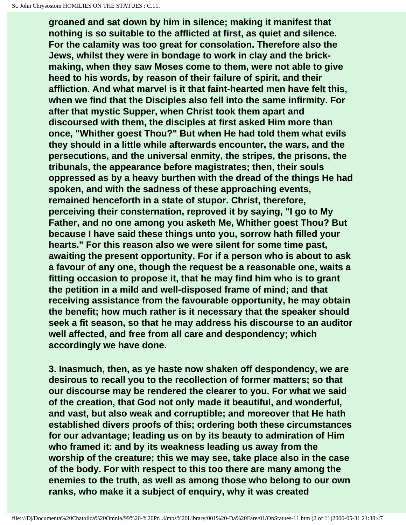**groaned and sat down by him in silence; making it manifest that nothing is so suitable to the afflicted at first, as quiet and silence. For the calamity was too great for consolation. Therefore also the Jews, whilst they were in bondage to work in clay and the brickmaking, when they saw Moses come to them, were not able to give heed to his words, by reason of their failure of spirit, and their affliction. And what marvel is it that faint-hearted men have felt this, when we find that the Disciples also fell into the same infirmity. For after that mystic Supper, when Christ took them apart and discoursed with them, the disciples at first asked Him more than once, "Whither goest Thou?" But when He had told them what evils they should in a little while afterwards encounter, the wars, and the persecutions, and the universal enmity, the stripes, the prisons, the tribunals, the appearance before magistrates; then, their souls oppressed as by a heavy burthen with the dread of the things He had spoken, and with the sadness of these approaching events, remained henceforth in a state of stupor. Christ, therefore, perceiving their consternation, reproved it by saying, "I go to My Father, and no one among you asketh Me, Whither goest Thou? But because I have said these things unto you, sorrow hath filled your hearts." For this reason also we were silent for some time past, awaiting the present opportunity. For if a person who is about to ask a favour of any one, though the request be a reasonable one, waits a fitting occasion to propose it, that he may find him who is to grant the petition in a mild and well-disposed frame of mind; and that receiving assistance from the favourable opportunity, he may obtain the benefit; how much rather is it necessary that the speaker should seek a fit season, so that he may address his discourse to an auditor well affected, and free from all care and despondency; which accordingly we have done.** 

**3. Inasmuch, then, as ye haste now shaken off despondency, we are desirous to recall you to the recollection of former matters; so that our discourse may be rendered the clearer to you. For what we said of the creation, that God not only made it beautiful, and wonderful, and vast, but also weak and corruptible; and moreover that He hath established divers proofs of this; ordering both these circumstances for our advantage; leading us on by its beauty to admiration of Him who framed it: and by its weakness leading us away from the worship of the creature; this we may see, take place also in the case of the body. For with respect to this too there are many among the enemies to the truth, as well as among those who belong to our own ranks, who make it a subject of enquiry, why it was created**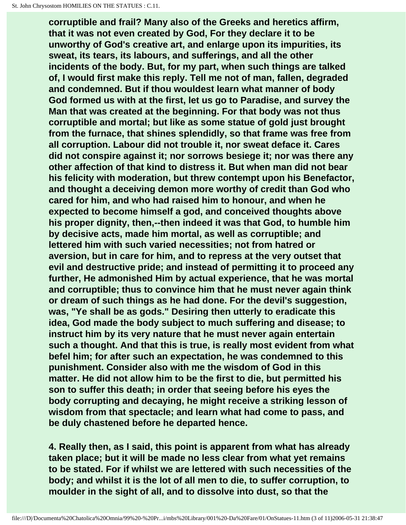**corruptible and frail? Many also of the Greeks and heretics affirm, that it was not even created by God, For they declare it to be unworthy of God's creative art, and enlarge upon its impurities, its sweat, its tears, its labours, and sufferings, and all the other incidents of the body. But, for my part, when such things are talked of, I would first make this reply. Tell me not of man, fallen, degraded and condemned. But if thou wouldest learn what manner of body God formed us with at the first, let us go to Paradise, and survey the Man that was created at the beginning. For that body was not thus corruptible and mortal; but like as some statue of gold just brought from the furnace, that shines splendidly, so that frame was free from all corruption. Labour did not trouble it, nor sweat deface it. Cares did not conspire against it; nor sorrows besiege it; nor was there any other affection of that kind to distress it. But when man did not bear his felicity with moderation, but threw contempt upon his Benefactor, and thought a deceiving demon more worthy of credit than God who cared for him, and who had raised him to honour, and when he expected to become himself a god, and conceived thoughts above his proper dignity, then,--then indeed it was that God, to humble him by decisive acts, made him mortal, as well as corruptible; and lettered him with such varied necessities; not from hatred or aversion, but in care for him, and to repress at the very outset that evil and destructive pride; and instead of permitting it to proceed any further, He admonished Him by actual experience, that he was mortal and corruptible; thus to convince him that he must never again think or dream of such things as he had done. For the devil's suggestion, was, "Ye shall be as gods." Desiring then utterly to eradicate this idea, God made the body subject to much suffering and disease; to instruct him by its very nature that he must never again entertain such a thought. And that this is true, is really most evident from what befel him; for after such an expectation, he was condemned to this punishment. Consider also with me the wisdom of God in this matter. He did not allow him to be the first to die, but permitted his son to suffer this death; in order that seeing before his eyes the body corrupting and decaying, he might receive a striking lesson of wisdom from that spectacle; and learn what had come to pass, and be duly chastened before he departed hence.** 

**4. Really then, as I said, this point is apparent from what has already taken place; but it will be made no less clear from what yet remains to be stated. For if whilst we are lettered with such necessities of the body; and whilst it is the lot of all men to die, to suffer corruption, to moulder in the sight of all, and to dissolve into dust, so that the**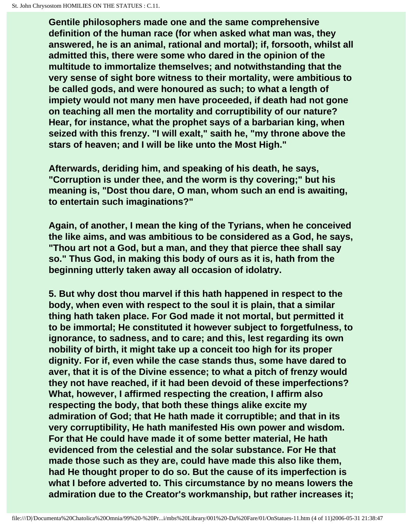**Gentile philosophers made one and the same comprehensive definition of the human race (for when asked what man was, they answered, he is an animal, rational and mortal); if, forsooth, whilst all admitted this, there were some who dared in the opinion of the multitude to immortalize themselves; and notwithstanding that the very sense of sight bore witness to their mortality, were ambitious to be called gods, and were honoured as such; to what a length of impiety would not many men have proceeded, if death had not gone on teaching all men the mortality and corruptibility of our nature? Hear, for instance, what the prophet says of a barbarian king, when seized with this frenzy. "I will exalt," saith he, "my throne above the stars of heaven; and I will be like unto the Most High."** 

**Afterwards, deriding him, and speaking of his death, he says, "Corruption is under thee, and the worm is thy covering;" but his meaning is, "Dost thou dare, O man, whom such an end is awaiting, to entertain such imaginations?"** 

**Again, of another, I mean the king of the Tyrians, when he conceived the like aims, and was ambitious to be considered as a God, he says, "Thou art not a God, but a man, and they that pierce thee shall say so." Thus God, in making this body of ours as it is, hath from the beginning utterly taken away all occasion of idolatry.** 

**5. But why dost thou marvel if this hath happened in respect to the body, when even with respect to the soul it is plain, that a similar thing hath taken place. For God made it not mortal, but permitted it to be immortal; He constituted it however subject to forgetfulness, to ignorance, to sadness, and to care; and this, lest regarding its own nobility of birth, it might take up a conceit too high for its proper dignity. For if, even while the case stands thus, some have dared to aver, that it is of the Divine essence; to what a pitch of frenzy would they not have reached, if it had been devoid of these imperfections? What, however, I affirmed respecting the creation, I affirm also respecting the body, that both these things alike excite my admiration of God; that He hath made it corruptible; and that in its very corruptibility, He hath manifested His own power and wisdom. For that He could have made it of some better material, He hath evidenced from the celestial and the solar substance. For He that made those such as they are, could have made this also like them, had He thought proper to do so. But the cause of its imperfection is what I before adverted to. This circumstance by no means lowers the admiration due to the Creator's workmanship, but rather increases it;**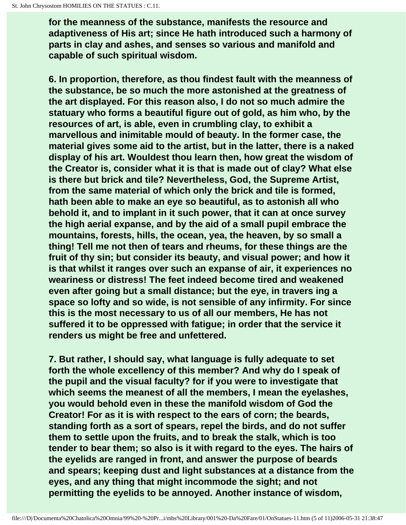**for the meanness of the substance, manifests the resource and adaptiveness of His art; since He hath introduced such a harmony of parts in clay and ashes, and senses so various and manifold and capable of such spiritual wisdom.** 

**6. In proportion, therefore, as thou findest fault with the meanness of the substance, be so much the more astonished at the greatness of the art displayed. For this reason also, I do not so much admire the statuary who forms a beautiful figure out of gold, as him who, by the resources of art, is able, even in crumbling clay, to exhibit a marvellous and inimitable mould of beauty. In the former case, the material gives some aid to the artist, but in the latter, there is a naked display of his art. Wouldest thou learn then, how great the wisdom of the Creator is, consider what it is that is made out of clay? What else is there but brick and tile? Nevertheless, God, the Supreme Artist, from the same material of which only the brick and tile is formed, hath been able to make an eye so beautiful, as to astonish all who behold it, and to implant in it such power, that it can at once survey the high aerial expanse, and by the aid of a small pupil embrace the mountains, forests, hills, the ocean, yea, the heaven, by so small a thing! Tell me not then of tears and rheums, for these things are the fruit of thy sin; but consider its beauty, and visual power; and how it is that whilst it ranges over such an expanse of air, it experiences no weariness or distress! The feet indeed become tired and weakened even after going but a small distance; but the eye, in travers ing a space so lofty and so wide, is not sensible of any infirmity. For since this is the most necessary to us of all our members, He has not suffered it to be oppressed with fatigue; in order that the service it renders us might be free and unfettered.** 

**7. But rather, I should say, what language is fully adequate to set forth the whole excellency of this member? And why do I speak of the pupil and the visual faculty? for if you were to investigate that which seems the meanest of all the members, I mean the eyelashes, you would behold even in these the manifold wisdom of God the Creator! For as it is with respect to the ears of corn; the beards, standing forth as a sort of spears, repel the birds, and do not suffer them to settle upon the fruits, and to break the stalk, which is too tender to bear them; so also is it with regard to the eyes. The hairs of the eyelids are ranged in front, and answer the purpose of beards and spears; keeping dust and light substances at a distance from the eyes, and any thing that might incommode the sight; and not permitting the eyelids to be annoyed. Another instance of wisdom,**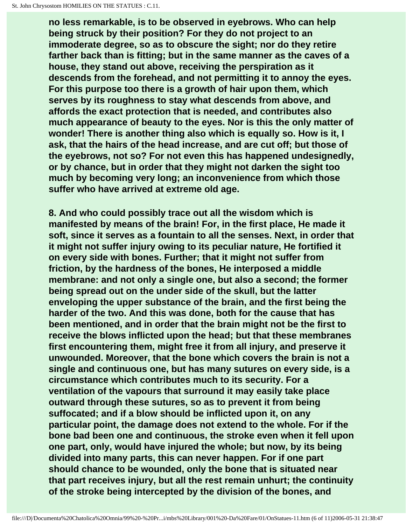**no less remarkable, is to be observed in eyebrows. Who can help being struck by their position? For they do not project to an immoderate degree, so as to obscure the sight; nor do they retire farther back than is fitting; but in the same manner as the caves of a house, they stand out above, receiving the perspiration as it descends from the forehead, and not permitting it to annoy the eyes. For this purpose too there is a growth of hair upon them, which serves by its roughness to stay what descends from above, and affords the exact protection that is needed, and contributes also much appearance of beauty to the eyes. Nor is this the only matter of wonder! There is another thing also which is equally so. How is it, I ask, that the hairs of the head increase, and are cut off; but those of the eyebrows, not so? For not even this has happened undesignedly, or by chance, but in order that they might not darken the sight too much by becoming very long; an inconvenience from which those suffer who have arrived at extreme old age.** 

**8. And who could possibly trace out all the wisdom which is manifested by means of the brain! For, in the first place, He made it soft, since it serves as a fountain to all the senses. Next, in order that it might not suffer injury owing to its peculiar nature, He fortified it on every side with bones. Further; that it might not suffer from friction, by the hardness of the bones, He interposed a middle membrane: and not only a single one, but also a second; the former being spread out on the under side of the skull, but the latter enveloping the upper substance of the brain, and the first being the harder of the two. And this was done, both for the cause that has been mentioned, and in order that the brain might not be the first to receive the blows inflicted upon the head; but that these membranes first encountering them, might free it from all injury, and preserve it unwounded. Moreover, that the bone which covers the brain is not a single and continuous one, but has many sutures on every side, is a circumstance which contributes much to its security. For a ventilation of the vapours that surround it may easily take place outward through these sutures, so as to prevent it from being suffocated; and if a blow should be inflicted upon it, on any particular point, the damage does not extend to the whole. For if the bone bad been one and continuous, the stroke even when it fell upon one part, only, would have injured the whole; but now, by its being divided into many parts, this can never happen. For if one part should chance to be wounded, only the bone that is situated near that part receives injury, but all the rest remain unhurt; the continuity of the stroke being intercepted by the division of the bones, and**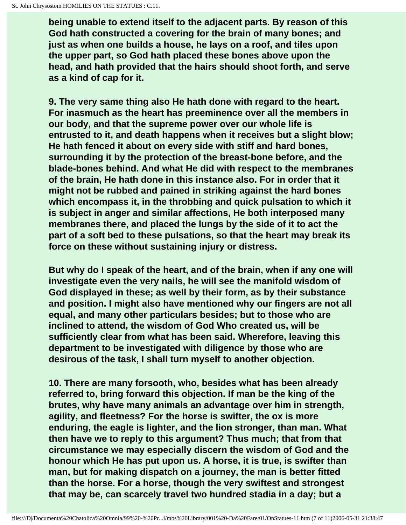**being unable to extend itself to the adjacent parts. By reason of this God hath constructed a covering for the brain of many bones; and just as when one builds a house, he lays on a roof, and tiles upon the upper part, so God hath placed these bones above upon the head, and hath provided that the hairs should shoot forth, and serve as a kind of cap for it.** 

**9. The very same thing also He hath done with regard to the heart. For inasmuch as the heart has preeminence over all the members in our body, and that the supreme power over our whole life is entrusted to it, and death happens when it receives but a slight blow; He hath fenced it about on every side with stiff and hard bones, surrounding it by the protection of the breast-bone before, and the blade-bones behind. And what He did with respect to the membranes of the brain, He hath done in this instance also. For in order that it might not be rubbed and pained in striking against the hard bones which encompass it, in the throbbing and quick pulsation to which it is subject in anger and similar affections, He both interposed many membranes there, and placed the lungs by the side of it to act the part of a soft bed to these pulsations, so that the heart may break its force on these without sustaining injury or distress.** 

**But why do I speak of the heart, and of the brain, when if any one will investigate even the very nails, he will see the manifold wisdom of God displayed in these; as well by their form, as by their substance and position. I might also have mentioned why our fingers are not all equal, and many other particulars besides; but to those who are inclined to attend, the wisdom of God Who created us, will be sufficiently clear from what has been said. Wherefore, leaving this department to be investigated with diligence by those who are desirous of the task, I shall turn myself to another objection.** 

**10. There are many forsooth, who, besides what has been already referred to, bring forward this objection. If man be the king of the brutes, why have many animals an advantage over him in strength, agility, and fleetness? For the horse is swifter, the ox is more enduring, the eagle is lighter, and the lion stronger, than man. What then have we to reply to this argument? Thus much; that from that circumstance we may especially discern the wisdom of God and the honour which He has put upon us. A horse, it is true, is swifter than man, but for making dispatch on a journey, the man is better fitted than the horse. For a horse, though the very swiftest and strongest that may be, can scarcely travel two hundred stadia in a day; but a**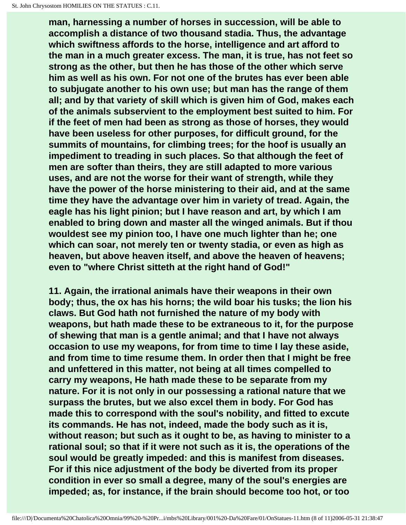**man, harnessing a number of horses in succession, will be able to accomplish a distance of two thousand stadia. Thus, the advantage which swiftness affords to the horse, intelligence and art afford to the man in a much greater excess. The man, it is true, has not feet so strong as the other, but then he has those of the other which serve him as well as his own. For not one of the brutes has ever been able to subjugate another to his own use; but man has the range of them all; and by that variety of skill which is given him of God, makes each of the animals subservient to the employment best suited to him. For if the feet of men had been as strong as those of horses, they would have been useless for other purposes, for difficult ground, for the summits of mountains, for climbing trees; for the hoof is usually an impediment to treading in such places. So that although the feet of men are softer than theirs, they are still adapted to more various uses, and are not the worse for their want of strength, while they have the power of the horse ministering to their aid, and at the same time they have the advantage over him in variety of tread. Again, the eagle has his light pinion; but I have reason and art, by which I am enabled to bring down and master all the winged animals. But if thou wouldest see my pinion too, I have one much lighter than he; one which can soar, not merely ten or twenty stadia, or even as high as heaven, but above heaven itself, and above the heaven of heavens; even to "where Christ sitteth at the right hand of God!"** 

**11. Again, the irrational animals have their weapons in their own body; thus, the ox has his horns; the wild boar his tusks; the lion his claws. But God hath not furnished the nature of my body with weapons, but hath made these to be extraneous to it, for the purpose of shewing that man is a gentle animal; and that I have not always occasion to use my weapons, for from time to time I lay these aside, and from time to time resume them. In order then that I might be free and unfettered in this matter, not being at all times compelled to carry my weapons, He hath made these to be separate from my nature. For it is not only in our possessing a rational nature that we surpass the brutes, but we also excel them in body. For God has made this to correspond with the soul's nobility, and fitted to excute its commands. He has not, indeed, made the body such as it is, without reason; but such as it ought to be, as having to minister to a rational soul; so that if it were not such as it is, the operations of the soul would be greatly impeded: and this is manifest from diseases. For if this nice adjustment of the body be diverted from its proper condition in ever so small a degree, many of the soul's energies are impeded; as, for instance, if the brain should become too hot, or too**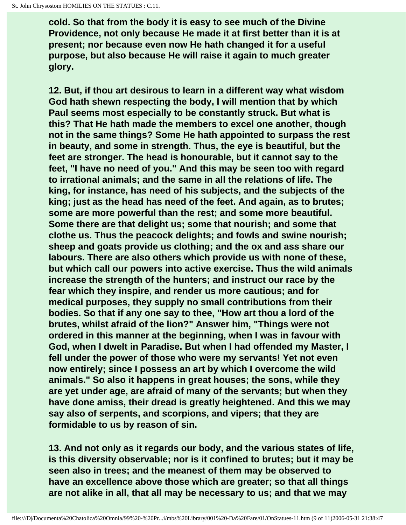**cold. So that from the body it is easy to see much of the Divine Providence, not only because He made it at first better than it is at present; nor because even now He hath changed it for a useful purpose, but also because He will raise it again to much greater glory.** 

**12. But, if thou art desirous to learn in a different way what wisdom God hath shewn respecting the body, I will mention that by which Paul seems most especially to be constantly struck. But what is this? That He hath made the members to excel one another, though not in the same things? Some He hath appointed to surpass the rest in beauty, and some in strength. Thus, the eye is beautiful, but the feet are stronger. The head is honourable, but it cannot say to the feet, "I have no need of you." And this may be seen too with regard to irrational animals; and the same in all the relations of life. The king, for instance, has need of his subjects, and the subjects of the king; just as the head has need of the feet. And again, as to brutes; some are more powerful than the rest; and some more beautiful. Some there are that delight us; some that nourish; and some that clothe us. Thus the peacock delights; and fowls and swine nourish; sheep and goats provide us clothing; and the ox and ass share our labours. There are also others which provide us with none of these, but which call our powers into active exercise. Thus the wild animals increase the strength of the hunters; and instruct our race by the fear which they inspire, and render us more cautious; and for medical purposes, they supply no small contributions from their bodies. So that if any one say to thee, "How art thou a lord of the brutes, whilst afraid of the lion?" Answer him, "Things were not ordered in this manner at the beginning, when I was in favour with God, when I dwelt in Paradise. But when I had offended my Master, I fell under the power of those who were my servants! Yet not even now entirely; since I possess an art by which I overcome the wild animals." So also it happens in great houses; the sons, while they are yet under age, are afraid of many of the servants; but when they have done amiss, their dread is greatly heightened. And this we may say also of serpents, and scorpions, and vipers; that they are formidable to us by reason of sin.** 

**13. And not only as it regards our body, and the various states of life, is this diversity observable; nor is it confined to brutes; but it may be seen also in trees; and the meanest of them may be observed to have an excellence above those which are greater; so that all things are not alike in all, that all may be necessary to us; and that we may**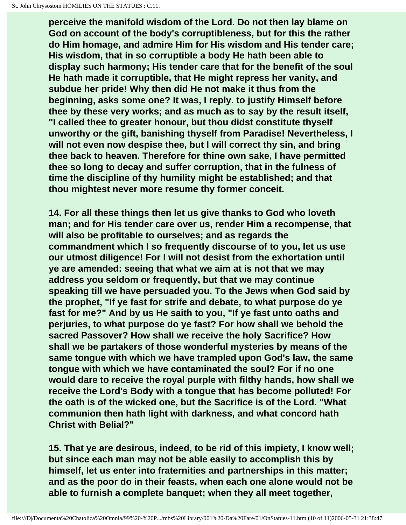**perceive the manifold wisdom of the Lord. Do not then lay blame on God on account of the body's corruptibleness, but for this the rather do Him homage, and admire Him for His wisdom and His tender care; His wisdom, that in so corruptible a body He hath been able to display such harmony; His tender care that for the benefit of the soul He hath made it corruptible, that He might repress her vanity, and subdue her pride! Why then did He not make it thus from the beginning, asks some one? It was, I reply. to justify Himself before thee by these very works; and as much as to say by the result itself, "I called thee to greater honour, but thou didst constitute thyself unworthy or the gift, banishing thyself from Paradise! Nevertheless, I will not even now despise thee, but I will correct thy sin, and bring thee back to heaven. Therefore for thine own sake, I have permitted thee so long to decay and suffer corruption, that in the fulness of time the discipline of thy humility might be established; and that thou mightest never more resume thy former conceit.** 

**14. For all these things then let us give thanks to God who loveth man; and for His tender care over us, render Him a recompense, that will also be profitable to ourselves; and as regards the commandment which I so frequently discourse of to you, let us use our utmost diligence! For I will not desist from the exhortation until ye are amended: seeing that what we aim at is not that we may address you seldom or frequently, but that we may continue speaking till we have persuaded you. To the Jews when God said by the prophet, "If ye fast for strife and debate, to what purpose do ye fast for me?" And by us He saith to you, "If ye fast unto oaths and perjuries, to what purpose do ye fast? For how shall we behold the sacred Passover? How shall we receive the holy Sacrifice? How shall we be partakers of those wonderful mysteries by means of the same tongue with which we have trampled upon God's law, the same tongue with which we have contaminated the soul? For if no one would dare to receive the royal purple with filthy hands, how shall we receive the Lord's Body with a tongue that has become polluted! For the oath is of the wicked one, but the Sacrifice is of the Lord. "What communion then hath light with darkness, and what concord hath Christ with Belial?"** 

**15. That ye are desirous, indeed, to be rid of this impiety, I know well; but since each man may not be able easily to accomplish this by himself, let us enter into fraternities and partnerships in this matter; and as the poor do in their feasts, when each one alone would not be able to furnish a complete banquet; when they all meet together,**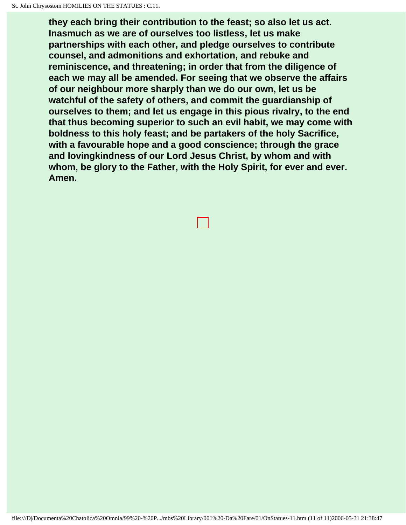**they each bring their contribution to the feast; so also let us act. Inasmuch as we are of ourselves too listless, let us make partnerships with each other, and pledge ourselves to contribute counsel, and admonitions and exhortation, and rebuke and reminiscence, and threatening; in order that from the diligence of each we may all be amended. For seeing that we observe the affairs of our neighbour more sharply than we do our own, let us be watchful of the safety of others, and commit the guardianship of ourselves to them; and let us engage in this pious rivalry, to the end that thus becoming superior to such an evil habit, we may come with boldness to this holy feast; and be partakers of the holy Sacrifice, with a favourable hope and a good conscience; through the grace and lovingkindness of our Lord Jesus Christ, by whom and with whom, be glory to the Father, with the Holy Spirit, for ever and ever. Amen.**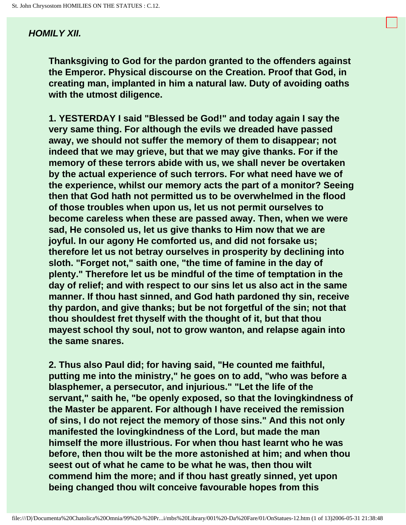### **HOMILY XII.**

**Thanksgiving to God for the pardon granted to the offenders against the Emperor. Physical discourse on the Creation. Proof that God, in creating man, implanted in him a natural law. Duty of avoiding oaths with the utmost diligence.** 

**1. YESTERDAY I said "Blessed be God!" and today again I say the very same thing. For although the evils we dreaded have passed away, we should not suffer the memory of them to disappear; not indeed that we may grieve, but that we may give thanks. For if the memory of these terrors abide with us, we shall never be overtaken by the actual experience of such terrors. For what need have we of the experience, whilst our memory acts the part of a monitor? Seeing then that God hath not permitted us to be overwhelmed in the flood of those troubles when upon us, let us not permit ourselves to become careless when these are passed away. Then, when we were sad, He consoled us, let us give thanks to Him now that we are joyful. In our agony He comforted us, and did not forsake us; therefore let us not betray ourselves in prosperity by declining into sloth. "Forget not," saith one, "the time of famine in the day of plenty." Therefore let us be mindful of the time of temptation in the day of relief; and with respect to our sins let us also act in the same manner. If thou hast sinned, and God hath pardoned thy sin, receive thy pardon, and give thanks; but be not forgetful of the sin; not that thou shouldest fret thyself with the thought of it, but that thou mayest school thy soul, not to grow wanton, and relapse again into the same snares.** 

**2. Thus also Paul did; for having said, "He counted me faithful, putting me into the ministry," he goes on to add, "who was before a blasphemer, a persecutor, and injurious." "Let the life of the servant," saith he, "be openly exposed, so that the lovingkindness of the Master be apparent. For although I have received the remission of sins, I do not reject the memory of those sins." And this not only manifested the lovingkindness of the Lord, but made the man himself the more illustrious. For when thou hast learnt who he was before, then thou wilt be the more astonished at him; and when thou seest out of what he came to be what he was, then thou wilt commend him the more; and if thou hast greatly sinned, yet upon being changed thou wilt conceive favourable hopes from this**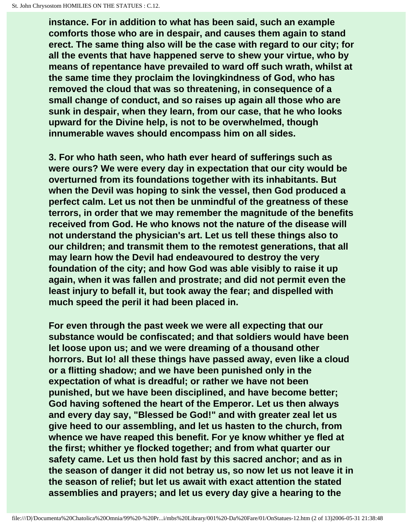**instance. For in addition to what has been said, such an example comforts those who are in despair, and causes them again to stand erect. The same thing also will be the case with regard to our city; for all the events that have happened serve to shew your virtue, who by means of repentance have prevailed to ward off such wrath, whilst at the same time they proclaim the lovingkindness of God, who has removed the cloud that was so threatening, in consequence of a small change of conduct, and so raises up again all those who are sunk in despair, when they learn, from our case, that he who looks upward for the Divine help, is not to be overwhelmed, though innumerable waves should encompass him on all sides.** 

**3. For who hath seen, who hath ever heard of sufferings such as were ours? We were every day in expectation that our city would be overturned from its foundations together with its inhabitants. But when the Devil was hoping to sink the vessel, then God produced a perfect calm. Let us not then be unmindful of the greatness of these terrors, in order that we may remember the magnitude of the benefits received from God. He who knows not the nature of the disease will not understand the physician's art. Let us tell these things also to our children; and transmit them to the remotest generations, that all may learn how the Devil had endeavoured to destroy the very foundation of the city; and how God was able visibly to raise it up again, when it was fallen and prostrate; and did not permit even the least injury to befall it, but took away the fear; and dispelled with much speed the peril it had been placed in.** 

**For even through the past week we were all expecting that our substance would be confiscated; and that soldiers would have been let loose upon us; and we were dreaming of a thousand other horrors. But Io! all these things have passed away, even like a cloud or a flitting shadow; and we have been punished only in the expectation of what is dreadful; or rather we have not been punished, but we have been disciplined, and have become better; God having softened the heart of the Emperor. Let us then always and every day say, "Blessed be God!" and with greater zeal let us give heed to our assembling, and let us hasten to the church, from whence we have reaped this benefit. For ye know whither ye fled at the first; whither ye flocked together; and from what quarter our safety came. Let us then hold fast by this sacred anchor; and as in the season of danger it did not betray us, so now let us not leave it in the season of relief; but let us await with exact attention the stated assemblies and prayers; and let us every day give a hearing to the**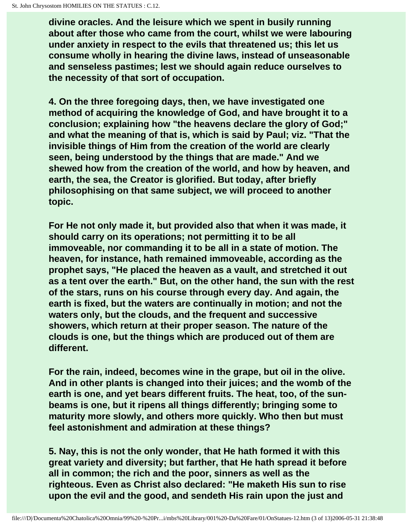**divine oracles. And the leisure which we spent in busily running about after those who came from the court, whilst we were labouring under anxiety in respect to the evils that threatened us; this let us consume wholly in hearing the divine laws, instead of unseasonable and senseless pastimes; lest we should again reduce ourselves to the necessity of that sort of occupation.** 

**4. On the three foregoing days, then, we have investigated one method of acquiring the knowledge of God, and have brought it to a conclusion; explaining how "the heavens declare the glory of God;" and what the meaning of that is, which is said by Paul; viz. "That the invisible things of Him from the creation of the world are clearly seen, being understood by the things that are made." And we shewed how from the creation of the world, and how by heaven, and earth, the sea, the Creator is glorified. But today, after briefly philosophising on that same subject, we will proceed to another topic.** 

**For He not only made it, but provided also that when it was made, it should carry on its operations; not permitting it to be all immoveable, nor commanding it to be all in a state of motion. The heaven, for instance, hath remained immoveable, according as the prophet says, "He placed the heaven as a vault, and stretched it out as a tent over the earth." But, on the other hand, the sun with the rest of the stars, runs on his course through every day. And again, the earth is fixed, but the waters are continually in motion; and not the waters only, but the clouds, and the frequent and successive showers, which return at their proper season. The nature of the clouds is one, but the things which are produced out of them are different.** 

**For the rain, indeed, becomes wine in the grape, but oil in the olive. And in other plants is changed into their juices; and the womb of the earth is one, and yet bears different fruits. The heat, too, of the sunbeams is one, but it ripens all things differently; bringing some to maturity more slowly, and others more quickly. Who then but must feel astonishment and admiration at these things?** 

**5. Nay, this is not the only wonder, that He hath formed it with this great variety and diversity; but farther, that He hath spread it before all in common; the rich and the poor, sinners as well as the righteous. Even as Christ also declared: "He maketh His sun to rise upon the evil and the good, and sendeth His rain upon the just and**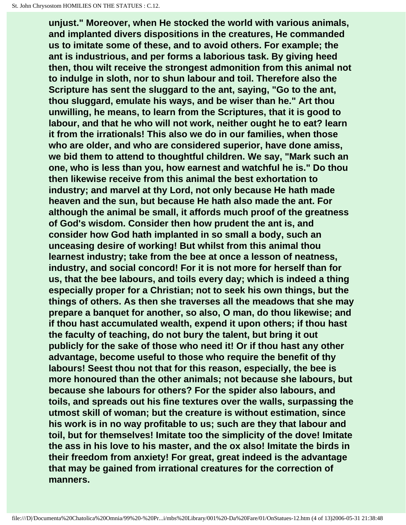**unjust." Moreover, when He stocked the world with various animals, and implanted divers dispositions in the creatures, He commanded us to imitate some of these, and to avoid others. For example; the ant is industrious, and per forms a laborious task. By giving heed then, thou wilt receive the strongest admonition from this animal not to indulge in sloth, nor to shun labour and toil. Therefore also the Scripture has sent the sluggard to the ant, saying, "Go to the ant, thou sluggard, emulate his ways, and be wiser than he." Art thou unwilling, he means, to learn from the Scriptures, that it is good to labour, and that he who will not work, neither ought he to eat? learn it from the irrationals! This also we do in our families, when those who are older, and who are considered superior, have done amiss, we bid them to attend to thoughtful children. We say, "Mark such an one, who is less than you, how earnest and watchful he is." Do thou then likewise receive from this animal the best exhortation to industry; and marvel at thy Lord, not only because He hath made heaven and the sun, but because He hath also made the ant. For although the animal be small, it affords much proof of the greatness of God's wisdom. Consider then how prudent the ant is, and consider how God hath implanted in so small a body, such an unceasing desire of working! But whilst from this animal thou learnest industry; take from the bee at once a lesson of neatness, industry, and social concord! For it is not more for herself than for us, that the bee labours, and toils every day; which is indeed a thing especially proper for a Christian; not to seek his own things, but the things of others. As then she traverses all the meadows that she may prepare a banquet for another, so also, O man, do thou likewise; and if thou hast accumulated wealth, expend it upon others; if thou hast the faculty of teaching, do not bury the talent, but bring it out publicly for the sake of those who need it! Or if thou hast any other advantage, become useful to those who require the benefit of thy labours! Seest thou not that for this reason, especially, the bee is more honoured than the other animals; not because she labours, but because she labours for others? For the spider also labours, and toils, and spreads out his fine textures over the walls, surpassing the utmost skill of woman; but the creature is without estimation, since his work is in no way profitable to us; such are they that labour and toil, but for themselves! Imitate too the simplicity of the dove! Imitate the ass in his love to his master, and the ox also! Imitate the birds in their freedom from anxiety! For great, great indeed is the advantage that may be gained from irrational creatures for the correction of manners.**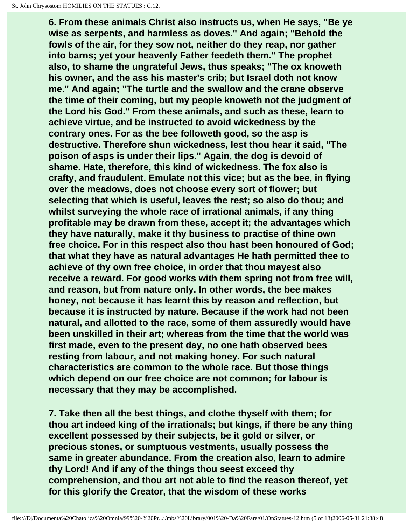**6. From these animals Christ also instructs us, when He says, "Be ye wise as serpents, and harmless as doves." And again; "Behold the fowls of the air, for they sow not, neither do they reap, nor gather into barns; yet your heavenly Father feedeth them." The prophet also, to shame the ungrateful Jews, thus speaks; "The ox knoweth his owner, and the ass his master's crib; but Israel doth not know me." And again; "The turtle and the swallow and the crane observe the time of their coming, but my people knoweth not the judgment of the Lord his God." From these animals, and such as these, learn to achieve virtue, and be instructed to avoid wickedness by the contrary ones. For as the bee followeth good, so the asp is destructive. Therefore shun wickedness, lest thou hear it said, "The poison of asps is under their lips." Again, the dog is devoid of shame. Hate, therefore, this kind of wickedness. The fox also is crafty, and fraudulent. Emulate not this vice; but as the bee, in flying over the meadows, does not choose every sort of flower; but selecting that which is useful, leaves the rest; so also do thou; and whilst surveying the whole race of irrational animals, if any thing profitable may be drawn from these, accept it; the advantages which they have naturally, make it thy business to practise of thine own free choice. For in this respect also thou hast been honoured of God; that what they have as natural advantages He hath permitted thee to achieve of thy own free choice, in order that thou mayest also receive a reward. For good works with them spring not from free will, and reason, but from nature only. In other words, the bee makes honey, not because it has learnt this by reason and reflection, but because it is instructed by nature. Because if the work had not been natural, and allotted to the race, some of them assuredly would have been unskilled in their art; whereas from the time that the world was first made, even to the present day, no one hath observed bees resting from labour, and not making honey. For such natural characteristics are common to the whole race. But those things which depend on our free choice are not common; for labour is necessary that they may be accomplished.** 

**7. Take then all the best things, and clothe thyself with them; for thou art indeed king of the irrationals; but kings, if there be any thing excellent possessed by their subjects, be it gold or silver, or precious stones, or sumptuous vestments, usually possess the same in greater abundance. From the creation also, learn to admire thy Lord! And if any of the things thou seest exceed thy comprehension, and thou art not able to find the reason thereof, yet for this glorify the Creator, that the wisdom of these works**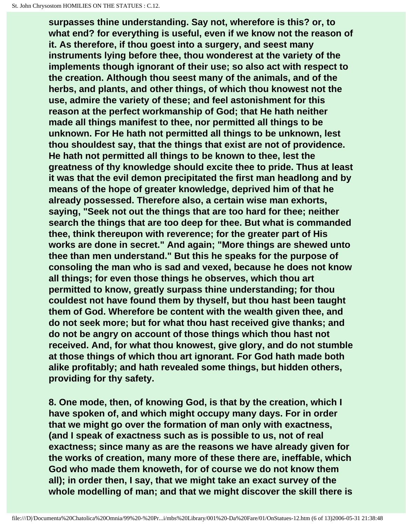**surpasses thine understanding. Say not, wherefore is this? or, to what end? for everything is useful, even if we know not the reason of it. As therefore, if thou goest into a surgery, and seest many instruments lying before thee, thou wonderest at the variety of the implements though ignorant of their use; so also act with respect to the creation. Although thou seest many of the animals, and of the herbs, and plants, and other things, of which thou knowest not the use, admire the variety of these; and feel astonishment for this reason at the perfect workmanship of God; that He hath neither made all things manifest to thee, nor permitted all things to be unknown. For He hath not permitted all things to be unknown, lest thou shouldest say, that the things that exist are not of providence. He hath not permitted all things to be known to thee, lest the greatness of thy knowledge should excite thee to pride. Thus at least it was that the evil demon precipitated the first man headlong and by means of the hope of greater knowledge, deprived him of that he already possessed. Therefore also, a certain wise man exhorts, saying, "Seek not out the things that are too hard for thee; neither search the things that are too deep for thee. But what is commanded thee, think thereupon with reverence; for the greater part of His works are done in secret." And again; "More things are shewed unto thee than men understand." But this he speaks for the purpose of consoling the man who is sad and vexed, because he does not know all things; for even those things he observes, which thou art permitted to know, greatly surpass thine understanding; for thou couldest not have found them by thyself, but thou hast been taught them of God. Wherefore be content with the wealth given thee, and do not seek more; but for what thou hast received give thanks; and do not be angry on account of those things which thou hast not received. And, for what thou knowest, give glory, and do not stumble at those things of which thou art ignorant. For God hath made both alike profitably; and hath revealed some things, but hidden others, providing for thy safety.** 

**8. One mode, then, of knowing God, is that by the creation, which I have spoken of, and which might occupy many days. For in order that we might go over the formation of man only with exactness, (and I speak of exactness such as is possible to us, not of real exactness; since many as are the reasons we have already given for the works of creation, many more of these there are, ineffable, which God who made them knoweth, for of course we do not know them all); in order then, I say, that we might take an exact survey of the whole modelling of man; and that we might discover the skill there is**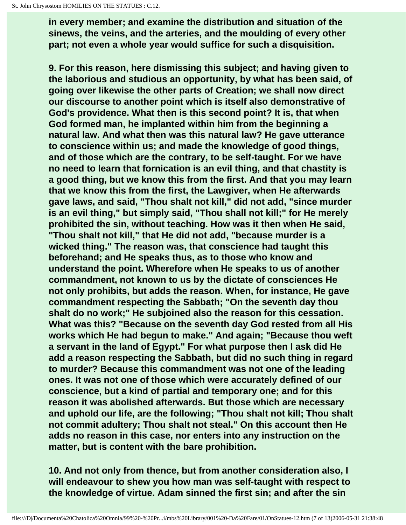**in every member; and examine the distribution and situation of the sinews, the veins, and the arteries, and the moulding of every other part; not even a whole year would suffice for such a disquisition.** 

**9. For this reason, here dismissing this subject; and having given to the laborious and studious an opportunity, by what has been said, of going over likewise the other parts of Creation; we shall now direct our discourse to another point which is itself also demonstrative of God's providence. What then is this second point? It is, that when God formed man, he implanted within him from the beginning a natural law. And what then was this natural law? He gave utterance to conscience within us; and made the knowledge of good things, and of those which are the contrary, to be self-taught. For we have no need to learn that fornication is an evil thing, and that chastity is a good thing, but we know this from the first. And that you may learn that we know this from the first, the Lawgiver, when He afterwards gave laws, and said, "Thou shalt not kill," did not add, "since murder is an evil thing," but simply said, "Thou shall not kill;" for He merely prohibited the sin, without teaching. How was it then when He said, "Thou shalt not kill," that He did not add, "because murder is a wicked thing." The reason was, that conscience had taught this beforehand; and He speaks thus, as to those who know and understand the point. Wherefore when He speaks to us of another commandment, not known to us by the dictate of consciences He not only prohibits, but adds the reason. When, for instance, He gave commandment respecting the Sabbath; "On the seventh day thou shalt do no work;" He subjoined also the reason for this cessation. What was this? "Because on the seventh day God rested from all His works which He had begun to make." And again; "Because thou weft a servant in the land of Egypt." For what purpose then I ask did He add a reason respecting the Sabbath, but did no such thing in regard to murder? Because this commandment was not one of the leading ones. It was not one of those which were accurately defined of our conscience, but a kind of partial and temporary one; and for this reason it was abolished afterwards. But those which are necessary and uphold our life, are the following; "Thou shalt not kill; Thou shalt not commit adultery; Thou shalt not steal." On this account then He adds no reason in this case, nor enters into any instruction on the matter, but is content with the bare prohibition.** 

**10. And not only from thence, but from another consideration also, I will endeavour to shew you how man was self-taught with respect to the knowledge of virtue. Adam sinned the first sin; and after the sin**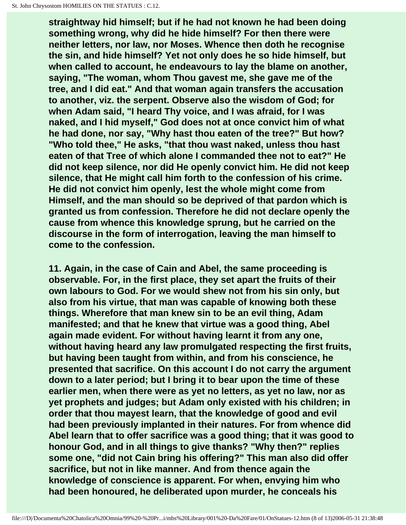**straightway hid himself; but if he had not known he had been doing something wrong, why did he hide himself? For then there were neither letters, nor law, nor Moses. Whence then doth he recognise the sin, and hide himself? Yet not only does he so hide himself, but when called to account, he endeavours to lay the blame on another, saying, "The woman, whom Thou gavest me, she gave me of the tree, and I did eat." And that woman again transfers the accusation to another, viz. the serpent. Observe also the wisdom of God; for when Adam said, "I heard Thy voice, and I was afraid, for I was naked, and I hid myself," God does not at once convict him of what he had done, nor say, "Why hast thou eaten of the tree?" But how? "Who told thee," He asks, "that thou wast naked, unless thou hast eaten of that Tree of which alone I commanded thee not to eat?" He did not keep silence, nor did He openly convict him. He did not keep silence, that He might call him forth to the confession of his crime. He did not convict him openly, lest the whole might come from Himself, and the man should so be deprived of that pardon which is granted us from confession. Therefore he did not declare openly the cause from whence this knowledge sprung, but he carried on the discourse in the form of interrogation, leaving the man himself to come to the confession.** 

**11. Again, in the case of Cain and Abel, the same proceeding is observable. For, in the first place, they set apart the fruits of their own labours to God. For we would shew not from his sin only, but also from his virtue, that man was capable of knowing both these things. Wherefore that man knew sin to be an evil thing, Adam manifested; and that he knew that virtue was a good thing, Abel again made evident. For without having learnt it from any one, without having heard any law promulgated respecting the first fruits, but having been taught from within, and from his conscience, he presented that sacrifice. On this account I do not carry the argument down to a later period; but I bring it to bear upon the time of these earlier men, when there were as yet no letters, as yet no law, nor as yet prophets and judges; but Adam only existed with his children; in order that thou mayest learn, that the knowledge of good and evil had been previously implanted in their natures. For from whence did Abel learn that to offer sacrifice was a good thing; that it was good to honour God, and in all things to give thanks? "Why then?" replies some one, "did not Cain bring his offering?" This man also did offer sacrifice, but not in like manner. And from thence again the knowledge of conscience is apparent. For when, envying him who had been honoured, he deliberated upon murder, he conceals his**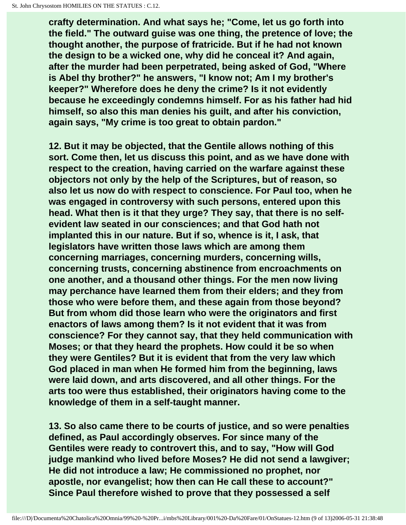**crafty determination. And what says he; "Come, let us go forth into the field." The outward guise was one thing, the pretence of love; the thought another, the purpose of fratricide. But if he had not known the design to be a wicked one, why did he conceal it? And again, after the murder had been perpetrated, being asked of God, "Where is Abel thy brother?" he answers, "I know not; Am I my brother's keeper?" Wherefore does he deny the crime? Is it not evidently because he exceedingly condemns himself. For as his father had hid himself, so also this man denies his guilt, and after his conviction, again says, "My crime is too great to obtain pardon."** 

**12. But it may be objected, that the Gentile allows nothing of this sort. Come then, let us discuss this point, and as we have done with respect to the creation, having carried on the warfare against these objectors not only by the help of the Scriptures, but of reason, so also let us now do with respect to conscience. For Paul too, when he was engaged in controversy with such persons, entered upon this head. What then is it that they urge? They say, that there is no selfevident law seated in our consciences; and that God hath not implanted this in our nature. But if so, whence is it, I ask, that legislators have written those laws which are among them concerning marriages, concerning murders, concerning wills, concerning trusts, concerning abstinence from encroachments on one another, and a thousand other things. For the men now living may perchance have learned them from their elders; and they from those who were before them, and these again from those beyond? But from whom did those learn who were the originators and first enactors of laws among them? Is it not evident that it was from conscience? For they cannot say, that they held communication with Moses; or that they heard the prophets. How could it be so when they were Gentiles? But it is evident that from the very law which God placed in man when He formed him from the beginning, laws were laid down, and arts discovered, and all other things. For the arts too were thus established, their originators having come to the knowledge of them in a self-taught manner.** 

**13. So also came there to be courts of justice, and so were penalties defined, as Paul accordingly observes. For since many of the Gentiles were ready to controvert this, and to say, "How will God judge mankind who lived before Moses? He did not send a lawgiver; He did not introduce a law; He commissioned no prophet, nor apostle, nor evangelist; how then can He call these to account?" Since Paul therefore wished to prove that they possessed a self**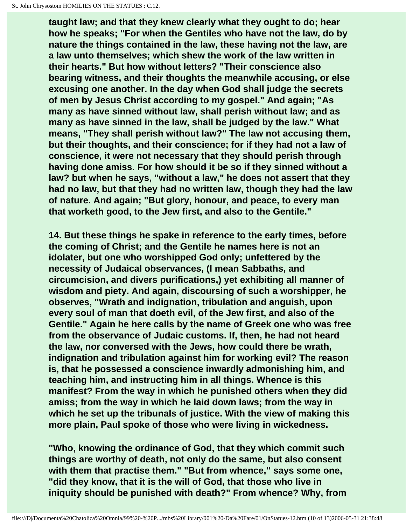**taught law; and that they knew clearly what they ought to do; hear how he speaks; "For when the Gentiles who have not the law, do by nature the things contained in the law, these having not the law, are a law unto themselves; which shew the work of the law written in their hearts." But how without letters? "Their conscience also bearing witness, and their thoughts the meanwhile accusing, or else excusing one another. In the day when God shall judge the secrets of men by Jesus Christ according to my gospel." And again; "As many as have sinned without law, shall perish without law; and as many as have sinned in the law, shall be judged by the law." What means, "They shall perish without law?" The law not accusing them, but their thoughts, and their conscience; for if they had not a law of conscience, it were not necessary that they should perish through having done amiss. For how should it be so if they sinned without a law? but when he says, "without a law," he does not assert that they had no law, but that they had no written law, though they had the law of nature. And again; "But glory, honour, and peace, to every man that worketh good, to the Jew first, and also to the Gentile."** 

**14. But these things he spake in reference to the early times, before the coming of Christ; and the Gentile he names here is not an idolater, but one who worshipped God only; unfettered by the necessity of Judaical observances, (I mean Sabbaths, and circumcision, and divers purifications,) yet exhibiting all manner of wisdom and piety. And again, discoursing of such a worshipper, he observes, "Wrath and indignation, tribulation and anguish, upon every soul of man that doeth evil, of the Jew first, and also of the Gentile." Again he here calls by the name of Greek one who was free from the observance of Judaic customs. If, then, he had not heard the law, nor conversed with the Jews, how could there be wrath, indignation and tribulation against him for working evil? The reason is, that he possessed a conscience inwardly admonishing him, and teaching him, and instructing him in all things. Whence is this manifest? From the way in which he punished others when they did amiss; from the way in which he laid down laws; from the way in which he set up the tribunals of justice. With the view of making this more plain, Paul spoke of those who were living in wickedness.** 

**"Who, knowing the ordinance of God, that they which commit such things are worthy of death, not only do the same, but also consent with them that practise them." "But from whence," says some one, "did they know, that it is the will of God, that those who live in iniquity should be punished with death?" From whence? Why, from**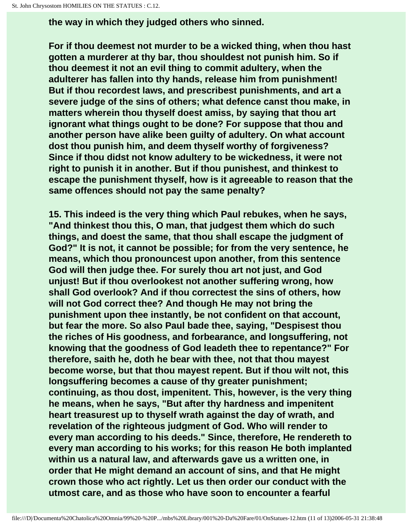**the way in which they judged others who sinned.** 

**For if thou deemest not murder to be a wicked thing, when thou hast gotten a murderer at thy bar, thou shouldest not punish him. So if thou deemest it not an evil thing to commit adultery, when the adulterer has fallen into thy hands, release him from punishment! But if thou recordest laws, and prescribest punishments, and art a severe judge of the sins of others; what defence canst thou make, in matters wherein thou thyself doest amiss, by saying that thou art ignorant what things ought to be done? For suppose that thou and another person have alike been guilty of adultery. On what account dost thou punish him, and deem thyself worthy of forgiveness? Since if thou didst not know adultery to be wickedness, it were not right to punish it in another. But if thou punishest, and thinkest to escape the punishment thyself, how is it agreeable to reason that the same offences should not pay the same penalty?** 

**15. This indeed is the very thing which Paul rebukes, when he says, "And thinkest thou this, O man, that judgest them which do such things, and doest the same, that thou shall escape the judgment of God?" It is not, it cannot be possible; for from the very sentence, he means, which thou pronouncest upon another, from this sentence God will then judge thee. For surely thou art not just, and God unjust! But if thou overlookest not another suffering wrong, how shall God overlook? And if thou correctest the sins of others, how will not God correct thee? And though He may not bring the punishment upon thee instantly, be not confident on that account, but fear the more. So also Paul bade thee, saying, "Despisest thou the riches of His goodness, and forbearance, and longsuffering, not knowing that the goodness of God leadeth thee to repentance?" For therefore, saith he, doth he bear with thee, not that thou mayest become worse, but that thou mayest repent. But if thou wilt not, this longsuffering becomes a cause of thy greater punishment; continuing, as thou dost, impenitent. This, however, is the very thing he means, when he says, "But after thy hardness and impenitent heart treasurest up to thyself wrath against the day of wrath, and revelation of the righteous judgment of God. Who will render to every man according to his deeds." Since, therefore, He rendereth to every man according to his works; for this reason He both implanted within us a natural law, and afterwards gave us a written one, in order that He might demand an account of sins, and that He might crown those who act rightly. Let us then order our conduct with the utmost care, and as those who have soon to encounter a fearful**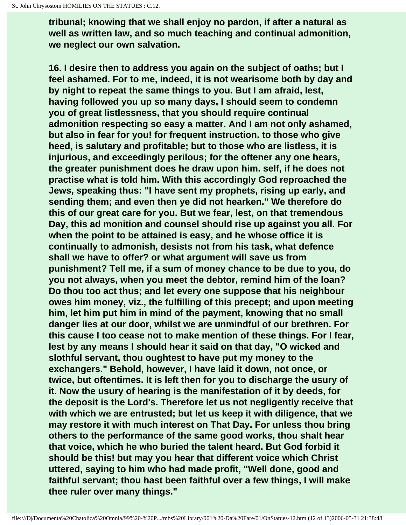**tribunal; knowing that we shall enjoy no pardon, if after a natural as well as written law, and so much teaching and continual admonition, we neglect our own salvation.** 

**16. I desire then to address you again on the subject of oaths; but I feel ashamed. For to me, indeed, it is not wearisome both by day and by night to repeat the same things to you. But I am afraid, lest, having followed you up so many days, I should seem to condemn you of great listlessness, that you should require continual admonition respecting so easy a matter. And I am not only ashamed, but also in fear for you! for frequent instruction. to those who give heed, is salutary and profitable; but to those who are listless, it is injurious, and exceedingly perilous; for the oftener any one hears, the greater punishment does he draw upon him. self, if he does not practise what is told him. With this accordingly God reproached the Jews, speaking thus: "I have sent my prophets, rising up early, and sending them; and even then ye did not hearken." We therefore do this of our great care for you. But we fear, lest, on that tremendous Day, this ad monition and counsel should rise up against you all. For when the point to be attained is easy, and he whose office it is continually to admonish, desists not from his task, what defence shall we have to offer? or what argument will save us from punishment? Tell me, if a sum of money chance to be due to you, do you not always, when you meet the debtor, remind him of the loan? Do thou too act thus; and let every one suppose that his neighbour owes him money, viz., the fulfilling of this precept; and upon meeting him, let him put him in mind of the payment, knowing that no small danger lies at our door, whilst we are unmindful of our brethren. For this cause I too cease not to make mention of these things. For I fear, lest by any means I should hear it said on that day, "O wicked and slothful servant, thou oughtest to have put my money to the exchangers." Behold, however, I have laid it down, not once, or twice, but oftentimes. It is left then for you to discharge the usury of it. Now the usury of hearing is the manifestation of it by deeds, for the deposit is the Lord's. Therefore let us not negligently receive that with which we are entrusted; but let us keep it with diligence, that we may restore it with much interest on That Day. For unless thou bring others to the performance of the same good works, thou shalt hear that voice, which he who buried the talent heard. But God forbid it should be this! but may you hear that different voice which Christ uttered, saying to him who had made profit, "Well done, good and faithful servant; thou hast been faithful over a few things, I will make thee ruler over many things."**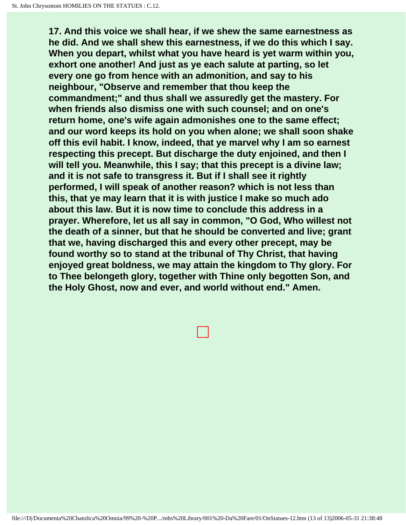**17. And this voice we shall hear, if we shew the same earnestness as he did. And we shall shew this earnestness, if we do this which I say. When you depart, whilst what you have heard is yet warm within you, exhort one another! And just as ye each salute at parting, so let every one go from hence with an admonition, and say to his neighbour, "Observe and remember that thou keep the commandment;" and thus shall we assuredly get the mastery. For when friends also dismiss one with such counsel; and on one's return home, one's wife again admonishes one to the same effect; and our word keeps its hold on you when alone; we shall soon shake off this evil habit. I know, indeed, that ye marvel why I am so earnest respecting this precept. But discharge the duty enjoined, and then I will tell you. Meanwhile, this I say; that this precept is a divine law; and it is not safe to transgress it. But if I shall see it rightly performed, I will speak of another reason? which is not less than this, that ye may learn that it is with justice I make so much ado about this law. But it is now time to conclude this address in a prayer. Wherefore, let us all say in common, "O God, Who willest not the death of a sinner, but that he should be converted and live; grant that we, having discharged this and every other precept, may be found worthy so to stand at the tribunal of Thy Christ, that having enjoyed great boldness, we may attain the kingdom to Thy glory. For to Thee belongeth glory, together with Thine only begotten Son, and the Holy Ghost, now and ever, and world without end." Amen.**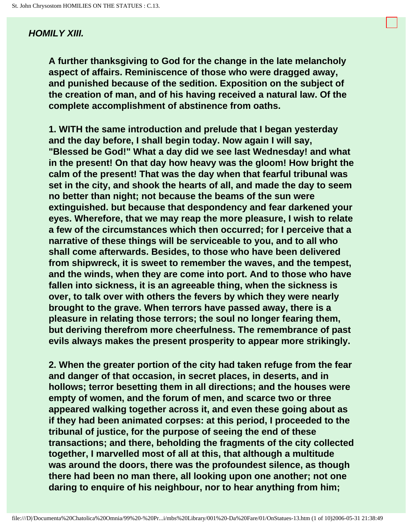# **HOMILY XIII.**

**A further thanksgiving to God for the change in the late melancholy aspect of affairs. Reminiscence of those who were dragged away, and punished because of the sedition. Exposition on the subject of the creation of man, and of his having received a natural law. Of the complete accomplishment of abstinence from oaths.** 

**1. WITH the same introduction and prelude that I began yesterday and the day before, I shall begin today. Now again I will say, "Blessed be God!" What a day did we see last Wednesday! and what in the present! On that day how heavy was the gloom! How bright the calm of the present! That was the day when that fearful tribunal was set in the city, and shook the hearts of all, and made the day to seem no better than night; not because the beams of the sun were extinguished. but because that despondency and fear darkened your eyes. Wherefore, that we may reap the more pleasure, I wish to relate a few of the circumstances which then occurred; for I perceive that a narrative of these things will be serviceable to you, and to all who shall come afterwards. Besides, to those who have been delivered from shipwreck, it is sweet to remember the waves, and the tempest, and the winds, when they are come into port. And to those who have fallen into sickness, it is an agreeable thing, when the sickness is over, to talk over with others the fevers by which they were nearly brought to the grave. When terrors have passed away, there is a pleasure in relating those terrors; the soul no longer fearing them, but deriving therefrom more cheerfulness. The remembrance of past evils always makes the present prosperity to appear more strikingly.** 

**2. When the greater portion of the city had taken refuge from the fear and danger of that occasion, in secret places, in deserts, and in hollows; terror besetting them in all directions; and the houses were empty of women, and the forum of men, and scarce two or three appeared walking together across it, and even these going about as if they had been animated corpses: at this period, I proceeded to the tribunal of justice, for the purpose of seeing the end of these transactions; and there, beholding the fragments of the city collected together, I marvelled most of all at this, that although a multitude was around the doors, there was the profoundest silence, as though there had been no man there, all looking upon one another; not one daring to enquire of his neighbour, nor to hear anything from him;**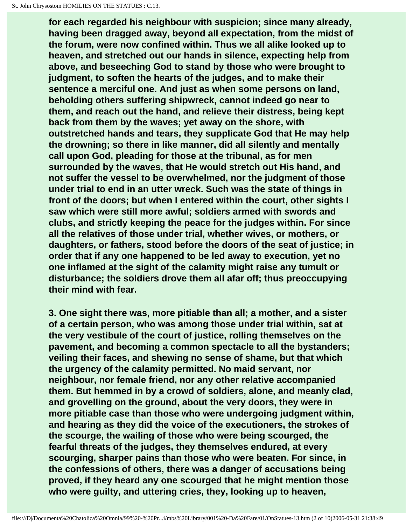**for each regarded his neighbour with suspicion; since many already, having been dragged away, beyond all expectation, from the midst of the forum, were now confined within. Thus we all alike looked up to heaven, and stretched out our hands in silence, expecting help from above, and beseeching God to stand by those who were brought to judgment, to soften the hearts of the judges, and to make their sentence a merciful one. And just as when some persons on land, beholding others suffering shipwreck, cannot indeed go near to them, and reach out the hand, and relieve their distress, being kept back from them by the waves; yet away on the shore, with outstretched hands and tears, they supplicate God that He may help the drowning; so there in like manner, did all silently and mentally call upon God, pleading for those at the tribunal, as for men surrounded by the waves, that He would stretch out His hand, and not suffer the vessel to be overwhelmed, nor the judgment of those under trial to end in an utter wreck. Such was the state of things in front of the doors; but when I entered within the court, other sights I saw which were still more awful; soldiers armed with swords and clubs, and strictly keeping the peace for the judges within. For since all the relatives of those under trial, whether wives, or mothers, or daughters, or fathers, stood before the doors of the seat of justice; in order that if any one happened to be led away to execution, yet no one inflamed at the sight of the calamity might raise any tumult or disturbance; the soldiers drove them all afar off; thus preoccupying their mind with fear.** 

**3. One sight there was, more pitiable than all; a mother, and a sister of a certain person, who was among those under trial within, sat at the very vestibule of the court of justice, rolling themselves on the pavement, and becoming a common spectacle to all the bystanders; veiling their faces, and shewing no sense of shame, but that which the urgency of the calamity permitted. No maid servant, nor neighbour, nor female friend, nor any other relative accompanied them. But hemmed in by a crowd of soldiers, alone, and meanly clad, and grovelling on the ground, about the very doors, they were in more pitiable case than those who were undergoing judgment within, and hearing as they did the voice of the executioners, the strokes of the scourge, the wailing of those who were being scourged, the fearful threats of the judges, they themselves endured, at every scourging, sharper pains than those who were beaten. For since, in the confessions of others, there was a danger of accusations being proved, if they heard any one scourged that he might mention those who were guilty, and uttering cries, they, looking up to heaven,**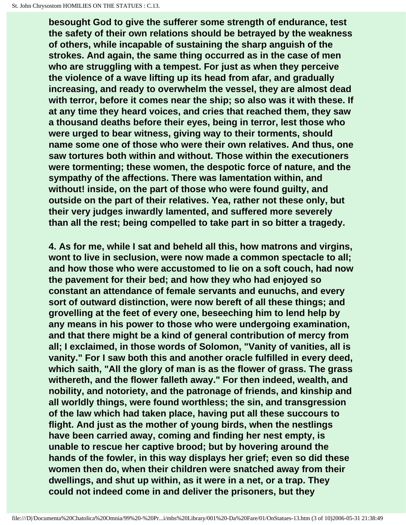**besought God to give the sufferer some strength of endurance, test the safety of their own relations should be betrayed by the weakness of others, while incapable of sustaining the sharp anguish of the strokes. And again, the same thing occurred as in the case of men who are struggling with a tempest. For just as when they perceive the violence of a wave lifting up its head from afar, and gradually increasing, and ready to overwhelm the vessel, they are almost dead with terror, before it comes near the ship; so also was it with these. If at any time they heard voices, and cries that reached them, they saw a thousand deaths before their eyes, being in terror, lest those who were urged to bear witness, giving way to their torments, should name some one of those who were their own relatives. And thus, one saw tortures both within and without. Those within the executioners were tormenting; these women, the despotic force of nature, and the sympathy of the affections. There was lamentation within, and without! inside, on the part of those who were found guilty, and outside on the part of their relatives. Yea, rather not these only, but their very judges inwardly lamented, and suffered more severely than all the rest; being compelled to take part in so bitter a tragedy.** 

**4. As for me, while I sat and beheld all this, how matrons and virgins, wont to live in seclusion, were now made a common spectacle to all; and how those who were accustomed to lie on a soft couch, had now the pavement for their bed; and how they who had enjoyed so constant an attendance of female servants and eunuchs, and every sort of outward distinction, were now bereft of all these things; and grovelling at the feet of every one, beseeching him to lend help by any means in his power to those who were undergoing examination, and that there might be a kind of general contribution of mercy from all; I exclaimed, in those words of Solomon, "Vanity of vanities, all is vanity." For I saw both this and another oracle fulfilled in every deed, which saith, "All the glory of man is as the flower of grass. The grass withereth, and the flower falleth away." For then indeed, wealth, and nobility, and notoriety, and the patronage of friends, and kinship and all worldly things, were found worthless; the sin, and transgression of the law which had taken place, having put all these succours to flight. And just as the mother of young birds, when the nestlings have been carried away, coming and finding her nest empty, is unable to rescue her captive brood; but by hovering around the hands of the fowler, in this way displays her grief; even so did these women then do, when their children were snatched away from their dwellings, and shut up within, as it were in a net, or a trap. They could not indeed come in and deliver the prisoners, but they**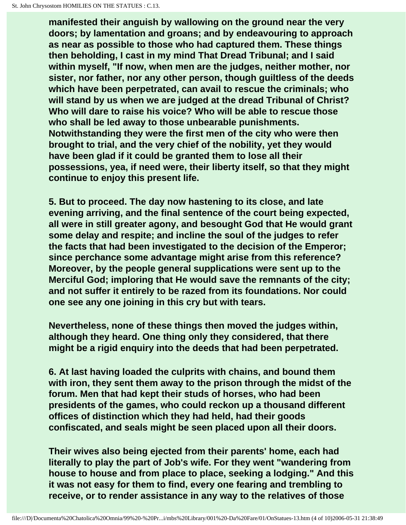**manifested their anguish by wallowing on the ground near the very doors; by lamentation and groans; and by endeavouring to approach as near as possible to those who had captured them. These things then beholding, I cast in my mind That Dread Tribunal; and I said within myself, "If now, when men are the judges, neither mother, nor sister, nor father, nor any other person, though guiltless of the deeds which have been perpetrated, can avail to rescue the criminals; who will stand by us when we are judged at the dread Tribunal of Christ? Who will dare to raise his voice? Who will be able to rescue those who shall be led away to those unbearable punishments. Notwithstanding they were the first men of the city who were then brought to trial, and the very chief of the nobility, yet they would have been glad if it could be granted them to lose all their possessions, yea, if need were, their liberty itself, so that they might continue to enjoy this present life.** 

**5. But to proceed. The day now hastening to its close, and late evening arriving, and the final sentence of the court being expected, all were in still greater agony, and besought God that He would grant some delay and respite; and incline the soul of the judges to refer the facts that had been investigated to the decision of the Emperor; since perchance some advantage might arise from this reference? Moreover, by the people general supplications were sent up to the Merciful God; imploring that He would save the remnants of the city; and not suffer it entirely to be razed from its foundations. Nor could one see any one joining in this cry but with tears.** 

**Nevertheless, none of these things then moved the judges within, although they heard. One thing only they considered, that there might be a rigid enquiry into the deeds that had been perpetrated.** 

**6. At last having loaded the culprits with chains, and bound them with iron, they sent them away to the prison through the midst of the forum. Men that had kept their studs of horses, who had been presidents of the games, who could reckon up a thousand different offices of distinction which they had held, had their goods confiscated, and seals might be seen placed upon all their doors.** 

**Their wives also being ejected from their parents' home, each had literally to play the part of Job's wife. For they went "wandering from house to house and from place to place, seeking a lodging." And this it was not easy for them to find, every one fearing and trembling to receive, or to render assistance in any way to the relatives of those**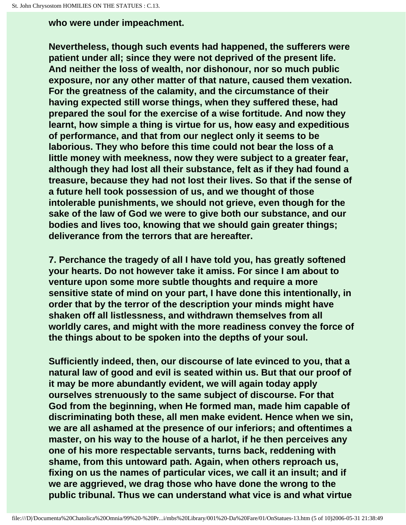#### **who were under impeachment.**

**Nevertheless, though such events had happened, the sufferers were patient under all; since they were not deprived of the present life. And neither the loss of wealth, nor dishonour, nor so much public exposure, nor any other matter of that nature, caused them vexation. For the greatness of the calamity, and the circumstance of their having expected still worse things, when they suffered these, had prepared the soul for the exercise of a wise fortitude. And now they learnt, how simple a thing is virtue for us, how easy and expeditious of performance, and that from our neglect only it seems to be laborious. They who before this time could not bear the loss of a little money with meekness, now they were subject to a greater fear, although they had lost all their substance, felt as if they had found a treasure, because they had not lost their lives. So that if the sense of a future hell took possession of us, and we thought of those intolerable punishments, we should not grieve, even though for the sake of the law of God we were to give both our substance, and our bodies and lives too, knowing that we should gain greater things; deliverance from the terrors that are hereafter.** 

**7. Perchance the tragedy of all I have told you, has greatly softened your hearts. Do not however take it amiss. For since I am about to venture upon some more subtle thoughts and require a more sensitive state of mind on your part, I have done this intentionally, in order that by the terror of the description your minds might have shaken off all listlessness, and withdrawn themselves from all worldly cares, and might with the more readiness convey the force of the things about to be spoken into the depths of your soul.** 

**Sufficiently indeed, then, our discourse of late evinced to you, that a natural law of good and evil is seated within us. But that our proof of it may be more abundantly evident, we will again today apply ourselves strenuously to the same subject of discourse. For that God from the beginning, when He formed man, made him capable of discriminating both these, all men make evident. Hence when we sin, we are all ashamed at the presence of our inferiors; and oftentimes a master, on his way to the house of a harlot, if he then perceives any one of his more respectable servants, turns back, reddening with shame, from this untoward path. Again, when others reproach us, fixing on us the names of particular vices, we call it an insult; and if we are aggrieved, we drag those who have done the wrong to the public tribunal. Thus we can understand what vice is and what virtue**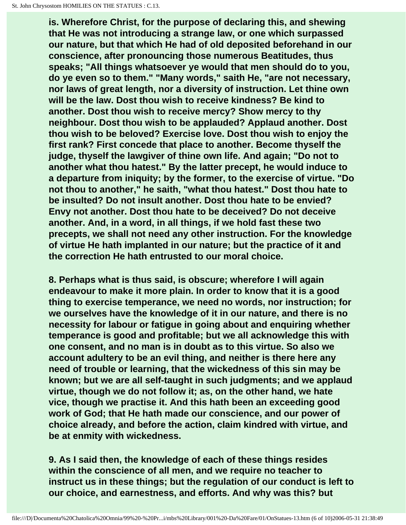**is. Wherefore Christ, for the purpose of declaring this, and shewing that He was not introducing a strange law, or one which surpassed our nature, but that which He had of old deposited beforehand in our conscience, after pronouncing those numerous Beatitudes, thus speaks; "All things whatsoever ye would that men should do to you, do ye even so to them." "Many words," saith He, "are not necessary, nor laws of great length, nor a diversity of instruction. Let thine own will be the law. Dost thou wish to receive kindness? Be kind to another. Dost thou wish to receive mercy? Show mercy to thy neighbour. Dost thou wish to be applauded? Applaud another. Dost thou wish to be beloved? Exercise love. Dost thou wish to enjoy the first rank? First concede that place to another. Become thyself the judge, thyself the lawgiver of thine own life. And again; "Do not to another what thou hatest." By the latter precept, he would induce to a departure from iniquity; by the former, to the exercise of virtue. "Do not thou to another," he saith, "what thou hatest." Dost thou hate to be insulted? Do not insult another. Dost thou hate to be envied? Envy not another. Dost thou hate to be deceived? Do not deceive another. And, in a word, in all things, if we hold fast these two precepts, we shall not need any other instruction. For the knowledge of virtue He hath implanted in our nature; but the practice of it and the correction He hath entrusted to our moral choice.** 

**8. Perhaps what is thus said, is obscure; wherefore I will again endeavour to make it more plain. In order to know that it is a good thing to exercise temperance, we need no words, nor instruction; for we ourselves have the knowledge of it in our nature, and there is no necessity for labour or fatigue in going about and enquiring whether temperance is good and profitable; but we all acknowledge this with one consent, and no man is in doubt as to this virtue. So also we account adultery to be an evil thing, and neither is there here any need of trouble or learning, that the wickedness of this sin may be known; but we are all self-taught in such judgments; and we applaud virtue, though we do not follow it; as, on the other hand, we hate vice, though we practise it. And this hath been an exceeding good work of God; that He hath made our conscience, and our power of choice already, and before the action, claim kindred with virtue, and be at enmity with wickedness.** 

**9. As I said then, the knowledge of each of these things resides within the conscience of all men, and we require no teacher to instruct us in these things; but the regulation of our conduct is left to our choice, and earnestness, and efforts. And why was this? but**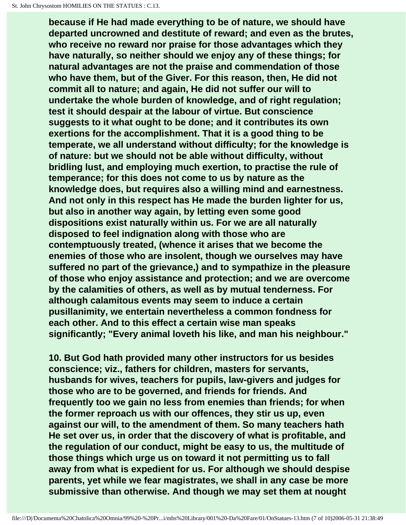**because if He had made everything to be of nature, we should have departed uncrowned and destitute of reward; and even as the brutes, who receive no reward nor praise for those advantages which they have naturally, so neither should we enjoy any of these things; for natural advantages are not the praise and commendation of those who have them, but of the Giver. For this reason, then, He did not commit all to nature; and again, He did not suffer our will to undertake the whole burden of knowledge, and of right regulation; test it should despair at the labour of virtue. But conscience suggests to it what ought to be done; and it contributes its own exertions for the accomplishment. That it is a good thing to be temperate, we all understand without difficulty; for the knowledge is of nature: but we should not be able without difficulty, without bridling lust, and employing much exertion, to practise the rule of temperance; for this does not come to us by nature as the knowledge does, but requires also a willing mind and earnestness. And not only in this respect has He made the burden lighter for us, but also in another way again, by letting even some good dispositions exist naturally within us. For we are all naturally disposed to feel indignation along with those who are contemptuously treated, (whence it arises that we become the enemies of those who are insolent, though we ourselves may have suffered no part of the grievance,) and to sympathize in the pleasure of those who enjoy assistance and protection; and we are overcome by the calamities of others, as well as by mutual tenderness. For although calamitous events may seem to induce a certain pusillanimity, we entertain nevertheless a common fondness for each other. And to this effect a certain wise man speaks significantly; "Every animal loveth his like, and man his neighbour."** 

**10. But God hath provided many other instructors for us besides conscience; viz., fathers for children, masters for servants, husbands for wives, teachers for pupils, law-givers and judges for those who are to be governed, and friends for friends. And frequently too we gain no less from enemies than friends; for when the former reproach us with our offences, they stir us up, even against our will, to the amendment of them. So many teachers hath He set over us, in order that the discovery of what is profitable, and the regulation of our conduct, might be easy to us, the multitude of those things which urge us on toward it not permitting us to fall away from what is expedient for us. For although we should despise parents, yet while we fear magistrates, we shall in any case be more submissive than otherwise. And though we may set them at nought**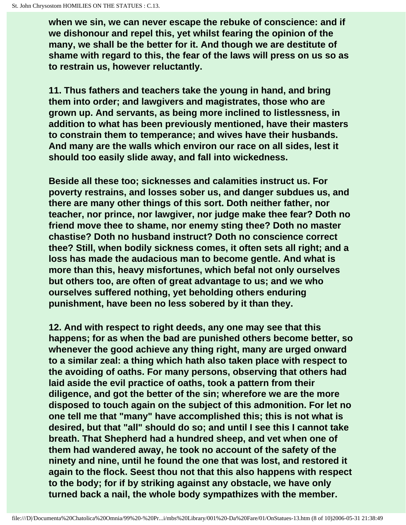**when we sin, we can never escape the rebuke of conscience: and if we dishonour and repel this, yet whilst fearing the opinion of the many, we shall be the better for it. And though we are destitute of shame with regard to this, the fear of the laws will press on us so as to restrain us, however reluctantly.** 

**11. Thus fathers and teachers take the young in hand, and bring them into order; and lawgivers and magistrates, those who are grown up. And servants, as being more inclined to listlessness, in addition to what has been previously mentioned, have their masters to constrain them to temperance; and wives have their husbands. And many are the walls which environ our race on all sides, lest it should too easily slide away, and fall into wickedness.** 

**Beside all these too; sicknesses and calamities instruct us. For poverty restrains, and losses sober us, and danger subdues us, and there are many other things of this sort. Doth neither father, nor teacher, nor prince, nor lawgiver, nor judge make thee fear? Doth no friend move thee to shame, nor enemy sting thee? Doth no master chastise? Doth no husband instruct? Doth no conscience correct thee? Still, when bodily sickness comes, it often sets all right; and a loss has made the audacious man to become gentle. And what is more than this, heavy misfortunes, which befal not only ourselves but others too, are often of great advantage to us; and we who ourselves suffered nothing, yet beholding others enduring punishment, have been no less sobered by it than they.** 

**12. And with respect to right deeds, any one may see that this happens; for as when the bad are punished others become better, so whenever the good achieve any thing right, many are urged onward to a similar zeal: a thing which hath also taken place with respect to the avoiding of oaths. For many persons, observing that others had laid aside the evil practice of oaths, took a pattern from their diligence, and got the better of the sin; wherefore we are the more disposed to touch again on the subject of this admonition. For let no one tell me that "many" have accomplished this; this is not what is desired, but that "all" should do so; and until I see this I cannot take breath. That Shepherd had a hundred sheep, and vet when one of them had wandered away, he took no account of the safety of the ninety and nine, until he found the one that was lost, and restored it again to the flock. Seest thou not that this also happens with respect to the body; for if by striking against any obstacle, we have only turned back a nail, the whole body sympathizes with the member.**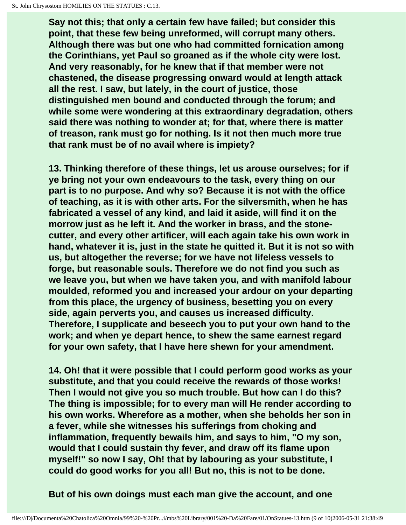**Say not this; that only a certain few have failed; but consider this point, that these few being unreformed, will corrupt many others. Although there was but one who had committed fornication among the Corinthians, yet Paul so groaned as if the whole city were lost. And very reasonably, for he knew that if that member were not chastened, the disease progressing onward would at length attack all the rest. I saw, but lately, in the court of justice, those distinguished men bound and conducted through the forum; and while some were wondering at this extraordinary degradation, others said there was nothing to wonder at; for that, where there is matter of treason, rank must go for nothing. Is it not then much more true that rank must be of no avail where is impiety?** 

**13. Thinking therefore of these things, let us arouse ourselves; for if ye bring not your own endeavours to the task, every thing on our part is to no purpose. And why so? Because it is not with the office of teaching, as it is with other arts. For the silversmith, when he has fabricated a vessel of any kind, and laid it aside, will find it on the morrow just as he left it. And the worker in brass, and the stonecutter, and every other artificer, will each again take his own work in hand, whatever it is, just in the state he quitted it. But it is not so with us, but altogether the reverse; for we have not lifeless vessels to forge, but reasonable souls. Therefore we do not find you such as we leave you, but when we have taken you, and with manifold labour moulded, reformed you and increased your ardour on your departing from this place, the urgency of business, besetting you on every side, again perverts you, and causes us increased difficulty. Therefore, I supplicate and beseech you to put your own hand to the work; and when ye depart hence, to shew the same earnest regard for your own safety, that I have here shewn for your amendment.** 

**14. Oh! that it were possible that I could perform good works as your substitute, and that you could receive the rewards of those works! Then I would not give you so much trouble. But how can I do this? The thing is impossible; for to every man will He render according to his own works. Wherefore as a mother, when she beholds her son in a fever, while she witnesses his sufferings from choking and inflammation, frequently bewails him, and says to him, "O my son, would that I could sustain thy fever, and draw off its flame upon myself!" so now I say, Oh! that by labouring as your substitute, I could do good works for you all! But no, this is not to be done.** 

**But of his own doings must each man give the account, and one**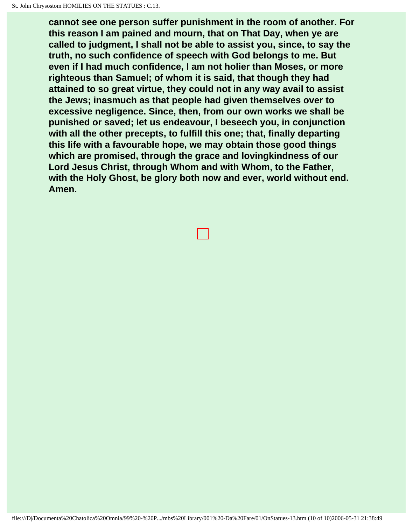**cannot see one person suffer punishment in the room of another. For this reason I am pained and mourn, that on That Day, when ye are called to judgment, I shall not be able to assist you, since, to say the truth, no such confidence of speech with God belongs to me. But even if I had much confidence, I am not holier than Moses, or more righteous than Samuel; of whom it is said, that though they had attained to so great virtue, they could not in any way avail to assist the Jews; inasmuch as that people had given themselves over to excessive negligence. Since, then, from our own works we shall be punished or saved; let us endeavour, I beseech you, in conjunction with all the other precepts, to fulfill this one; that, finally departing this life with a favourable hope, we may obtain those good things which are promised, through the grace and lovingkindness of our Lord Jesus Christ, through Whom and with Whom, to the Father, with the Holy Ghost, be glory both now and ever, world without end. Amen.**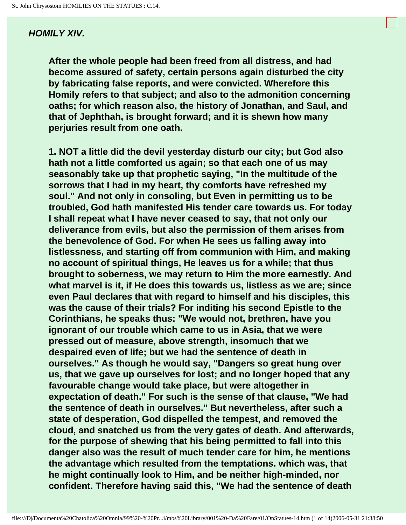## **HOMILY XIV.**

**After the whole people had been freed from all distress, and had become assured of safety, certain persons again disturbed the city by fabricating false reports, and were convicted. Wherefore this Homily refers to that subject; and also to the admonition concerning oaths; for which reason also, the history of Jonathan, and Saul, and that of Jephthah, is brought forward; and it is shewn how many perjuries result from one oath.** 

**1. NOT a little did the devil yesterday disturb our city; but God also hath not a little comforted us again; so that each one of us may seasonably take up that prophetic saying, "In the multitude of the sorrows that I had in my heart, thy comforts have refreshed my soul." And not only in consoling, but Even in permitting us to be troubled, God hath manifested His tender care towards us. For today I shall repeat what I have never ceased to say, that not only our deliverance from evils, but also the permission of them arises from the benevolence of God. For when He sees us falling away into listlessness, and starting off from communion with Him, and making no account of spiritual things, He leaves us for a while; that thus brought to soberness, we may return to Him the more earnestly. And what marvel is it, if He does this towards us, listless as we are; since even Paul declares that with regard to himself and his disciples, this was the cause of their trials? For inditing his second Epistle to the Corinthians, he speaks thus: "We would not, brethren, have you ignorant of our trouble which came to us in Asia, that we were pressed out of measure, above strength, insomuch that we despaired even of life; but we had the sentence of death in ourselves." As though he would say, "Dangers so great hung over us, that we gave up ourselves for lost; and no longer hoped that any favourable change would take place, but were altogether in expectation of death." For such is the sense of that clause, "We had the sentence of death in ourselves." But nevertheless, after such a state of desperation, God dispelled the tempest, and removed the cloud, and snatched us from the very gates of death. And afterwards, for the purpose of shewing that his being permitted to fall into this danger also was the result of much tender care for him, he mentions the advantage which resulted from the temptations. which was, that he might continually look to Him, and be neither high-minded, nor confident. Therefore having said this, "We had the sentence of death**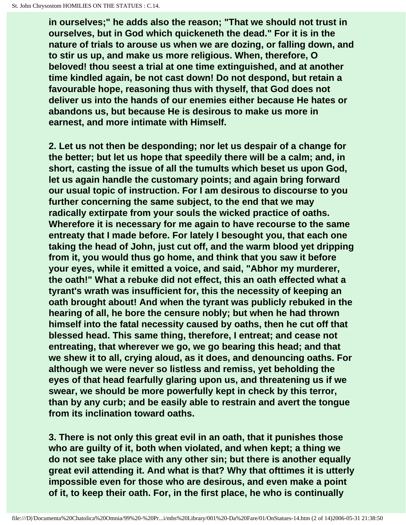**in ourselves;" he adds also the reason; "That we should not trust in ourselves, but in God which quickeneth the dead." For it is in the nature of trials to arouse us when we are dozing, or falling down, and to stir us up, and make us more religious. When, therefore, O beloved! thou seest a trial at one time extinguished, and at another time kindled again, be not cast down! Do not despond, but retain a favourable hope, reasoning thus with thyself, that God does not deliver us into the hands of our enemies either because He hates or abandons us, but because He is desirous to make us more in earnest, and more intimate with Himself.** 

**2. Let us not then be desponding; nor let us despair of a change for the better; but let us hope that speedily there will be a calm; and, in short, casting the issue of all the tumults which beset us upon God, let us again handle the customary points; and again bring forward our usual topic of instruction. For I am desirous to discourse to you further concerning the same subject, to the end that we may radically extirpate from your souls the wicked practice of oaths. Wherefore it is necessary for me again to have recourse to the same entreaty that I made before. For lately I besought you, that each one taking the head of John, just cut off, and the warm blood yet dripping from it, you would thus go home, and think that you saw it before your eyes, while it emitted a voice, and said, "Abhor my murderer, the oath!" What a rebuke did not effect, this an oath effected what a tyrant's wrath was insufficient for, this the necessity of keeping an oath brought about! And when the tyrant was publicly rebuked in the hearing of all, he bore the censure nobly; but when he had thrown himself into the fatal necessity caused by oaths, then he cut off that blessed head. This same thing, therefore, I entreat; and cease not entreating, that wherever we go, we go bearing this head; and that we shew it to all, crying aloud, as it does, and denouncing oaths. For although we were never so listless and remiss, yet beholding the eyes of that head fearfully glaring upon us, and threatening us if we swear, we should be more powerfully kept in check by this terror, than by any curb; and be easily able to restrain and avert the tongue from its inclination toward oaths.** 

**3. There is not only this great evil in an oath, that it punishes those who are guilty of it, both when violated, and when kept; a thing we do not see take place with any other sin; but there is another equally great evil attending it. And what is that? Why that ofttimes it is utterly impossible even for those who are desirous, and even make a point of it, to keep their oath. For, in the first place, he who is continually**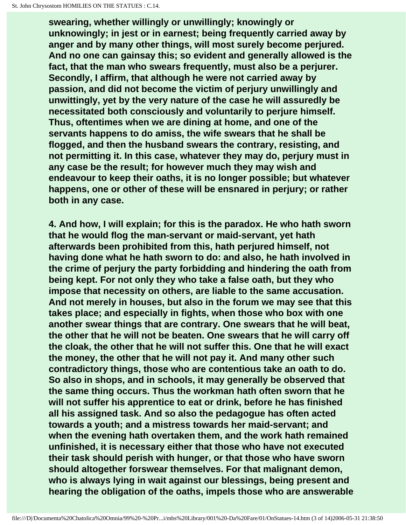**swearing, whether willingly or unwillingly; knowingly or unknowingly; in jest or in earnest; being frequently carried away by anger and by many other things, will most surely become perjured. And no one can gainsay this; so evident and generally allowed is the fact, that the man who swears frequently, must also be a perjurer. Secondly, I affirm, that although he were not carried away by passion, and did not become the victim of perjury unwillingly and unwittingly, yet by the very nature of the case he will assuredly be necessitated both consciously and voluntarily to perjure himself. Thus, oftentimes when we are dining at home, and one of the servants happens to do amiss, the wife swears that he shall be flogged, and then the husband swears the contrary, resisting, and not permitting it. In this case, whatever they may do, perjury must in any case be the result; for however much they may wish and endeavour to keep their oaths, it is no longer possible; but whatever happens, one or other of these will be ensnared in perjury; or rather both in any case.** 

**4. And how, I will explain; for this is the paradox. He who hath sworn that he would flog the man-servant or maid-servant, yet hath afterwards been prohibited from this, hath perjured himself, not having done what he hath sworn to do: and also, he hath involved in the crime of perjury the party forbidding and hindering the oath from being kept. For not only they who take a false oath, but they who impose that necessity on others, are liable to the same accusation. And not merely in houses, but also in the forum we may see that this takes place; and especially in fights, when those who box with one another swear things that are contrary. One swears that he will beat, the other that he will not be beaten. One swears that he will carry off the cloak, the other that he will not suffer this. One that he will exact the money, the other that he will not pay it. And many other such contradictory things, those who are contentious take an oath to do. So also in shops, and in schools, it may generally be observed that the same thing occurs. Thus the workman hath often sworn that he will not suffer his apprentice to eat or drink, before he has finished all his assigned task. And so also the pedagogue has often acted towards a youth; and a mistress towards her maid-servant; and when the evening hath overtaken them, and the work hath remained unfinished, it is necessary either that those who have not executed their task should perish with hunger, or that those who have sworn should altogether forswear themselves. For that malignant demon, who is always lying in wait against our blessings, being present and hearing the obligation of the oaths, impels those who are answerable**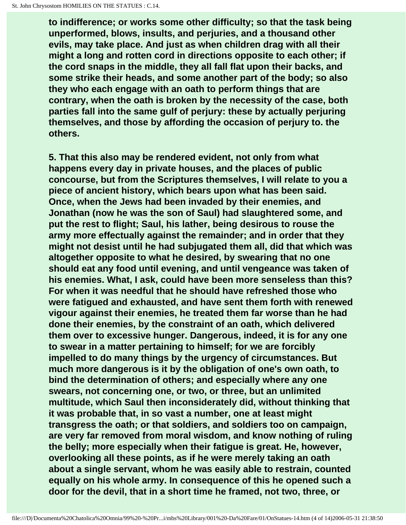**to indifference; or works some other difficulty; so that the task being unperformed, blows, insults, and perjuries, and a thousand other evils, may take place. And just as when children drag with all their might a long and rotten cord in directions opposite to each other; if the cord snaps in the middle, they all fall flat upon their backs, and some strike their heads, and some another part of the body; so also they who each engage with an oath to perform things that are contrary, when the oath is broken by the necessity of the case, both parties fall into the same gulf of perjury: these by actually perjuring themselves, and those by affording the occasion of perjury to. the others.** 

**5. That this also may be rendered evident, not only from what happens every day in private houses, and the places of public concourse, but from the Scriptures themselves, I will relate to you a piece of ancient history, which bears upon what has been said. Once, when the Jews had been invaded by their enemies, and Jonathan (now he was the son of Saul) had slaughtered some, and put the rest to flight; Saul, his lather, being desirous to rouse the army more effectually against the remainder; and in order that they might not desist until he had subjugated them all, did that which was altogether opposite to what he desired, by swearing that no one should eat any food until evening, and until vengeance was taken of his enemies. What, I ask, could have been more senseless than this? For when it was needful that he should have refreshed those who were fatigued and exhausted, and have sent them forth with renewed vigour against their enemies, he treated them far worse than he had done their enemies, by the constraint of an oath, which delivered them over to excessive hunger. Dangerous, indeed, it is for any one to swear in a matter pertaining to himself; for we are forcibly impelled to do many things by the urgency of circumstances. But much more dangerous is it by the obligation of one's own oath, to bind the determination of others; and especially where any one swears, not concerning one, or two, or three, but an unlimited multitude, which Saul then inconsiderately did, without thinking that it was probable that, in so vast a number, one at least might transgress the oath; or that soldiers, and soldiers too on campaign, are very far removed from moral wisdom, and know nothing of ruling the belly; more especially when their fatigue is great. He, however, overlooking all these points, as if he were merely taking an oath about a single servant, whom he was easily able to restrain, counted equally on his whole army. In consequence of this he opened such a door for the devil, that in a short time he framed, not two, three, or**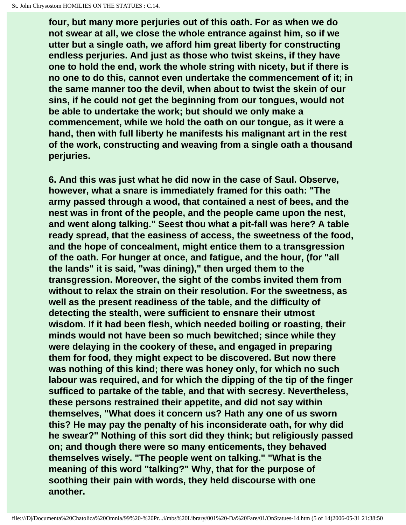**four, but many more perjuries out of this oath. For as when we do not swear at all, we close the whole entrance against him, so if we utter but a single oath, we afford him great liberty for constructing endless perjuries. And just as those who twist skeins, if they have one to hold the end, work the whole string with nicety, but if there is no one to do this, cannot even undertake the commencement of it; in the same manner too the devil, when about to twist the skein of our sins, if he could not get the beginning from our tongues, would not be able to undertake the work; but should we only make a commencement, while we hold the oath on our tongue, as it were a hand, then with full liberty he manifests his malignant art in the rest of the work, constructing and weaving from a single oath a thousand perjuries.** 

**6. And this was just what he did now in the case of Saul. Observe, however, what a snare is immediately framed for this oath: "The army passed through a wood, that contained a nest of bees, and the nest was in front of the people, and the people came upon the nest, and went along talking." Seest thou what a pit-fall was here? A table ready spread, that the easiness of access, the sweetness of the food, and the hope of concealment, might entice them to a transgression of the oath. For hunger at once, and fatigue, and the hour, (for "all the lands" it is said, "was dining)," then urged them to the transgression. Moreover, the sight of the combs invited them from without to relax the strain on their resolution. For the sweetness, as well as the present readiness of the table, and the difficulty of detecting the stealth, were sufficient to ensnare their utmost wisdom. If it had been flesh, which needed boiling or roasting, their minds would not have been so much bewitched; since while they were delaying in the cookery of these, and engaged in preparing them for food, they might expect to be discovered. But now there was nothing of this kind; there was honey only, for which no such labour was required, and for which the dipping of the tip of the finger sufficed to partake of the table, and that with secresy. Nevertheless, these persons restrained their appetite, and did not say within themselves, "What does it concern us? Hath any one of us sworn this? He may pay the penalty of his inconsiderate oath, for why did he swear?" Nothing of this sort did they think; but religiously passed on; and though there were so many enticements, they behaved themselves wisely. "The people went on talking." "What is the meaning of this word "talking?" Why, that for the purpose of soothing their pain with words, they held discourse with one another.**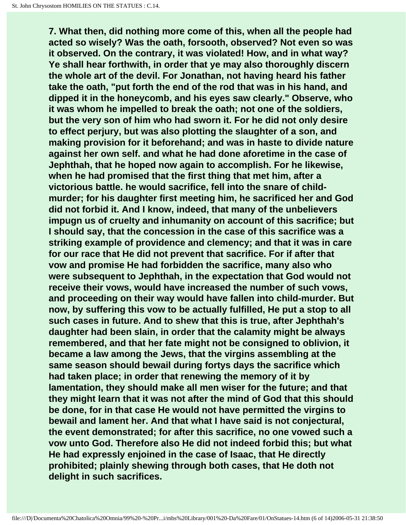**7. What then, did nothing more come of this, when all the people had acted so wisely? Was the oath, forsooth, observed? Not even so was it observed. On the contrary, it was violated! How, and in what way? Ye shall hear forthwith, in order that ye may also thoroughly discern the whole art of the devil. For Jonathan, not having heard his father take the oath, "put forth the end of the rod that was in his hand, and dipped it in the honeycomb, and his eyes saw clearly." Observe, who it was whom he impelled to break the oath; not one of the soldiers, but the very son of him who had sworn it. For he did not only desire to effect perjury, but was also plotting the slaughter of a son, and making provision for it beforehand; and was in haste to divide nature against her own self. and what he had done aforetime in the case of Jephthah, that he hoped now again to accomplish. For he likewise, when he had promised that the first thing that met him, after a victorious battle. he would sacrifice, fell into the snare of childmurder; for his daughter first meeting him, he sacrificed her and God did not forbid it. And I know, indeed, that many of the unbelievers impugn us of cruelty and inhumanity on account of this sacrifice; but I should say, that the concession in the case of this sacrifice was a striking example of providence and clemency; and that it was in care for our race that He did not prevent that sacrifice. For if after that vow and promise He had forbidden the sacrifice, many also who were subsequent to Jephthah, in the expectation that God would not receive their vows, would have increased the number of such vows, and proceeding on their way would have fallen into child-murder. But now, by suffering this vow to be actually fulfilled, He put a stop to all such cases in future. And to shew that this is true, after Jephthah's daughter had been slain, in order that the calamity might be always remembered, and that her fate might not be consigned to oblivion, it became a law among the Jews, that the virgins assembling at the same season should bewail during fortys days the sacrifice which had taken place; in order that renewing the memory of it by lamentation, they should make all men wiser for the future; and that they might learn that it was not after the mind of God that this should be done, for in that case He would not have permitted the virgins to bewail and lament her. And that what I have said is not conjectural, the event demonstrated; for after this sacrifice, no one vowed such a vow unto God. Therefore also He did not indeed forbid this; but what He had expressly enjoined in the case of Isaac, that He directly prohibited; plainly shewing through both cases, that He doth not delight in such sacrifices.**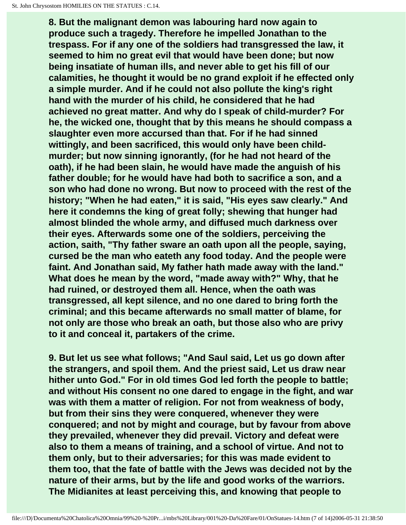**8. But the malignant demon was labouring hard now again to produce such a tragedy. Therefore he impelled Jonathan to the trespass. For if any one of the soldiers had transgressed the law, it seemed to him no great evil that would have been done; but now being insatiate of human ills, and never able to get his fill of our calamities, he thought it would be no grand exploit if he effected only a simple murder. And if he could not also pollute the king's right hand with the murder of his child, he considered that he had achieved no great matter. And why do I speak of child-murder? For he, the wicked one, thought that by this means he should compass a slaughter even more accursed than that. For if he had sinned wittingly, and been sacrificed, this would only have been childmurder; but now sinning ignorantly, (for he had not heard of the oath), if he had been slain, he would have made the anguish of his father double; for he would have had both to sacrifice a son, and a son who had done no wrong. But now to proceed with the rest of the history; "When he had eaten," it is said, "His eyes saw clearly." And here it condemns the king of great folly; shewing that hunger had almost blinded the whole army, and diffused much darkness over their eyes. Afterwards some one of the soldiers, perceiving the action, saith, "Thy father sware an oath upon all the people, saying, cursed be the man who eateth any food today. And the people were faint. And Jonathan said, My father hath made away with the land." What does he mean by the word, "made away with?" Why, that he had ruined, or destroyed them all. Hence, when the oath was transgressed, all kept silence, and no one dared to bring forth the criminal; and this became afterwards no small matter of blame, for not only are those who break an oath, but those also who are privy to it and conceal it, partakers of the crime.** 

**9. But let us see what follows; "And Saul said, Let us go down after the strangers, and spoil them. And the priest said, Let us draw near hither unto God." For in old times God led forth the people to battle; and without His consent no one dared to engage in the fight, and war was with them a matter of religion. For not from weakness of body, but from their sins they were conquered, whenever they were conquered; and not by might and courage, but by favour from above they prevailed, whenever they did prevail. Victory and defeat were also to them a means of training, and a school of virtue. And not to them only, but to their adversaries; for this was made evident to them too, that the fate of battle with the Jews was decided not by the nature of their arms, but by the life and good works of the warriors. The Midianites at least perceiving this, and knowing that people to**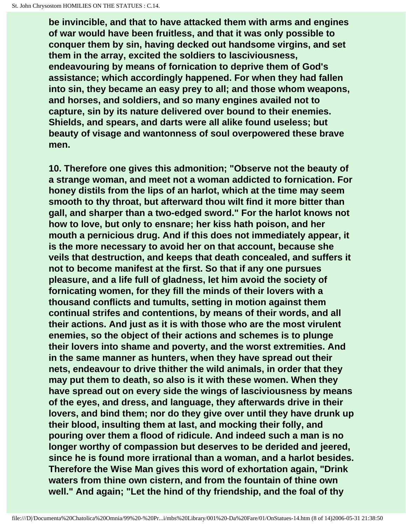**be invincible, and that to have attacked them with arms and engines of war would have been fruitless, and that it was only possible to conquer them by sin, having decked out handsome virgins, and set them in the array, excited the soldiers to lasciviousness, endeavouring by means of fornication to deprive them of God's assistance; which accordingly happened. For when they had fallen into sin, they became an easy prey to all; and those whom weapons, and horses, and soldiers, and so many engines availed not to capture, sin by its nature delivered over bound to their enemies. Shields, and spears, and darts were all alike found useless; but beauty of visage and wantonness of soul overpowered these brave men.** 

**10. Therefore one gives this admonition; "Observe not the beauty of a strange woman, and meet not a woman addicted to fornication. For honey distils from the lips of an harlot, which at the time may seem smooth to thy throat, but afterward thou wilt find it more bitter than gall, and sharper than a two-edged sword." For the harlot knows not how to love, but only to ensnare; her kiss hath poison, and her mouth a pernicious drug. And if this does not immediately appear, it is the more necessary to avoid her on that account, because she veils that destruction, and keeps that death concealed, and suffers it not to become manifest at the first. So that if any one pursues pleasure, and a life full of gladness, let him avoid the society of fornicating women, for they fill the minds of their lovers with a thousand conflicts and tumults, setting in motion against them continual strifes and contentions, by means of their words, and all their actions. And just as it is with those who are the most virulent enemies, so the object of their actions and schemes is to plunge their lovers into shame and poverty, and the worst extremities. And in the same manner as hunters, when they have spread out their nets, endeavour to drive thither the wild animals, in order that they may put them to death, so also is it with these women. When they have spread out on every side the wings of lasciviousness by means of the eyes, and dress, and language, they afterwards drive in their lovers, and bind them; nor do they give over until they have drunk up their blood, insulting them at last, and mocking their folly, and pouring over them a flood of ridicule. And indeed such a man is no longer worthy of compassion but deserves to be derided and jeered, since he is found more irrational than a woman, and a harlot besides. Therefore the Wise Man gives this word of exhortation again, "Drink waters from thine own cistern, and from the fountain of thine own well." And again; "Let the hind of thy friendship, and the foal of thy**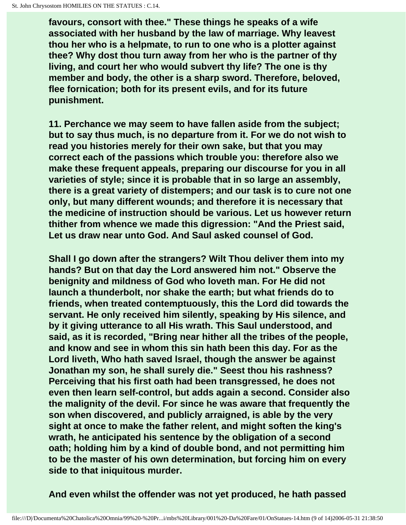**favours, consort with thee." These things he speaks of a wife associated with her husband by the law of marriage. Why leavest thou her who is a helpmate, to run to one who is a plotter against thee? Why dost thou turn away from her who is the partner of thy living, and court her who would subvert thy life? The one is thy member and body, the other is a sharp sword. Therefore, beloved, flee fornication; both for its present evils, and for its future punishment.** 

**11. Perchance we may seem to have fallen aside from the subject; but to say thus much, is no departure from it. For we do not wish to read you histories merely for their own sake, but that you may correct each of the passions which trouble you: therefore also we make these frequent appeals, preparing our discourse for you in all varieties of style; since it is probable that in so large an assembly, there is a great variety of distempers; and our task is to cure not one only, but many different wounds; and therefore it is necessary that the medicine of instruction should be various. Let us however return thither from whence we made this digression: "And the Priest said, Let us draw near unto God. And Saul asked counsel of God.** 

**Shall I go down after the strangers? Wilt Thou deliver them into my hands? But on that day the Lord answered him not." Observe the benignity and mildness of God who loveth man. For He did not launch a thunderbolt, nor shake the earth; but what friends do to friends, when treated contemptuously, this the Lord did towards the servant. He only received him silently, speaking by His silence, and by it giving utterance to all His wrath. This Saul understood, and said, as it is recorded, "Bring near hither all the tribes of the people, and know and see in whom this sin hath been this day. For as the Lord liveth, Who hath saved lsrael, though the answer be against Jonathan my son, he shall surely die." Seest thou his rashness? Perceiving that his first oath had been transgressed, he does not even then learn self-control, but adds again a second. Consider also the malignity of the devil. For since he was aware that frequently the son when discovered, and publicly arraigned, is able by the very sight at once to make the father relent, and might soften the king's wrath, he anticipated his sentence by the obligation of a second oath; holding him by a kind of double bond, and not permitting him to be the master of his own determination, but forcing him on every side to that iniquitous murder.** 

**And even whilst the offender was not yet produced, he hath passed**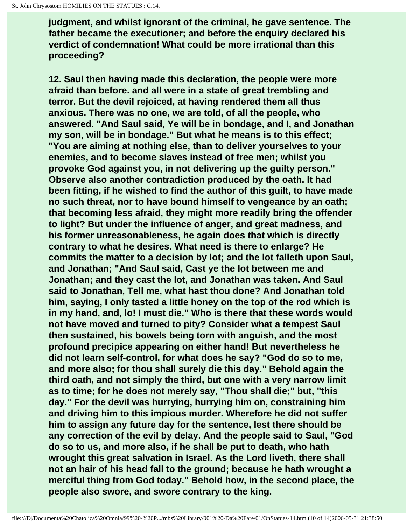**judgment, and whilst ignorant of the criminal, he gave sentence. The father became the executioner; and before the enquiry declared his verdict of condemnation! What could be more irrational than this proceeding?** 

**12. Saul then having made this declaration, the people were more afraid than before. and all were in a state of great trembling and terror. But the devil rejoiced, at having rendered them all thus anxious. There was no one, we are told, of all the people, who answered. "And Saul said, Ye will be in bondage, and I, and Jonathan my son, will be in bondage." But what he means is to this effect; "You are aiming at nothing else, than to deliver yourselves to your enemies, and to become slaves instead of free men; whilst you provoke God against you, in not delivering up the guilty person." Observe also another contradiction produced by the oath. It had been fitting, if he wished to find the author of this guilt, to have made no such threat, nor to have bound himself to vengeance by an oath; that becoming less afraid, they might more readily bring the offender to light? But under the influence of anger, and great madness, and his former unreasonableness, he again does that which is directly contrary to what he desires. What need is there to enlarge? He commits the matter to a decision by lot; and the lot falleth upon Saul, and Jonathan; "And Saul said, Cast ye the lot between me and Jonathan; and they cast the lot, and Jonathan was taken. And Saul said to Jonathan, Tell me, what hast thou done? And Jonathan told him, saying, I only tasted a little honey on the top of the rod which is in my hand, and, lo! I must die." Who is there that these words would not have moved and turned to pity? Consider what a tempest Saul then sustained, his bowels being torn with anguish, and the most profound precipice appearing on either hand! But nevertheless he did not learn self-control, for what does he say? "God do so to me, and more also; for thou shall surely die this day." Behold again the third oath, and not simply the third, but one with a very narrow limit as to time; for he does not merely say, "Thou shall die;" but, "this day." For the devil was hurrying, hurrying him on, constraining him and driving him to this impious murder. Wherefore he did not suffer him to assign any future day for the sentence, lest there should be any correction of the evil by delay. And the people said to Saul, "God do so to us, and more also, if he shall be put to death, who hath wrought this great salvation in Israel. As the Lord liveth, there shall not an hair of his head fall to the ground; because he hath wrought a merciful thing from God today." Behold how, in the second place, the people also swore, and swore contrary to the king.**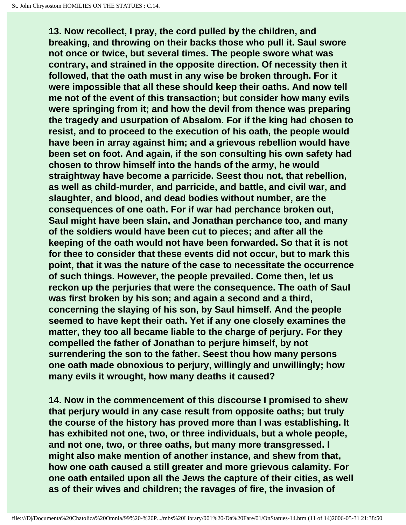**13. Now recollect, I pray, the cord pulled by the children, and breaking, and throwing on their backs those who pull it. Saul swore not once or twice, but several times. The people swore what was contrary, and strained in the opposite direction. Of necessity then it followed, that the oath must in any wise be broken through. For it were impossible that all these should keep their oaths. And now tell me not of the event of this transaction; but consider how many evils were springing from it; and how the devil from thence was preparing the tragedy and usurpation of Absalom. For if the king had chosen to resist, and to proceed to the execution of his oath, the people would have been in array against him; and a grievous rebellion would have been set on foot. And again, if the son consulting his own safety had chosen to throw himself into the hands of the army, he would straightway have become a parricide. Seest thou not, that rebellion, as well as child-murder, and parricide, and battle, and civil war, and slaughter, and blood, and dead bodies without number, are the consequences of one oath. For if war had perchance broken out, Saul might have been slain, and Jonathan perchance too, and many of the soldiers would have been cut to pieces; and after all the keeping of the oath would not have been forwarded. So that it is not for thee to consider that these events did not occur, but to mark this point, that it was the nature of the case to necessitate the occurrence of such things. However, the people prevailed. Come then, let us reckon up the perjuries that were the consequence. The oath of Saul was first broken by his son; and again a second and a third, concerning the slaying of his son, by Saul himself. And the people seemed to have kept their oath. Yet if any one closely examines the matter, they too all became liable to the charge of perjury. For they compelled the father of Jonathan to perjure himself, by not surrendering the son to the father. Seest thou how many persons one oath made obnoxious to perjury, willingly and unwillingly; how many evils it wrought, how many deaths it caused?** 

**14. Now in the commencement of this discourse I promised to shew that perjury would in any case result from opposite oaths; but truly the course of the history has proved more than I was establishing. It has exhibited not one, two, or three individuals, but a whole people, and not one, two, or three oaths, but many more transgressed. I might also make mention of another instance, and shew from that, how one oath caused a still greater and more grievous calamity. For one oath entailed upon all the Jews the capture of their cities, as well as of their wives and children; the ravages of fire, the invasion of**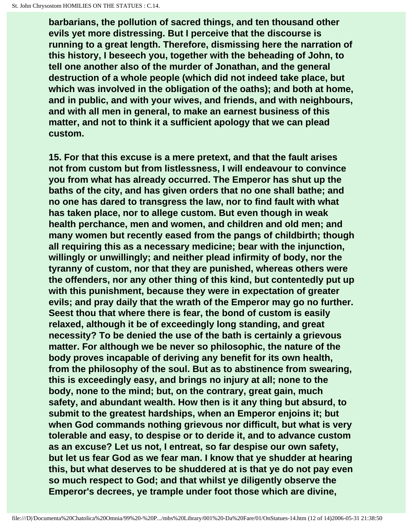**barbarians, the pollution of sacred things, and ten thousand other evils yet more distressing. But I perceive that the discourse is running to a great length. Therefore, dismissing here the narration of this history, I beseech you, together with the beheading of John, to tell one another also of the murder of Jonathan, and the general destruction of a whole people (which did not indeed take place, but which was involved in the obligation of the oaths); and both at home, and in public, and with your wives, and friends, and with neighbours, and with all men in general, to make an earnest business of this matter, and not to think it a sufficient apology that we can plead custom.** 

**15. For that this excuse is a mere pretext, and that the fault arises not from custom but from listlessness, I will endeavour to convince you from what has already occurred. The Emperor has shut up the baths of the city, and has given orders that no one shall bathe; and no one has dared to transgress the law, nor to find fault with what has taken place, nor to allege custom. But even though in weak health perchance, men and women, and children and old men; and many women but recently eased from the pangs of childbirth; though all requiring this as a necessary medicine; bear with the injunction, willingly or unwillingly; and neither plead infirmity of body, nor the tyranny of custom, nor that they are punished, whereas others were the offenders, nor any other thing of this kind, but contentedly put up with this punishment, because they were in expectation of greater evils; and pray daily that the wrath of the Emperor may go no further. Seest thou that where there is fear, the bond of custom is easily relaxed, although it be of exceedingly long standing, and great necessity? To be denied the use of the bath is certainly a grievous matter. For although we be never so philosophic, the nature of the body proves incapable of deriving any benefit for its own health, from the philosophy of the soul. But as to abstinence from swearing, this is exceedingly easy, and brings no injury at all; none to the body, none to the mind; but, on the contrary, great gain, much safety, and abundant wealth. How then is it any thing but absurd, to submit to the greatest hardships, when an Emperor enjoins it; but when God commands nothing grievous nor difficult, but what is very tolerable and easy, to despise or to deride it, and to advance custom as an excuse? Let us not, I entreat, so far despise our own safety, but let us fear God as we fear man. I know that ye shudder at hearing this, but what deserves to be shuddered at is that ye do not pay even so much respect to God; and that whilst ye diligently observe the Emperor's decrees, ye trample under foot those which are divine,**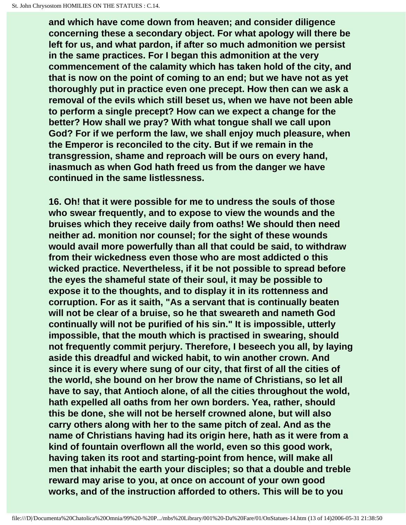**and which have come down from heaven; and consider diligence concerning these a secondary object. For what apology will there be left for us, and what pardon, if after so much admonition we persist in the same practices. For I began this admonition at the very commencement of the calamity which has taken hold of the city, and that is now on the point of coming to an end; but we have not as yet thoroughly put in practice even one precept. How then can we ask a removal of the evils which still beset us, when we have not been able to perform a single precept? How can we expect a change for the better? How shall we pray? With what tongue shall we call upon God? For if we perform the law, we shall enjoy much pleasure, when the Emperor is reconciled to the city. But if we remain in the transgression, shame and reproach will be ours on every hand, inasmuch as when God hath freed us from the danger we have continued in the same listlessness.** 

**16. Oh! that it were possible for me to undress the souls of those who swear frequently, and to expose to view the wounds and the bruises which they receive daily from oaths! We should then need neither ad. monition nor counsel; for the sight of these wounds would avail more powerfully than all that could be said, to withdraw from their wickedness even those who are most addicted o this wicked practice. Nevertheless, if it be not possible to spread before the eyes the shameful state of their soul, it may be possible to expose it to the thoughts, and to display it in its rottenness and corruption. For as it saith, "As a servant that is continually beaten will not be clear of a bruise, so he that sweareth and nameth God continually will not be purified of his sin." It is impossible, utterly impossible, that the mouth which is practised in swearing, should not frequently commit perjury. Therefore, I beseech you all, by laying aside this dreadful and wicked habit, to win another crown. And since it is every where sung of our city, that first of all the cities of the world, she bound on her brow the name of Christians, so let all have to say, that Antioch alone, of all the cities throughout the wold, hath expelled all oaths from her own borders. Yea, rather, should this be done, she will not be herself crowned alone, but will also carry others along with her to the same pitch of zeal. And as the name of Christians having had its origin here, hath as it were from a kind of fountain overflown all the world, even so this good work, having taken its root and starting-point from hence, will make all men that inhabit the earth your disciples; so that a double and treble reward may arise to you, at once on account of your own good works, and of the instruction afforded to others. This will be to you**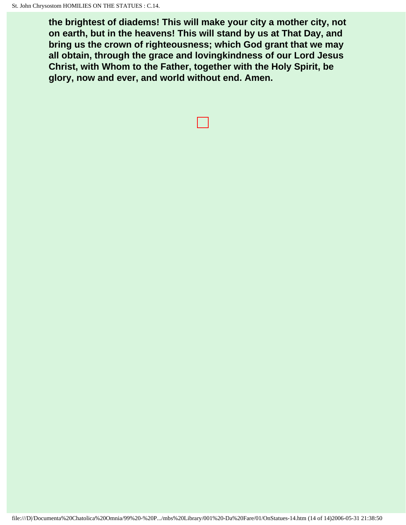**the brightest of diadems! This will make your city a mother city, not on earth, but in the heavens! This will stand by us at That Day, and bring us the crown of righteousness; which God grant that we may all obtain, through the grace and lovingkindness of our Lord Jesus Christ, with Whom to the Father, together with the Holy Spirit, be glory, now and ever, and world without end. Amen.**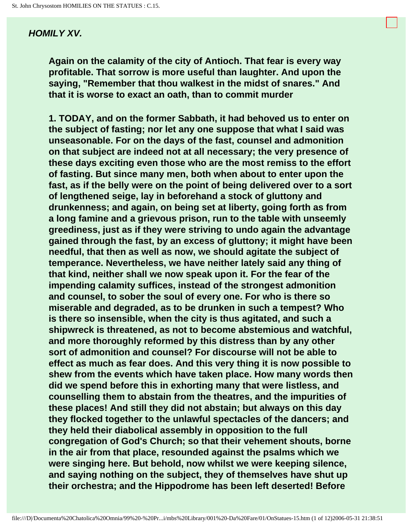## **HOMILY XV.**

**Again on the calamity of the city of Antioch. That fear is every way profitable. That sorrow is more useful than laughter. And upon the saying, "Remember that thou walkest in the midst of snares." And that it is worse to exact an oath, than to commit murder** 

**1. TODAY, and on the former Sabbath, it had behoved us to enter on the subject of fasting; nor let any one suppose that what I said was unseasonable. For on the days of the fast, counsel and admonition on that subject are indeed not at all necessary; the very presence of these days exciting even those who are the most remiss to the effort of fasting. But since many men, both when about to enter upon the fast, as if the belly were on the point of being delivered over to a sort of lengthened seige, lay in beforehand a stock of gluttony and drunkenness; and again, on being set at liberty, going forth as from a long famine and a grievous prison, run to the table with unseemly greediness, just as if they were striving to undo again the advantage gained through the fast, by an excess of gluttony; it might have been needful, that then as well as now, we should agitate the subject of temperance. Nevertheless, we have neither lately said any thing of that kind, neither shall we now speak upon it. For the fear of the impending calamity suffices, instead of the strongest admonition and counsel, to sober the soul of every one. For who is there so miserable and degraded, as to be drunken in such a tempest? Who is there so insensible, when the city is thus agitated, and such a shipwreck is threatened, as not to become abstemious and watchful, and more thoroughly reformed by this distress than by any other sort of admonition and counsel? For discourse will not be able to effect as much as fear does. And this very thing it is now possible to shew from the events which have taken place. How many words then did we spend before this in exhorting many that were listless, and counselling them to abstain from the theatres, and the impurities of these places! And still they did not abstain; but always on this day they flocked together to the unlawful spectacles of the dancers; and they held their diabolical assembly in opposition to the full congregation of God's Church; so that their vehement shouts, borne in the air from that place, resounded against the psalms which we were singing here. But behold, now whilst we were keeping silence, and saying nothing on the subject, they of themselves have shut up their orchestra; and the Hippodrome has been left deserted! Before**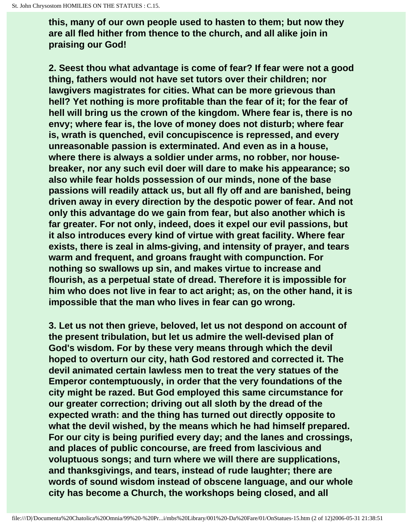**this, many of our own people used to hasten to them; but now they are all fled hither from thence to the church, and all alike join in praising our God!** 

**2. Seest thou what advantage is come of fear? If fear were not a good thing, fathers would not have set tutors over their children; nor lawgivers magistrates for cities. What can be more grievous than hell? Yet nothing is more profitable than the fear of it; for the fear of hell will bring us the crown of the kingdom. Where fear is, there is no envy; where fear is, the love of money does not disturb; where fear is, wrath is quenched, evil concupiscence is repressed, and every unreasonable passion is exterminated. And even as in a house, where there is always a soldier under arms, no robber, nor housebreaker, nor any such evil doer will dare to make his appearance; so also while fear holds possession of our minds, none of the base passions will readily attack us, but all fly off and are banished, being driven away in every direction by the despotic power of fear. And not only this advantage do we gain from fear, but also another which is far greater. For not only, indeed, does it expel our evil passions, but it also introduces every kind of virtue with great facility. Where fear exists, there is zeal in alms-giving, and intensity of prayer, and tears warm and frequent, and groans fraught with compunction. For nothing so swallows up sin, and makes virtue to increase and flourish, as a perpetual state of dread. Therefore it is impossible for him who does not live in fear to act aright; as, on the other hand, it is impossible that the man who lives in fear can go wrong.** 

**3. Let us not then grieve, beloved, let us not despond on account of the present tribulation, but let us admire the well-devised plan of God's wisdom. For by these very means through which the devil hoped to overturn our city, hath God restored and corrected it. The devil animated certain lawless men to treat the very statues of the Emperor contemptuously, in order that the very foundations of the city might be razed. But God employed this same circumstance for our greater correction; driving out all sloth by the dread of the expected wrath: and the thing has turned out directly opposite to what the devil wished, by the means which he had himself prepared. For our city is being purified every day; and the lanes and crossings, and places of public concourse, are freed from lascivious and voluptuous songs; and turn where we will there are supplications, and thanksgivings, and tears, instead of rude laughter; there are words of sound wisdom instead of obscene language, and our whole city has become a Church, the workshops being closed, and all**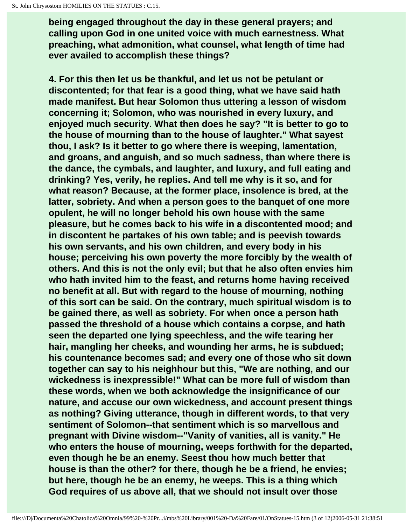**being engaged throughout the day in these general prayers; and calling upon God in one united voice with much earnestness. What preaching, what admonition, what counsel, what length of time had ever availed to accomplish these things?** 

**4. For this then let us be thankful, and let us not be petulant or discontented; for that fear is a good thing, what we have said hath made manifest. But hear Solomon thus uttering a lesson of wisdom concerning it; Solomon, who was nourished in every luxury, and enjoyed much security. What then does he say? "It is better to go to the house of mourning than to the house of laughter." What sayest thou, I ask? Is it better to go where there is weeping, lamentation, and groans, and anguish, and so much sadness, than where there is the dance, the cymbals, and laughter, and luxury, and full eating and drinking? Yes, verily, he replies. And tell me why is it so, and for what reason? Because, at the former place, insolence is bred, at the latter, sobriety. And when a person goes to the banquet of one more opulent, he will no longer behold his own house with the same pleasure, but he comes back to his wife in a discontented mood; and in discontent he partakes of his own table; and is peevish towards his own servants, and his own children, and every body in his house; perceiving his own poverty the more forcibly by the wealth of others. And this is not the only evil; but that he also often envies him who hath invited him to the feast, and returns home having received no benefit at all. But with regard to the house of mourning, nothing of this sort can be said. On the contrary, much spiritual wisdom is to be gained there, as well as sobriety. For when once a person hath passed the threshold of a house which contains a corpse, and hath seen the departed one lying speechless, and the wife tearing her hair, mangling her cheeks, and wounding her arms, he is subdued; his countenance becomes sad; and every one of those who sit down together can say to his neighhour but this, "We are nothing, and our wickedness is inexpressible!" What can be more full of wisdom than these words, when we both acknowledge the insignificance of our nature, and accuse our own wickedness, and account present things as nothing? Giving utterance, though in different words, to that very sentiment of Solomon--that sentiment which is so marvellous and pregnant with Divine wisdom--"Vanity of vanities, all is vanity." He who enters the house of mourning, weeps forthwith for the departed, even though he be an enemy. Seest thou how much better that house is than the other? for there, though he be a friend, he envies; but here, though he be an enemy, he weeps. This is a thing which God requires of us above all, that we should not insult over those**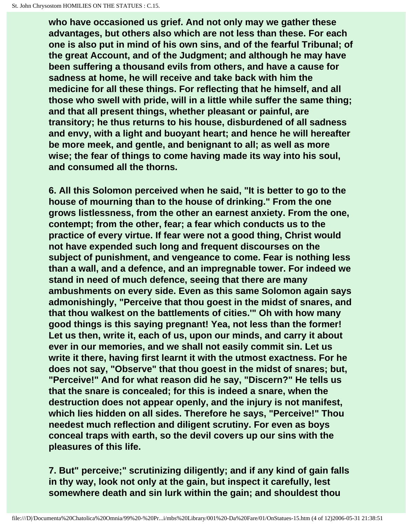**who have occasioned us grief. And not only may we gather these advantages, but others also which are not less than these. For each one is also put in mind of his own sins, and of the fearful Tribunal; of the great Account, and of the Judgment; and although he may have been suffering a thousand evils from others, and have a cause for sadness at home, he will receive and take back with him the medicine for all these things. For reflecting that he himself, and all those who swell with pride, will in a little while suffer the same thing; and that all present things, whether pleasant or painful, are transitory; he thus returns to his house, disburdened of all sadness and envy, with a light and buoyant heart; and hence he will hereafter be more meek, and gentle, and benignant to all; as well as more wise; the fear of things to come having made its way into his soul, and consumed all the thorns.** 

**6. All this Solomon perceived when he said, "It is better to go to the house of mourning than to the house of drinking." From the one grows listlessness, from the other an earnest anxiety. From the one, contempt; from the other, fear; a fear which conducts us to the practice of every virtue. If fear were not a good thing, Christ would not have expended such long and frequent discourses on the subject of punishment, and vengeance to come. Fear is nothing less than a wall, and a defence, and an impregnable tower. For indeed we stand in need of much defence, seeing that there are many ambushments on every side. Even as this same Solomon again says admonishingly, "Perceive that thou goest in the midst of snares, and that thou walkest on the battlements of cities.'" Oh with how many good things is this saying pregnant! Yea, not less than the former! Let us then, write it, each of us, upon our minds, and carry it about ever in our memories, and we shall not easily commit sin. Let us write it there, having first learnt it with the utmost exactness. For he does not say, "Observe" that thou goest in the midst of snares; but, "Perceive!" And for what reason did he say, "Discern?" He tells us that the snare is concealed; for this is indeed a snare, when the destruction does not appear openly, and the injury is not manifest, which lies hidden on all sides. Therefore he says, "Perceive!" Thou needest much reflection and diligent scrutiny. For even as boys conceal traps with earth, so the devil covers up our sins with the pleasures of this life.** 

**7. But" perceive;" scrutinizing diligently; and if any kind of gain falls in thy way, look not only at the gain, but inspect it carefully, lest somewhere death and sin lurk within the gain; and shouldest thou**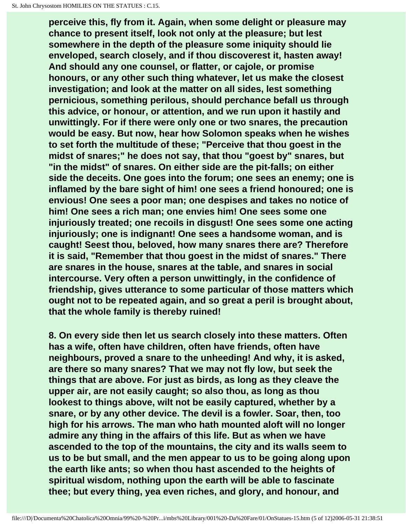**perceive this, fly from it. Again, when some delight or pleasure may chance to present itself, look not only at the pleasure; but lest somewhere in the depth of the pleasure some iniquity should lie enveloped, search closely, and if thou discoverest it, hasten away! And should any one counsel, or flatter, or cajole, or promise honours, or any other such thing whatever, let us make the closest investigation; and look at the matter on all sides, lest something pernicious, something perilous, should perchance befall us through this advice, or honour, or attention, and we run upon it hastily and unwittingly. For if there were only one or two snares, the precaution would be easy. But now, hear how Solomon speaks when he wishes to set forth the multitude of these; "Perceive that thou goest in the midst of snares;" he does not say, that thou "goest by" snares, but "in the midst" of snares. On either side are the pit-falls; on either side the deceits. One goes into the forum; one sees an enemy; one is inflamed by the bare sight of him! one sees a friend honoured; one is envious! One sees a poor man; one despises and takes no notice of him! One sees a rich man; one envies him! One sees some one injuriously treated; one recoils in disgust! One sees some one acting injuriously; one is indignant! One sees a handsome woman, and is caught! Seest thou, beloved, how many snares there are? Therefore it is said, "Remember that thou goest in the midst of snares." There are snares in the house, snares at the table, and snares in social intercourse. Very often a person unwittingly, in the confidence of friendship, gives utterance to some particular of those matters which ought not to be repeated again, and so great a peril is brought about, that the whole family is thereby ruined!** 

**8. On every side then let us search closely into these matters. Often has a wife, often have children, often have friends, often have neighbours, proved a snare to the unheeding! And why, it is asked, are there so many snares? That we may not fly low, but seek the things that are above. For just as birds, as long as they cleave the upper air, are not easily caught; so also thou, as long as thou lookest to things above, wilt not be easily captured, whether by a snare, or by any other device. The devil is a fowler. Soar, then, too high for his arrows. The man who hath mounted aloft will no longer admire any thing in the affairs of this life. But as when we have ascended to the top of the mountains, the city and its walls seem to us to be but small, and the men appear to us to be going along upon the earth like ants; so when thou hast ascended to the heights of spiritual wisdom, nothing upon the earth will be able to fascinate thee; but every thing, yea even riches, and glory, and honour, and**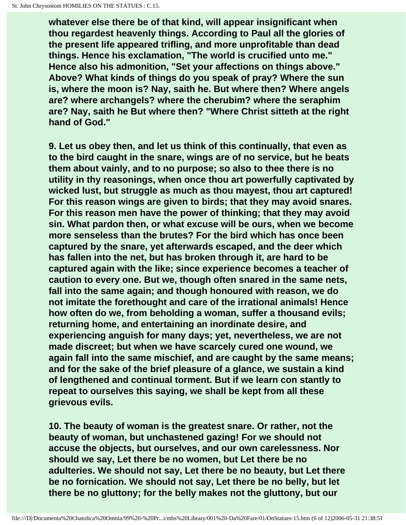**whatever else there be of that kind, will appear insignificant when thou regardest heavenly things. According to Paul all the glories of the present life appeared trifling, and more unprofitable than dead things. Hence his exclamation, "The world is crucified unto me." Hence also his admonition, "Set your affections on things above." Above? What kinds of things do you speak of pray? Where the sun is, where the moon is? Nay, saith he. But where then? Where angels are? where archangels? where the cherubim? where the seraphim are? Nay, saith he But where then? "Where Christ sitteth at the right hand of God."** 

**9. Let us obey then, and let us think of this continually, that even as to the bird caught in the snare, wings are of no service, but he beats them about vainly, and to no purpose; so also to thee there is no utility in thy reasonings, when once thou art powerfully captivated by wicked lust, but struggle as much as thou mayest, thou art captured! For this reason wings are given to birds; that they may avoid snares. For this reason men have the power of thinking; that they may avoid sin. What pardon then, or what excuse will be ours, when we become more senseless than the brutes? For the bird which has once been captured by the snare, yet afterwards escaped, and the deer which has fallen into the net, but has broken through it, are hard to be captured again with the like; since experience becomes a teacher of caution to every one. But we, though often snared in the same nets, fall into the same again; and though honoured with reason, we do not imitate the forethought and care of the irrational animals! Hence how often do we, from beholding a woman, suffer a thousand evils; returning home, and entertaining an inordinate desire, and experiencing anguish for many days; yet, nevertheless, we are not made discreet; but when we have scarcely cured one wound, we again fall into the same mischief, and are caught by the same means; and for the sake of the brief pleasure of a glance, we sustain a kind of lengthened and continual torment. But if we learn con stantly to repeat to ourselves this saying, we shall be kept from all these grievous evils.** 

**10. The beauty of woman is the greatest snare. Or rather, not the beauty of woman, but unchastened gazing! For we should not accuse the objects, but ourselves, and our own carelessness. Nor should we say, Let there be no women, but Let there be no adulteries. We should not say, Let there be no beauty, but Let there be no fornication. We should not say, Let there be no belly, but let there be no gluttony; for the belly makes not the gluttony, but our**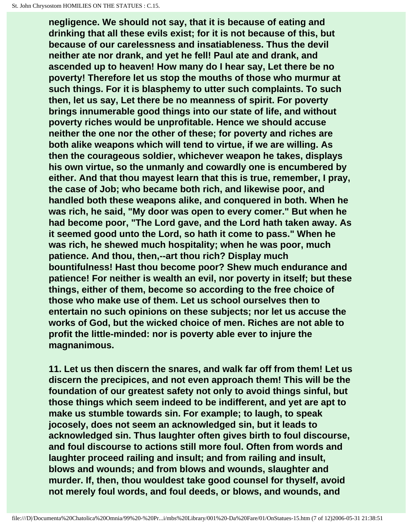**negligence. We should not say, that it is because of eating and drinking that all these evils exist; for it is not because of this, but because of our carelessness and insatiableness. Thus the devil neither ate nor drank, and yet he fell! Paul ate and drank, and ascended up to heaven! How many do I hear say, Let there be no poverty! Therefore let us stop the mouths of those who murmur at such things. For it is blasphemy to utter such complaints. To such then, let us say, Let there be no meanness of spirit. For poverty brings innumerable good things into our state of life, and without poverty riches would be unprofitable. Hence we should accuse neither the one nor the other of these; for poverty and riches are both alike weapons which will tend to virtue, if we are willing. As then the courageous soldier, whichever weapon he takes, displays his own virtue, so the unmanly and cowardly one is encumbered by either. And that thou mayest learn that this is true, remember, I pray, the case of Job; who became both rich, and likewise poor, and handled both these weapons alike, and conquered in both. When he was rich, he said, "My door was open to every comer." But when he had become poor, "The Lord gave, and the Lord hath taken away. As it seemed good unto the Lord, so hath it come to pass." When he was rich, he shewed much hospitality; when he was poor, much patience. And thou, then,--art thou rich? Display much bountifulness! Hast thou become poor? Shew much endurance and patience! For neither is wealth an evil, nor poverty in itself; but these things, either of them, become so according to the free choice of those who make use of them. Let us school ourselves then to entertain no such opinions on these subjects; nor let us accuse the works of God, but the wicked choice of men. Riches are not able to profit the little-minded: nor is poverty able ever to injure the magnanimous.** 

**11. Let us then discern the snares, and walk far off from them! Let us discern the precipices, and not even approach them! This will be the foundation of our greatest safety not only to avoid things sinful, but those things which seem indeed to be indifferent, and yet are apt to make us stumble towards sin. For example; to laugh, to speak jocosely, does not seem an acknowledged sin, but it leads to acknowledged sin. Thus laughter often gives birth to foul discourse, and foul discourse to actions still more foul. Often from words and laughter proceed railing and insult; and from railing and insult, blows and wounds; and from blows and wounds, slaughter and murder. If, then, thou wouldest take good counsel for thyself, avoid not merely foul words, and foul deeds, or blows, and wounds, and**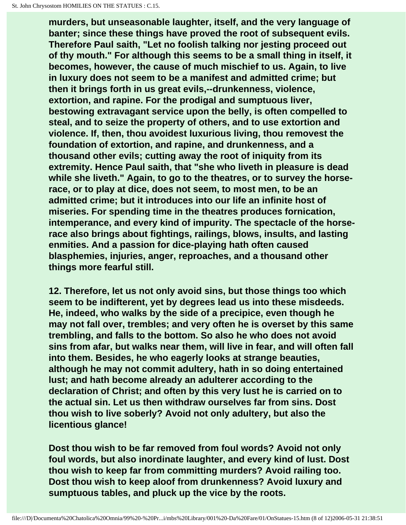**murders, but unseasonable laughter, itself, and the very language of banter; since these things have proved the root of subsequent evils. Therefore Paul saith, "Let no foolish talking nor jesting proceed out of thy mouth." For although this seems to be a small thing in itself, it becomes, however, the cause of much mischief to us. Again, to live in luxury does not seem to be a manifest and admitted crime; but then it brings forth in us great evils,--drunkenness, violence, extortion, and rapine. For the prodigal and sumptuous liver, bestowing extravagant service upon the belly, is often compelled to steal, and to seize the property of others, and to use extortion and violence. If, then, thou avoidest luxurious living, thou removest the foundation of extortion, and rapine, and drunkenness, and a thousand other evils; cutting away the root of iniquity from its extremity. Hence Paul saith, that "she who liveth in pleasure is dead while she liveth." Again, to go to the theatres, or to survey the horserace, or to play at dice, does not seem, to most men, to be an admitted crime; but it introduces into our life an infinite host of miseries. For spending time in the theatres produces fornication, intemperance, and every kind of impurity. The spectacle of the horserace also brings about fightings, railings, blows, insults, and lasting enmities. And a passion for dice-playing hath often caused blasphemies, injuries, anger, reproaches, and a thousand other things more fearful still.** 

**12. Therefore, let us not only avoid sins, but those things too which seem to be indifterent, yet by degrees lead us into these misdeeds. He, indeed, who walks by the side of a precipice, even though he may not fall over, trembles; and very often he is overset by this same trembling, and falls to the bottom. So also he who does not avoid sins from afar, but walks near them, will live in fear, and will often fall into them. Besides, he who eagerly looks at strange beauties, although he may not commit adultery, hath in so doing entertained lust; and hath become already an adulterer according to the declaration of Christ; and often by this very lust he is carried on to the actual sin. Let us then withdraw ourselves far from sins. Dost thou wish to live soberly? Avoid not only adultery, but also the licentious glance!** 

**Dost thou wish to be far removed from foul words? Avoid not only foul words, but also inordinate laughter, and every kind of lust. Dost thou wish to keep far from committing murders? Avoid railing too. Dost thou wish to keep aloof from drunkenness? Avoid luxury and sumptuous tables, and pluck up the vice by the roots.**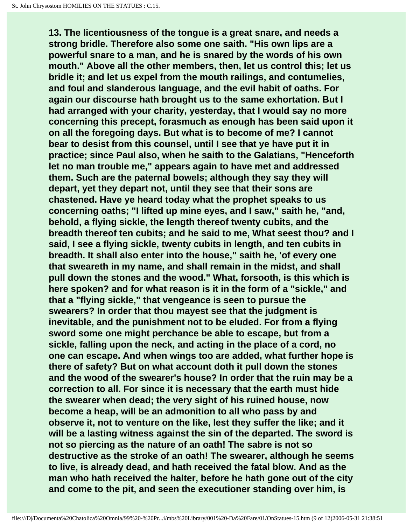**13. The licentiousness of the tongue is a great snare, and needs a strong bridle. Therefore also some one saith. "His own lips are a powerful snare to a man, and he is snared by the words of his own mouth." Above all the other members, then, let us control this; let us bridle it; and let us expel from the mouth railings, and contumelies, and foul and slanderous language, and the evil habit of oaths. For again our discourse hath brought us to the same exhortation. But I had arranged with your charity, yesterday, that I would say no more concerning this precept, forasmuch as enough has been said upon it on all the foregoing days. But what is to become of me? I cannot bear to desist from this counsel, until I see that ye have put it in practice; since Paul also, when he saith to the Galatians, "Henceforth let no man trouble me," appears again to have met and addressed them. Such are the paternal bowels; although they say they will depart, yet they depart not, until they see that their sons are chastened. Have ye heard today what the prophet speaks to us concerning oaths; "I lifted up mine eyes, and I saw," saith he, "and, behold, a flying sickle, the length thereof twenty cubits, and the breadth thereof ten cubits; and he said to me, What seest thou? and I said, I see a flying sickle, twenty cubits in length, and ten cubits in breadth. It shall also enter into the house," saith he, 'of every one that sweareth in my name, and shall remain in the midst, and shall pull down the stones and the wood." What, forsooth, is this which is here spoken? and for what reason is it in the form of a "sickle," and that a "flying sickle," that vengeance is seen to pursue the swearers? In order that thou mayest see that the judgment is inevitable, and the punishment not to be eluded. For from a flying sword some one might perchance be able to escape, but from a sickle, falling upon the neck, and acting in the place of a cord, no one can escape. And when wings too are added, what further hope is there of safety? But on what account doth it pull down the stones and the wood of the swearer's house? In order that the ruin may be a correction to all. For since it is necessary that the earth must hide the swearer when dead; the very sight of his ruined house, now become a heap, will be an admonition to all who pass by and observe it, not to venture on the like, lest they suffer the like; and it will be a lasting witness against the sin of the departed. The sword is not so piercing as the nature of an oath! The sabre is not so destructive as the stroke of an oath! The swearer, although he seems to live, is already dead, and hath received the fatal blow. And as the man who hath received the halter, before he hath gone out of the city and come to the pit, and seen the executioner standing over him, is**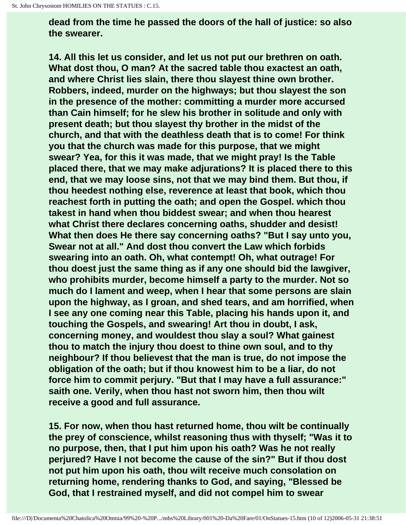**dead from the time he passed the doors of the hall of justice: so also the swearer.** 

**14. All this let us consider, and let us not put our brethren on oath. What dost thou, O man? At the sacred table thou exactest an oath, and where Christ lies slain, there thou slayest thine own brother. Robbers, indeed, murder on the highways; but thou slayest the son in the presence of the mother: committing a murder more accursed than Cain himself; for he slew his brother in solitude and only with present death; but thou slayest thy brother in the midst of the church, and that with the deathless death that is to come! For think you that the church was made for this purpose, that we might swear? Yea, for this it was made, that we might pray! Is the Table placed there, that we may make adjurations? It is placed there to this end, that we may loose sins, not that we may bind them. But thou, if thou heedest nothing else, reverence at least that book, which thou reachest forth in putting the oath; and open the Gospel. which thou takest in hand when thou biddest swear; and when thou hearest what Christ there declares concerning oaths, shudder and desist! What then does He there say concerning oaths? "But I say unto you, Swear not at all." And dost thou convert the Law which forbids swearing into an oath. Oh, what contempt! Oh, what outrage! For thou doest just the same thing as if any one should bid the lawgiver, who prohibits murder, become himself a party to the murder. Not so much do I lament and weep, when I hear that some persons are slain upon the highway, as I groan, and shed tears, and am horrified, when I see any one coming near this Table, placing his hands upon it, and touching the Gospels, and swearing! Art thou in doubt, I ask, concerning money, and wouldest thou slay a soul? What gainest thou to match the injury thou doest to thine own soul, and to thy neighbour? If thou believest that the man is true, do not impose the obligation of the oath; but if thou knowest him to be a liar, do not force him to commit perjury. "But that I may have a full assurance:" saith one. Verily, when thou hast not sworn him, then thou wilt receive a good and full assurance.** 

**15. For now, when thou hast returned home, thou wilt be continually the prey of conscience, whilst reasoning thus with thyself; "Was it to no purpose, then, that I put him upon his oath? Was he not really perjured? Have I not become the cause of the sin?" But if thou dost not put him upon his oath, thou wilt receive much consolation on returning home, rendering thanks to God, and saying, "Blessed be God, that I restrained myself, and did not compel him to swear**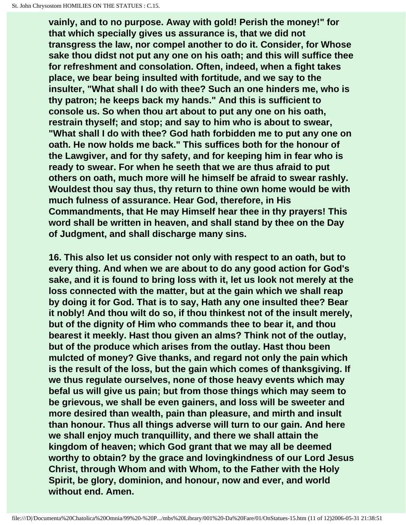**vainly, and to no purpose. Away with gold! Perish the money!" for that which specially gives us assurance is, that we did not transgress the law, nor compel another to do it. Consider, for Whose sake thou didst not put any one on his oath; and this will suffice thee for refreshment and consolation. Often, indeed, when a fight takes place, we bear being insulted with fortitude, and we say to the insulter, "What shall I do with thee? Such an one hinders me, who is thy patron; he keeps back my hands." And this is sufficient to console us. So when thou art about to put any one on his oath, restrain thyself; and stop; and say to him who is about to swear, "What shall I do with thee? God hath forbidden me to put any one on oath. He now holds me back." This suffices both for the honour of the Lawgiver, and for thy safety, and for keeping him in fear who is ready to swear. For when he seeth that we are thus afraid to put others on oath, much more will he himself be afraid to swear rashly. Wouldest thou say thus, thy return to thine own home would be with much fulness of assurance. Hear God, therefore, in His Commandments, that He may Himself hear thee in thy prayers! This word shall be written in heaven, and shall stand by thee on the Day of Judgment, and shall discharge many sins.** 

**16. This also let us consider not only with respect to an oath, but to every thing. And when we are about to do any good action for God's sake, and it is found to bring loss with it, let us look not merely at the loss connected with the matter, but at the gain which we shall reap by doing it for God. That is to say, Hath any one insulted thee? Bear it nobly! And thou wilt do so, if thou thinkest not of the insult merely, but of the dignity of Him who commands thee to bear it, and thou bearest it meekly. Hast thou given an alms? Think not of the outlay, but of the produce which arises from the outlay. Hast thou been mulcted of money? Give thanks, and regard not only the pain which is the result of the loss, but the gain which comes of thanksgiving. If we thus regulate ourselves, none of those heavy events which may befal us will give us pain; but from those things which may seem to be grievous, we shall be even gainers, and loss will be sweeter and more desired than wealth, pain than pleasure, and mirth and insult than honour. Thus all things adverse will turn to our gain. And here we shall enjoy much tranquillity, and there we shall attain the kingdom of heaven; which God grant that we may all be deemed worthy to obtain? by the grace and lovingkindness of our Lord Jesus Christ, through Whom and with Whom, to the Father with the Holy Spirit, be glory, dominion, and honour, now and ever, and world without end. Amen.**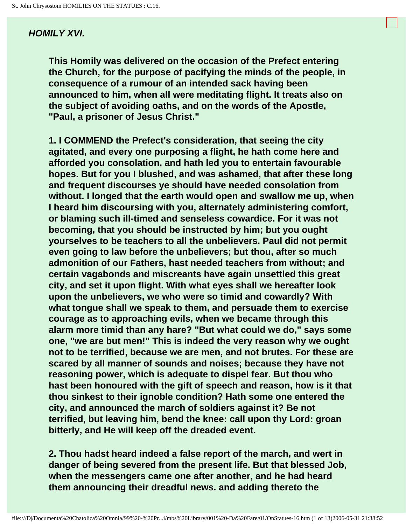## **HOMILY XVI.**

**This Homily was delivered on the occasion of the Prefect entering the Church, for the purpose of pacifying the minds of the people, in consequence of a rumour of an intended sack having been announced to him, when all were meditating flight. It treats also on the subject of avoiding oaths, and on the words of the Apostle, "Paul, a prisoner of Jesus Christ."** 

**1. I COMMEND the Prefect's consideration, that seeing the city agitated, and every one purposing a flight, he hath come here and afforded you consolation, and hath led you to entertain favourable hopes. But for you I blushed, and was ashamed, that after these long and frequent discourses ye should have needed consolation from without. I longed that the earth would open and swallow me up, when I heard him discoursing with you, alternately administering comfort, or blaming such ill-timed and senseless cowardice. For it was not becoming, that you should be instructed by him; but you ought yourselves to be teachers to all the unbelievers. Paul did not permit even going to law before the unbelievers; but thou, after so much admonition of our Fathers, hast needed teachers from without; and certain vagabonds and miscreants have again unsettled this great city, and set it upon flight. With what eyes shall we hereafter look upon the unbelievers, we who were so timid and cowardly? With what tongue shall we speak to them, and persuade them to exercise courage as to approaching evils, when we became through this alarm more timid than any hare? "But what could we do," says some one, "we are but men!" This is indeed the very reason why we ought not to be terrified, because we are men, and not brutes. For these are scared by all manner of sounds and noises; because they have not reasoning power, which is adequate to dispel fear. But thou who hast been honoured with the gift of speech and reason, how is it that thou sinkest to their ignoble condition? Hath some one entered the city, and announced the march of soldiers against it? Be not terrified, but leaving him, bend the knee: call upon thy Lord: groan bitterly, and He will keep off the dreaded event.** 

**2. Thou hadst heard indeed a false report of the march, and wert in danger of being severed from the present life. But that blessed Job, when the messengers came one after another, and he had heard them announcing their dreadful news. and adding thereto the**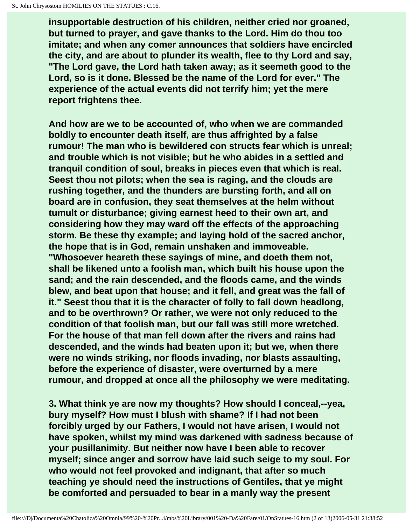**insupportable destruction of his children, neither cried nor groaned, but turned to prayer, and gave thanks to the Lord. Him do thou too imitate; and when any comer announces that soldiers have encircled the city, and are about to plunder its wealth, flee to thy Lord and say, "The Lord gave, the Lord hath taken away; as it seemeth good to the Lord, so is it done. Blessed be the name of the Lord for ever." The experience of the actual events did not terrify him; yet the mere report frightens thee.** 

**And how are we to be accounted of, who when we are commanded boldly to encounter death itself, are thus affrighted by a false rumour! The man who is bewildered con structs fear which is unreal; and trouble which is not visible; but he who abides in a settled and tranquil condition of soul, breaks in pieces even that which is real. Seest thou not pilots; when the sea is raging, and the clouds are rushing together, and the thunders are bursting forth, and all on board are in confusion, they seat themselves at the helm without tumult or disturbance; giving earnest heed to their own art, and considering how they may ward off the effects of the approaching storm. Be these thy example; and laying hold of the sacred anchor, the hope that is in God, remain unshaken and immoveable. "Whosoever heareth these sayings of mine, and doeth them not, shall be likened unto a foolish man, which built his house upon the sand; and the rain descended, and the floods came, and the winds blew, and beat upon that house; and it fell, and great was the fall of it." Seest thou that it is the character of folly to fall down headlong, and to be overthrown? Or rather, we were not only reduced to the condition of that foolish man, but our fall was still more wretched. For the house of that man fell down after the rivers and rains had descended, and the winds had beaten upon it; but we, when there were no winds striking, nor floods invading, nor blasts assaulting, before the experience of disaster, were overturned by a mere rumour, and dropped at once all the philosophy we were meditating.** 

**3. What think ye are now my thoughts? How should I conceal,--yea, bury myself? How must I blush with shame? If I had not been forcibly urged by our Fathers, I would not have arisen, I would not have spoken, whilst my mind was darkened with sadness because of your pusillanimity. But neither now have I been able to recover myself; since anger and sorrow have laid such seige to my soul. For who would not feel provoked and indignant, that after so much teaching ye should need the instructions of Gentiles, that ye might be comforted and persuaded to bear in a manly way the present**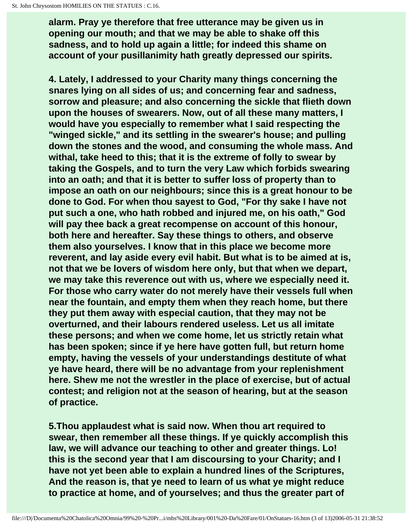**alarm. Pray ye therefore that free utterance may be given us in opening our mouth; and that we may be able to shake off this sadness, and to hold up again a little; for indeed this shame on account of your pusillanimity hath greatly depressed our spirits.** 

**4. Lately, I addressed to your Charity many things concerning the snares lying on all sides of us; and concerning fear and sadness, sorrow and pleasure; and also concerning the sickle that flieth down upon the houses of swearers. Now, out of all these many matters, I would have you especially to remember what I said respecting the "winged sickle," and its settling in the swearer's house; and pulling down the stones and the wood, and consuming the whole mass. And withal, take heed to this; that it is the extreme of folly to swear by taking the Gospels, and to turn the very Law which forbids swearing into an oath; and that it is better to suffer loss of property than to impose an oath on our neighbours; since this is a great honour to be done to God. For when thou sayest to God, "For thy sake I have not put such a one, who hath robbed and injured me, on his oath," God will pay thee back a great recompense on account of this honour, both here and hereafter. Say these things to others, and observe them also yourselves. I know that in this place we become more reverent, and lay aside every evil habit. But what is to be aimed at is, not that we be lovers of wisdom here only, but that when we depart, we may take this reverence out with us, where we especially need it. For those who carry water do not merely have their vessels full when near the fountain, and empty them when they reach home, but there they put them away with especial caution, that they may not be overturned, and their labours rendered useless. Let us all imitate these persons; and when we come home, let us strictly retain what has been spoken; since if ye here have gotten full, but return home empty, having the vessels of your understandings destitute of what ye have heard, there will be no advantage from your replenishment here. Shew me not the wrestler in the place of exercise, but of actual contest; and religion not at the season of hearing, but at the season of practice.** 

**5.Thou applaudest what is said now. When thou art required to swear, then remember all these things. If ye quickly accomplish this law, we will advance our teaching to other and greater things. Lo! this is the second year that I am discoursing to your Charity; and I have not yet been able to explain a hundred lines of the Scriptures, And the reason is, that ye need to learn of us what ye might reduce to practice at home, and of yourselves; and thus the greater part of**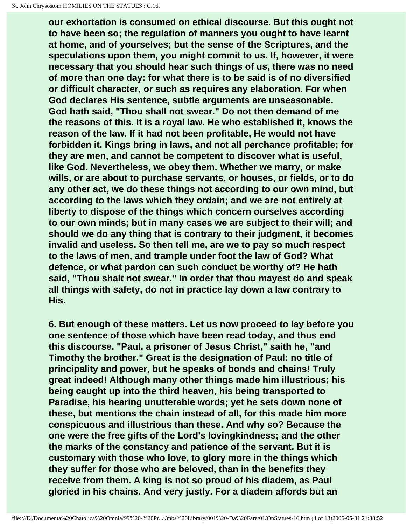**our exhortation is consumed on ethical discourse. But this ought not to have been so; the regulation of manners you ought to have learnt at home, and of yourselves; but the sense of the Scriptures, and the speculations upon them, you might commit to us. If, however, it were necessary that you should hear such things of us, there was no need of more than one day: for what there is to be said is of no diversified or difficult character, or such as requires any elaboration. For when God declares His sentence, subtle arguments are unseasonable. God hath said, "Thou shall not swear." Do not then demand of me the reasons of this. It is a royal law. He who established it, knows the reason of the law. If it had not been profitable, He would not have forbidden it. Kings bring in laws, and not all perchance profitable; for they are men, and cannot be competent to discover what is useful, like God. Nevertheless, we obey them. Whether we marry, or make wills, or are about to purchase servants, or houses, or fields, or to do any other act, we do these things not according to our own mind, but according to the laws which they ordain; and we are not entirely at liberty to dispose of the things which concern ourselves according to our own minds; but in many cases we are subject to their will; and should we do any thing that is contrary to their judgment, it becomes invalid and useless. So then tell me, are we to pay so much respect to the laws of men, and trample under foot the law of God? What defence, or what pardon can such conduct be worthy of? He hath said, "Thou shalt not swear." In order that thou mayest do and speak all things with safety, do not in practice lay down a law contrary to His.** 

**6. But enough of these matters. Let us now proceed to lay before you one sentence of those which have been read today, and thus end this discourse. "Paul, a prisoner of Jesus Christ," saith he, "and Timothy the brother." Great is the designation of Paul: no title of principality and power, but he speaks of bonds and chains! Truly great indeed! Although many other things made him illustrious; his being caught up into the third heaven, his being transported to Paradise, his hearing unutterable words; yet he sets down none of these, but mentions the chain instead of all, for this made him more conspicuous and illustrious than these. And why so? Because the one were the free gifts of the Lord's lovingkindness; and the other the marks of the constancy and patience of the servant. But it is customary with those who love, to glory more in the things which they suffer for those who are beloved, than in the benefits they receive from them. A king is not so proud of his diadem, as Paul gloried in his chains. And very justly. For a diadem affords but an**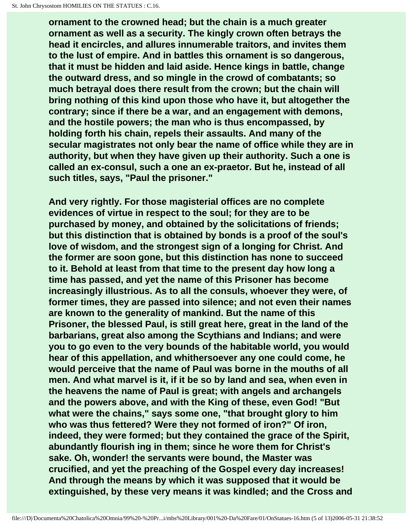**ornament to the crowned head; but the chain is a much greater ornament as well as a security. The kingly crown often betrays the head it encircles, and allures innumerable traitors, and invites them to the lust of empire. And in battles this ornament is so dangerous, that it must be hidden and laid aside. Hence kings in battle, change the outward dress, and so mingle in the crowd of combatants; so much betrayal does there result from the crown; but the chain will bring nothing of this kind upon those who have it, but altogether the contrary; since if there be a war, and an engagement with demons, and the hostile powers; the man who is thus encompassed, by holding forth his chain, repels their assaults. And many of the secular magistrates not only bear the name of office while they are in authority, but when they have given up their authority. Such a one is called an ex-consul, such a one an ex-praetor. But he, instead of all such titles, says, "Paul the prisoner."** 

**And very rightly. For those magisterial offices are no complete evidences of virtue in respect to the soul; for they are to be purchased by money, and obtained by the solicitations of friends; but this distinction that is obtained by bonds is a proof of the soul's love of wisdom, and the strongest sign of a longing for Christ. And the former are soon gone, but this distinction has none to succeed to it. Behold at least from that time to the present day how long a time has passed, and yet the name of this Prisoner has become increasingly illustrious. As to all the consuls, whoever they were, of former times, they are passed into silence; and not even their names are known to the generality of mankind. But the name of this Prisoner, the blessed Paul, is still great here, great in the land of the barbarians, great also among the Scythians and Indians; and were you to go even to the very bounds of the habitable world, you would hear of this appellation, and whithersoever any one could come, he would perceive that the name of Paul was borne in the mouths of all men. And what marvel is it, if it be so by land and sea, when even in the heavens the name of Paul is great; with angels and archangels and the powers above, and with the King of these, even God! "But what were the chains," says some one, "that brought glory to him who was thus fettered? Were they not formed of iron?" Of iron, indeed, they were formed; but they contained the grace of the Spirit, abundantly flourish ing in them; since he wore them for Christ's sake. Oh, wonder! the servants were bound, the Master was crucified, and yet the preaching of the Gospel every day increases! And through the means by which it was supposed that it would be extinguished, by these very means it was kindled; and the Cross and**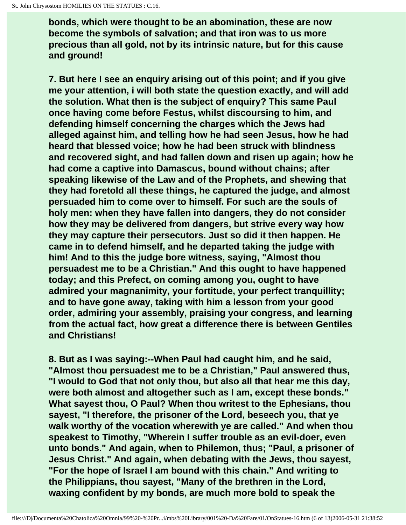**bonds, which were thought to be an abomination, these are now become the symbols of salvation; and that iron was to us more precious than all gold, not by its intrinsic nature, but for this cause and ground!** 

**7. But here I see an enquiry arising out of this point; and if you give me your attention, i will both state the question exactly, and will add the solution. What then is the subject of enquiry? This same Paul once having come before Festus, whilst discoursing to him, and defending himself concerning the charges which the Jews had alleged against him, and telling how he had seen Jesus, how he had heard that blessed voice; how he had been struck with blindness and recovered sight, and had fallen down and risen up again; how he had come a captive into Damascus, bound without chains; after speaking likewise of the Law and of the Prophets, and shewing that they had foretold all these things, he captured the judge, and almost persuaded him to come over to himself. For such are the souls of holy men: when they have fallen into dangers, they do not consider how they may be delivered from dangers, but strive every way how they may capture their persecutors. Just so did it then happen. He came in to defend himself, and he departed taking the judge with him! And to this the judge bore witness, saying, "Almost thou persuadest me to be a Christian." And this ought to have happened today; and this Prefect, on coming among you, ought to have admired your magnanimity, your fortitude, your perfect tranquillity; and to have gone away, taking with him a lesson from your good order, admiring your assembly, praising your congress, and learning from the actual fact, how great a difference there is between Gentiles and Christians!** 

**8. But as I was saying:--When Paul had caught him, and he said, "Almost thou persuadest me to be a Christian," Paul answered thus, "I would to God that not only thou, but also all that hear me this day, were both almost and altogether such as I am, except these bonds." What sayest thou, O Paul? When thou writest to the Ephesians, thou sayest, "I therefore, the prisoner of the Lord, beseech you, that ye walk worthy of the vocation wherewith ye are called." And when thou speakest to Timothy, "Wherein I suffer trouble as an evil-doer, even unto bonds." And again, when to Philemon, thus; "Paul, a prisoner of Jesus Christ." And again, when debating with the Jews, thou sayest, "For the hope of Israel I am bound with this chain." And writing to the Philippians, thou sayest, "Many of the brethren in the Lord, waxing confident by my bonds, are much more bold to speak the**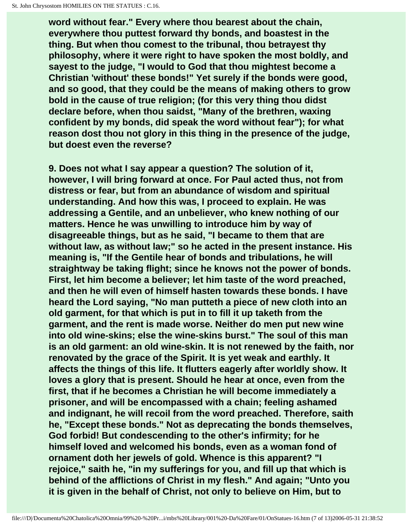**word without fear." Every where thou bearest about the chain, everywhere thou puttest forward thy bonds, and boastest in the thing. But when thou comest to the tribunal, thou betrayest thy philosophy, where it were right to have spoken the most boldly, and sayest to the judge, "I would to God that thou mightest become a Christian 'without' these bonds!" Yet surely if the bonds were good, and so good, that they could be the means of making others to grow bold in the cause of true religion; (for this very thing thou didst declare before, when thou saidst, "Many of the brethren, waxing confident by my bonds, did speak the word without fear"); for what reason dost thou not glory in this thing in the presence of the judge, but doest even the reverse?** 

**9. Does not what I say appear a question? The solution of it, however, I will bring forward at once. For Paul acted thus, not from distress or fear, but from an abundance of wisdom and spiritual understanding. And how this was, I proceed to explain. He was addressing a Gentile, and an unbeliever, who knew nothing of our matters. Hence he was unwilling to introduce him by way of disagreeable things, but as he said, "I became to them that are without law, as without law;" so he acted in the present instance. His meaning is, "If the Gentile hear of bonds and tribulations, he will straightway be taking flight; since he knows not the power of bonds. First, let him become a believer; let him taste of the word preached, and then he will even of himself hasten towards these bonds. I have heard the Lord saying, "No man putteth a piece of new cloth into an old garment, for that which is put in to fill it up taketh from the garment, and the rent is made worse. Neither do men put new wine into old wine-skins; else the wine-skins burst." The soul of this man is an old garment: an old wine-skin. It is not renewed by the faith, nor renovated by the grace of the Spirit. It is yet weak and earthly. It affects the things of this life. It flutters eagerly after worldly show. It loves a glory that is present. Should he hear at once, even from the first, that if he becomes a Christian he will become immediately a prisoner, and will be encompassed with a chain; feeling ashamed and indignant, he will recoil from the word preached. Therefore, saith he, "Except these bonds." Not as deprecating the bonds themselves, God forbid! But condescending to the other's infirmity; for he himself loved and welcomed his bonds, even as a woman fond of ornament doth her jewels of gold. Whence is this apparent? "I rejoice," saith he, "in my sufferings for you, and fill up that which is behind of the afflictions of Christ in my flesh." And again; "Unto you it is given in the behalf of Christ, not only to believe on Him, but to**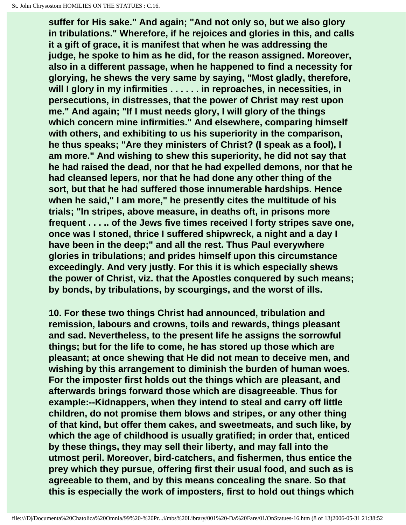**suffer for His sake." And again; "And not only so, but we also glory in tribulations." Wherefore, if he rejoices and glories in this, and calls it a gift of grace, it is manifest that when he was addressing the judge, he spoke to him as he did, for the reason assigned. Moreover, also in a different passage, when he happened to find a necessity for glorying, he shews the very same by saying, "Most gladly, therefore, will I glory in my infirmities . . . . . . in reproaches, in necessities, in persecutions, in distresses, that the power of Christ may rest upon me." And again; "If I must needs glory, I will glory of the things which concern mine infirmities." And elsewhere, comparing himself with others, and exhibiting to us his superiority in the comparison, he thus speaks; "Are they ministers of Christ? (I speak as a fool), I am more." And wishing to shew this superiority, he did not say that he had raised the dead, nor that he had expelled demons, nor that he had cleansed lepers, nor that he had done any other thing of the sort, but that he had suffered those innumerable hardships. Hence when he said," I am more," he presently cites the multitude of his trials; "In stripes, above measure, in deaths oft, in prisons more frequent . . . .. of the Jews five times received I forty stripes save one, once was I stoned, thrice I suffered shipwreck, a night and a day I have been in the deep;" and all the rest. Thus Paul everywhere glories in tribulations; and prides himself upon this circumstance exceedingly. And very justly. For this it is which especially shews the power of Christ, viz. that the Apostles conquered by such means; by bonds, by tribulations, by scourgings, and the worst of ills.** 

**10. For these two things Christ had announced, tribulation and remission, labours and crowns, toils and rewards, things pleasant and sad. Nevertheless, to the present life he assigns the sorrowful things; but for the life to come, he has stored up those which are pleasant; at once shewing that He did not mean to deceive men, and wishing by this arrangement to diminish the burden of human woes. For the imposter first holds out the things which are pleasant, and afterwards brings forward those which are disagreeable. Thus for example:--Kidnappers, when they intend to steal and carry off little children, do not promise them blows and stripes, or any other thing of that kind, but offer them cakes, and sweetmeats, and such like, by which the age of childhood is usually gratified; in order that, enticed by these things, they may sell their liberty, and may fall into the utmost peril. Moreover, bird-catchers, and fishermen, thus entice the prey which they pursue, offering first their usual food, and such as is agreeable to them, and by this means concealing the snare. So that this is especially the work of imposters, first to hold out things which**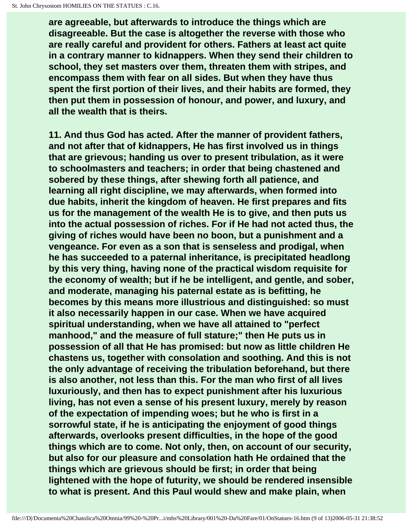**are agreeable, but afterwards to introduce the things which are disagreeable. But the case is altogether the reverse with those who are really careful and provident for others. Fathers at least act quite in a contrary manner to kidnappers. When they send their children to school, they set masters over them, threaten them with stripes, and encompass them with fear on all sides. But when they have thus spent the first portion of their lives, and their habits are formed, they then put them in possession of honour, and power, and luxury, and all the wealth that is theirs.** 

**11. And thus God has acted. After the manner of provident fathers, and not after that of kidnappers, He has first involved us in things that are grievous; handing us over to present tribulation, as it were to schoolmasters and teachers; in order that being chastened and sobered by these things, after shewing forth all patience, and learning all right discipline, we may afterwards, when formed into due habits, inherit the kingdom of heaven. He first prepares and fits us for the management of the wealth He is to give, and then puts us into the actual possession of riches. For if He had not acted thus, the giving of riches would have been no boon, but a punishment and a vengeance. For even as a son that is senseless and prodigal, when he has succeeded to a paternal inheritance, is precipitated headlong by this very thing, having none of the practical wisdom requisite for the economy of wealth; but if he be intelligent, and gentle, and sober, and moderate, managing his paternal estate as is befitting, he becomes by this means more illustrious and distinguished: so must it also necessarily happen in our case. When we have acquired spiritual understanding, when we have all attained to "perfect manhood," and the measure of full stature;" then He puts us in possession of all that He has promised: but now as little children He chastens us, together with consolation and soothing. And this is not the only advantage of receiving the tribulation beforehand, but there is also another, not less than this. For the man who first of all lives luxuriously, and then has to expect punishment after his luxurious living, has not even a sense of his present luxury, merely by reason of the expectation of impending woes; but he who is first in a sorrowful state, if he is anticipating the enjoyment of good things afterwards, overlooks present difficulties, in the hope of the good things which are to come. Not only, then, on account of our security, but also for our pleasure and consolation hath He ordained that the things which are grievous should be first; in order that being lightened with the hope of futurity, we should be rendered insensible to what is present. And this Paul would shew and make plain, when**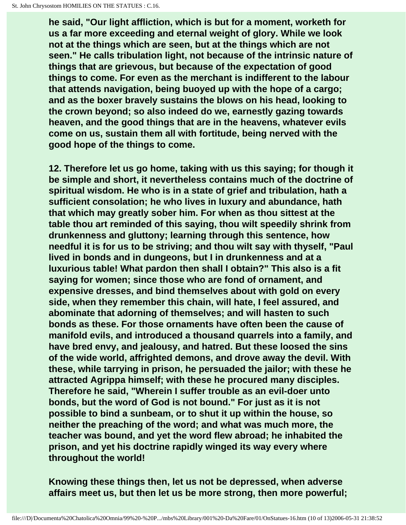**he said, "Our light affliction, which is but for a moment, worketh for us a far more exceeding and eternal weight of glory. While we look not at the things which are seen, but at the things which are not seen." He calls tribulation light, not because of the intrinsic nature of things that are grievous, but because of the expectation of good things to come. For even as the merchant is indifferent to the labour that attends navigation, being buoyed up with the hope of a cargo; and as the boxer bravely sustains the blows on his head, looking to the crown beyond; so also indeed do we, earnestly gazing towards heaven, and the good things that are in the heavens, whatever evils come on us, sustain them all with fortitude, being nerved with the good hope of the things to come.** 

**12. Therefore let us go home, taking with us this saying; for though it be simple and short, it nevertheless contains much of the doctrine of spiritual wisdom. He who is in a state of grief and tribulation, hath a sufficient consolation; he who lives in luxury and abundance, hath that which may greatly sober him. For when as thou sittest at the table thou art reminded of this saying, thou wilt speedily shrink from drunkenness and gluttony; learning through this sentence, how needful it is for us to be striving; and thou wilt say with thyself, "Paul lived in bonds and in dungeons, but I in drunkenness and at a luxurious table! What pardon then shall I obtain?" This also is a fit saying for women; since those who are fond of ornament, and expensive dresses, and bind themselves about with gold on every side, when they remember this chain, will hate, I feel assured, and abominate that adorning of themselves; and will hasten to such bonds as these. For those ornaments have often been the cause of manifold evils, and introduced a thousand quarrels into a family, and have bred envy, and jealousy, and hatred. But these loosed the sins of the wide world, affrighted demons, and drove away the devil. With these, while tarrying in prison, he persuaded the jailor; with these he attracted Agrippa himself; with these he procured many disciples. Therefore he said, "Wherein I suffer trouble as an evil-doer unto bonds, but the word of God is not bound." For just as it is not possible to bind a sunbeam, or to shut it up within the house, so neither the preaching of the word; and what was much more, the teacher was bound, and yet the word flew abroad; he inhabited the prison, and yet his doctrine rapidly winged its way every where throughout the world!** 

**Knowing these things then, let us not be depressed, when adverse affairs meet us, but then let us be more strong, then more powerful;**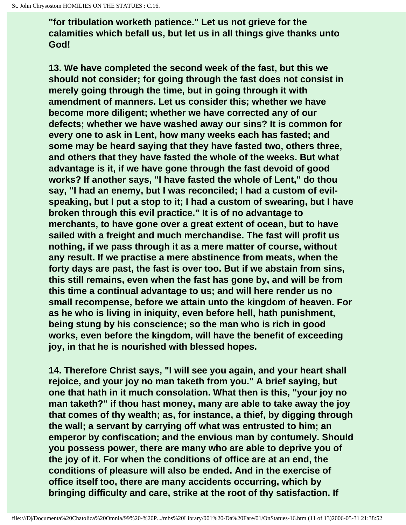**"for tribulation worketh patience." Let us not grieve for the calamities which befall us, but let us in all things give thanks unto God!** 

**13. We have completed the second week of the fast, but this we should not consider; for going through the fast does not consist in merely going through the time, but in going through it with amendment of manners. Let us consider this; whether we have become more diligent; whether we have corrected any of our defects; whether we have washed away our sins? It is common for every one to ask in Lent, how many weeks each has fasted; and some may be heard saying that they have fasted two, others three, and others that they have fasted the whole of the weeks. But what advantage is it, if we have gone through the fast devoid of good works? If another says, "I have fasted the whole of Lent," do thou say, "I had an enemy, but I was reconciled; I had a custom of evilspeaking, but I put a stop to it; I had a custom of swearing, but I have broken through this evil practice." It is of no advantage to merchants, to have gone over a great extent of ocean, but to have sailed with a freight and much merchandise. The fast will profit us nothing, if we pass through it as a mere matter of course, without any result. If we practise a mere abstinence from meats, when the forty days are past, the fast is over too. But if we abstain from sins, this still remains, even when the fast has gone by, and will be from this time a continual advantage to us; and will here render us no small recompense, before we attain unto the kingdom of heaven. For as he who is living in iniquity, even before hell, hath punishment, being stung by his conscience; so the man who is rich in good works, even before the kingdom, will have the benefit of exceeding joy, in that he is nourished with blessed hopes.** 

**14. Therefore Christ says, "I will see you again, and your heart shall rejoice, and your joy no man taketh from you." A brief saying, but one that hath in it much consolation. What then is this, "your joy no man taketh?" if thou hast money, many are able to take away the joy that comes of thy wealth; as, for instance, a thief, by digging through the wall; a servant by carrying off what was entrusted to him; an emperor by confiscation; and the envious man by contumely. Should you possess power, there are many who are able to deprive you of the joy of it. For when the conditions of office are at an end, the conditions of pleasure will also be ended. And in the exercise of office itself too, there are many accidents occurring, which by bringing difficulty and care, strike at the root of thy satisfaction. If**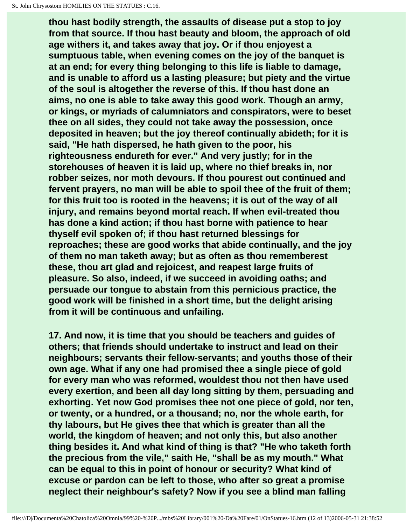**thou hast bodily strength, the assaults of disease put a stop to joy from that source. If thou hast beauty and bloom, the approach of old age withers it, and takes away that joy. Or if thou enjoyest a sumptuous table, when evening comes on the joy of the banquet is at an end; for every thing belonging to this life is liable to damage, and is unable to afford us a lasting pleasure; but piety and the virtue of the soul is altogether the reverse of this. If thou hast done an aims, no one is able to take away this good work. Though an army, or kings, or myriads of calumniators and conspirators, were to beset thee on all sides, they could not take away the possession, once deposited in heaven; but the joy thereof continually abideth; for it is said, "He hath dispersed, he hath given to the poor, his righteousness endureth for ever." And very justly; for in the storehouses of heaven it is laid up, where no thief breaks in, nor robber seizes, nor moth devours. If thou pourest out continued and fervent prayers, no man will be able to spoil thee of the fruit of them; for this fruit too is rooted in the heavens; it is out of the way of all injury, and remains beyond mortal reach. If when evil-treated thou has done a kind action; if thou hast borne with patience to hear thyself evil spoken of; if thou hast returned blessings for reproaches; these are good works that abide continually, and the joy of them no man taketh away; but as often as thou rememberest these, thou art glad and rejoicest, and reapest large fruits of pleasure. So also, indeed, if we succeed in avoiding oaths; and persuade our tongue to abstain from this pernicious practice, the good work will be finished in a short time, but the delight arising from it will be continuous and unfailing.** 

**17. And now, it is time that you should be teachers and guides of others; that friends should undertake to instruct and lead on their neighbours; servants their fellow-servants; and youths those of their own age. What if any one had promised thee a single piece of gold for every man who was reformed, wouldest thou not then have used every exertion, and been all day long sitting by them, persuading and exhorting. Yet now God promises thee not one piece of gold, nor ten, or twenty, or a hundred, or a thousand; no, nor the whole earth, for thy labours, but He gives thee that which is greater than all the world, the kingdom of heaven; and not only this, but also another thing besides it. And what kind of thing is that? "He who taketh forth the precious from the vile," saith He, "shall be as my mouth." What can be equal to this in point of honour or security? What kind of excuse or pardon can be left to those, who after so great a promise neglect their neighbour's safety? Now if you see a blind man falling**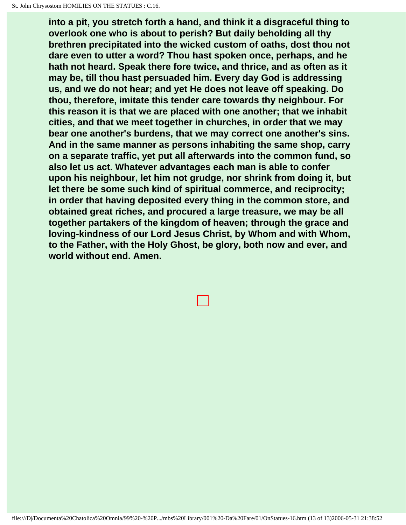**into a pit, you stretch forth a hand, and think it a disgraceful thing to overlook one who is about to perish? But daily beholding all thy brethren precipitated into the wicked custom of oaths, dost thou not dare even to utter a word? Thou hast spoken once, perhaps, and he hath not heard. Speak there fore twice, and thrice, and as often as it may be, till thou hast persuaded him. Every day God is addressing us, and we do not hear; and yet He does not leave off speaking. Do thou, therefore, imitate this tender care towards thy neighbour. For this reason it is that we are placed with one another; that we inhabit cities, and that we meet together in churches, in order that we may bear one another's burdens, that we may correct one another's sins. And in the same manner as persons inhabiting the same shop, carry on a separate traffic, yet put all afterwards into the common fund, so also let us act. Whatever advantages each man is able to confer upon his neighbour, let him not grudge, nor shrink from doing it, but let there be some such kind of spiritual commerce, and reciprocity; in order that having deposited every thing in the common store, and obtained great riches, and procured a large treasure, we may be all together partakers of the kingdom of heaven; through the grace and loving-kindness of our Lord Jesus Christ, by Whom and with Whom, to the Father, with the Holy Ghost, be glory, both now and ever, and world without end. Amen.**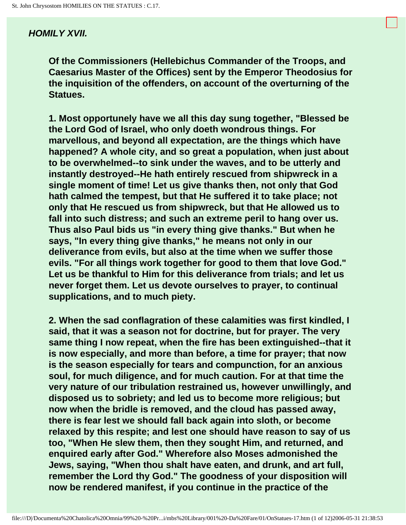## **HOMILY XVII.**

**Of the Commissioners (Hellebichus Commander of the Troops, and Caesarius Master of the Offices) sent by the Emperor Theodosius for the inquisition of the offenders, on account of the overturning of the Statues.** 

**1. Most opportunely have we all this day sung together, "Blessed be the Lord God of Israel, who only doeth wondrous things. For marvellous, and beyond all expectation, are the things which have happened? A whole city, and so great a population, when just about to be overwhelmed--to sink under the waves, and to be utterly and instantly destroyed--He hath entirely rescued from shipwreck in a single moment of time! Let us give thanks then, not only that God hath calmed the tempest, but that He suffered it to take place; not only that He rescued us from shipwreck, but that He allowed us to fall into such distress; and such an extreme peril to hang over us. Thus also Paul bids us "in every thing give thanks." But when he says, "In every thing give thanks," he means not only in our deliverance from evils, but also at the time when we suffer those evils. "For all things work together for good to them that love God." Let us be thankful to Him for this deliverance from trials; and let us never forget them. Let us devote ourselves to prayer, to continual supplications, and to much piety.** 

**2. When the sad conflagration of these calamities was first kindled, I said, that it was a season not for doctrine, but for prayer. The very same thing I now repeat, when the fire has been extinguished--that it is now especially, and more than before, a time for prayer; that now is the season especially for tears and compunction, for an anxious soul, for much diligence, and for much caution. For at that time the very nature of our tribulation restrained us, however unwillingly, and disposed us to sobriety; and led us to become more religious; but now when the bridle is removed, and the cloud has passed away, there is fear lest we should fall back again into sloth, or become relaxed by this respite; and lest one should have reason to say of us too, "When He slew them, then they sought Him, and returned, and enquired early after God." Wherefore also Moses admonished the Jews, saying, "When thou shalt have eaten, and drunk, and art full, remember the Lord thy God." The goodness of your disposition will now be rendered manifest, if you continue in the practice of the**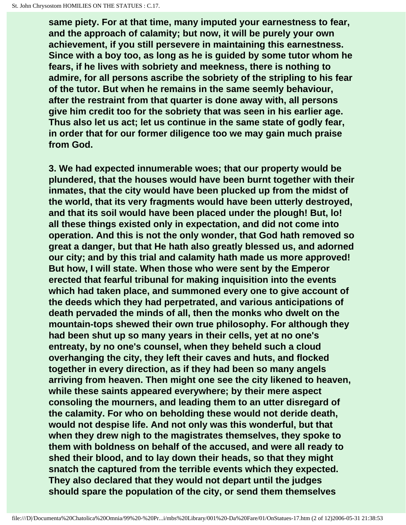**same piety. For at that time, many imputed your earnestness to fear, and the approach of calamity; but now, it will be purely your own achievement, if you still persevere in maintaining this earnestness. Since with a boy too, as long as he is guided by some tutor whom he fears, if he lives with sobriety and meekness, there is nothing to admire, for all persons ascribe the sobriety of the stripling to his fear of the tutor. But when he remains in the same seemly behaviour, after the restraint from that quarter is done away with, all persons give him credit too for the sobriety that was seen in his earlier age. Thus also let us act; let us continue in the same state of godly fear, in order that for our former diligence too we may gain much praise from God.** 

**3. We had expected innumerable woes; that our property would be plundered, that the houses would have been burnt together with their inmates, that the city would have been plucked up from the midst of the world, that its very fragments would have been utterly destroyed, and that its soil would have been placed under the plough! But, lo! all these things existed only in expectation, and did not come into operation. And this is not the only wonder, that God hath removed so great a danger, but that He hath also greatly blessed us, and adorned our city; and by this trial and calamity hath made us more approved! But how, I will state. When those who were sent by the Emperor erected that fearful tribunal for making inquisition into the events which had taken place, and summoned every one to give account of the deeds which they had perpetrated, and various anticipations of death pervaded the minds of all, then the monks who dwelt on the mountain-tops shewed their own true philosophy. For although they had been shut up so many years in their cells, yet at no one's entreaty, by no one's counsel, when they beheld such a cloud overhanging the city, they left their caves and huts, and flocked together in every direction, as if they had been so many angels arriving from heaven. Then might one see the city likened to heaven, while these saints appeared everywhere; by their mere aspect consoling the mourners, and leading them to an utter disregard of the calamity. For who on beholding these would not deride death, would not despise life. And not only was this wonderful, but that when they drew nigh to the magistrates themselves, they spoke to them with boldness on behalf of the accused, and were all ready to shed their blood, and to lay down their heads, so that they might snatch the captured from the terrible events which they expected. They also declared that they would not depart until the judges should spare the population of the city, or send them themselves**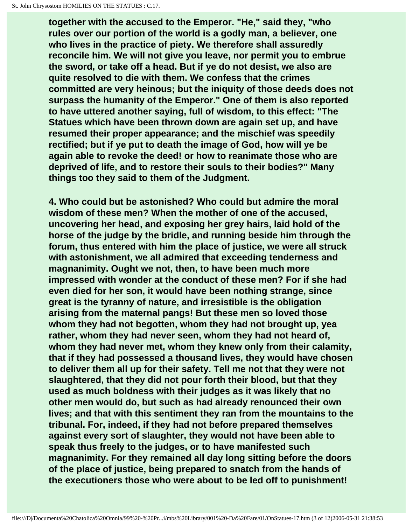**together with the accused to the Emperor. "He," said they, "who rules over our portion of the world is a godly man, a believer, one who lives in the practice of piety. We therefore shall assuredly reconcile him. We will not give you leave, nor permit you to embrue the sword, or take off a head. But if ye do not desist, we also are quite resolved to die with them. We confess that the crimes committed are very heinous; but the iniquity of those deeds does not surpass the humanity of the Emperor." One of them is also reported to have uttered another saying, full of wisdom, to this effect: "The Statues which have been thrown down are again set up, and have resumed their proper appearance; and the mischief was speedily rectified; but if ye put to death the image of God, how will ye be again able to revoke the deed! or how to reanimate those who are deprived of life, and to restore their souls to their bodies?" Many things too they said to them of the Judgment.** 

**4. Who could but be astonished? Who could but admire the moral wisdom of these men? When the mother of one of the accused, uncovering her head, and exposing her grey hairs, laid hold of the horse of the judge by the bridle, and running beside him through the forum, thus entered with him the place of justice, we were all struck with astonishment, we all admired that exceeding tenderness and magnanimity. Ought we not, then, to have been much more impressed with wonder at the conduct of these men? For if she had even died for her son, it would have been nothing strange, since great is the tyranny of nature, and irresistible is the obligation arising from the maternal pangs! But these men so loved those whom they had not begotten, whom they had not brought up, yea rather, whom they had never seen, whom they had not heard of, whom they had never met, whom they knew only from their calamity, that if they had possessed a thousand lives, they would have chosen to deliver them all up for their safety. Tell me not that they were not slaughtered, that they did not pour forth their blood, but that they used as much boldness with their judges as it was likely that no other men would do, but such as had already renounced their own lives; and that with this sentiment they ran from the mountains to the tribunal. For, indeed, if they had not before prepared themselves against every sort of slaughter, they would not have been able to speak thus freely to the judges, or to have manifested such magnanimity. For they remained all day long sitting before the doors of the place of justice, being prepared to snatch from the hands of the executioners those who were about to be led off to punishment!**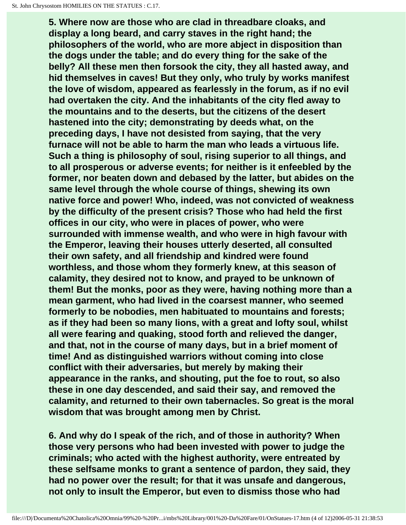**5. Where now are those who are clad in threadbare cloaks, and display a long beard, and carry staves in the right hand; the philosophers of the world, who are more abject in disposition than the dogs under the table; and do every thing for the sake of the belly? All these men then forsook the city, they all hasted away, and hid themselves in caves! But they only, who truly by works manifest the love of wisdom, appeared as fearlessly in the forum, as if no evil had overtaken the city. And the inhabitants of the city fled away to the mountains and to the deserts, but the citizens of the desert hastened into the city; demonstrating by deeds what, on the preceding days, I have not desisted from saying, that the very furnace will not be able to harm the man who leads a virtuous life. Such a thing is philosophy of soul, rising superior to all things, and to all prosperous or adverse events; for neither is it enfeebled by the former, nor beaten down and debased by the latter, but abides on the same level through the whole course of things, shewing its own native force and power! Who, indeed, was not convicted of weakness by the difficulty of the present crisis? Those who had held the first offices in our city, who were in places of power, who were surrounded with immense wealth, and who were in high favour with the Emperor, leaving their houses utterly deserted, all consulted their own safety, and all friendship and kindred were found worthless, and those whom they formerly knew, at this season of calamity, they desired not to know, and prayed to be unknown of them! But the monks, poor as they were, having nothing more than a mean garment, who had lived in the coarsest manner, who seemed formerly to be nobodies, men habituated to mountains and forests; as if they had been so many lions, with a great and lofty soul, whilst all were fearing and quaking, stood forth and relieved the danger, and that, not in the course of many days, but in a brief moment of time! And as distinguished warriors without coming into close conflict with their adversaries, but merely by making their appearance in the ranks, and shouting, put the foe to rout, so also these in one day descended, and said their say, and removed the calamity, and returned to their own tabernacles. So great is the moral wisdom that was brought among men by Christ.** 

**6. And why do I speak of the rich, and of those in authority? When those very persons who had been invested with power to judge the criminals; who acted with the highest authority, were entreated by these selfsame monks to grant a sentence of pardon, they said, they had no power over the result; for that it was unsafe and dangerous, not only to insult the Emperor, but even to dismiss those who had**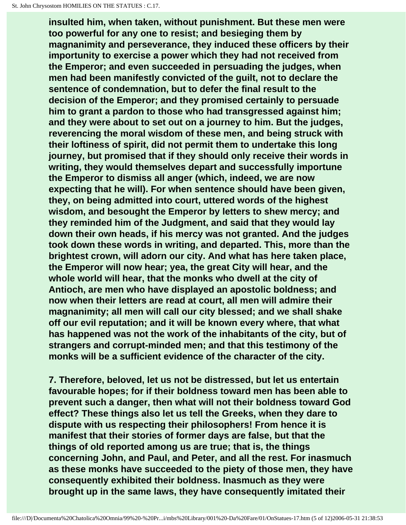**insulted him, when taken, without punishment. But these men were too powerful for any one to resist; and besieging them by magnanimity and perseverance, they induced these officers by their importunity to exercise a power which they had not received from the Emperor; and even succeeded in persuading the judges, when men had been manifestly convicted of the guilt, not to declare the sentence of condemnation, but to defer the final result to the decision of the Emperor; and they promised certainly to persuade him to grant a pardon to those who had transgressed against him; and they were about to set out on a journey to him. But the judges, reverencing the moral wisdom of these men, and being struck with their loftiness of spirit, did not permit them to undertake this long journey, but promised that if they should only receive their words in writing, they would themselves depart and successfully importune the Emperor to dismiss all anger (which, indeed, we are now expecting that he will). For when sentence should have been given, they, on being admitted into court, uttered words of the highest wisdom, and besought the Emperor by letters to shew mercy; and they reminded him of the Judgment, and said that they would lay down their own heads, if his mercy was not granted. And the judges took down these words in writing, and departed. This, more than the brightest crown, will adorn our city. And what has here taken place, the Emperor will now hear; yea, the great City will hear, and the whole world will hear, that the monks who dwell at the city of Antioch, are men who have displayed an apostolic boldness; and now when their letters are read at court, all men will admire their magnanimity; all men will call our city blessed; and we shall shake off our evil reputation; and it will be known every where, that what has happened was not the work of the inhabitants of the city, but of strangers and corrupt-minded men; and that this testimony of the monks will be a sufficient evidence of the character of the city.** 

**7. Therefore, beloved, let us not be distressed, but let us entertain favourable hopes; for if their boldness toward men has been able to prevent such a danger, then what will not their boldness toward God effect? These things also let us tell the Greeks, when they dare to dispute with us respecting their philosophers! From hence it is manifest that their stories of former days are false, but that the things of old reported among us are true; that is, the things concerning John, and Paul, and Peter, and all the rest. For inasmuch as these monks have succeeded to the piety of those men, they have consequently exhibited their boldness. Inasmuch as they were brought up in the same laws, they have consequently imitated their**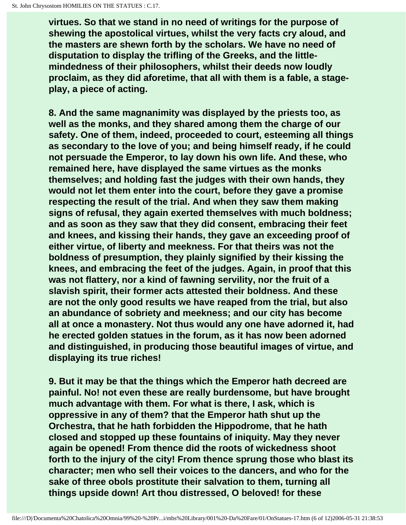**virtues. So that we stand in no need of writings for the purpose of shewing the apostolical virtues, whilst the very facts cry aloud, and the masters are shewn forth by the scholars. We have no need of disputation to display the trifling of the Greeks, and the littlemindedness of their philosophers, whilst their deeds now loudly proclaim, as they did aforetime, that all with them is a fable, a stageplay, a piece of acting.** 

**8. And the same magnanimity was displayed by the priests too, as well as the monks, and they shared among them the charge of our safety. One of them, indeed, proceeded to court, esteeming all things as secondary to the love of you; and being himself ready, if he could not persuade the Emperor, to lay down his own life. And these, who remained here, have displayed the same virtues as the monks themselves; and holding fast the judges with their own hands, they would not let them enter into the court, before they gave a promise respecting the result of the trial. And when they saw them making signs of refusal, they again exerted themselves with much boldness; and as soon as they saw that they did consent, embracing their feet and knees, and kissing their hands, they gave an exceeding proof of either virtue, of liberty and meekness. For that theirs was not the boldness of presumption, they plainly signified by their kissing the knees, and embracing the feet of the judges. Again, in proof that this was not flattery, nor a kind of fawning servility, nor the fruit of a slavish spirit, their former acts attested their boldness. And these are not the only good results we have reaped from the trial, but also an abundance of sobriety and meekness; and our city has become all at once a monastery. Not thus would any one have adorned it, had he erected golden statues in the forum, as it has now been adorned and distinguished, in producing those beautiful images of virtue, and displaying its true riches!** 

**9. But it may be that the things which the Emperor hath decreed are painful. No! not even these are really burdensome, but have brought much advantage with them. For what is there, I ask, which is oppressive in any of them? that the Emperor hath shut up the Orchestra, that he hath forbidden the Hippodrome, that he hath closed and stopped up these fountains of iniquity. May they never again be opened! From thence did the roots of wickedness shoot forth to the injury of the city! From thence sprung those who blast its character; men who sell their voices to the dancers, and who for the sake of three obols prostitute their salvation to them, turning all things upside down! Art thou distressed, O beloved! for these**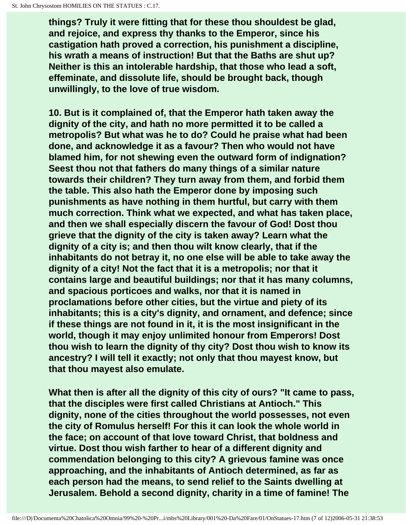**things? Truly it were fitting that for these thou shouldest be glad, and rejoice, and express thy thanks to the Emperor, since his castigation hath proved a correction, his punishment a discipline, his wrath a means of instruction! But that the Baths are shut up? Neither is this an intolerable hardship, that those who lead a soft, effeminate, and dissolute life, should be brought back, though unwillingly, to the love of true wisdom.** 

**10. But is it complained of, that the Emperor hath taken away the dignity of the city, and hath no more permitted it to be called a metropolis? But what was he to do? Could he praise what had been done, and acknowledge it as a favour? Then who would not have blamed him, for not shewing even the outward form of indignation? Seest thou not that fathers do many things of a similar nature towards their children? They turn away from them, and forbid them the table. This also hath the Emperor done by imposing such punishments as have nothing in them hurtful, but carry with them much correction. Think what we expected, and what has taken place, and then we shall especially discern the favour of God! Dost thou grieve that the dignity of the city is taken away? Learn what the dignity of a city is; and then thou wilt know clearly, that if the inhabitants do not betray it, no one else will be able to take away the dignity of a city! Not the fact that it is a metropolis; nor that it contains large and beautiful buildings; nor that it has many columns, and spacious porticoes and walks, nor that it is named in proclamations before other cities, but the virtue and piety of its inhabitants; this is a city's dignity, and ornament, and defence; since if these things are not found in it, it is the most insignificant in the world, though it may enjoy unlimited honour from Emperors! Dost thou wish to learn the dignity of thy city? Dost thou wish to know its ancestry? I will tell it exactly; not only that thou mayest know, but that thou mayest also emulate.** 

**What then is after all the dignity of this city of ours? "It came to pass, that the disciples were first called Christians at Antioch." This dignity, none of the cities throughout the world possesses, not even the city of Romulus herself! For this it can look the whole world in the face; on account of that love toward Christ, that boldness and virtue. Dost thou wish farther to hear of a different dignity and commendation belonging to this city? A grievous famine was once approaching, and the inhabitants of Antioch determined, as far as each person had the means, to send relief to the Saints dwelling at Jerusalem. Behold a second dignity, charity in a time of famine! The**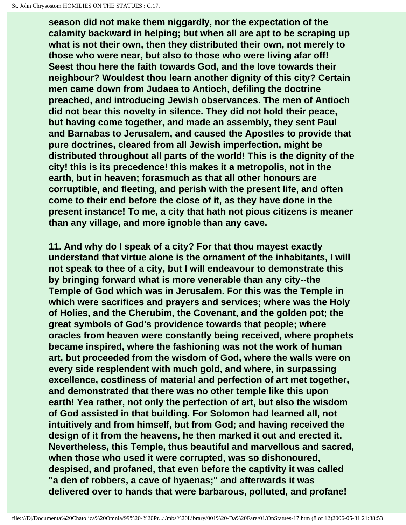**season did not make them niggardly, nor the expectation of the calamity backward in helping; but when all are apt to be scraping up what is not their own, then they distributed their own, not merely to those who were near, but also to those who were living afar off! Seest thou here the faith towards God, and the love towards their neighbour? Wouldest thou learn another dignity of this city? Certain men came down from Judaea to Antioch, defiling the doctrine preached, and introducing Jewish observances. The men of Antioch did not bear this novelty in silence. They did not hold their peace, but having come together, and made an assembly, they sent Paul and Barnabas to Jerusalem, and caused the Apostles to provide that pure doctrines, cleared from all Jewish imperfection, might be distributed throughout all parts of the world! This is the dignity of the city! this is its precedence! this makes it a metropolis, not in the earth, but in heaven; forasmuch as that all other honours are corruptible, and fleeting, and perish with the present life, and often come to their end before the close of it, as they have done in the present instance! To me, a city that hath not pious citizens is meaner than any village, and more ignoble than any cave.** 

**11. And why do I speak of a city? For that thou mayest exactly understand that virtue alone is the ornament of the inhabitants, I will not speak to thee of a city, but I will endeavour to demonstrate this by bringing forward what is more venerable than any city--the Temple of God which was in Jerusalem. For this was the Temple in which were sacrifices and prayers and services; where was the Holy of Holies, and the Cherubim, the Covenant, and the golden pot; the great symbols of God's providence towards that people; where oracles from heaven were constantly being received, where prophets became inspired, where the fashioning was not the work of human art, but proceeded from the wisdom of God, where the walls were on every side resplendent with much gold, and where, in surpassing excellence, costliness of material and perfection of art met together, and demonstrated that there was no other temple like this upon earth! Yea rather, not only the perfection of art, but also the wisdom of God assisted in that building. For Solomon had learned all, not intuitively and from himself, but from God; and having received the design of it from the heavens, he then marked it out and erected it. Nevertheless, this Temple, thus beautiful and marvellous and sacred, when those who used it were corrupted, was so dishonoured, despised, and profaned, that even before the captivity it was called "a den of robbers, a cave of hyaenas;" and afterwards it was delivered over to hands that were barbarous, polluted, and profane!**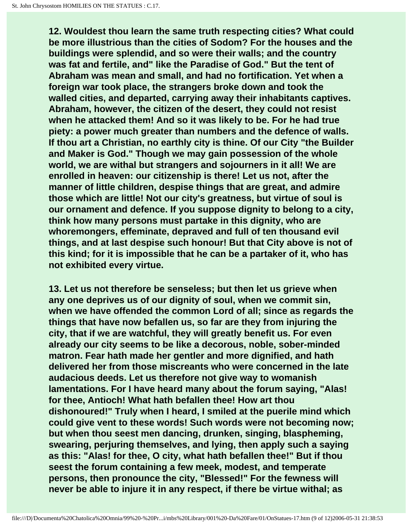**12. Wouldest thou learn the same truth respecting cities? What could be more illustrious than the cities of Sodom? For the houses and the buildings were splendid, and so were their walls; and the country was fat and fertile, and" like the Paradise of God." But the tent of Abraham was mean and small, and had no fortification. Yet when a foreign war took place, the strangers broke down and took the walled cities, and departed, carrying away their inhabitants captives. Abraham, however, the citizen of the desert, they could not resist when he attacked them! And so it was likely to be. For he had true piety: a power much greater than numbers and the defence of walls. If thou art a Christian, no earthly city is thine. Of our City "the Builder and Maker is God." Though we may gain possession of the whole world, we are withal but strangers and sojourners in it all! We are enrolled in heaven: our citizenship is there! Let us not, after the manner of little children, despise things that are great, and admire those which are little! Not our city's greatness, but virtue of soul is our ornament and defence. If you suppose dignity to belong to a city, think how many persons must partake in this dignity, who are whoremongers, effeminate, depraved and full of ten thousand evil things, and at last despise such honour! But that City above is not of this kind; for it is impossible that he can be a partaker of it, who has not exhibited every virtue.** 

**13. Let us not therefore be senseless; but then let us grieve when any one deprives us of our dignity of soul, when we commit sin, when we have offended the common Lord of all; since as regards the things that have now befallen us, so far are they from injuring the city, that if we are watchful, they will greatly benefit us. For even already our city seems to be like a decorous, noble, sober-minded matron. Fear hath made her gentler and more dignified, and hath delivered her from those miscreants who were concerned in the late audacious deeds. Let us therefore not give way to womanish lamentations. For I have heard many about the forum saying, "Alas! for thee, Antioch! What hath befallen thee! How art thou dishonoured!" Truly when I heard, I smiled at the puerile mind which could give vent to these words! Such words were not becoming now; but when thou seest men dancing, drunken, singing, blaspheming, swearing, perjuring themselves, and lying, then apply such a saying as this: "Alas! for thee, O city, what hath befallen thee!" But if thou seest the forum containing a few meek, modest, and temperate persons, then pronounce the city, "Blessed!" For the fewness will never be able to injure it in any respect, if there be virtue withal; as**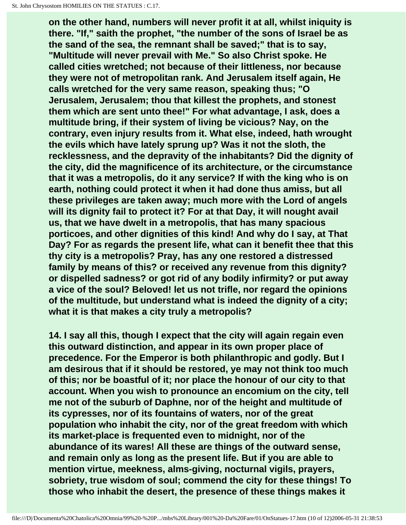**on the other hand, numbers will never profit it at all, whilst iniquity is there. "If," saith the prophet, "the number of the sons of Israel be as the sand of the sea, the remnant shall be saved;" that is to say, "Multitude will never prevail with Me." So also Christ spoke. He called cities wretched; not because of their littleness, nor because they were not of metropolitan rank. And Jerusalem itself again, He calls wretched for the very same reason, speaking thus; "O Jerusalem, Jerusalem; thou that killest the prophets, and stonest them which are sent unto thee!" For what advantage, I ask, does a multitude bring, if their system of living be vicious? Nay, on the contrary, even injury results from it. What else, indeed, hath wrought the evils which have lately sprung up? Was it not the sloth, the recklessness, and the depravity of the inhabitants? Did the dignity of the city, did the magnificence of its architecture, or the circumstance that it was a metropolis, do it any service? If with the king who is on earth, nothing could protect it when it had done thus amiss, but all these privileges are taken away; much more with the Lord of angels will its dignity fail to protect it? For at that Day, it will nought avail us, that we have dwelt in a metropolis, that has many spacious porticoes, and other dignities of this kind! And why do I say, at That Day? For as regards the present life, what can it benefit thee that this thy city is a metropolis? Pray, has any one restored a distressed family by means of this? or received any revenue from this dignity? or dispelled sadness? or got rid of any bodily infirmity? or put away a vice of the soul? Beloved! let us not trifle, nor regard the opinions of the multitude, but understand what is indeed the dignity of a city; what it is that makes a city truly a metropolis?** 

**14. I say all this, though I expect that the city will again regain even this outward distinction, and appear in its own proper place of precedence. For the Emperor is both philanthropic and godly. But I am desirous that if it should be restored, ye may not think too much of this; nor be boastful of it; nor place the honour of our city to that account. When you wish to pronounce an encomium on the city, tell me not of the suburb of Daphne, nor of the height and multitude of its cypresses, nor of its fountains of waters, nor of the great population who inhabit the city, nor of the great freedom with which its market-place is frequented even to midnight, nor of the abundance of its wares! All these are things of the outward sense, and remain only as long as the present life. But if you are able to mention virtue, meekness, alms-giving, nocturnal vigils, prayers, sobriety, true wisdom of soul; commend the city for these things! To those who inhabit the desert, the presence of these things makes it**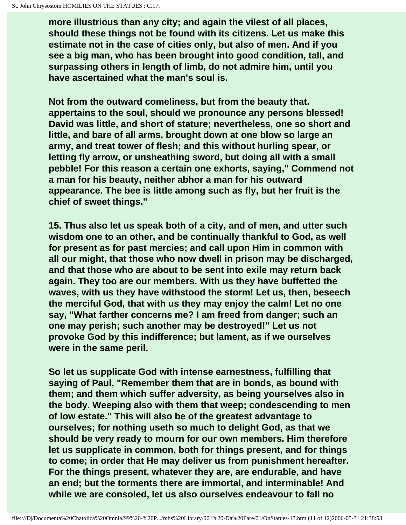**more illustrious than any city; and again the vilest of all places, should these things not be found with its citizens. Let us make this estimate not in the case of cities only, but also of men. And if you see a big man, who has been brought into good condition, tall, and surpassing others in length of limb, do not admire him, until you have ascertained what the man's soul is.** 

**Not from the outward comeliness, but from the beauty that. appertains to the soul, should we pronounce any persons blessed! David was little, and short of stature; nevertheless, one so short and little, and bare of all arms, brought down at one blow so large an army, and treat tower of flesh; and this without hurling spear, or letting fly arrow, or unsheathing sword, but doing all with a small pebble! For this reason a certain one exhorts, saying," Commend not a man for his beauty, neither abhor a man for his outward appearance. The bee is little among such as fly, but her fruit is the chief of sweet things."** 

**15. Thus also let us speak both of a city, and of men, and utter such wisdom one to an other, and be continually thankful to God, as well for present as for past mercies; and call upon Him in common with all our might, that those who now dwell in prison may be discharged, and that those who are about to be sent into exile may return back again. They too are our members. With us they have buffetted the waves, with us they have withstood the storm! Let us, then, beseech the merciful God, that with us they may enjoy the calm! Let no one say, "What farther concerns me? I am freed from danger; such an one may perish; such another may be destroyed!" Let us not provoke God by this indifference; but lament, as if we ourselves were in the same peril.** 

**So let us supplicate God with intense earnestness, fulfilling that saying of Paul, "Remember them that are in bonds, as bound with them; and them which suffer adversity, as being yourselves also in the body. Weeping also with them that weep; condescending to men of low estate." This will also be of the greatest advantage to ourselves; for nothing useth so much to delight God, as that we should be very ready to mourn for our own members. Him therefore let us supplicate in common, both for things present, and for things to come; in order that He may deliver us from punishment hereafter. For the things present, whatever they are, are endurable, and have an end; but the torments there are immortal, and interminable! And while we are consoled, let us also ourselves endeavour to fall no**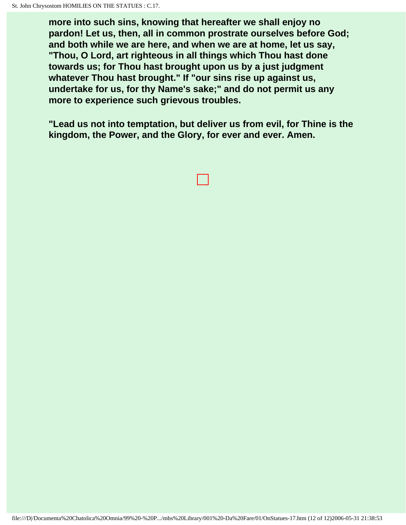**more into such sins, knowing that hereafter we shall enjoy no pardon! Let us, then, all in common prostrate ourselves before God; and both while we are here, and when we are at home, let us say, "Thou, O Lord, art righteous in all things which Thou hast done towards us; for Thou hast brought upon us by a just judgment whatever Thou hast brought." If "our sins rise up against us, undertake for us, for thy Name's sake;" and do not permit us any more to experience such grievous troubles.** 

**"Lead us not into temptation, but deliver us from evil, for Thine is the kingdom, the Power, and the Glory, for ever and ever. Amen.**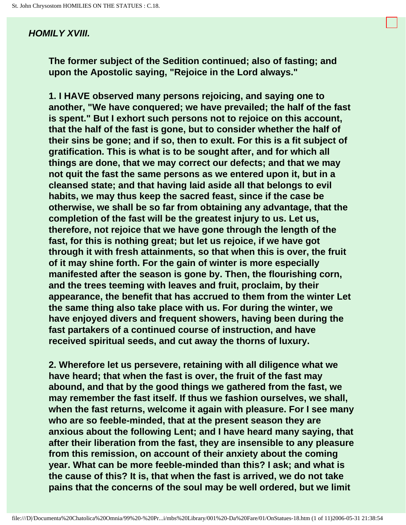## **HOMILY XVIII.**

**The former subject of the Sedition continued; also of fasting; and upon the Apostolic saying, "Rejoice in the Lord always."** 

**1. I HAVE observed many persons rejoicing, and saying one to another, "We have conquered; we have prevailed; the half of the fast is spent." But I exhort such persons not to rejoice on this account, that the half of the fast is gone, but to consider whether the half of their sins be gone; and if so, then to exult. For this is a fit subject of gratification. This is what is to be sought after, and for which all things are done, that we may correct our defects; and that we may not quit the fast the same persons as we entered upon it, but in a cleansed state; and that having laid aside all that belongs to evil habits, we may thus keep the sacred feast, since if the case be otherwise, we shall be so far from obtaining any advantage, that the completion of the fast will be the greatest injury to us. Let us, therefore, not rejoice that we have gone through the length of the fast, for this is nothing great; but let us rejoice, if we have got through it with fresh attainments, so that when this is over, the fruit of it may shine forth. For the gain of winter is more especially manifested after the season is gone by. Then, the flourishing corn, and the trees teeming with leaves and fruit, proclaim, by their appearance, the benefit that has accrued to them from the winter Let the same thing also take place with us. For during the winter, we have enjoyed divers and frequent showers, having been during the fast partakers of a continued course of instruction, and have received spiritual seeds, and cut away the thorns of luxury.** 

**2. Wherefore let us persevere, retaining with all diligence what we have heard; that when the fast is over, the fruit of the fast may abound, and that by the good things we gathered from the fast, we may remember the fast itself. If thus we fashion ourselves, we shall, when the fast returns, welcome it again with pleasure. For I see many who are so feeble-minded, that at the present season they are anxious about the following Lent; and I have heard many saying, that after their liberation from the fast, they are insensible to any pleasure from this remission, on account of their anxiety about the coming year. What can be more feeble-minded than this? I ask; and what is the cause of this? It is, that when the fast is arrived, we do not take pains that the concerns of the soul may be well ordered, but we limit**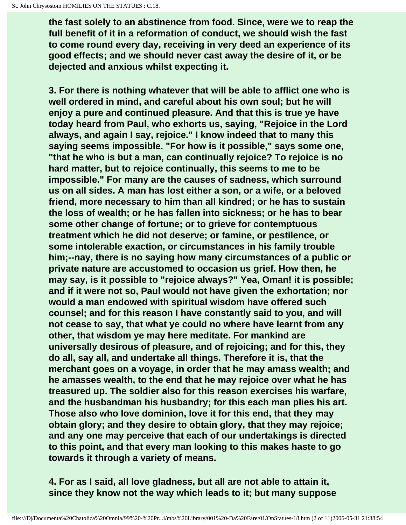**the fast solely to an abstinence from food. Since, were we to reap the full benefit of it in a reformation of conduct, we should wish the fast to come round every day, receiving in very deed an experience of its good effects; and we should never cast away the desire of it, or be dejected and anxious whilst expecting it.** 

**3. For there is nothing whatever that will be able to afflict one who is well ordered in mind, and careful about his own soul; but he will enjoy a pure and continued pleasure. And that this is true ye have today heard from Paul, who exhorts us, saying, "Rejoice in the Lord always, and again I say, rejoice." I know indeed that to many this saying seems impossible. "For how is it possible," says some one, "that he who is but a man, can continually rejoice? To rejoice is no hard matter, but to rejoice continually, this seems to me to be impossible." For many are the causes of sadness, which surround us on all sides. A man has lost either a son, or a wife, or a beloved friend, more necessary to him than all kindred; or he has to sustain the loss of wealth; or he has fallen into sickness; or he has to bear some other change of fortune; or to grieve for contemptuous treatment which he did not deserve; or famine, or pestilence, or some intolerable exaction, or circumstances in his family trouble him;--nay, there is no saying how many circumstances of a public or private nature are accustomed to occasion us grief. How then, he may say, is it possible to "rejoice always?" Yea, Oman! it is possible; and if it were not so, Paul would not have given the exhortation; nor would a man endowed with spiritual wisdom have offered such counsel; and for this reason I have constantly said to you, and will not cease to say, that what ye could no where have learnt from any other, that wisdom ye may here meditate. For mankind are universally desirous of pleasure, and of rejoicing; and for this, they do all, say all, and undertake all things. Therefore it is, that the merchant goes on a voyage, in order that he may amass wealth; and he amasses wealth, to the end that he may rejoice over what he has treasured up. The soldier also for this reason exercises his warfare, and the husbandman his husbandry; for this each man plies his art. Those also who love dominion, love it for this end, that they may obtain glory; and they desire to obtain glory, that they may rejoice; and any one may perceive that each of our undertakings is directed to this point, and that every man looking to this makes haste to go towards it through a variety of means.** 

**4. For as I said, all love gladness, but all are not able to attain it, since they know not the way which leads to it; but many suppose**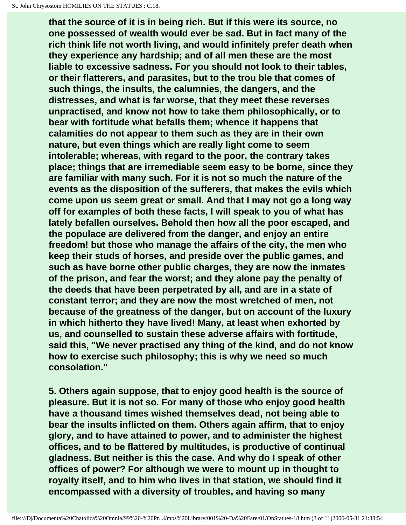**that the source of it is in being rich. But if this were its source, no one possessed of wealth would ever be sad. But in fact many of the rich think life not worth living, and would infinitely prefer death when they experience any hardship; and of all men these are the most liable to excessive sadness. For you should not look to their tables, or their flatterers, and parasites, but to the trou ble that comes of such things, the insults, the calumnies, the dangers, and the distresses, and what is far worse, that they meet these reverses unpractised, and know not how to take them philosophically, or to bear with fortitude what befalls them; whence it happens that calamities do not appear to them such as they are in their own nature, but even things which are really light come to seem intolerable; whereas, with regard to the poor, the contrary takes place; things that are irremediable seem easy to be borne, since they are familiar with many such. For it is not so much the nature of the events as the disposition of the sufferers, that makes the evils which come upon us seem great or small. And that I may not go a long way off for examples of both these facts, I will speak to you of what has lately befallen ourselves. Behold then how all the poor escaped, and the populace are delivered from the danger, and enjoy an entire freedom! but those who manage the affairs of the city, the men who keep their studs of horses, and preside over the public games, and such as have borne other public charges, they are now the inmates of the prison, and fear the worst; and they alone pay the penalty of the deeds that have been perpetrated by all, and are in a state of constant terror; and they are now the most wretched of men, not because of the greatness of the danger, but on account of the luxury in which hitherto they have lived! Many, at least when exhorted by us, and counselled to sustain these adverse affairs with fortitude, said this, "We never practised any thing of the kind, and do not know how to exercise such philosophy; this is why we need so much consolation."** 

**5. Others again suppose, that to enjoy good health is the source of pleasure. But it is not so. For many of those who enjoy good health have a thousand times wished themselves dead, not being able to bear the insults inflicted on them. Others again affirm, that to enjoy glory, and to have attained to power, and to administer the highest offices, and to be flattered by multitudes, is productive of continual gladness. But neither is this the case. And why do I speak of other offices of power? For although we were to mount up in thought to royalty itself, and to him who lives in that station, we should find it encompassed with a diversity of troubles, and having so many**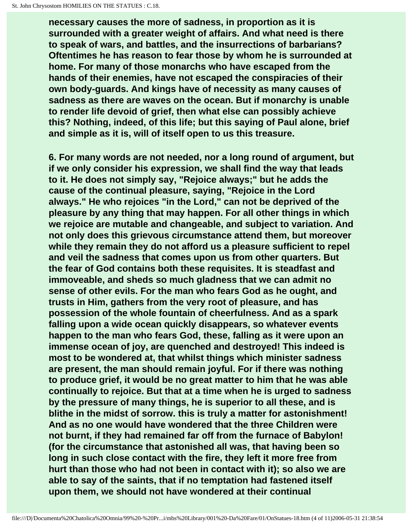**necessary causes the more of sadness, in proportion as it is surrounded with a greater weight of affairs. And what need is there to speak of wars, and battles, and the insurrections of barbarians? Oftentimes he has reason to fear those by whom he is surrounded at home. For many of those monarchs who have escaped from the hands of their enemies, have not escaped the conspiracies of their own body-guards. And kings have of necessity as many causes of sadness as there are waves on the ocean. But if monarchy is unable to render life devoid of grief, then what else can possibly achieve this? Nothing, indeed, of this life; but this saying of Paul alone, brief and simple as it is, will of itself open to us this treasure.** 

**6. For many words are not needed, nor a long round of argument, but if we only consider his expression, we shall find the way that leads to it. He does not simply say, "Rejoice always;" but he adds the cause of the continual pleasure, saying, "Rejoice in the Lord always." He who rejoices "in the Lord," can not be deprived of the pleasure by any thing that may happen. For all other things in which we rejoice are mutable and changeable, and subject to variation. And not only does this grievous circumstance attend them, but moreover while they remain they do not afford us a pleasure sufficient to repel and veil the sadness that comes upon us from other quarters. But the fear of God contains both these requisites. It is steadfast and immoveable, and sheds so much gladness that we can admit no sense of other evils. For the man who fears God as he ought, and trusts in Him, gathers from the very root of pleasure, and has possession of the whole fountain of cheerfulness. And as a spark falling upon a wide ocean quickly disappears, so whatever events happen to the man who fears God, these, falling as it were upon an immense ocean of joy, are quenched and destroyed! This indeed is most to be wondered at, that whilst things which minister sadness are present, the man should remain joyful. For if there was nothing to produce grief, it would be no great matter to him that he was able continually to rejoice. But that at a time when he is urged to sadness by the pressure of many things, he is superior to all these, and is blithe in the midst of sorrow. this is truly a matter for astonishment! And as no one would have wondered that the three Children were not burnt, if they had remained far off from the furnace of Babylon! (for the circumstance that astonished all was, that having been so long in such close contact with the fire, they left it more free from hurt than those who had not been in contact with it); so also we are able to say of the saints, that if no temptation had fastened itself upon them, we should not have wondered at their continual**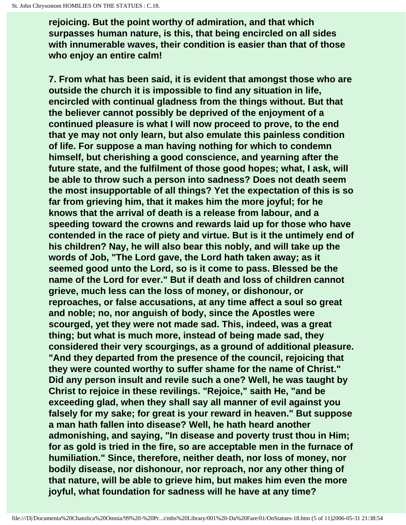**rejoicing. But the point worthy of admiration, and that which surpasses human nature, is this, that being encircled on all sides with innumerable waves, their condition is easier than that of those who enjoy an entire calm!** 

**7. From what has been said, it is evident that amongst those who are outside the church it is impossible to find any situation in life, encircled with continual gladness from the things without. But that the believer cannot possibly be deprived of the enjoyment of a continued pleasure is what I will now proceed to prove, to the end that ye may not only learn, but also emulate this painless condition of life. For suppose a man having nothing for which to condemn himself, but cherishing a good conscience, and yearning after the future state, and the fulfilment of those good hopes; what, I ask, will be able to throw such a person into sadness? Does not death seem the most insupportable of all things? Yet the expectation of this is so far from grieving him, that it makes him the more joyful; for he knows that the arrival of death is a release from labour, and a speeding toward the crowns and rewards laid up for those who have contended in the race of piety and virtue. But is it the untimely end of his children? Nay, he will also bear this nobly, and will take up the words of Job, "The Lord gave, the Lord hath taken away; as it seemed good unto the Lord, so is it come to pass. Blessed be the name of the Lord for ever." But if death and loss of children cannot grieve, much less can the loss of money, or dishonour, or reproaches, or false accusations, at any time affect a soul so great and noble; no, nor anguish of body, since the Apostles were scourged, yet they were not made sad. This, indeed, was a great thing; but what is much more, instead of being made sad, they considered their very scourgings, as a ground of additional pleasure. "And they departed from the presence of the council, rejoicing that they were counted worthy to suffer shame for the name of Christ." Did any person insult and revile such a one? Well, he was taught by Christ to rejoice in these revilings. "Rejoice," saith He, "and be exceeding glad, when they shall say all manner of evil against you falsely for my sake; for great is your reward in heaven." But suppose a man hath fallen into disease? Well, he hath heard another admonishing, and saying, "In disease and poverty trust thou in Him; for as gold is tried in the fire, so are acceptable men in the furnace of humiliation." Since, therefore, neither death, nor loss of money, nor bodily disease, nor dishonour, nor reproach, nor any other thing of that nature, will be able to grieve him, but makes him even the more joyful, what foundation for sadness will he have at any time?**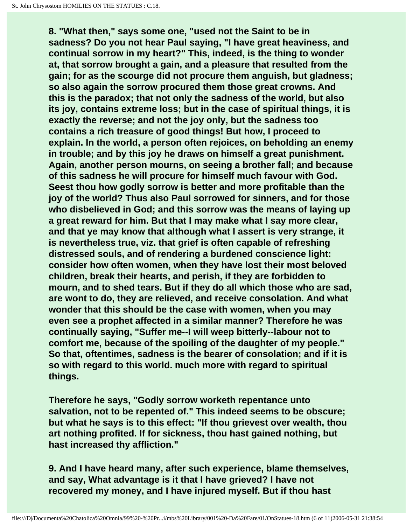**8. "What then," says some one, "used not the Saint to be in sadness? Do you not hear Paul saying, "I have great heaviness, and continual sorrow in my heart?" This, indeed, is the thing to wonder at, that sorrow brought a gain, and a pleasure that resulted from the gain; for as the scourge did not procure them anguish, but gladness; so also again the sorrow procured them those great crowns. And this is the paradox; that not only the sadness of the world, but also its joy, contains extreme loss; but in the case of spiritual things, it is exactly the reverse; and not the joy only, but the sadness too contains a rich treasure of good things! But how, I proceed to explain. In the world, a person often rejoices, on beholding an enemy in trouble; and by this joy he draws on himself a great punishment. Again, another person mourns, on seeing a brother fall; and because of this sadness he will procure for himself much favour with God. Seest thou how godly sorrow is better and more profitable than the joy of the world? Thus also Paul sorrowed for sinners, and for those who disbelieved in God; and this sorrow was the means of laying up a great reward for him. But that I may make what I say more clear, and that ye may know that although what I assert is very strange, it is nevertheless true, viz. that grief is often capable of refreshing distressed souls, and of rendering a burdened conscience light: consider how often women, when they have lost their most beloved children, break their hearts, and perish, if they are forbidden to mourn, and to shed tears. But if they do all which those who are sad, are wont to do, they are relieved, and receive consolation. And what wonder that this should be the case with women, when you may even see a prophet affected in a similar manner? Therefore he was continually saying, "Suffer me--I will weep bitterly--labour not to comfort me, because of the spoiling of the daughter of my people." So that, oftentimes, sadness is the bearer of consolation; and if it is so with regard to this world. much more with regard to spiritual things.** 

**Therefore he says, "Godly sorrow worketh repentance unto salvation, not to be repented of." This indeed seems to be obscure; but what he says is to this effect: "If thou grievest over wealth, thou art nothing profited. If for sickness, thou hast gained nothing, but hast increased thy affliction."** 

**9. And I have heard many, after such experience, blame themselves, and say, What advantage is it that I have grieved? I have not recovered my money, and I have injured myself. But if thou hast**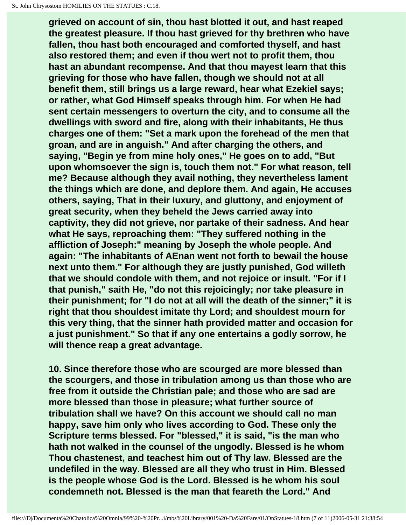**grieved on account of sin, thou hast blotted it out, and hast reaped the greatest pleasure. If thou hast grieved for thy brethren who have fallen, thou hast both encouraged and comforted thyself, and hast also restored them; and even if thou wert not to profit them, thou hast an abundant recompense. And that thou mayest learn that this grieving for those who have fallen, though we should not at all benefit them, still brings us a large reward, hear what Ezekiel says; or rather, what God Himself speaks through him. For when He had sent certain messengers to overturn the city, and to consume all the dwellings with sword and fire, along with their inhabitants, He thus charges one of them: "Set a mark upon the forehead of the men that groan, and are in anguish." And after charging the others, and saying, "Begin ye from mine holy ones," He goes on to add, "But upon whomsoever the sign is, touch them not." For what reason, tell me? Because although they avail nothing, they nevertheless lament the things which are done, and deplore them. And again, He accuses others, saying, That in their luxury, and gluttony, and enjoyment of great security, when they beheld the Jews carried away into captivity, they did not grieve, nor partake of their sadness. And hear what He says, reproaching them: "They suffered nothing in the affliction of Joseph:" meaning by Joseph the whole people. And again: "The inhabitants of AEnan went not forth to bewail the house next unto them." For although they are justly punished, God willeth that we should condole with them, and not rejoice or insult. "For if I that punish," saith He, "do not this rejoicingly; nor take pleasure in their punishment; for "I do not at all will the death of the sinner;" it is right that thou shouldest imitate thy Lord; and shouldest mourn for this very thing, that the sinner hath provided matter and occasion for a just punishment." So that if any one entertains a godly sorrow, he will thence reap a great advantage.** 

**10. Since therefore those who are scourged are more blessed than the scourgers, and those in tribulation among us than those who are free from it outside the Christian pale; and those who are sad are more blessed than those in pleasure; what further source of tribulation shall we have? On this account we should call no man happy, save him only who lives according to God. These only the Scripture terms blessed. For "blessed," it is said, "is the man who hath not walked in the counsel of the ungodly. Blessed is he whom Thou chastenest, and teachest him out of Thy law. Blessed are the undefiled in the way. Blessed are all they who trust in Him. Blessed is the people whose God is the Lord. Blessed is he whom his soul condemneth not. Blessed is the man that feareth the Lord." And**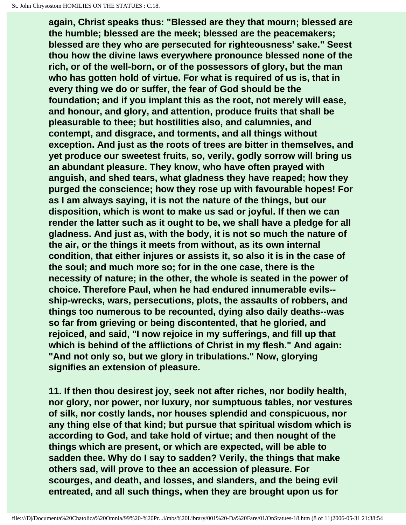**again, Christ speaks thus: "Blessed are they that mourn; blessed are the humble; blessed are the meek; blessed are the peacemakers; blessed are they who are persecuted for righteousness' sake." Seest thou how the divine laws everywhere pronounce blessed none of the rich, or of the well-born, or of the possessors of glory, but the man who has gotten hold of virtue. For what is required of us is, that in every thing we do or suffer, the fear of God should be the foundation; and if you implant this as the root, not merely will ease, and honour, and glory, and attention, produce fruits that shall be pleasurable to thee; but hostilities also, and calumnies, and contempt, and disgrace, and torments, and all things without exception. And just as the roots of trees are bitter in themselves, and yet produce our sweetest fruits, so, verily, godly sorrow will bring us an abundant pleasure. They know, who have often prayed with anguish, and shed tears, what gladness they have reaped; how they purged the conscience; how they rose up with favourable hopes! For as I am always saying, it is not the nature of the things, but our disposition, which is wont to make us sad or joyful. If then we can render the latter such as it ought to be, we shall have a pledge for all gladness. And just as, with the body, it is not so much the nature of the air, or the things it meets from without, as its own internal condition, that either injures or assists it, so also it is in the case of the soul; and much more so; for in the one case, there is the necessity of nature; in the other, the whole is seated in the power of choice. Therefore Paul, when he had endured innumerable evils- ship-wrecks, wars, persecutions, plots, the assaults of robbers, and things too numerous to be recounted, dying also daily deaths--was so far from grieving or being discontented, that he gloried, and rejoiced, and said, "I now rejoice in my sufferings, and fill up that which is behind of the afflictions of Christ in my flesh." And again: "And not only so, but we glory in tribulations." Now, glorying signifies an extension of pleasure.** 

**11. If then thou desirest joy, seek not after riches, nor bodily health, nor glory, nor power, nor luxury, nor sumptuous tables, nor vestures of silk, nor costly lands, nor houses splendid and conspicuous, nor any thing else of that kind; but pursue that spiritual wisdom which is according to God, and take hold of virtue; and then nought of the things which are present, or which are expected, will be able to sadden thee. Why do I say to sadden? Verily, the things that make others sad, will prove to thee an accession of pleasure. For scourges, and death, and losses, and slanders, and the being evil entreated, and all such things, when they are brought upon us for**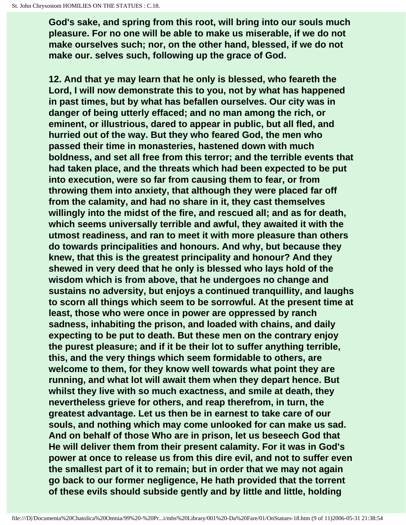**God's sake, and spring from this root, will bring into our souls much pleasure. For no one will be able to make us miserable, if we do not make ourselves such; nor, on the other hand, blessed, if we do not make our. selves such, following up the grace of God.** 

**12. And that ye may learn that he only is blessed, who feareth the Lord, I will now demonstrate this to you, not by what has happened in past times, but by what has befallen ourselves. Our city was in danger of being utterly effaced; and no man among the rich, or eminent, or illustrious, dared to appear in public, but all fled, and hurried out of the way. But they who feared God, the men who passed their time in monasteries, hastened down with much boldness, and set all free from this terror; and the terrible events that had taken place, and the threats which had been expected to be put into execution, were so far from causing them to fear, or from throwing them into anxiety, that although they were placed far off from the calamity, and had no share in it, they cast themselves willingly into the midst of the fire, and rescued all; and as for death, which seems universally terrible and awful, they awaited it with the utmost readiness, and ran to meet it with more pleasure than others do towards principalities and honours. And why, but because they knew, that this is the greatest principality and honour? And they shewed in very deed that he only is blessed who lays hold of the wisdom which is from above, that he undergoes no change and sustains no adversity, but enjoys a continued tranquillity, and laughs to scorn all things which seem to be sorrowful. At the present time at least, those who were once in power are oppressed by ranch sadness, inhabiting the prison, and loaded with chains, and daily expecting to be put to death. But these men on the contrary enjoy the purest pleasure; and if it be their lot to suffer anything terrible, this, and the very things which seem formidable to others, are welcome to them, for they know well towards what point they are running, and what lot will await them when they depart hence. But whilst they live with so much exactness, and smile at death, they nevertheless grieve for others, and reap therefrom, in turn, the greatest advantage. Let us then be in earnest to take care of our souls, and nothing which may come unlooked for can make us sad. And on behalf of those Who are in prison, let us beseech God that He will deliver them from their present calamity. For it was in God's power at once to release us from this dire evil, and not to suffer even the smallest part of it to remain; but in order that we may not again go back to our former negligence, He hath provided that the torrent of these evils should subside gently and by little and little, holding**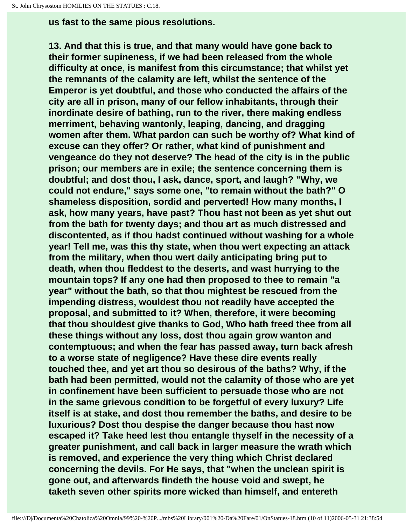## **us fast to the same pious resolutions.**

**13. And that this is true, and that many would have gone back to their former supineness, if we had been released from the whole difficulty at once, is manifest from this circumstance; that whilst yet the remnants of the calamity are left, whilst the sentence of the Emperor is yet doubtful, and those who conducted the affairs of the city are all in prison, many of our fellow inhabitants, through their inordinate desire of bathing, run to the river, there making endless merriment, behaving wantonly, leaping, dancing, and dragging women after them. What pardon can such be worthy of? What kind of excuse can they offer? Or rather, what kind of punishment and vengeance do they not deserve? The head of the city is in the public prison; our members are in exile; the sentence concerning them is doubtful; and dost thou, I ask, dance, sport, and laugh? "Why, we could not endure," says some one, "to remain without the bath?" O shameless disposition, sordid and perverted! How many months, I ask, how many years, have past? Thou hast not been as yet shut out from the bath for twenty days; and thou art as much distressed and discontented, as if thou hadst continued without washing for a whole year! Tell me, was this thy state, when thou wert expecting an attack from the military, when thou wert daily anticipating bring put to death, when thou fleddest to the deserts, and wast hurrying to the mountain tops? If any one had then proposed to thee to remain "a year" without the bath, so that thou mightest be rescued from the impending distress, wouldest thou not readily have accepted the proposal, and submitted to it? When, therefore, it were becoming that thou shouldest give thanks to God, Who hath freed thee from all these things without any loss, dost thou again grow wanton and contemptuous; and when the fear has passed away, turn back afresh to a worse state of negligence? Have these dire events really touched thee, and yet art thou so desirous of the baths? Why, if the bath had been permitted, would not the calamity of those who are yet in confinement have been sufficient to persuade those who are not in the same grievous condition to be forgetful of every luxury? Life itself is at stake, and dost thou remember the baths, and desire to be luxurious? Dost thou despise the danger because thou hast now escaped it? Take heed lest thou entangle thyself in the necessity of a greater punishment, and call back in larger measure the wrath which is removed, and experience the very thing which Christ declared concerning the devils. For He says, that "when the unclean spirit is gone out, and afterwards findeth the house void and swept, he taketh seven other spirits more wicked than himself, and entereth**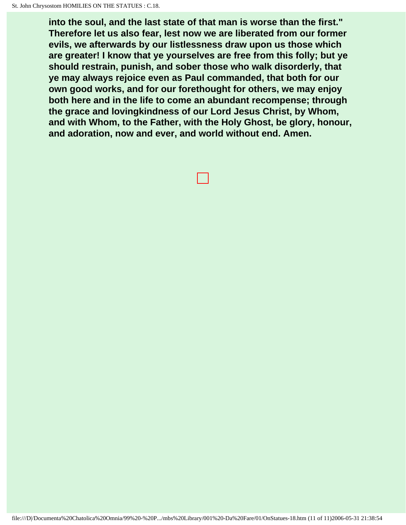**into the soul, and the last state of that man is worse than the first." Therefore let us also fear, lest now we are liberated from our former evils, we afterwards by our listlessness draw upon us those which are greater! I know that ye yourselves are free from this folly; but ye should restrain, punish, and sober those who walk disorderly, that ye may always rejoice even as Paul commanded, that both for our own good works, and for our forethought for others, we may enjoy both here and in the life to come an abundant recompense; through the grace and lovingkindness of our Lord Jesus Christ, by Whom, and with Whom, to the Father, with the Holy Ghost, be glory, honour, and adoration, now and ever, and world without end. Amen.**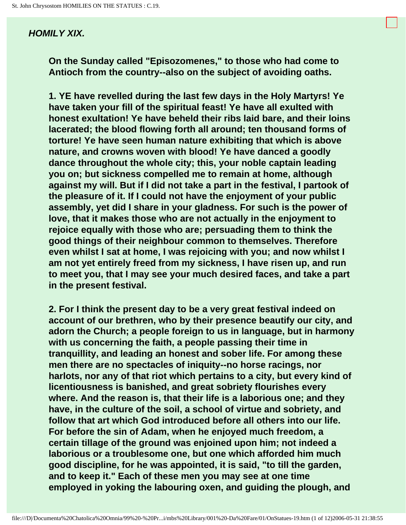## **HOMILY XIX.**

**On the Sunday called "Episozomenes," to those who had come to Antioch from the country--also on the subject of avoiding oaths.** 

**1. YE have revelled during the last few days in the Holy Martyrs! Ye have taken your fill of the spiritual feast! Ye have all exulted with honest exultation! Ye have beheld their ribs laid bare, and their loins lacerated; the blood flowing forth all around; ten thousand forms of torture! Ye have seen human nature exhibiting that which is above nature, and crowns woven with blood! Ye have danced a goodly dance throughout the whole city; this, your noble captain leading you on; but sickness compelled me to remain at home, although against my will. But if I did not take a part in the festival, I partook of the pleasure of it. If I could not have the enjoyment of your public assembly, yet did I share in your gladness. For such is the power of love, that it makes those who are not actually in the enjoyment to rejoice equally with those who are; persuading them to think the good things of their neighbour common to themselves. Therefore even whilst I sat at home, I was rejoicing with you; and now whilst I am not yet entirely freed from my sickness, I have risen up, and run to meet you, that I may see your much desired faces, and take a part in the present festival.** 

**2. For I think the present day to be a very great festival indeed on account of our brethren, who by their presence beautify our city, and adorn the Church; a people foreign to us in language, but in harmony with us concerning the faith, a people passing their time in tranquillity, and leading an honest and sober life. For among these men there are no spectacles of iniquity--no horse racings, nor harlots, nor any of that riot which pertains to a city, but every kind of licentiousness is banished, and great sobriety flourishes every where. And the reason is, that their life is a laborious one; and they have, in the culture of the soil, a school of virtue and sobriety, and follow that art which God introduced before all others into our life. For before the sin of Adam, when he enjoyed much freedom, a certain tillage of the ground was enjoined upon him; not indeed a laborious or a troublesome one, but one which afforded him much good discipline, for he was appointed, it is said, "to till the garden, and to keep it." Each of these men you may see at one time employed in yoking the labouring oxen, and guiding the plough, and**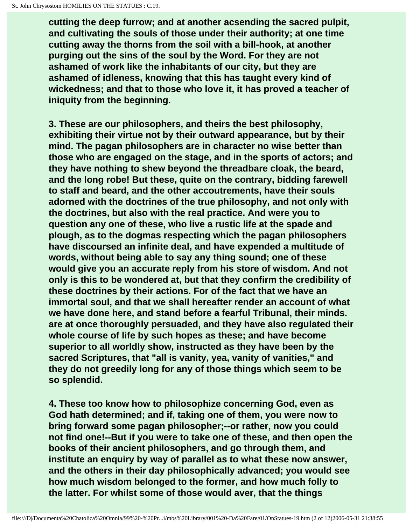**cutting the deep furrow; and at another acsending the sacred pulpit, and cultivating the souls of those under their authority; at one time cutting away the thorns from the soil with a bill-hook, at another purging out the sins of the soul by the Word. For they are not ashamed of work like the inhabitants of our city, but they are ashamed of idleness, knowing that this has taught every kind of wickedness; and that to those who love it, it has proved a teacher of iniquity from the beginning.** 

**3. These are our philosophers, and theirs the best philosophy, exhibiting their virtue not by their outward appearance, but by their mind. The pagan philosophers are in character no wise better than those who are engaged on the stage, and in the sports of actors; and they have nothing to shew beyond the threadbare cloak, the beard, and the long robe! But these, quite on the contrary, bidding farewell to staff and beard, and the other accoutrements, have their souls adorned with the doctrines of the true philosophy, and not only with the doctrines, but also with the real practice. And were you to question any one of these, who live a rustic life at the spade and plough, as to the dogmas respecting which the pagan philosophers have discoursed an infinite deal, and have expended a multitude of words, without being able to say any thing sound; one of these would give you an accurate reply from his store of wisdom. And not only is this to be wondered at, but that they confirm the credibility of these doctrines by their actions. For of the fact that we have an immortal soul, and that we shall hereafter render an account of what we have done here, and stand before a fearful Tribunal, their minds. are at once thoroughly persuaded, and they have also regulated their whole course of life by such hopes as these; and have become superior to all worldly show, instructed as they have been by the sacred Scriptures, that "all is vanity, yea, vanity of vanities," and they do not greedily long for any of those things which seem to be so splendid.** 

**4. These too know how to philosophize concerning God, even as God hath determined; and if, taking one of them, you were now to bring forward some pagan philosopher;--or rather, now you could not find one!--But if you were to take one of these, and then open the books of their ancient philosophers, and go through them, and institute an enquiry by way of parallel as to what these now answer, and the others in their day philosophically advanced; you would see how much wisdom belonged to the former, and how much folly to the latter. For whilst some of those would aver, that the things**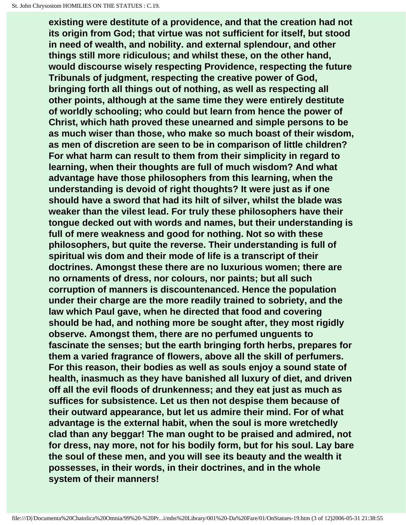**existing were destitute of a providence, and that the creation had not its origin from God; that virtue was not sufficient for itself, but stood in need of wealth, and nobility. and external splendour, and other things still more ridiculous; and whilst these, on the other hand, would discourse wisely respecting Providence, respecting the future Tribunals of judgment, respecting the creative power of God, bringing forth all things out of nothing, as well as respecting all other points, although at the same time they were entirely destitute of worldly schooling; who could but learn from hence the power of Christ, which hath proved these unearned and simple persons to be as much wiser than those, who make so much boast of their wisdom, as men of discretion are seen to be in comparison of little children? For what harm can result to them from their simplicity in regard to learning, when their thoughts are full of much wisdom? And what advantage have those philosophers from this learning, when the understanding is devoid of right thoughts? It were just as if one should have a sword that had its hilt of silver, whilst the blade was weaker than the vilest lead. For truly these philosophers have their tongue decked out with words and names, but their understanding is full of mere weakness and good for nothing. Not so with these philosophers, but quite the reverse. Their understanding is full of spiritual wis dom and their mode of life is a transcript of their doctrines. Amongst these there are no luxurious women; there are no ornaments of dress, nor colours, nor paints; but all such corruption of manners is discountenanced. Hence the population under their charge are the more readily trained to sobriety, and the law which Paul gave, when he directed that food and covering should be had, and nothing more be sought after, they most rigidly observe. Amongst them, there are no perfumed unguents to fascinate the senses; but the earth bringing forth herbs, prepares for them a varied fragrance of flowers, above all the skill of perfumers. For this reason, their bodies as well as souls enjoy a sound state of health, inasmuch as they have banished all luxury of diet, and driven off all the evil floods of drunkenness; and they eat just as much as suffices for subsistence. Let us then not despise them because of their outward appearance, but let us admire their mind. For of what advantage is the external habit, when the soul is more wretchedly clad than any beggar! The man ought to be praised and admired, not for dress, nay more, not for his bodily form, but for his soul. Lay bare the soul of these men, and you will see its beauty and the wealth it possesses, in their words, in their doctrines, and in the whole system of their manners!**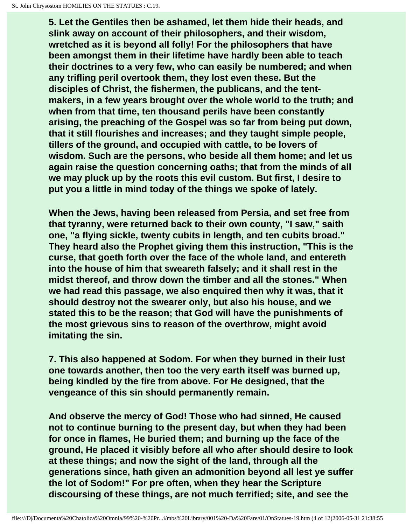**5. Let the Gentiles then be ashamed, let them hide their heads, and slink away on account of their philosophers, and their wisdom, wretched as it is beyond all folly! For the philosophers that have been amongst them in their lifetime have hardly been able to teach their doctrines to a very few, who can easily be numbered; and when any trifling peril overtook them, they lost even these. But the disciples of Christ, the fishermen, the publicans, and the tentmakers, in a few years brought over the whole world to the truth; and when from that time, ten thousand perils have been constantly arising, the preaching of the Gospel was so far from being put down, that it still flourishes and increases; and they taught simple people, tillers of the ground, and occupied with cattle, to be lovers of wisdom. Such are the persons, who beside all them home; and let us again raise the question concerning oaths; that from the minds of all we may pluck up by the roots this evil custom. But first, I desire to put you a little in mind today of the things we spoke of lately.** 

**When the Jews, having been released from Persia, and set free from that tyranny, were returned back to their own county, "I saw," saith one, "a flying sickle, twenty cubits in length, and ten cubits broad." They heard also the Prophet giving them this instruction, "This is the curse, that goeth forth over the face of the whole land, and entereth into the house of him that sweareth falsely; and it shall rest in the midst thereof, and throw down the timber and all the stones." When we had read this passage, we also enquired then why it was, that it should destroy not the swearer only, but also his house, and we stated this to be the reason; that God will have the punishments of the most grievous sins to reason of the overthrow, might avoid imitating the sin.** 

**7. This also happened at Sodom. For when they burned in their lust one towards another, then too the very earth itself was burned up, being kindled by the fire from above. For He designed, that the vengeance of this sin should permanently remain.** 

**And observe the mercy of God! Those who had sinned, He caused not to continue burning to the present day, but when they had been for once in flames, He buried them; and burning up the face of the ground, He placed it visibly before all who after should desire to look at these things; and now the sight of the land, through all the generations since, hath given an admonition beyond all lest ye suffer the lot of Sodom!" For pre often, when they hear the Scripture discoursing of these things, are not much terrified; site, and see the**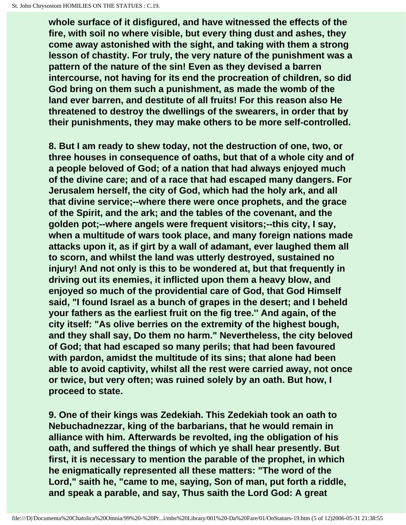**whole surface of it disfigured, and have witnessed the effects of the fire, with soil no where visible, but every thing dust and ashes, they come away astonished with the sight, and taking with them a strong lesson of chastity. For truly, the very nature of the punishment was a pattern of the nature of the sin! Even as they devised a barren intercourse, not having for its end the procreation of children, so did God bring on them such a punishment, as made the womb of the land ever barren, and destitute of all fruits! For this reason also He threatened to destroy the dwellings of the swearers, in order that by their punishments, they may make others to be more self-controlled.** 

**8. But I am ready to shew today, not the destruction of one, two, or three houses in consequence of oaths, but that of a whole city and of a people beloved of God; of a nation that had always enjoyed much of the divine care; and of a race that had escaped many dangers. For Jerusalem herself, the city of God, which had the holy ark, and all that divine service;--where there were once prophets, and the grace of the Spirit, and the ark; and the tables of the covenant, and the golden pot;--where angels were frequent visitors;--this city, I say, when a multitude of wars took place, and many foreign nations made attacks upon it, as if girt by a wall of adamant, ever laughed them all to scorn, and whilst the land was utterly destroyed, sustained no injury! And not only is this to be wondered at, but that frequently in driving out its enemies, it inflicted upon them a heavy blow, and enjoyed so much of the providential care of God, that God Himself said, "I found Israel as a bunch of grapes in the desert; and I beheld your fathers as the earliest fruit on the fig tree.'' And again, of the city itself: "As olive berries on the extremity of the highest bough, and they shall say, Do them no harm." Nevertheless, the city beloved of God; that had escaped so many perils; that had been favoured with pardon, amidst the multitude of its sins; that alone had been able to avoid captivity, whilst all the rest were carried away, not once or twice, but very often; was ruined solely by an oath. But how, I proceed to state.** 

**9. One of their kings was Zedekiah. This Zedekiah took an oath to Nebuchadnezzar, king of the barbarians, that he would remain in alliance with him. Afterwards be revolted, ing the obligation of his oath, and suffered the things of which ye shall hear presently. But first, it is necessary to mention the parable of the prophet, in which he enigmatically represented all these matters: "The word of the Lord," saith he, "came to me, saying, Son of man, put forth a riddle, and speak a parable, and say, Thus saith the Lord God: A great**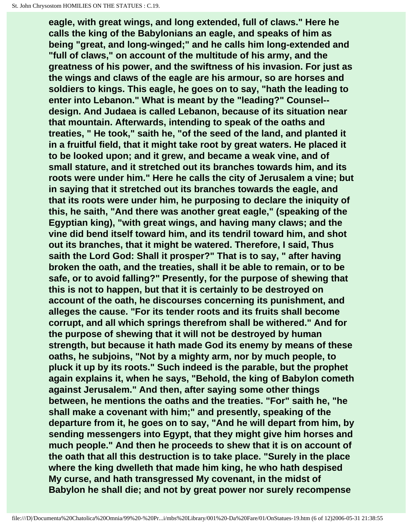**eagle, with great wings, and long extended, full of claws." Here he calls the king of the Babylonians an eagle, and speaks of him as being "great, and long-winged;" and he calls him long-extended and "full of claws," on account of the multitude of his army, and the greatness of his power, and the swiftness of his invasion. For just as the wings and claws of the eagle are his armour, so are horses and soldiers to kings. This eagle, he goes on to say, "hath the leading to enter into Lebanon." What is meant by the "leading?" Counsel- design. And Judaea is called Lebanon, because of its situation near that mountain. Afterwards, intending to speak of the oaths and treaties, " He took," saith he, "of the seed of the land, and planted it in a fruitful field, that it might take root by great waters. He placed it to be looked upon; and it grew, and became a weak vine, and of small stature, and it stretched out its branches towards him, and its roots were under him." Here he calls the city of Jerusalem a vine; but in saying that it stretched out its branches towards the eagle, and that its roots were under him, he purposing to declare the iniquity of this, he saith, "And there was another great eagle," (speaking of the Egyptian king), "with great wings, and having many claws; and the vine did bend itself toward him, and its tendril toward him, and shot out its branches, that it might be watered. Therefore, I said, Thus saith the Lord God: Shall it prosper?" That is to say, " after having broken the oath, and the treaties, shall it be able to remain, or to be safe, or to avoid falling?" Presently, for the purpose of shewing that this is not to happen, but that it is certainly to be destroyed on account of the oath, he discourses concerning its punishment, and alleges the cause. "For its tender roots and its fruits shall become corrupt, and all which springs therefrom shall be withered." And for the purpose of shewing that it will not be destroyed by human strength, but because it hath made God its enemy by means of these oaths, he subjoins, "Not by a mighty arm, nor by much people, to pluck it up by its roots." Such indeed is the parable, but the prophet again explains it, when he says, "Behold, the king of Babylon cometh against Jerusalem." And then, after saying some other things between, he mentions the oaths and the treaties. "For" saith he, "he shall make a covenant with him;" and presently, speaking of the departure from it, he goes on to say, "And he will depart from him, by sending messengers into Egypt, that they might give him horses and much people." And then he proceeds to shew that it is on account of the oath that all this destruction is to take place. "Surely in the place where the king dwelleth that made him king, he who hath despised My curse, and hath transgressed My covenant, in the midst of Babylon he shall die; and not by great power nor surely recompense**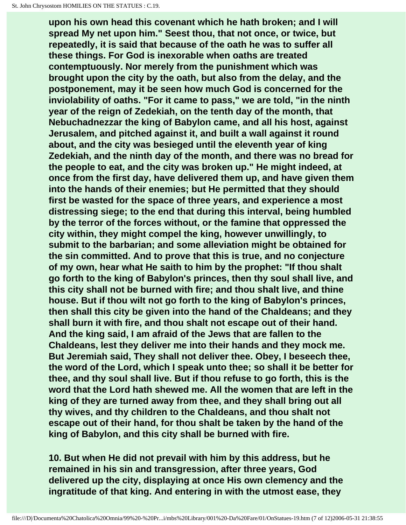**upon his own head this covenant which he hath broken; and I will spread My net upon him." Seest thou, that not once, or twice, but repeatedly, it is said that because of the oath he was to suffer all these things. For God is inexorable when oaths are treated contemptuously. Nor merely from the punishment which was brought upon the city by the oath, but also from the delay, and the postponement, may it be seen how much God is concerned for the inviolability of oaths. "For it came to pass," we are told, "in the ninth year of the reign of Zedekiah, on the tenth day of the month, that Nebuchadnezzar the king of Babylon came, and all his host, against Jerusalem, and pitched against it, and built a wall against it round about, and the city was besieged until the eleventh year of king Zedekiah, and the ninth day of the month, and there was no bread for the people to eat, and the city was broken up." He might indeed, at once from the first day, have delivered them up, and have given them into the hands of their enemies; but He permitted that they should first be wasted for the space of three years, and experience a most distressing siege; to the end that during this interval, being humbled by the terror of the forces without, or the famine that oppressed the city within, they might compel the king, however unwillingly, to submit to the barbarian; and some alleviation might be obtained for the sin committed. And to prove that this is true, and no conjecture of my own, hear what He saith to him by the prophet: "If thou shalt go forth to the king of Babylon's princes, then thy soul shall live, and this city shall not be burned with fire; and thou shalt live, and thine house. But if thou wilt not go forth to the king of Babylon's princes, then shall this city be given into the hand of the Chaldeans; and they shall burn it with fire, and thou shalt not escape out of their hand. And the king said, I am afraid of the Jews that are fallen to the Chaldeans, lest they deliver me into their hands and they mock me. But Jeremiah said, They shall not deliver thee. Obey, I beseech thee, the word of the Lord, which I speak unto thee; so shall it be better for thee, and thy soul shall live. But if thou refuse to go forth, this is the word that the Lord hath shewed me. All the women that are left in the king of they are turned away from thee, and they shall bring out all thy wives, and thy children to the Chaldeans, and thou shalt not escape out of their hand, for thou shalt be taken by the hand of the king of Babylon, and this city shall be burned with fire.** 

**10. But when He did not prevail with him by this address, but he remained in his sin and transgression, after three years, God delivered up the city, displaying at once His own clemency and the ingratitude of that king. And entering in with the utmost ease, they**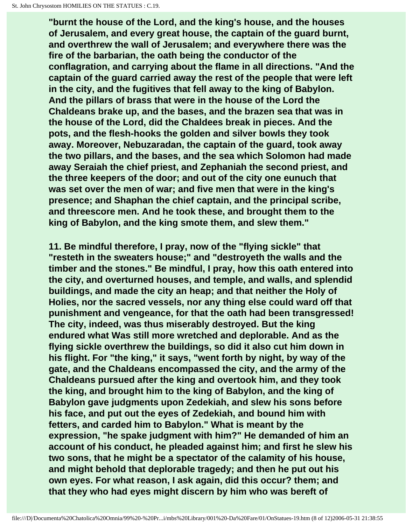**"burnt the house of the Lord, and the king's house, and the houses of Jerusalem, and every great house, the captain of the guard burnt, and overthrew the wall of Jerusalem; and everywhere there was the fire of the barbarian, the oath being the conductor of the conflagration, and carrying about the flame in all directions. "And the captain of the guard carried away the rest of the people that were left in the city, and the fugitives that fell away to the king of Babylon. And the pillars of brass that were in the house of the Lord the Chaldeans brake up, and the bases, and the brazen sea that was in the house of the Lord, did the Chaldees break in pieces. And the pots, and the flesh-hooks the golden and silver bowls they took away. Moreover, Nebuzaradan, the captain of the guard, took away the two pillars, and the bases, and the sea which Solomon had made away Seraiah the chief priest, and Zephaniah the second priest, and the three keepers of the door; and out of the city one eunuch that was set over the men of war; and five men that were in the king's presence; and Shaphan the chief captain, and the principal scribe, and threescore men. And he took these, and brought them to the king of Babylon, and the king smote them, and slew them."** 

**11. Be mindful therefore, I pray, now of the "flying sickle" that "resteth in the sweaters house;" and "destroyeth the walls and the timber and the stones." Be mindful, I pray, how this oath entered into the city, and overturned houses, and temple, and walls, and splendid buildings, and made the city an heap; and that neither the Holy of Holies, nor the sacred vessels, nor any thing else could ward off that punishment and vengeance, for that the oath had been transgressed! The city, indeed, was thus miserably destroyed. But the king endured what Was still more wretched and deplorable. And as the flying sickle overthrew the buildings, so did it also cut him down in his flight. For "the king," it says, "went forth by night, by way of the gate, and the Chaldeans encompassed the city, and the army of the Chaldeans pursued after the king and overtook him, and they took the king, and brought him to the king of Babylon, and the king of Babylon gave judgments upon Zedekiah, and slew his sons before his face, and put out the eyes of Zedekiah, and bound him with fetters, and carded him to Babylon." What is meant by the expression, "he spake judgment with him?" He demanded of him an account of his conduct, he pleaded against him; and first he slew his two sons, that he might be a spectator of the calamity of his house, and might behold that deplorable tragedy; and then he put out his own eyes. For what reason, I ask again, did this occur? them; and that they who had eyes might discern by him who was bereft of**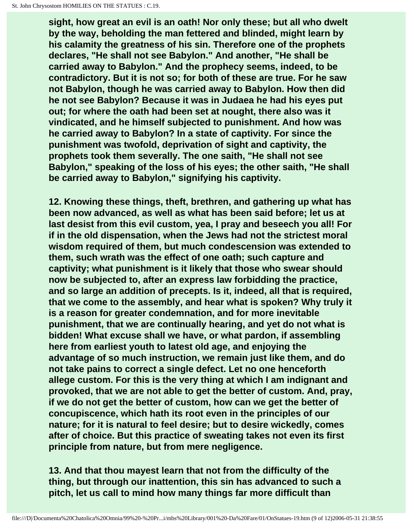**sight, how great an evil is an oath! Nor only these; but all who dwelt by the way, beholding the man fettered and blinded, might learn by his calamity the greatness of his sin. Therefore one of the prophets declares, "He shall not see Babylon." And another, "He shall be carried away to Babylon." And the prophecy seems, indeed, to be contradictory. But it is not so; for both of these are true. For he saw not Babylon, though he was carried away to Babylon. How then did he not see Babylon? Because it was in Judaea he had his eyes put out; for where the oath had been set at nought, there also was it vindicated, and he himself subjected to punishment. And how was he carried away to Babylon? In a state of captivity. For since the punishment was twofold, deprivation of sight and captivity, the prophets took them severally. The one saith, "He shall not see Babylon," speaking of the loss of his eyes; the other saith, "He shall be carried away to Babylon," signifying his captivity.** 

**12. Knowing these things, theft, brethren, and gathering up what has been now advanced, as well as what has been said before; let us at last desist from this evil custom, yea, I pray and beseech you all! For if in the old dispensation, when the Jews had not the strictest moral wisdom required of them, but much condescension was extended to them, such wrath was the effect of one oath; such capture and captivity; what punishment is it likely that those who swear should now be subjected to, after an express law forbidding the practice, and so large an addition of precepts. Is it, indeed, all that is required, that we come to the assembly, and hear what is spoken? Why truly it is a reason for greater condemnation, and for more inevitable punishment, that we are continually hearing, and yet do not what is bidden! What excuse shall we have, or what pardon, if assembling here from earliest youth to latest old age, and enjoying the advantage of so much instruction, we remain just like them, and do not take pains to correct a single defect. Let no one henceforth allege custom. For this is the very thing at which I am indignant and provoked, that we are not able to get the better of custom. And, pray, if we do not get the better of custom, how can we get the better of concupiscence, which hath its root even in the principles of our nature; for it is natural to feel desire; but to desire wickedly, comes after of choice. But this practice of sweating takes not even its first principle from nature, but from mere negligence.** 

**13. And that thou mayest learn that not from the difficulty of the thing, but through our inattention, this sin has advanced to such a pitch, let us call to mind how many things far more difficult than**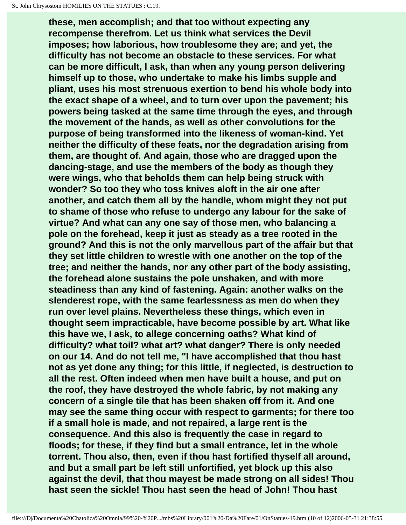**these, men accomplish; and that too without expecting any recompense therefrom. Let us think what services the Devil imposes; how laborious, how troublesome they are; and yet, the difficulty has not become an obstacle to these services. For what can be more difficult, I ask, than when any young person delivering himself up to those, who undertake to make his limbs supple and pliant, uses his most strenuous exertion to bend his whole body into the exact shape of a wheel, and to turn over upon the pavement; his powers being tasked at the same time through the eyes, and through the movement of the hands, as well as other convolutions for the purpose of being transformed into the likeness of woman-kind. Yet neither the difficulty of these feats, nor the degradation arising from them, are thought of. And again, those who are dragged upon the dancing-stage, and use the members of the body as though they were wings, who that beholds them can help being struck with wonder? So too they who toss knives aloft in the air one after another, and catch them all by the handle, whom might they not put to shame of those who refuse to undergo any labour for the sake of virtue? And what can any one say of those men, who balancing a pole on the forehead, keep it just as steady as a tree rooted in the ground? And this is not the only marvellous part of the affair but that they set little children to wrestle with one another on the top of the tree; and neither the hands, nor any other part of the body assisting, the forehead alone sustains the pole unshaken, and with more steadiness than any kind of fastening. Again: another walks on the slenderest rope, with the same fearlessness as men do when they run over level plains. Nevertheless these things, which even in thought seem impracticable, have become possible by art. What like this have we, I ask, to allege concerning oaths? What kind of difficulty? what toil? what art? what danger? There is only needed on our 14. And do not tell me, "I have accomplished that thou hast not as yet done any thing; for this little, if neglected, is destruction to all the rest. Often indeed when men have built a house, and put on the roof, they have destroyed the whole fabric, by not making any concern of a single tile that has been shaken off from it. And one may see the same thing occur with respect to garments; for there too if a small hole is made, and not repaired, a large rent is the consequence. And this also is frequently the case in regard to floods; for these, if they find but a small entrance, let in the whole torrent. Thou also, then, even if thou hast fortified thyself all around, and but a small part be left still unfortified, yet block up this also against the devil, that thou mayest be made strong on all sides! Thou hast seen the sickle! Thou hast seen the head of John! Thou hast**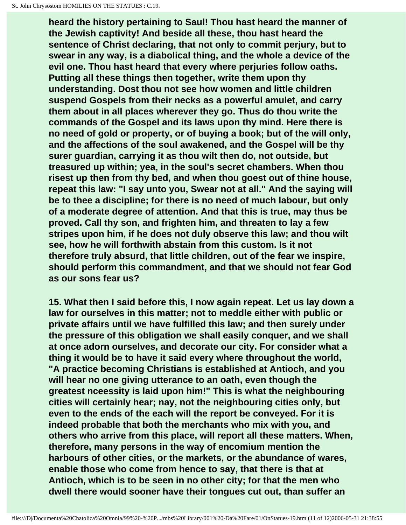**heard the history pertaining to Saul! Thou hast heard the manner of the Jewish captivity! And beside all these, thou hast heard the sentence of Christ declaring, that not only to commit perjury, but to swear in any way, is a diabolical thing, and the whole a device of the evil one. Thou hast heard that every where perjuries follow oaths. Putting all these things then together, write them upon thy understanding. Dost thou not see how women and little children suspend Gospels from their necks as a powerful amulet, and carry them about in all places wherever they go. Thus do thou write the commands of the Gospel and its laws upon thy mind. Here there is no need of gold or property, or of buying a book; but of the will only, and the affections of the soul awakened, and the Gospel will be thy surer guardian, carrying it as thou wilt then do, not outside, but treasured up within; yea, in the soul's secret chambers. When thou risest up then from thy bed, and when thou goest out of thine house, repeat this law: "I say unto you, Swear not at all." And the saying will be to thee a discipline; for there is no need of much labour, but only of a moderate degree of attention. And that this is true, may thus be proved. Call thy son, and frighten him, and threaten to lay a few stripes upon him, if he does not duly observe this law; and thou wilt see, how he will forthwith abstain from this custom. Is it not therefore truly absurd, that little children, out of the fear we inspire, should perform this commandment, and that we should not fear God as our sons fear us?** 

**15. What then I said before this, I now again repeat. Let us lay down a law for ourselves in this matter; not to meddle either with public or private affairs until we have fulfilled this law; and then surely under the pressure of this obligation we shall easily conquer, and we shall at once adorn ourselves, and decorate our city. For consider what a thing it would be to have it said every where throughout the world, "A practice becoming Christians is established at Antioch, and you will hear no one giving utterance to an oath, even though the greatest nceessity is laid upon him!" This is what the neighbouring cities will certainly hear; nay, not the neighbouring cities only, but even to the ends of the each will the report be conveyed. For it is indeed probable that both the merchants who mix with you, and others who arrive from this place, will report all these matters. When, therefore, many persons in the way of encomium mention the harbours of other cities, or the markets, or the abundance of wares, enable those who come from hence to say, that there is that at Antioch, which is to be seen in no other city; for that the men who dwell there would sooner have their tongues cut out, than suffer an**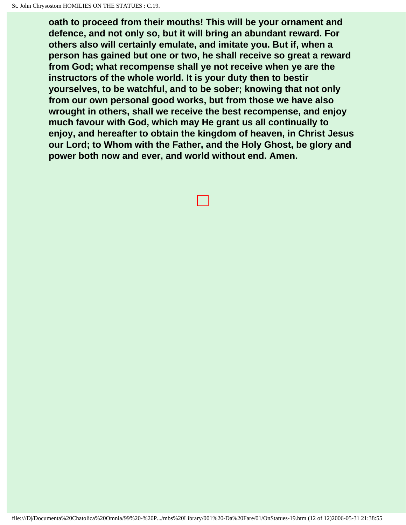**oath to proceed from their mouths! This will be your ornament and defence, and not only so, but it will bring an abundant reward. For others also will certainly emulate, and imitate you. But if, when a person has gained but one or two, he shall receive so great a reward from God; what recompense shall ye not receive when ye are the instructors of the whole world. It is your duty then to bestir yourselves, to be watchful, and to be sober; knowing that not only from our own personal good works, but from those we have also wrought in others, shall we receive the best recompense, and enjoy much favour with God, which may He grant us all continually to enjoy, and hereafter to obtain the kingdom of heaven, in Christ Jesus our Lord; to Whom with the Father, and the Holy Ghost, be glory and power both now and ever, and world without end. Amen.**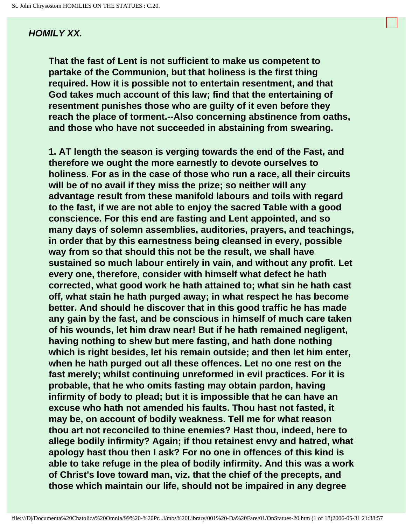# **HOMILY XX.**

**That the fast of Lent is not sufficient to make us competent to partake of the Communion, but that holiness is the first thing required. How it is possible not to entertain resentment, and that God takes much account of this law; find that the entertaining of resentment punishes those who are guilty of it even before they reach the place of torment.--Also concerning abstinence from oaths, and those who have not succeeded in abstaining from swearing.** 

**1. AT length the season is verging towards the end of the Fast, and therefore we ought the more earnestly to devote ourselves to holiness. For as in the case of those who run a race, all their circuits will be of no avail if they miss the prize; so neither will any advantage result from these manifold labours and toils with regard to the fast, if we are not able to enjoy the sacred Table with a good conscience. For this end are fasting and Lent appointed, and so many days of solemn assemblies, auditories, prayers, and teachings, in order that by this earnestness being cleansed in every, possible way from so that should this not be the result, we shall have sustained so much labour entirely in vain, and without any profit. Let every one, therefore, consider with himself what defect he hath corrected, what good work he hath attained to; what sin he hath cast off, what stain he hath purged away; in what respect he has become better. And should he discover that in this good traffic he has made any gain by the fast, and be conscious in himself of much care taken of his wounds, let him draw near! But if he hath remained negligent, having nothing to shew but mere fasting, and hath done nothing which is right besides, let his remain outside; and then let him enter, when he hath purged out all these offences. Let no one rest on the fast merely; whilst continuing unreformed in evil practices. For it is probable, that he who omits fasting may obtain pardon, having infirmity of body to plead; but it is impossible that he can have an excuse who hath not amended his faults. Thou hast not fasted, it may be, on account of bodily weakness. Tell me for what reason thou art not reconciled to thine enemies? Hast thou, indeed, here to allege bodily infirmity? Again; if thou retainest envy and hatred, what apology hast thou then I ask? For no one in offences of this kind is able to take refuge in the plea of bodily infirmity. And this was a work of Christ's love toward man, viz. that the chief of the precepts, and those which maintain our life, should not be impaired in any degree** 

file:///D|/Documenta%20Chatolica%20Omnia/99%20-%20Pr...i/mbs%20Library/001%20-Da%20Fare/01/OnStatues-20.htm (1 of 18)2006-05-31 21:38:57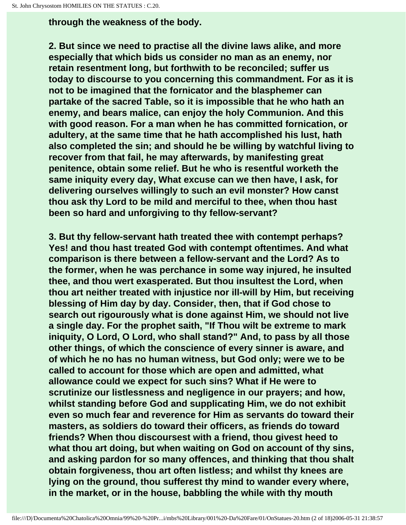### **through the weakness of the body.**

**2. But since we need to practise all the divine laws alike, and more especially that which bids us consider no man as an enemy, nor retain resentment long, but forthwith to be reconciled; suffer us today to discourse to you concerning this commandment. For as it is not to be imagined that the fornicator and the blasphemer can partake of the sacred Table, so it is impossible that he who hath an enemy, and bears malice, can enjoy the holy Communion. And this with good reason. For a man when he has committed fornication, or adultery, at the same time that he hath accomplished his lust, hath also completed the sin; and should he be willing by watchful living to recover from that fail, he may afterwards, by manifesting great penitence, obtain some relief. But he who is resentful worketh the same iniquity every day, What excuse can we then have, I ask, for delivering ourselves willingly to such an evil monster? How canst thou ask thy Lord to be mild and merciful to thee, when thou hast been so hard and unforgiving to thy fellow-servant?** 

**3. But thy fellow-servant hath treated thee with contempt perhaps? Yes! and thou hast treated God with contempt oftentimes. And what comparison is there between a fellow-servant and the Lord? As to the former, when he was perchance in some way injured, he insulted thee, and thou wert exasperated. But thou insultest the Lord, when thou art neither treated with injustice nor ill-will by Him, but receiving blessing of Him day by day. Consider, then, that if God chose to search out rigourously what is done against Him, we should not live a single day. For the prophet saith, "If Thou wilt be extreme to mark iniquity, O Lord, O Lord, who shall stand?" And, to pass by all those other things, of which the conscience of every sinner is aware, and of which he no has no human witness, but God only; were we to be called to account for those which are open and admitted, what allowance could we expect for such sins? What if He were to scrutinize our listlessness and negligence in our prayers; and how, whilst standing before God and supplicating Him, we do not exhibit even so much fear and reverence for Him as servants do toward their masters, as soldiers do toward their officers, as friends do toward friends? When thou discoursest with a friend, thou givest heed to what thou art doing, but when waiting on God on account of thy sins, and asking pardon for so many offences, and thinking that thou shalt obtain forgiveness, thou art often listless; and whilst thy knees are lying on the ground, thou sufferest thy mind to wander every where, in the market, or in the house, babbling the while with thy mouth**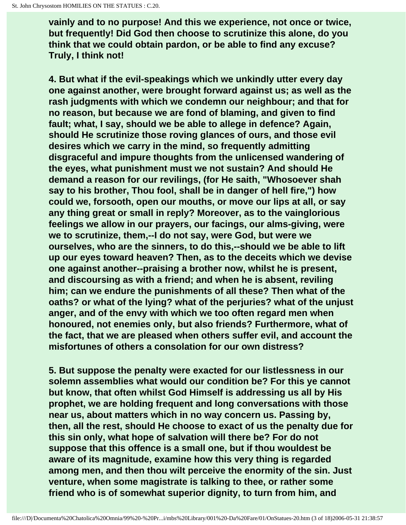**vainly and to no purpose! And this we experience, not once or twice, but frequently! Did God then choose to scrutinize this alone, do you think that we could obtain pardon, or be able to find any excuse? Truly, I think not!** 

**4. But what if the evil-speakings which we unkindly utter every day one against another, were brought forward against us; as well as the rash judgments with which we condemn our neighbour; and that for no reason, but because we are fond of blaming, and given to find fault; what, I say, should we be able to allege in defence? Again, should He scrutinize those roving glances of ours, and those evil desires which we carry in the mind, so frequently admitting disgraceful and impure thoughts from the unlicensed wandering of the eyes, what punishment must we not sustain? And should He demand a reason for our revilings, (for He saith, "Whosoever shah say to his brother, Thou fool, shall be in danger of hell fire,") how could we, forsooth, open our mouths, or move our lips at all, or say any thing great or small in reply? Moreover, as to the vainglorious feelings we allow in our prayers, our facings, our alms-giving, were we to scrutinize, them,--I do not say, were God, but were we ourselves, who are the sinners, to do this,--should we be able to lift up our eyes toward heaven? Then, as to the deceits which we devise one against another--praising a brother now, whilst he is present, and discoursing as with a friend; and when he is absent, reviling him; can we endure the punishments of all these? Then what of the oaths? or what of the lying? what of the perjuries? what of the unjust anger, and of the envy with which we too often regard men when honoured, not enemies only, but also friends? Furthermore, what of the fact, that we are pleased when others suffer evil, and account the misfortunes of others a consolation for our own distress?** 

**5. But suppose the penalty were exacted for our listlessness in our solemn assemblies what would our condition be? For this ye cannot but know, that often whilst God Himself is addressing us all by His prophet, we are holding frequent and long conversations with those near us, about matters which in no way concern us. Passing by, then, all the rest, should He choose to exact of us the penalty due for this sin only, what hope of salvation will there be? For do not suppose that this offence is a small one, but if thou wouldest be aware of its magnitude, examine how this very thing is regarded among men, and then thou wilt perceive the enormity of the sin. Just venture, when some magistrate is talking to thee, or rather some friend who is of somewhat superior dignity, to turn from him, and**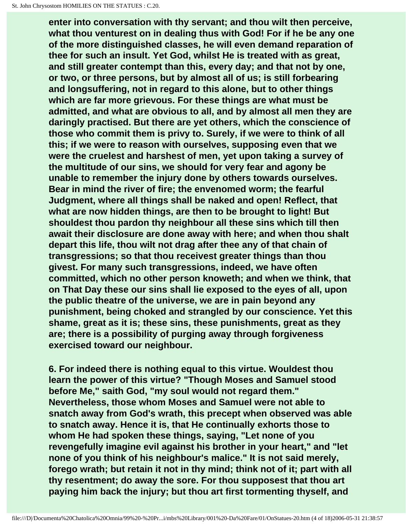**enter into conversation with thy servant; and thou wilt then perceive, what thou venturest on in dealing thus with God! For if he be any one of the more distinguished classes, he will even demand reparation of thee for such an insult. Yet God, whilst He is treated with as great, and still greater contempt than this, every day; and that not by one, or two, or three persons, but by almost all of us; is still forbearing and longsuffering, not in regard to this alone, but to other things which are far more grievous. For these things are what must be admitted, and what are obvious to all, and by almost all men they are daringly practised. But there are yet others, which the conscience of those who commit them is privy to. Surely, if we were to think of all this; if we were to reason with ourselves, supposing even that we were the cruelest and harshest of men, yet upon taking a survey of the multitude of our sins, we should for very fear and agony be unable to remember the injury done by others towards ourselves. Bear in mind the river of fire; the envenomed worm; the fearful Judgment, where all things shall be naked and open! Reflect, that what are now hidden things, are then to be brought to light! But shouldest thou pardon thy neighbour all these sins which till then await their disclosure are done away with here; and when thou shalt depart this life, thou wilt not drag after thee any of that chain of transgressions; so that thou receivest greater things than thou givest. For many such transgressions, indeed, we have often committed, which no other person knoweth; and when we think, that on That Day these our sins shall lie exposed to the eyes of alI, upon the public theatre of the universe, we are in pain beyond any punishment, being choked and strangled by our conscience. Yet this shame, great as it is; these sins, these punishments, great as they are; there is a possibility of purging away through forgiveness exercised toward our neighbour.** 

**6. For indeed there is nothing equal to this virtue. Wouldest thou learn the power of this virtue? "Though Moses and Samuel stood before Me," saith God, "my soul would not regard them." Nevertheless, those whom Moses and Samuel were not able to snatch away from God's wrath, this precept when observed was able to snatch away. Hence it is, that He continually exhorts those to whom He had spoken these things, saying, "Let none of you revengefully imagine evil against his brother in your heart," and "let none of you think of his neighbour's malice." It is not said merely, forego wrath; but retain it not in thy mind; think not of it; part with all thy resentment; do away the sore. For thou supposest that thou art paying him back the injury; but thou art first tormenting thyself, and**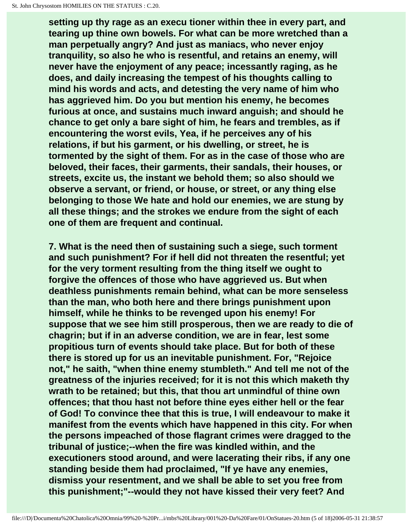**setting up thy rage as an execu tioner within thee in every part, and tearing up thine own bowels. For what can be more wretched than a man perpetually angry? And just as maniacs, who never enjoy tranquility, so also he who is resentful, and retains an enemy, will never have the enjoyment of any peace; incessantly raging, as he does, and daily increasing the tempest of his thoughts calling to mind his words and acts, and detesting the very name of him who has aggrieved him. Do you but mention his enemy, he becomes furious at once, and sustains much inward anguish; and should he chance to get only a bare sight of him, he fears and trembles, as if encountering the worst evils, Yea, if he perceives any of his relations, if but his garment, or his dwelling, or street, he is tormented by the sight of them. For as in the case of those who are beloved, their faces, their garments, their sandals, their houses, or streets, excite us, the instant we behold them; so also should we observe a servant, or friend, or house, or street, or any thing else belonging to those We hate and hold our enemies, we are stung by all these things; and the strokes we endure from the sight of each one of them are frequent and continual.** 

**7. What is the need then of sustaining such a siege, such torment and such punishment? For if hell did not threaten the resentful; yet for the very torment resulting from the thing itself we ought to forgive the offences of those who have aggrieved us. But when deathless punishments remain behind, what can be more senseless than the man, who both here and there brings punishment upon himself, while he thinks to be revenged upon his enemy! For suppose that we see him still prosperous, then we are ready to die of chagrin; but if in an adverse condition, we are in fear, lest some propitious turn of events should take place. But for both of these there is stored up for us an inevitable punishment. For, "Rejoice not," he saith, "when thine enemy stumbleth." And tell me not of the greatness of the injuries received; for it is not this which maketh thy wrath to be retained; but this, that thou art unmindful of thine own offences; that thou hast not before thine eyes either hell or the fear of God! To convince thee that this is true, I will endeavour to make it manifest from the events which have happened in this city. For when the persons impeached of those flagrant crimes were dragged to the tribunal of justice;--when the fire was kindled within, and the executioners stood around, and were lacerating their ribs, if any one standing beside them had proclaimed, "If ye have any enemies, dismiss your resentment, and we shall be able to set you free from this punishment;"--would they not have kissed their very feet? And**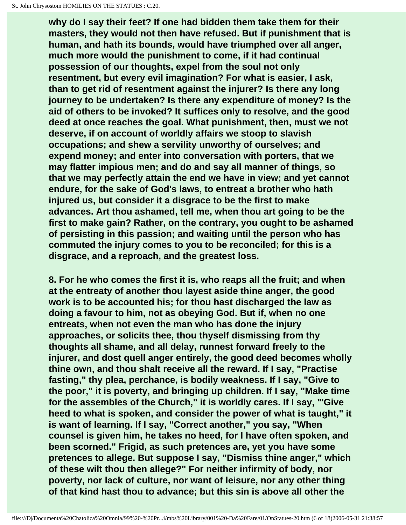**why do I say their feet? If one had bidden them take them for their masters, they would not then have refused. But if punishment that is human, and hath its bounds, would have triumphed over all anger, much more would the punishment to come, if it had continual possession of our thoughts, expel from the soul not only resentment, but every evil imagination? For what is easier, I ask, than to get rid of resentment against the injurer? Is there any long journey to be undertaken? Is there any expenditure of money? Is the aid of others to be invoked? It suffices only to resolve, and the good deed at once reaches the goal. What punishment, then, must we not deserve, if on account of worldly affairs we stoop to slavish occupations; and shew a servility unworthy of ourselves; and expend money; and enter into conversation with porters, that we may flatter impious men; and do and say all manner of things, so that we may perfectly attain the end we have in view; and yet cannot endure, for the sake of God's laws, to entreat a brother who hath injured us, but consider it a disgrace to be the first to make advances. Art thou ashamed, tell me, when thou art going to be the first to make gain? Rather, on the contrary, you ought to be ashamed of persisting in this passion; and waiting until the person who has commuted the injury comes to you to be reconciled; for this is a disgrace, and a reproach, and the greatest loss.** 

**8. For he who comes the first it is, who reaps all the fruit; and when at the entreaty of another thou layest aside thine anger, the good work is to be accounted his; for thou hast discharged the law as doing a favour to him, not as obeying God. But if, when no one entreats, when not even the man who has done the injury approaches, or solicits thee, thou thyself dismissing from thy thoughts all shame, and all delay, runnest forward freely to the injurer, and dost quell anger entirely, the good deed becomes wholly thine own, and thou shalt receive all the reward. If I say, "Practise fasting," thy plea, perchance, is bodily weakness. If I say, "Give to the poor," it is poverty, and bringing up children. If I say, "Make time for the assembles of the Church," it is worldly cares. If I say, "'Give heed to what is spoken, and consider the power of what is taught," it is want of learning. If I say, "Correct another," you say, "When counsel is given him, he takes no heed, for I have often spoken, and been scorned." Frigid, as such pretences are, yet you have some pretences to allege. But suppose I say, "Dismiss thine anger," which of these wilt thou then allege?" For neither infirmity of body, nor poverty, nor lack of culture, nor want of leisure, nor any other thing of that kind hast thou to advance; but this sin is above all other the**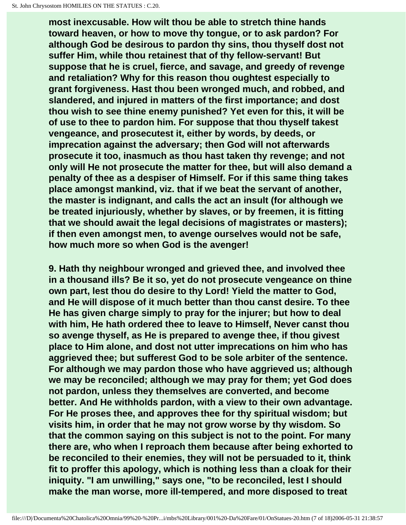**most inexcusable. How wilt thou be able to stretch thine hands toward heaven, or how to move thy tongue, or to ask pardon? For although God be desirous to pardon thy sins, thou thyself dost not suffer Him, while thou retainest that of thy fellow-servant! But suppose that he is cruel, fierce, and savage, and greedy of revenge and retaliation? Why for this reason thou oughtest especially to grant forgiveness. Hast thou been wronged much, and robbed, and slandered, and injured in matters of the first importance; and dost thou wish to see thine enemy punished? Yet even for this, it will be of use to thee to pardon him. For suppose that thou thyself takest vengeance, and prosecutest it, either by words, by deeds, or imprecation against the adversary; then God will not afterwards prosecute it too, inasmuch as thou hast taken thy revenge; and not only will He not prosecute the matter for thee, but will also demand a penalty of thee as a despiser of Himself. For if this same thing takes place amongst mankind, viz. that if we beat the servant of another, the master is indignant, and calls the act an insult (for although we be treated injuriously, whether by slaves, or by freemen, it is fitting that we should await the legal decisions of magistrates or masters); if then even amongst men, to avenge ourselves would not be safe, how much more so when God is the avenger!** 

**9. Hath thy neighbour wronged and grieved thee, and involved thee in a thousand ills? Be it so, yet do not prosecute vengeance on thine own part, lest thou do desire to thy Lord! Yield the matter to God, and He will dispose of it much better than thou canst desire. To thee He has given charge simply to pray for the injurer; but how to deal with him, He hath ordered thee to leave to Himself, Never canst thou so avenge thyself, as He is prepared to avenge thee, if thou givest place to Him alone, and dost not utter imprecations on him who has aggrieved thee; but sufferest God to be sole arbiter of the sentence. For although we may pardon those who have aggrieved us; although we may be reconciled; although we may pray for them; yet God does not pardon, unless they themselves are converted, and become better. And He withholds pardon, with a view to their own advantage. For He proses thee, and approves thee for thy spiritual wisdom; but visits him, in order that he may not grow worse by thy wisdom. So that the common saying on this subject is not to the point. For many there are, who when I reproach them because after being exhorted to be reconciled to their enemies, they will not be persuaded to it, think fit to proffer this apology, which is nothing less than a cloak for their iniquity. "I am unwilling," says one, "to be reconciled, lest I should make the man worse, more ill-tempered, and more disposed to treat**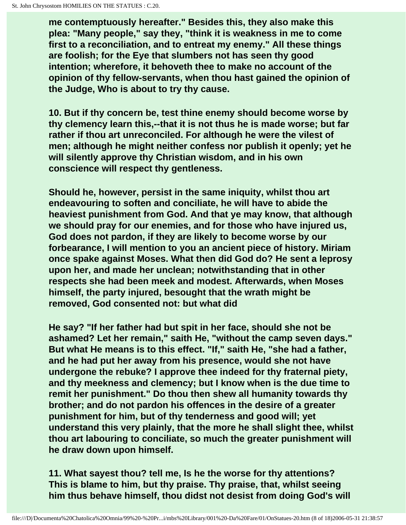**me contemptuously hereafter." Besides this, they also make this plea: "Many people," say they, "think it is weakness in me to come first to a reconciliation, and to entreat my enemy." All these things are foolish; for the Eye that slumbers not has seen thy good intention; wherefore, it behoveth thee to make no account of the opinion of thy fellow-servants, when thou hast gained the opinion of the Judge, Who is about to try thy cause.** 

**10. But if thy concern be, test thine enemy should become worse by thy clemency learn this,--that it is not thus he is made worse; but far rather if thou art unreconciled. For although he were the vilest of men; although he might neither confess nor publish it openly; yet he will silently approve thy Christian wisdom, and in his own conscience will respect thy gentleness.** 

**Should he, however, persist in the same iniquity, whilst thou art endeavouring to soften and conciliate, he will have to abide the heaviest punishment from God. And that ye may know, that although we should pray for our enemies, and for those who have injured us, God does not pardon, if they are likely to become worse by our forbearance, I will mention to you an ancient piece of history. Miriam once spake against Moses. What then did God do? He sent a leprosy upon her, and made her unclean; notwithstanding that in other respects she had been meek and modest. Afterwards, when Moses himself, the party injured, besought that the wrath might be removed, God consented not: but what did** 

**He say? "If her father had but spit in her face, should she not be ashamed? Let her remain," saith He, "without the camp seven days." But what He means is to this effect. "If," saith He, "she had a father, and he had put her away from his presence, would she not have undergone the rebuke? I approve thee indeed for thy fraternal piety, and thy meekness and clemency; but I know when is the due time to remit her punishment." Do thou then shew all humanity towards thy brother; and do not pardon his offences in the desire of a greater punishment for him, but of thy tenderness and good will; yet understand this very plainly, that the more he shall slight thee, whilst thou art labouring to conciliate, so much the greater punishment will he draw down upon himself.** 

**11. What sayest thou? tell me, Is he the worse for thy attentions? This is blame to him, but thy praise. Thy praise, that, whilst seeing him thus behave himself, thou didst not desist from doing God's will**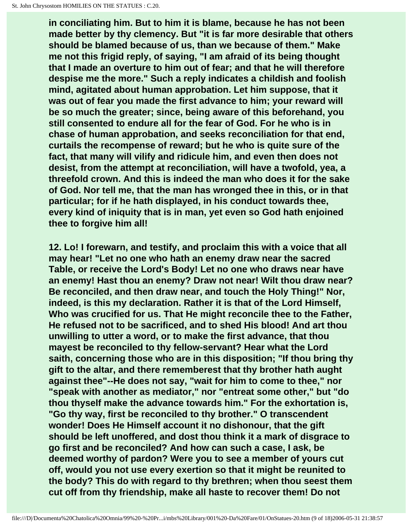**in conciliating him. But to him it is blame, because he has not been made better by thy clemency. But "it is far more desirable that others should be blamed because of us, than we because of them." Make me not this frigid reply, of saying, "I am afraid of its being thought that I made an overture to him out of fear; and that he will therefore despise me the more." Such a reply indicates a childish and foolish mind, agitated about human approbation. Let him suppose, that it was out of fear you made the first advance to him; your reward will be so much the greater; since, being aware of this beforehand, you still consented to endure all for the fear of God. For he who is in chase of human approbation, and seeks reconciliation for that end, curtails the recompense of reward; but he who is quite sure of the fact, that many will vilify and ridicule him, and even then does not desist, from the attempt at reconciliation, will have a twofold, yea, a threefold crown. And this is indeed the man who does it for the sake of God. Nor tell me, that the man has wronged thee in this, or in that particular; for if he hath displayed, in his conduct towards thee, every kind of iniquity that is in man, yet even so God hath enjoined thee to forgive him all!** 

**12. Lo! I forewarn, and testify, and proclaim this with a voice that all may hear! "Let no one who hath an enemy draw near the sacred Table, or receive the Lord's Body! Let no one who draws near have an enemy! Hast thou an enemy? Draw not near! Wilt thou draw near? Be reconciled, and then draw near, and touch the Holy Thing!" Nor, indeed, is this my declaration. Rather it is that of the Lord Himself, Who was crucified for us. That He might reconcile thee to the Father, He refused not to be sacrificed, and to shed His blood! And art thou unwilling to utter a word, or to make the first advance, that thou mayest be reconciled to thy fellow-servant? Hear what the Lord saith, concerning those who are in this disposition; "If thou bring thy gift to the altar, and there rememberest that thy brother hath aught against thee"--He does not say, "wait for him to come to thee," nor "speak with another as mediator," nor "entreat some other," but "do thou thyself make the advance towards him." For the exhortation is, "Go thy way, first be reconciled to thy brother." O transcendent wonder! Does He Himself account it no dishonour, that the gift should be left unoffered, and dost thou think it a mark of disgrace to go first and be reconciled? And how can such a case, I ask, be deemed worthy of pardon? Were you to see a member of yours cut off, would you not use every exertion so that it might be reunited to the body? This do with regard to thy brethren; when thou seest them cut off from thy friendship, make all haste to recover them! Do not**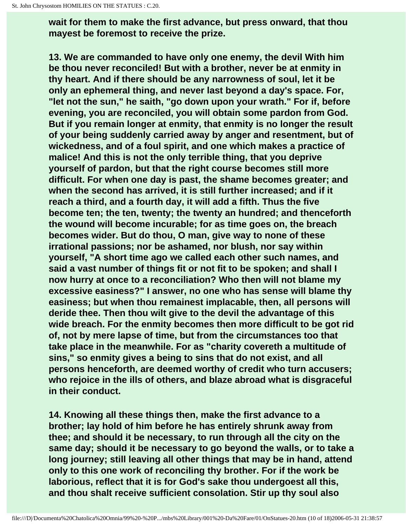**wait for them to make the first advance, but press onward, that thou mayest be foremost to receive the prize.** 

**13. We are commanded to have only one enemy, the devil With him be thou never reconciled! But with a brother, never be at enmity in thy heart. And if there should be any narrowness of soul, let it be only an ephemeral thing, and never last beyond a day's space. For, "let not the sun," he saith, "go down upon your wrath." For if, before evening, you are reconciled, you will obtain some pardon from God. But if you remain longer at enmity, that enmity is no longer the result of your being suddenly carried away by anger and resentment, but of wickedness, and of a foul spirit, and one which makes a practice of malice! And this is not the only terrible thing, that you deprive yourself of pardon, but that the right course becomes still more difficult. For when one day is past, the shame becomes greater; and when the second has arrived, it is still further increased; and if it reach a third, and a fourth day, it will add a fifth. Thus the five become ten; the ten, twenty; the twenty an hundred; and thenceforth the wound will become incurable; for as time goes on, the breach becomes wider. But do thou, O man, give way to none of these irrational passions; nor be ashamed, nor blush, nor say within yourself, "A short time ago we called each other such names, and said a vast number of things fit or not fit to be spoken; and shall I now hurry at once to a reconciliation? Who then will not blame my excessive easiness?" I answer, no one who has sense will blame thy easiness; but when thou remainest implacable, then, all persons will deride thee. Then thou wilt give to the devil the advantage of this wide breach. For the enmity becomes then more difficult to be got rid of, not by mere lapse of time, but from the circumstances too that take place in the meanwhile. For as "charity covereth a multitude of sins," so enmity gives a being to sins that do not exist, and all persons henceforth, are deemed worthy of credit who turn accusers; who rejoice in the ills of others, and blaze abroad what is disgraceful in their conduct.** 

**14. Knowing all these things then, make the first advance to a brother; lay hold of him before he has entirely shrunk away from thee; and should it be necessary, to run through all the city on the same day; should it be necessary to go beyond the walls, or to take a long journey; still leaving all other things that may be in hand, attend only to this one work of reconciling thy brother. For if the work be laborious, reflect that it is for God's sake thou undergoest all this, and thou shalt receive sufficient consolation. Stir up thy soul also**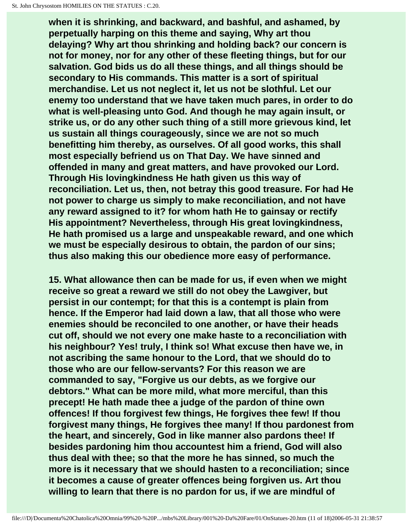**when it is shrinking, and backward, and bashful, and ashamed, by perpetually harping on this theme and saying, Why art thou delaying? Why art thou shrinking and holding back? our concern is not for money, nor for any other of these fleeting things, but for our salvation. God bids us do all these things, and all things should be secondary to His commands. This matter is a sort of spiritual merchandise. Let us not neglect it, let us not be slothful. Let our enemy too understand that we have taken much pares, in order to do what is well-pleasing unto God. And though he may again insult, or strike us, or do any other such thing of a still more grievous kind, let us sustain all things courageously, since we are not so much benefitting him thereby, as ourselves. Of all good works, this shall most especially befriend us on That Day. We have sinned and offended in many and great matters, and have provoked our Lord. Through His lovingkindness He hath given us this way of reconciliation. Let us, then, not betray this good treasure. For had He not power to charge us simply to make reconciliation, and not have any reward assigned to it? for whom hath He to gainsay or rectify His appointment? Nevertheless, through His great lovingkindness, He hath promised us a large and unspeakable reward, and one which we must be especially desirous to obtain, the pardon of our sins; thus also making this our obedience more easy of performance.** 

**15. What allowance then can be made for us, if even when we might receive so great a reward we still do not obey the Lawgiver, but persist in our contempt; for that this is a contempt is plain from hence. If the Emperor had laid down a law, that all those who were enemies should be reconciled to one another, or have their heads cut off, should we not every one make haste to a reconciliation with his neighbour? Yes! truly, I think so! What excuse then have we, in not ascribing the same honour to the Lord, that we should do to those who are our fellow-servants? For this reason we are commanded to say, "Forgive us our debts, as we forgive our debtors." What can be more mild, what more merciful, than this precept! He hath made thee a judge of the pardon of thine own offences! If thou forgivest few things, He forgives thee few! If thou forgivest many things, He forgives thee many! If thou pardonest from the heart, and sincerely, God in like manner also pardons thee! If besides pardoning him thou accountest him a friend, God will also thus deal with thee; so that the more he has sinned, so much the more is it necessary that we should hasten to a reconciliation; since it becomes a cause of greater offences being forgiven us. Art thou willing to learn that there is no pardon for us, if we are mindful of**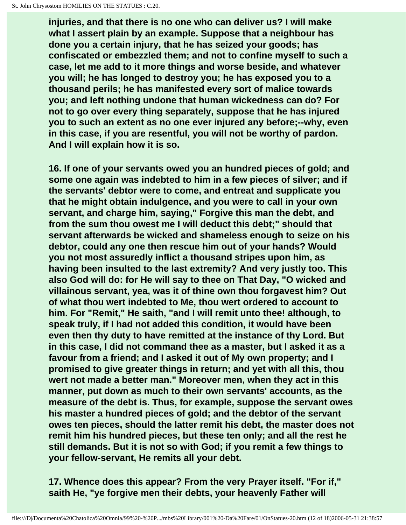**injuries, and that there is no one who can deliver us? I will make what I assert plain by an example. Suppose that a neighbour has done you a certain injury, that he has seized your goods; has confiscated or embezzled them; and not to confine myself to such a case, let me add to it more things and worse beside, and whatever you will; he has longed to destroy you; he has exposed you to a thousand perils; he has manifested every sort of malice towards you; and left nothing undone that human wickedness can do? For not to go over every thing separately, suppose that he has injured you to such an extent as no one ever injured any before;--why, even in this case, if you are resentful, you will not be worthy of pardon. And I will explain how it is so.** 

**16. If one of your servants owed you an hundred pieces of gold; and some one again was indebted to him in a few pieces of silver; and if the servants' debtor were to come, and entreat and supplicate you that he might obtain indulgence, and you were to call in your own servant, and charge him, saying," Forgive this man the debt, and from the sum thou owest me I will deduct this debt;" should that servant afterwards be wicked and shameless enough to seize on his debtor, could any one then rescue him out of your hands? Would you not most assuredly inflict a thousand stripes upon him, as having been insulted to the last extremity? And very justly too. This also God will do: for He will say to thee on That Day, "O wicked and villainous servant, yea, was it of thine own thou forgavest him? Out of what thou wert indebted to Me, thou wert ordered to account to him. For "Remit," He saith, "and I will remit unto thee! although, to speak truly, if I had not added this condition, it would have been even then thy duty to have remitted at the instance of thy Lord. But in this case, I did not command thee as a master, but I asked it as a favour from a friend; and I asked it out of My own property; and I promised to give greater things in return; and yet with all this, thou wert not made a better man." Moreover men, when they act in this manner, put down as much to their own servants' accounts, as the measure of the debt is. Thus, for example, suppose the servant owes his master a hundred pieces of gold; and the debtor of the servant owes ten pieces, should the latter remit his debt, the master does not remit him his hundred pieces, but these ten only; and all the rest he still demands. But it is not so with God; if you remit a few things to your fellow-servant, He remits all your debt.** 

**17. Whence does this appear? From the very Prayer itself. "For if," saith He, "ye forgive men their debts, your heavenly Father will**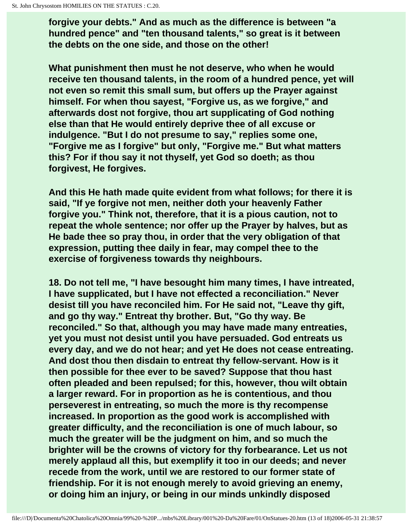**forgive your debts." And as much as the difference is between "a hundred pence" and "ten thousand talents," so great is it between the debts on the one side, and those on the other!** 

**What punishment then must he not deserve, who when he would receive ten thousand talents, in the room of a hundred pence, yet will not even so remit this small sum, but offers up the Prayer against himself. For when thou sayest, "Forgive us, as we forgive," and afterwards dost not forgive, thou art supplicating of God nothing else than that He would entirely deprive thee of all excuse or indulgence. "But I do not presume to say," replies some one, "Forgive me as I forgive" but only, "Forgive me." But what matters this? For if thou say it not thyself, yet God so doeth; as thou forgivest, He forgives.** 

**And this He hath made quite evident from what follows; for there it is said, "If ye forgive not men, neither doth your heavenly Father forgive you." Think not, therefore, that it is a pious caution, not to repeat the whole sentence; nor offer up the Prayer by halves, but as He bade thee so pray thou, in order that the very obligation of that expression, putting thee daily in fear, may compel thee to the exercise of forgiveness towards thy neighbours.** 

**18. Do not tell me, "I have besought him many times, I have intreated, I have supplicated, but I have not effected a reconciliation." Never desist till you have reconciled him. For He said not, "Leave thy gift, and go thy way." Entreat thy brother. But, "Go thy way. Be reconciled." So that, although you may have made many entreaties, yet you must not desist until you have persuaded. God entreats us every day, and we do not hear; and yet He does not cease entreating. And dost thou then disdain to entreat thy fellow-servant. How is it then possible for thee ever to be saved? Suppose that thou hast often pleaded and been repulsed; for this, however, thou wilt obtain a larger reward. For in proportion as he is contentious, and thou perseverest in entreating, so much the more is thy recompense increased. In proportion as the good work is accomplished with greater difficulty, and the reconciliation is one of much labour, so much the greater will be the judgment on him, and so much the brighter will be the crowns of victory for thy forbearance. Let us not merely applaud all this, but exemplify it too in our deeds; and never recede from the work, until we are restored to our former state of friendship. For it is not enough merely to avoid grieving an enemy, or doing him an injury, or being in our minds unkindly disposed**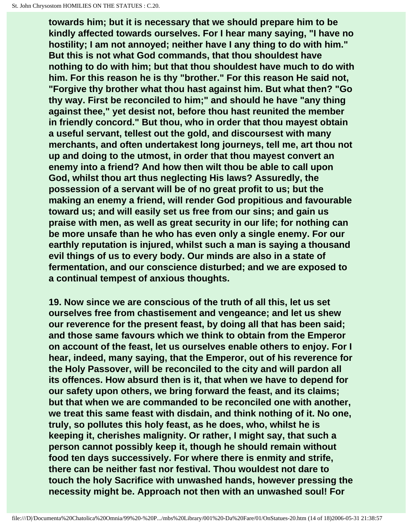**towards him; but it is necessary that we should prepare him to be kindly affected towards ourselves. For I hear many saying, "I have no hostility; I am not annoyed; neither have I any thing to do with him." But this is not what God commands, that thou shouldest have nothing to do with him; but that thou shouldest have much to do with him. For this reason he is thy "brother." For this reason He said not, "Forgive thy brother what thou hast against him. But what then? "Go thy way. First be reconciled to him;" and should he have "any thing against thee," yet desist not, before thou hast reunited the member in friendly concord." But thou, who in order that thou mayest obtain a useful servant, tellest out the gold, and discoursest with many merchants, and often undertakest long journeys, tell me, art thou not up and doing to the utmost, in order that thou mayest convert an enemy into a friend? And how then wilt thou be able to call upon God, whilst thou art thus neglecting His laws? Assuredly, the possession of a servant will be of no great profit to us; but the making an enemy a friend, will render God propitious and favourable toward us; and will easily set us free from our sins; and gain us praise with men, as well as great security in our life; for nothing can be more unsafe than he who has even only a single enemy. For our earthly reputation is injured, whilst such a man is saying a thousand evil things of us to every body. Our minds are also in a state of fermentation, and our conscience disturbed; and we are exposed to a continual tempest of anxious thoughts.** 

**19. Now since we are conscious of the truth of all this, let us set ourselves free from chastisement and vengeance; and let us shew our reverence for the present feast, by doing all that has been said; and those same favours which we think to obtain from the Emperor on account of the feast, let us ourselves enable others to enjoy. For I hear, indeed, many saying, that the Emperor, out of his reverence for the Holy Passover, will be reconciled to the city and will pardon all its offences. How absurd then is it, that when we have to depend for our safety upon others, we bring forward the feast, and its claims; but that when we are commanded to be reconciled one with another, we treat this same feast with disdain, and think nothing of it. No one, truly, so pollutes this holy feast, as he does, who, whilst he is keeping it, cherishes malignity. Or rather, I might say, that such a person cannot possibly keep it, though he should remain without food ten days successively. For where there is enmity and strife, there can be neither fast nor festival. Thou wouldest not dare to touch the holy Sacrifice with unwashed hands, however pressing the necessity might be. Approach not then with an unwashed soul! For**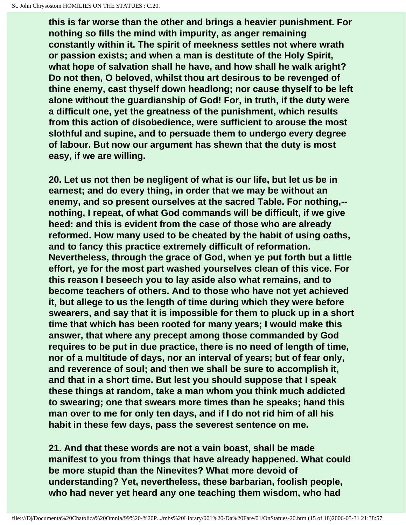**this is far worse than the other and brings a heavier punishment. For nothing so fills the mind with impurity, as anger remaining constantly within it. The spirit of meekness settles not where wrath or passion exists; and when a man is destitute of the Holy Spirit, what hope of salvation shall he have, and how shall he walk aright? Do not then, O beloved, whilst thou art desirous to be revenged of thine enemy, cast thyself down headlong; nor cause thyself to be left alone without the guardianship of God! For, in truth, if the duty were a difficult one, yet the greatness of the punishment, which results from this action of disobedience, were sufficient to arouse the most slothful and supine, and to persuade them to undergo every degree of labour. But now our argument has shewn that the duty is most easy, if we are willing.** 

**20. Let us not then be negligent of what is our life, but let us be in earnest; and do every thing, in order that we may be without an enemy, and so present ourselves at the sacred Table. For nothing,- nothing, I repeat, of what God commands will be difficult, if we give heed: and this is evident from the case of those who are already reformed. How many used to be cheated by the habit of using oaths, and to fancy this practice extremely difficult of reformation. Nevertheless, through the grace of God, when ye put forth but a little effort, ye for the most part washed yourselves clean of this vice. For this reason I beseech you to lay aside also what remains, and to become teachers of others. And to those who have not yet achieved it, but allege to us the length of time during which they were before swearers, and say that it is impossible for them to pluck up in a short time that which has been rooted for many years; I would make this answer, that where any precept among those commanded by God requires to be put in due practice, there is no need of length of time, nor of a multitude of days, nor an interval of years; but of fear only, and reverence of soul; and then we shall be sure to accomplish it, and that in a short time. But lest you should suppose that I speak these things at random, take a man whom you think much addicted to swearing; one that swears more times than he speaks; hand this man over to me for only ten days, and if I do not rid him of all his habit in these few days, pass the severest sentence on me.** 

**21. And that these words are not a vain boast, shall be made manifest to you from things that have already happened. What could be more stupid than the Ninevites? What more devoid of understanding? Yet, nevertheless, these barbarian, foolish people, who had never yet heard any one teaching them wisdom, who had**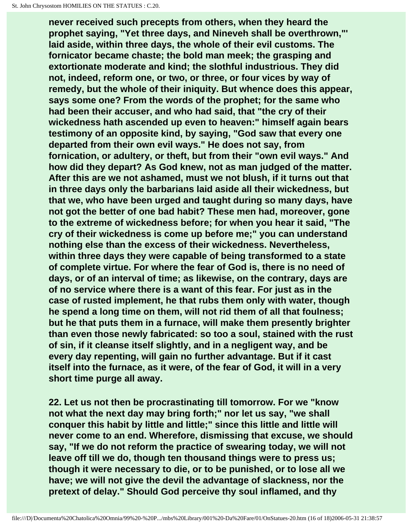**never received such precepts from others, when they heard the prophet saying, "Yet three days, and Nineveh shall be overthrown,"' laid aside, within three days, the whole of their evil customs. The fornicator became chaste; the bold man meek; the grasping and extortionate moderate and kind; the slothful industrious. They did not, indeed, reform one, or two, or three, or four vices by way of remedy, but the whole of their iniquity. But whence does this appear, says some one? From the words of the prophet; for the same who had been their accuser, and who had said, that "the cry of their wickedness hath ascended up even to heaven:" himself again bears testimony of an opposite kind, by saying, "God saw that every one departed from their own evil ways." He does not say, from fornication, or adultery, or theft, but from their "own evil ways." And how did they depart? As God knew, not as man judged of the matter. After this are we not ashamed, must we not blush, if it turns out that in three days only the barbarians laid aside all their wickedness, but that we, who have been urged and taught during so many days, have not got the better of one bad habit? These men had, moreover, gone to the extreme of wickedness before; for when you hear it said, "The cry of their wickedness is come up before me;" you can understand nothing else than the excess of their wickedness. Nevertheless, within three days they were capable of being transformed to a state of complete virtue. For where the fear of God is, there is no need of days, or of an interval of time; as likewise, on the contrary, days are of no service where there is a want of this fear. For just as in the case of rusted implement, he that rubs them only with water, though he spend a long time on them, will not rid them of all that foulness; but he that puts them in a furnace, will make them presently brighter than even those newly fabricated: so too a soul, stained with the rust of sin, if it cleanse itself slightly, and in a negligent way, and be every day repenting, will gain no further advantage. But if it cast itself into the furnace, as it were, of the fear of God, it will in a very short time purge all away.** 

**22. Let us not then be procrastinating till tomorrow. For we "know not what the next day may bring forth;" nor let us say, "we shall conquer this habit by little and little;" since this little and little will never come to an end. Wherefore, dismissing that excuse, we should say, "If we do not reform the practice of swearing today, we will not leave off till we do, though ten thousand things were to press us; though it were necessary to die, or to be punished, or to lose all we have; we will not give the devil the advantage of slackness, nor the pretext of delay." Should God perceive thy soul inflamed, and thy**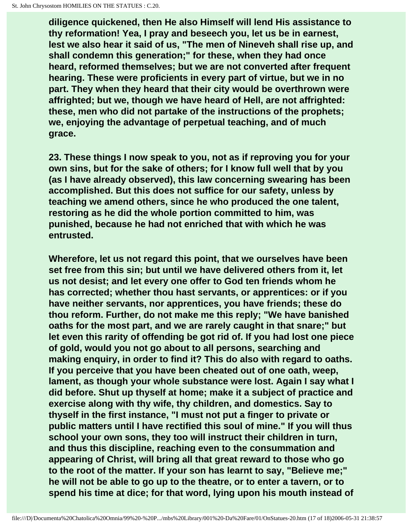**diligence quickened, then He also Himself will lend His assistance to thy reformation! Yea, I pray and beseech you, let us be in earnest, lest we also hear it said of us, "The men of Nineveh shall rise up, and shall condemn this generation;" for these, when they had once heard, reformed themselves; but we are not converted after frequent hearing. These were proficients in every part of virtue, but we in no part. They when they heard that their city would be overthrown were affrighted; but we, though we have heard of Hell, are not affrighted: these, men who did not partake of the instructions of the prophets; we, enjoying the advantage of perpetual teaching, and of much grace.** 

**23. These things I now speak to you, not as if reproving you for your own sins, but for the sake of others; for I know full well that by you (as I have already observed), this law concerning swearing has been accomplished. But this does not suffice for our safety, unless by teaching we amend others, since he who produced the one talent, restoring as he did the whole portion committed to him, was punished, because he had not enriched that with which he was entrusted.** 

**Wherefore, let us not regard this point, that we ourselves have been set free from this sin; but until we have delivered others from it, let us not desist; and let every one offer to God ten friends whom he has corrected; whether thou hast servants, or apprentices: or if you have neither servants, nor apprentices, you have friends; these do thou reform. Further, do not make me this reply; "We have banished oaths for the most part, and we are rarely caught in that snare;" but let even this rarity of offending be got rid of. If you had lost one piece of gold, would you not go about to all persons, searching and making enquiry, in order to find it? This do also with regard to oaths. If you perceive that you have been cheated out of one oath, weep, lament, as though your whole substance were lost. Again I say what I did before. Shut up thyself at home; make it a subject of practice and exercise along with thy wife, thy children, and domestics. Say to thyself in the first instance, "I must not put a finger to private or public matters until I have rectified this soul of mine." If you will thus school your own sons, they too will instruct their children in turn, and thus this discipline, reaching even to the consummation and appearing of Christ, will bring all that great reward to those who go to the root of the matter. If your son has learnt to say, "Believe me;" he will not be able to go up to the theatre, or to enter a tavern, or to spend his time at dice; for that word, lying upon his mouth instead of**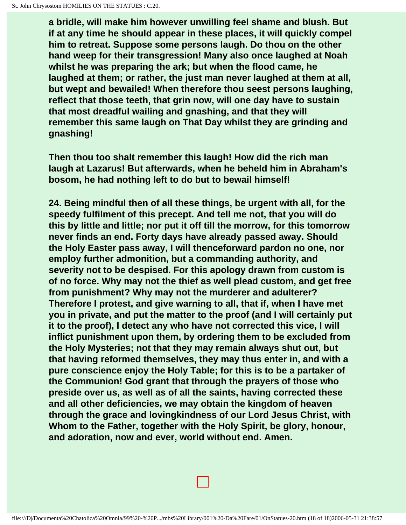**a bridle, will make him however unwilling feel shame and blush. But if at any time he should appear in these places, it will quickly compel him to retreat. Suppose some persons laugh. Do thou on the other hand weep for their transgression! Many also once laughed at Noah whilst he was preparing the ark; but when the flood came, he laughed at them; or rather, the just man never laughed at them at all, but wept and bewailed! When therefore thou seest persons laughing, reflect that those teeth, that grin now, will one day have to sustain that most dreadful wailing and gnashing, and that they will remember this same laugh on That Day whilst they are grinding and gnashing!** 

**Then thou too shalt remember this laugh! How did the rich man laugh at Lazarus! But afterwards, when he beheld him in Abraham's bosom, he had nothing left to do but to bewail himself!** 

**24. Being mindful then of all these things, be urgent with all, for the speedy fulfilment of this precept. And tell me not, that you will do this by little and little; nor put it off till the morrow, for this tomorrow never finds an end. Forty days have already passed away. Should the Holy Easter pass away, I will thenceforward pardon no one, nor employ further admonition, but a commanding authority, and severity not to be despised. For this apology drawn from custom is of no force. Why may not the thief as well plead custom, and get free from punishment? Why may not the murderer and adulterer? Therefore I protest, and give warning to all, that if, when I have met you in private, and put the matter to the proof (and I will certainly put it to the proof), I detect any who have not corrected this vice, I will inflict punishment upon them, by ordering them to be excluded from the Holy Mysteries; not that they may remain always shut out, but that having reformed themselves, they may thus enter in, and with a pure conscience enjoy the Holy Table; for this is to be a partaker of the Communion! God grant that through the prayers of those who preside over us, as well as of all the saints, having corrected these and all other deficiencies, we may obtain the kingdom of heaven through the grace and lovingkindness of our Lord Jesus Christ, with Whom to the Father, together with the Holy Spirit, be glory, honour, and adoration, now and ever, world without end. Amen.**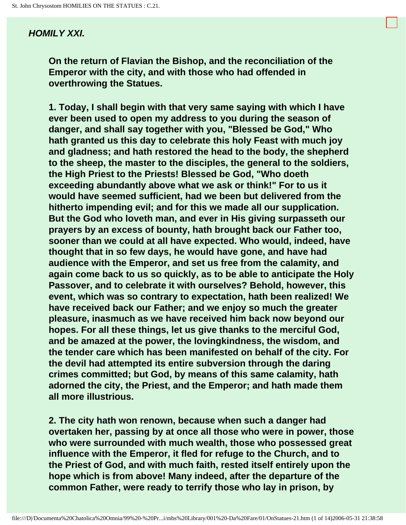## **HOMILY XXI.**

**On the return of Flavian the Bishop, and the reconciliation of the Emperor with the city, and with those who had offended in overthrowing the Statues.** 

**1. Today, I shall begin with that very same saying with which I have ever been used to open my address to you during the season of danger, and shall say together with you, "Blessed be God," Who hath granted us this day to celebrate this holy Feast with much joy and gladness; and hath restored the head to the body, the shepherd to the sheep, the master to the disciples, the general to the soldiers, the High Priest to the Priests! Blessed be God, "Who doeth exceeding abundantly above what we ask or think!" For to us it would have seemed sufficient, had we been but delivered from the hitherto impending evil; and for this we made all our supplication. But the God who loveth man, and ever in His giving surpasseth our prayers by an excess of bounty, hath brought back our Father too, sooner than we could at all have expected. Who would, indeed, have thought that in so few days, he would have gone, and have had audience with the Emperor, and set us free from the calamity, and again come back to us so quickly, as to be able to anticipate the Holy Passover, and to celebrate it with ourselves? Behold, however, this event, which was so contrary to expectation, hath been realized! We have received back our Father; and we enjoy so much the greater pleasure, inasmuch as we have received him back now beyond our hopes. For all these things, let us give thanks to the merciful God, and be amazed at the power, the lovingkindness, the wisdom, and the tender care which has been manifested on behalf of the city. For the devil had attempted its entire subversion through the daring crimes committed; but God, by means of this same calamity, hath adorned the city, the Priest, and the Emperor; and hath made them all more illustrious.** 

**2. The city hath won renown, because when such a danger had overtaken her, passing by at once all those who were in power, those who were surrounded with much wealth, those who possessed great influence with the Emperor, it fled for refuge to the Church, and to the Priest of God, and with much faith, rested itself entirely upon the hope which is from above! Many indeed, after the departure of the common Father, were ready to terrify those who lay in prison, by**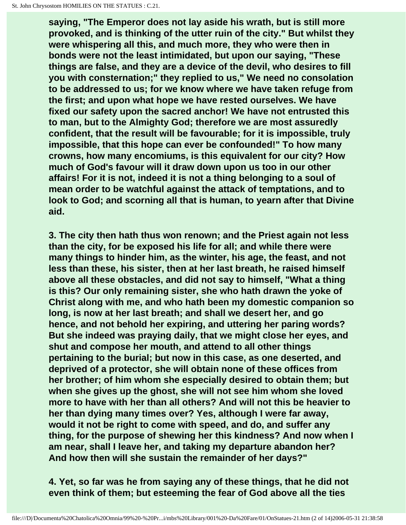**saying, "The Emperor does not lay aside his wrath, but is still more provoked, and is thinking of the utter ruin of the city." But whilst they were whispering all this, and much more, they who were then in bonds were not the least intimidated, but upon our saying, "These things are false, and they are a device of the devil, who desires to fill you with consternation;" they replied to us," We need no consolation to be addressed to us; for we know where we have taken refuge from the first; and upon what hope we have rested ourselves. We have fixed our safety upon the sacred anchor! We have not entrusted this to man, but to the Almighty God; therefore we are most assuredly confident, that the result will be favourable; for it is impossible, truly impossible, that this hope can ever be confounded!" To how many crowns, how many encomiums, is this equivalent for our city? How much of God's favour will it draw down upon us too in our other affairs! For it is not, indeed it is not a thing belonging to a soul of mean order to be watchful against the attack of temptations, and to look to God; and scorning all that is human, to yearn after that Divine aid.** 

**3. The city then hath thus won renown; and the Priest again not less than the city, for be exposed his life for all; and while there were many things to hinder him, as the winter, his age, the feast, and not less than these, his sister, then at her last breath, he raised himself above all these obstacles, and did not say to himself, "What a thing is this? Our only remaining sister, she who hath drawn the yoke of Christ along with me, and who hath been my domestic companion so long, is now at her last breath; and shall we desert her, and go hence, and not behold her expiring, and uttering her paring words? But she indeed was praying daily, that we might close her eyes, and shut and compose her mouth, and attend to all other things pertaining to the burial; but now in this case, as one deserted, and deprived of a protector, she will obtain none of these offices from her brother; of him whom she especially desired to obtain them; but when she gives up the ghost, she will not see him whom she loved more to have with her than all others? And will not this be heavier to her than dying many times over? Yes, although I were far away, would it not be right to come with speed, and do, and suffer any thing, for the purpose of shewing her this kindness? And now when I am near, shall I leave her, and taking my departure abandon her? And how then will she sustain the remainder of her days?"** 

**4. Yet, so far was he from saying any of these things, that he did not even think of them; but esteeming the fear of God above all the ties**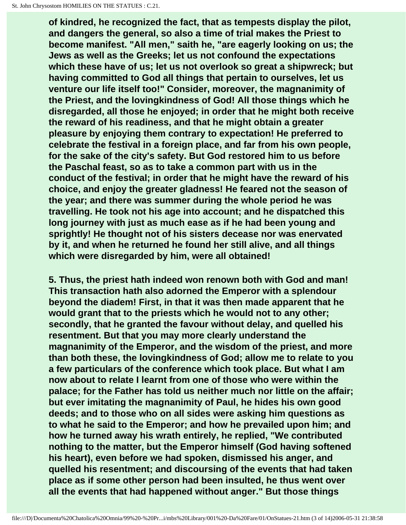**of kindred, he recognized the fact, that as tempests display the pilot, and dangers the general, so also a time of trial makes the Priest to become manifest. "All men," saith he, "are eagerly looking on us; the Jews as well as the Greeks; let us not confound the expectations which these have of us; let us not overlook so great a shipwreck; but having committed to God all things that pertain to ourselves, let us venture our life itself too!" Consider, moreover, the magnanimity of the Priest, and the lovingkindness of God! All those things which he disregarded, all those he enjoyed; in order that he might both receive the reward of his readiness, and that he might obtain a greater pleasure by enjoying them contrary to expectation! He preferred to celebrate the festival in a foreign place, and far from his own people, for the sake of the city's safety. But God restored him to us before the Paschal feast, so as to take a common part with us in the conduct of the festival; in order that he might have the reward of his choice, and enjoy the greater gladness! He feared not the season of the year; and there was summer during the whole period he was travelling. He took not his age into account; and he dispatched this long journey with just as much ease as if he had been young and sprightly! He thought not of his sisters decease nor was enervated by it, and when he returned he found her still alive, and all things which were disregarded by him, were all obtained!** 

**5. Thus, the priest hath indeed won renown both with God and man! This transaction hath also adorned the Emperor with a splendour beyond the diadem! First, in that it was then made apparent that he would grant that to the priests which he would not to any other; secondly, that he granted the favour without delay, and quelled his resentment. But that you may more clearly understand the magnanimity of the Emperor, and the wisdom of the priest, and more than both these, the lovingkindness of God; allow me to relate to you a few particulars of the conference which took place. But what I am now about to relate I learnt from one of those who were within the palace; for the Father has told us neither much nor little on the affair; but ever imitating the magnanimity of Paul, he hides his own good deeds; and to those who on all sides were asking him questions as to what he said to the Emperor; and how he prevailed upon him; and how he turned away his wrath entirely, he replied, "We contributed nothing to the matter, but the Emperor himself (God having softened his heart), even before we had spoken, dismissed his anger, and quelled his resentment; and discoursing of the events that had taken place as if some other person had been insulted, he thus went over all the events that had happened without anger." But those things**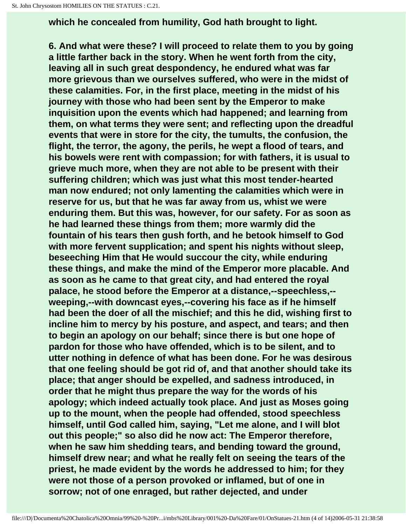### **which he concealed from humility, God hath brought to light.**

**6. And what were these? I will proceed to relate them to you by going a little farther back in the story. When he went forth from the city, leaving all in such great despondency, he endured what was far more grievous than we ourselves suffered, who were in the midst of these calamities. For, in the first place, meeting in the midst of his journey with those who had been sent by the Emperor to make inquisition upon the events which had happened; and learning from them, on what terms they were sent; and reflecting upon the dreadful events that were in store for the city, the tumults, the confusion, the flight, the terror, the agony, the perils, he wept a flood of tears, and his bowels were rent with compassion; for with fathers, it is usual to grieve much more, when they are not able to be present with their suffering children; which was just what this most tender-hearted man now endured; not only lamenting the calamities which were in reserve for us, but that he was far away from us, whist we were enduring them. But this was, however, for our safety. For as soon as he had learned these things from them; more warmly did the fountain of his tears then gush forth, and he betook himself to God with more fervent supplication; and spent his nights without sleep, beseeching Him that He would succour the city, while enduring these things, and make the mind of the Emperor more placable. And as soon as he came to that great city, and had entered the royal palace, he stood before the Emperor at a distance,--speechless,- weeping,--with downcast eyes,--covering his face as if he himself had been the doer of all the mischief; and this he did, wishing first to incline him to mercy by his posture, and aspect, and tears; and then to begin an apology on our behalf; since there is but one hope of pardon for those who have offended, which is to be silent, and to utter nothing in defence of what has been done. For he was desirous that one feeling should be got rid of, and that another should take its place; that anger should be expelled, and sadness introduced, in order that he might thus prepare the way for the words of his apology; which indeed actually took place. And just as Moses going up to the mount, when the people had offended, stood speechless himself, until God called him, saying, "Let me alone, and I will blot out this people;" so also did he now act: The Emperor therefore, when he saw him shedding tears, and bending toward the ground, himself drew near; and what he really felt on seeing the tears of the priest, he made evident by the words he addressed to him; for they were not those of a person provoked or inflamed, but of one in sorrow; not of one enraged, but rather dejected, and under**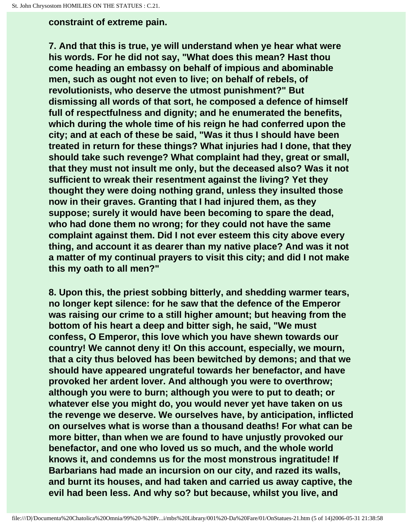### **constraint of extreme pain.**

**7. And that this is true, ye will understand when ye hear what were his words. For he did not say, "What does this mean? Hast thou come heading an embassy on behalf of impious and abominable men, such as ought not even to live; on behalf of rebels, of revolutionists, who deserve the utmost punishment?" But dismissing all words of that sort, he composed a defence of himself full of respectfulness and dignity; and he enumerated the benefits, which during the whole time of his reign he had conferred upon the city; and at each of these be said, "Was it thus I should have been treated in return for these things? What injuries had I done, that they should take such revenge? What complaint had they, great or small, that they must not insult me only, but the deceased also? Was it not sufficient to wreak their resentment against the living? Yet they thought they were doing nothing grand, unless they insulted those now in their graves. Granting that I had injured them, as they suppose; surely it would have been becoming to spare the dead, who had done them no wrong; for they could not have the same complaint against them. Did I not ever esteem this city above every thing, and account it as dearer than my native place? And was it not a matter of my continual prayers to visit this city; and did I not make this my oath to all men?"** 

**8. Upon this, the priest sobbing bitterly, and shedding warmer tears, no longer kept silence: for he saw that the defence of the Emperor was raising our crime to a still higher amount; but heaving from the bottom of his heart a deep and bitter sigh, he said, "We must confess, O Emperor, this love which you have shewn towards our country! We cannot deny it! On this account, especially, we mourn, that a city thus beloved has been bewitched by demons; and that we should have appeared ungrateful towards her benefactor, and have provoked her ardent lover. And although you were to overthrow; although you were to burn; although you were to put to death; or whatever else you might do, you would never yet have taken on us the revenge we deserve. We ourselves have, by anticipation, inflicted on ourselves what is worse than a thousand deaths! For what can be more bitter, than when we are found to have unjustly provoked our benefactor, and one who loved us so much, and the whole world knows it, and condemns us for the most monstrous ingratitude! If Barbarians had made an incursion on our city, and razed its walls, and burnt its houses, and had taken and carried us away captive, the evil had been less. And why so? but because, whilst you live, and**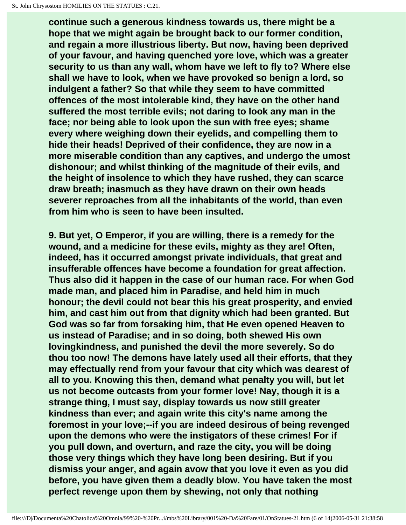**continue such a generous kindness towards us, there might be a hope that we might again be brought back to our former condition, and regain a more illustrious liberty. But now, having been deprived of your favour, and having quenched yore love, which was a greater security to us than any wall, whom have we left to fly to? Where else shall we have to look, when we have provoked so benign a lord, so indulgent a father? So that while they seem to have committed offences of the most intolerable kind, they have on the other hand suffered the most terrible evils; not daring to look any man in the face; nor being able to look upon the sun with free eyes; shame every where weighing down their eyelids, and compelling them to hide their heads! Deprived of their confidence, they are now in a more miserable condition than any captives, and undergo the umost dishonour; and whilst thinking of the magnitude of their evils, and the height of insolence to which they have rushed, they can scarce draw breath; inasmuch as they have drawn on their own heads severer reproaches from all the inhabitants of the world, than even from him who is seen to have been insulted.** 

**9. But yet, O Emperor, if you are willing, there is a remedy for the wound, and a medicine for these evils, mighty as they are! Often, indeed, has it occurred amongst private individuals, that great and insufferable offences have become a foundation for great affection. Thus also did it happen in the case of our human race. For when God made man, and placed him in Paradise, and held him in much honour; the devil could not bear this his great prosperity, and envied him, and cast him out from that dignity which had been granted. But God was so far from forsaking him, that He even opened Heaven to us instead of Paradise; and in so doing, both shewed His own lovingkindness, and punished the devil the more severely. So do thou too now! The demons have lately used all their efforts, that they may effectually rend from your favour that city which was dearest of all to you. Knowing this then, demand what penalty you will, but let us not become outcasts from your former love! Nay, though it is a strange thing, I must say, display towards us now still greater kindness than ever; and again write this city's name among the foremost in your love;--if you are indeed desirous of being revenged upon the demons who were the instigators of these crimes! For if you pull down, and overturn, and raze the city, you will be doing those very things which they have long been desiring. But if you dismiss your anger, and again avow that you love it even as you did before, you have given them a deadly blow. You have taken the most perfect revenge upon them by shewing, not only that nothing**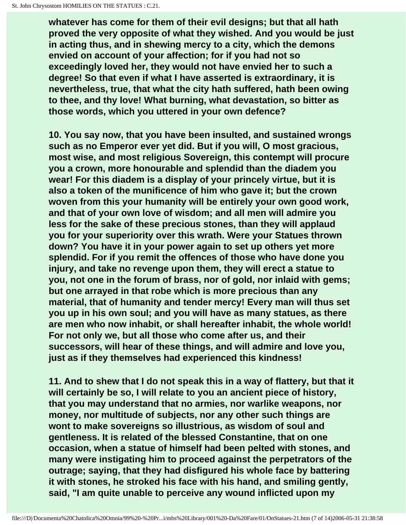**whatever has come for them of their evil designs; but that all hath proved the very opposite of what they wished. And you would be just in acting thus, and in shewing mercy to a city, which the demons envied on account of your affection; for if you had not so exceedingly loved her, they would not have envied her to such a degree! So that even if what I have asserted is extraordinary, it is nevertheless, true, that what the city hath suffered, hath been owing to thee, and thy love! What burning, what devastation, so bitter as those words, which you uttered in your own defence?** 

**10. You say now, that you have been insulted, and sustained wrongs such as no Emperor ever yet did. But if you will, O most gracious, most wise, and most religious Sovereign, this contempt will procure you a crown, more honourable and splendid than the diadem you wear! For this diadem is a display of your princely virtue, but it is also a token of the munificence of him who gave it; but the crown woven from this your humanity will be entirely your own good work, and that of your own love of wisdom; and all men will admire you less for the sake of these precious stones, than they will applaud you for your superiority over this wrath. Were your Statues thrown down? You have it in your power again to set up others yet more splendid. For if you remit the offences of those who have done you injury, and take no revenge upon them, they will erect a statue to you, not one in the forum of brass, nor of gold, nor inlaid with gems; but one arrayed in that robe which is more precious than any material, that of humanity and tender mercy! Every man will thus set you up in his own soul; and you will have as many statues, as there are men who now inhabit, or shall hereafter inhabit, the whole world! For not only we, but all those who come after us, and their successors, will hear of these things, and will admire and love you, just as if they themselves had experienced this kindness!** 

**11. And to shew that I do not speak this in a way of flattery, but that it will certainly be so, I will relate to you an ancient piece of history, that you may understand that no armies, nor warlike weapons, nor money, nor multitude of subjects, nor any other such things are wont to make sovereigns so illustrious, as wisdom of soul and gentleness. It is related of the blessed Constantine, that on one occasion, when a statue of himself had been pelted with stones, and many were instigating him to proceed against the perpetrators of the outrage; saying, that they had disfigured his whole face by battering it with stones, he stroked his face with his hand, and smiling gently, said, "I am quite unable to perceive any wound inflicted upon my**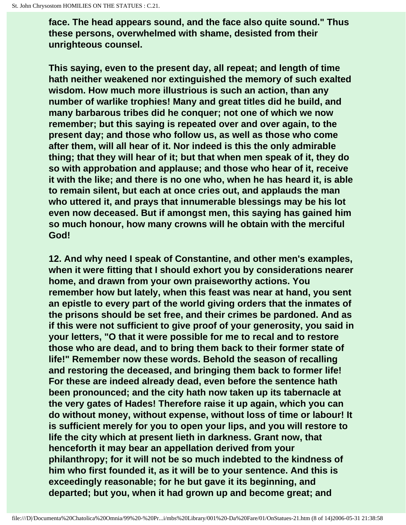**face. The head appears sound, and the face also quite sound." Thus these persons, overwhelmed with shame, desisted from their unrighteous counsel.** 

**This saying, even to the present day, all repeat; and length of time hath neither weakened nor extinguished the memory of such exalted wisdom. How much more illustrious is such an action, than any number of warlike trophies! Many and great titles did he build, and many barbarous tribes did he conquer; not one of which we now remember; but this saying is repeated over and over again, to the present day; and those who follow us, as well as those who come after them, will all hear of it. Nor indeed is this the only admirable thing; that they will hear of it; but that when men speak of it, they do so with approbation and applause; and those who hear of it, receive it with the like; and there is no one who, when he has heard it, is able to remain silent, but each at once cries out, and applauds the man who uttered it, and prays that innumerable blessings may be his lot even now deceased. But if amongst men, this saying has gained him so much honour, how many crowns will he obtain with the merciful God!** 

**12. And why need I speak of Constantine, and other men's examples, when it were fitting that I should exhort you by considerations nearer home, and drawn from your own praiseworthy actions. You remember how but lately, when this feast was near at hand, you sent an epistle to every part of the world giving orders that the inmates of the prisons should be set free, and their crimes be pardoned. And as if this were not sufficient to give proof of your generosity, you said in your letters, "O that it were possible for me to recal and to restore those who are dead, and to bring them back to their former state of life!" Remember now these words. Behold the season of recalling and restoring the deceased, and bringing them back to former life! For these are indeed already dead, even before the sentence hath been pronounced; and the city hath now taken up its tabernacle at the very gates of Hades! Therefore raise it up again, which you can do without money, without expense, without loss of time or labour! It is sufficient merely for you to open your lips, and you will restore to life the city which at present lieth in darkness. Grant now, that henceforth it may bear an appellation derived from your philanthropy; for it will not be so much indebted to the kindness of him who first founded it, as it will be to your sentence. And this is exceedingly reasonable; for he but gave it its beginning, and departed; but you, when it had grown up and become great; and**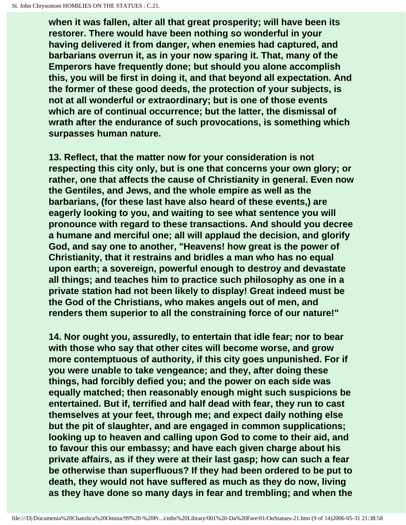**when it was fallen, alter all that great prosperity; will have been its restorer. There would have been nothing so wonderful in your having delivered it from danger, when enemies had captured, and barbarians overrun it, as in your now sparing it. That, many of the Emperors have frequently done; but should you alone accomplish this, you will be first in doing it, and that beyond all expectation. And the former of these good deeds, the protection of your subjects, is not at all wonderful or extraordinary; but is one of those events which are of continual occurrence; but the latter, the dismissal of wrath after the endurance of such provocations, is something which surpasses human nature.** 

**13. Reflect, that the matter now for your consideration is not respecting this city only, but is one that concerns your own glory; or rather, one that affects the cause of Christianity in general. Even now the Gentiles, and Jews, and the whole empire as well as the barbarians, (for these last have also heard of these events,) are eagerly looking to you, and waiting to see what sentence you will pronounce with regard to these transactions. And should you decree a humane and merciful one; all will applaud the decision, and glorify God, and say one to another, "Heavens! how great is the power of Christianity, that it restrains and bridles a man who has no equal upon earth; a sovereign, powerful enough to destroy and devastate all things; and teaches him to practice such philosophy as one in a private station had not been likely to display! Great indeed must be the God of the Christians, who makes angels out of men, and renders them superior to all the constraining force of our nature!"** 

**14. Nor ought you, assuredly, to entertain that idle fear; nor to bear with those who say that other cites will become worse, and grow more contemptuous of authority, if this city goes unpunished. For if you were unable to take vengeance; and they, after doing these things, had forcibly defied you; and the power on each side was equally matched; then reasonably enough might such suspicions be entertained. But if, terrified and half dead with fear, they run to cast themselves at your feet, through me; and expect daily nothing else but the pit of slaughter, and are engaged in common supplications; looking up to heaven and calling upon God to come to their aid, and to favour this our embassy; and have each given charge about his private affairs, as if they were at their last gasp; how can such a fear be otherwise than superfluous? If they had been ordered to be put to death, they would not have suffered as much as they do now, living as they have done so many days in fear and trembling; and when the**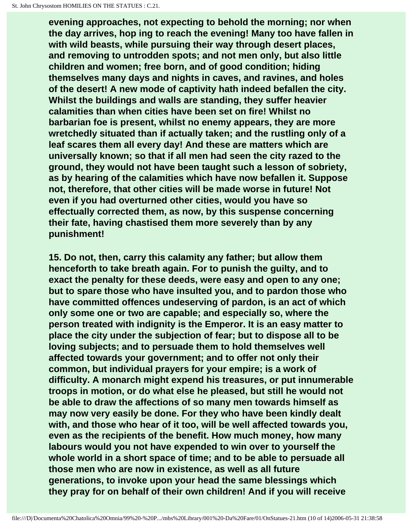**evening approaches, not expecting to behold the morning; nor when the day arrives, hop ing to reach the evening! Many too have fallen in with wild beasts, while pursuing their way through desert places, and removing to untrodden spots; and not men only, but also little children and women; free born, and of good condition; hiding themselves many days and nights in caves, and ravines, and holes of the desert! A new mode of captivity hath indeed befallen the city. Whilst the buildings and walls are standing, they suffer heavier calamities than when cities have been set on fire! Whilst no barbarian foe is present, whilst no enemy appears, they are more wretchedly situated than if actually taken; and the rustling only of a leaf scares them all every day! And these are matters which are universally known; so that if all men had seen the city razed to the ground, they would not have been taught such a lesson of sobriety, as by hearing of the calamities which have now befallen it. Suppose not, therefore, that other cities will be made worse in future! Not even if you had overturned other cities, would you have so effectually corrected them, as now, by this suspense concerning their fate, having chastised them more severely than by any punishment!** 

**15. Do not, then, carry this calamity any father; but allow them henceforth to take breath again. For to punish the guilty, and to exact the penalty for these deeds, were easy and open to any one; but to spare those who have insulted you, and to pardon those who have committed offences undeserving of pardon, is an act of which only some one or two are capable; and especially so, where the person treated with indignity is the Emperor. It is an easy matter to place the city under the subjection of fear; but to dispose all to be loving subjects; and to persuade them to hold themselves well affected towards your government; and to offer not only their common, but individual prayers for your empire; is a work of difficulty. A monarch might expend his treasures, or put innumerable troops in motion, or do what else he pleased, but still he would not be able to draw the affections of so many men towards himself as may now very easily be done. For they who have been kindly dealt with, and those who hear of it too, will be well affected towards you, even as the recipients of the benefit. How much money, how many labours would you not have expended to win over to yourself the whole world in a short space of time; and to be able to persuade all those men who are now in existence, as well as all future generations, to invoke upon your head the same blessings which they pray for on behalf of their own children! And if you will receive**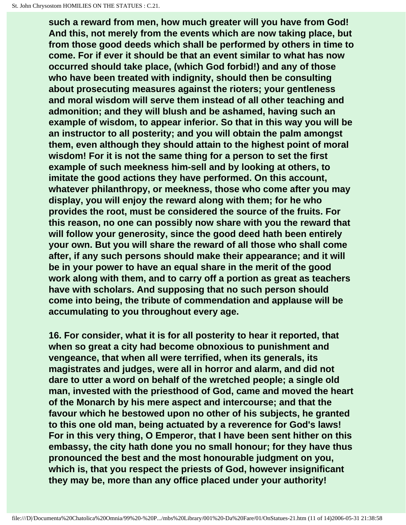**such a reward from men, how much greater will you have from God! And this, not merely from the events which are now taking place, but from those good deeds which shall be performed by others in time to come. For if ever it should be that an event similar to what has now occurred should take place, (which God forbid!) and any of those who have been treated with indignity, should then be consulting about prosecuting measures against the rioters; your gentleness and moral wisdom will serve them instead of all other teaching and admonition; and they will blush and be ashamed, having such an example of wisdom, to appear inferior. So that in this way you will be an instructor to all posterity; and you will obtain the palm amongst them, even although they should attain to the highest point of moral wisdom! For it is not the same thing for a person to set the first example of such meekness him-sell and by looking at others, to imitate the good actions they have performed. On this account, whatever philanthropy, or meekness, those who come after you may display, you will enjoy the reward along with them; for he who provides the root, must be considered the source of the fruits. For this reason, no one can possibly now share with you the reward that will follow your generosity, since the good deed hath been entirely your own. But you will share the reward of all those who shall come after, if any such persons should make their appearance; and it will be in your power to have an equal share in the merit of the good work along with them, and to carry off a portion as great as teachers have with scholars. And supposing that no such person should come into being, the tribute of commendation and applause will be accumulating to you throughout every age.** 

**16. For consider, what it is for all posterity to hear it reported, that when so great a city had become obnoxious to punishment and vengeance, that when all were terrified, when its generals, its magistrates and judges, were all in horror and alarm, and did not dare to utter a word on behalf of the wretched people; a single old man, invested with the priesthood of God, came and moved the heart of the Monarch by his mere aspect and intercourse; and that the favour which he bestowed upon no other of his subjects, he granted to this one old man, being actuated by a reverence for God's laws! For in this very thing, O Emperor, that I have been sent hither on this embassy, the city hath done you no small honour; for they have thus pronounced the best and the most honourable judgment on you, which is, that you respect the priests of God, however insignificant they may be, more than any office placed under your authority!**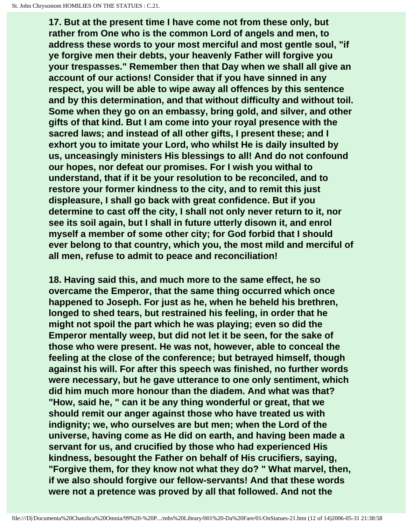**17. But at the present time I have come not from these only, but rather from One who is the common Lord of angels and men, to address these words to your most merciful and most gentle soul, "if ye forgive men their debts, your heavenly Father will forgive you your trespasses." Remember then that Day when we shall all give an account of our actions! Consider that if you have sinned in any respect, you will be able to wipe away all offences by this sentence and by this determination, and that without difficulty and without toil. Some when they go on an embassy, bring gold, and silver, and other gifts of that kind. But I am come into your royal presence with the sacred laws; and instead of all other gifts, I present these; and I exhort you to imitate your Lord, who whilst He is daily insulted by us, unceasingly ministers His blessings to all! And do not confound our hopes, nor defeat our promises. For I wish you withal to understand, that if it be your resolution to be reconciled, and to restore your former kindness to the city, and to remit this just displeasure, I shall go back with great confidence. But if you determine to cast off the city, I shall not only never return to it, nor see its soil again, but I shall in future utterly disown it, and enrol myself a member of some other city; for God forbid that I should ever belong to that country, which you, the most mild and merciful of all men, refuse to admit to peace and reconciliation!** 

**18. Having said this, and much more to the same effect, he so overcame the Emperor, that the same thing occurred which once happened to Joseph. For just as he, when he beheld his brethren, longed to shed tears, but restrained his feeling, in order that he might not spoil the part which he was playing; even so did the Emperor mentally weep, but did not let it be seen, for the sake of those who were present. He was not, however, able to conceal the feeling at the close of the conference; but betrayed himself, though against his will. For after this speech was finished, no further words were necessary, but he gave utterance to one only sentiment, which did him much more honour than the diadem. And what was that? "How, said he, " can it be any thing wonderful or great, that we should remit our anger against those who have treated us with indignity; we, who ourselves are but men; when the Lord of the universe, having come as He did on earth, and having been made a servant for us, and crucified by those who had experienced His kindness, besought the Father on behalf of His crucifiers, saying, "Forgive them, for they know not what they do? " What marvel, then, if we also should forgive our fellow-servants! And that these words were not a pretence was proved by all that followed. And not the**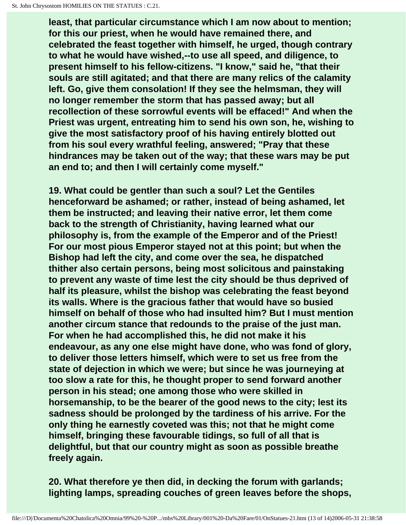**least, that particular circumstance which I am now about to mention; for this our priest, when he would have remained there, and celebrated the feast together with himself, he urged, though contrary to what he would have wished,--to use all speed, and diligence, to present himself to his fellow-citizens. "I know," said he, "that their souls are still agitated; and that there are many relics of the calamity left. Go, give them consolation! If they see the helmsman, they will no longer remember the storm that has passed away; but all recollection of these sorrowful events will be effaced!" And when the Priest was urgent, entreating him to send his own son, he, wishing to give the most satisfactory proof of his having entirely blotted out from his soul every wrathful feeling, answered; "Pray that these hindrances may be taken out of the way; that these wars may be put an end to; and then I will certainly come myself."** 

**19. What could be gentler than such a soul? Let the Gentiles henceforward be ashamed; or rather, instead of being ashamed, let them be instructed; and leaving their native error, let them come back to the strength of Christianity, having learned what our philosophy is, from the example of the Emperor and of the Priest! For our most pious Emperor stayed not at this point; but when the Bishop had left the city, and come over the sea, he dispatched thither also certain persons, being most solicitous and painstaking to prevent any waste of time lest the city should be thus deprived of half its pleasure, whilst the bishop was celebrating the feast beyond its walls. Where is the gracious father that would have so busied himself on behalf of those who had insulted him? But I must mention another circum stance that redounds to the praise of the just man. For when he had accomplished this, he did not make it his endeavour, as any one else might have done, who was fond of glory, to deliver those letters himself, which were to set us free from the state of dejection in which we were; but since he was journeying at too slow a rate for this, he thought proper to send forward another person in his stead; one among those who were skilled in horsemanship, to be the bearer of the good news to the city; lest its sadness should be prolonged by the tardiness of his arrive. For the only thing he earnestly coveted was this; not that he might come himself, bringing these favourable tidings, so full of all that is delightful, but that our country might as soon as possible breathe freely again.** 

**20. What therefore ye then did, in decking the forum with garlands; lighting lamps, spreading couches of green leaves before the shops,**